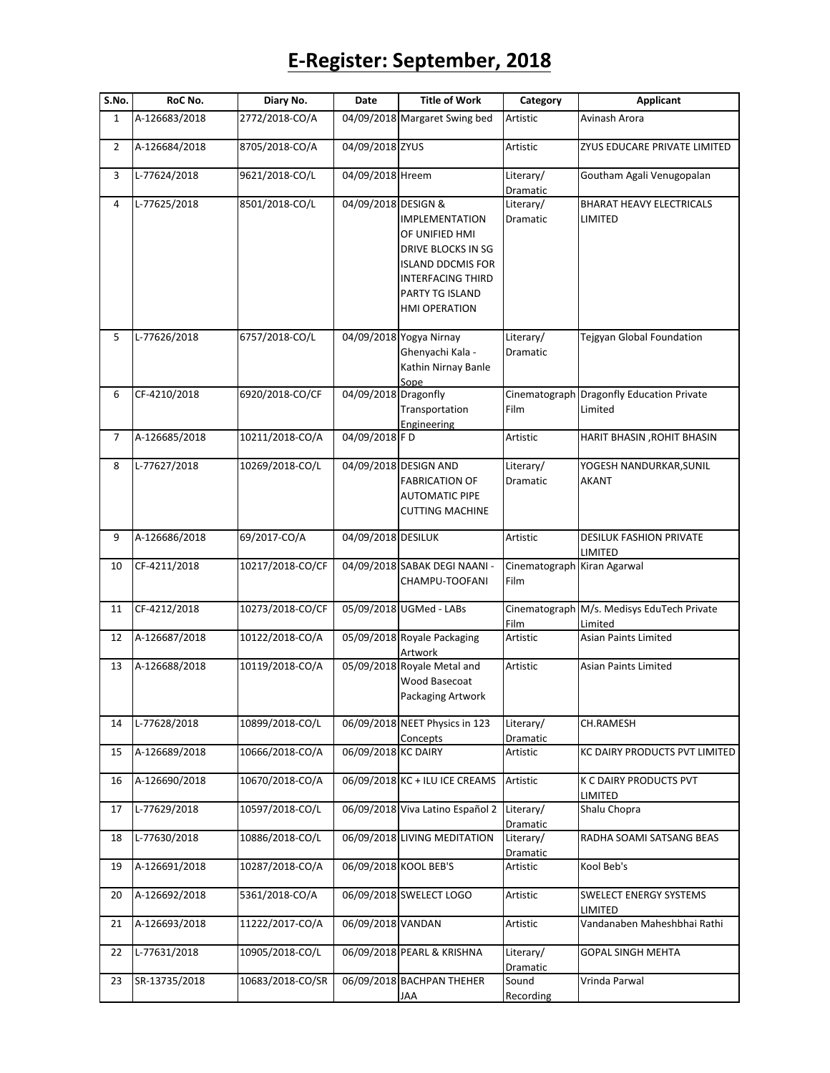## **E-Register: September, 2018**

| S.No.          | RoC No.       | Diary No.        | Date                 | <b>Title of Work</b>                                                                                                                                      | Category              | <b>Applicant</b>                                      |
|----------------|---------------|------------------|----------------------|-----------------------------------------------------------------------------------------------------------------------------------------------------------|-----------------------|-------------------------------------------------------|
| $\mathbf{1}$   | A-126683/2018 | 2772/2018-CO/A   |                      | 04/09/2018 Margaret Swing bed                                                                                                                             | Artistic              | Avinash Arora                                         |
| $\overline{2}$ | A-126684/2018 | 8705/2018-CO/A   | 04/09/2018 ZYUS      |                                                                                                                                                           | Artistic              | ZYUS EDUCARE PRIVATE LIMITED                          |
| 3              | L-77624/2018  | 9621/2018-CO/L   | 04/09/2018 Hreem     |                                                                                                                                                           | Literary/<br>Dramatic | Goutham Agali Venugopalan                             |
| 4              | L-77625/2018  | 8501/2018-CO/L   | 04/09/2018 DESIGN &  | <b>IMPLEMENTATION</b><br>OF UNIFIED HMI<br>DRIVE BLOCKS IN SG<br><b>ISLAND DDCMIS FOR</b><br><b>INTERFACING THIRD</b><br>PARTY TG ISLAND<br>HMI OPERATION | Literary/<br>Dramatic | <b>BHARAT HEAVY ELECTRICALS</b><br>LIMITED            |
| 5              | L-77626/2018  | 6757/2018-CO/L   |                      | 04/09/2018 Yogya Nirnay<br>Ghenyachi Kala -<br>Kathin Nirnay Banle<br>Sope                                                                                | Literary/<br>Dramatic | Tejgyan Global Foundation                             |
| 6              | CF-4210/2018  | 6920/2018-CO/CF  | 04/09/2018 Dragonfly | Transportation<br>Engineering                                                                                                                             | Film                  | Cinematograph Dragonfly Education Private<br>Limited  |
| 7              | A-126685/2018 | 10211/2018-CO/A  | 04/09/2018 FD        |                                                                                                                                                           | Artistic              | HARIT BHASIN, ROHIT BHASIN                            |
| 8              | L-77627/2018  | 10269/2018-CO/L  |                      | 04/09/2018 DESIGN AND<br><b>FABRICATION OF</b><br><b>AUTOMATIC PIPE</b><br><b>CUTTING MACHINE</b>                                                         | Literary/<br>Dramatic | YOGESH NANDURKAR, SUNIL<br><b>AKANT</b>               |
| 9              | A-126686/2018 | 69/2017-CO/A     | 04/09/2018 DESILUK   |                                                                                                                                                           | Artistic              | <b>DESILUK FASHION PRIVATE</b><br>LIMITED             |
| 10             | CF-4211/2018  | 10217/2018-CO/CF |                      | 04/09/2018 SABAK DEGI NAANI -<br>CHAMPU-TOOFANI                                                                                                           | Cinematograph<br>Film | Kiran Agarwal                                         |
| 11             | CF-4212/2018  | 10273/2018-CO/CF |                      | 05/09/2018 UGMed - LABs                                                                                                                                   | Film                  | Cinematograph M/s. Medisys EduTech Private<br>Limited |
| 12             | A-126687/2018 | 10122/2018-CO/A  |                      | 05/09/2018 Royale Packaging<br>Artwork                                                                                                                    | Artistic              | Asian Paints Limited                                  |
| 13             | A-126688/2018 | 10119/2018-CO/A  |                      | 05/09/2018 Royale Metal and<br>Wood Basecoat<br>Packaging Artwork                                                                                         | Artistic              | Asian Paints Limited                                  |
| 14             | L-77628/2018  | 10899/2018-CO/L  |                      | 06/09/2018 NEET Physics in 123<br>Concepts                                                                                                                | Literary/<br>Dramatic | CH.RAMESH                                             |
| 15             | A-126689/2018 | 10666/2018-CO/A  | 06/09/2018 KC DAIRY  |                                                                                                                                                           | Artistic              | KC DAIRY PRODUCTS PVT LIMITED                         |
| 16             | A-126690/2018 | 10670/2018-CO/A  |                      | 06/09/2018 KC + ILU ICE CREAMS                                                                                                                            | Artistic              | K C DAIRY PRODUCTS PVT<br>LIMITED                     |
| 17             | L-77629/2018  | 10597/2018-CO/L  |                      | 06/09/2018 Viva Latino Español 2                                                                                                                          | Literary/<br>Dramatic | Shalu Chopra                                          |
| 18             | L-77630/2018  | 10886/2018-CO/L  |                      | 06/09/2018 LIVING MEDITATION                                                                                                                              | Literary/<br>Dramatic | RADHA SOAMI SATSANG BEAS                              |
| 19             | A-126691/2018 | 10287/2018-CO/A  |                      | 06/09/2018 KOOL BEB'S                                                                                                                                     | Artistic              | Kool Beb's                                            |
| 20             | A-126692/2018 | 5361/2018-CO/A   |                      | 06/09/2018 SWELECT LOGO                                                                                                                                   | Artistic              | SWELECT ENERGY SYSTEMS<br>LIMITED                     |
| 21             | A-126693/2018 | 11222/2017-CO/A  | 06/09/2018 VANDAN    |                                                                                                                                                           | Artistic              | Vandanaben Maheshbhai Rathi                           |
| 22             | L-77631/2018  | 10905/2018-CO/L  |                      | 06/09/2018 PEARL & KRISHNA                                                                                                                                | Literary/<br>Dramatic | <b>GOPAL SINGH MEHTA</b>                              |
| 23             | SR-13735/2018 | 10683/2018-CO/SR |                      | 06/09/2018 BACHPAN THEHER<br>JAA                                                                                                                          | Sound<br>Recording    | Vrinda Parwal                                         |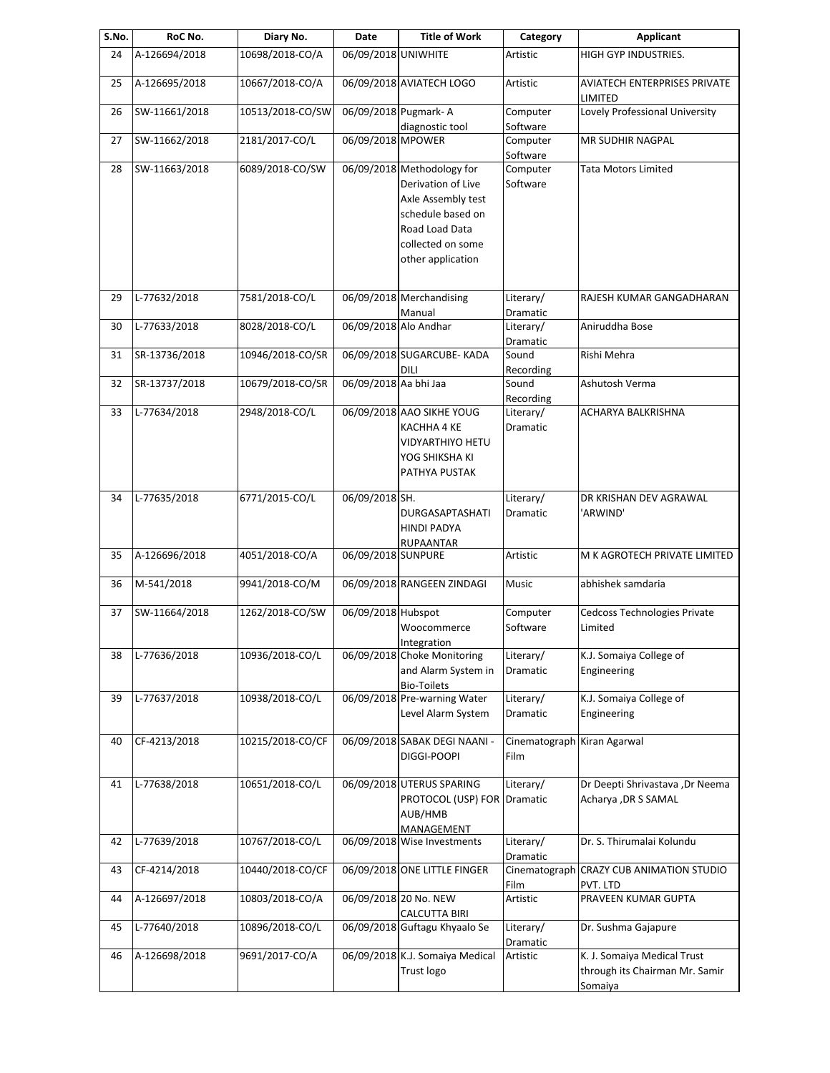| S.No. | RoC No.       | Diary No.        | Date                  | <b>Title of Work</b>            | Category             | <b>Applicant</b>                        |
|-------|---------------|------------------|-----------------------|---------------------------------|----------------------|-----------------------------------------|
| 24    | A-126694/2018 | 10698/2018-CO/A  | 06/09/2018 UNIWHITE   |                                 | <b>Artistic</b>      | HIGH GYP INDUSTRIES.                    |
| 25    | A-126695/2018 | 10667/2018-CO/A  |                       | 06/09/2018 AVIATECH LOGO        | Artistic             | AVIATECH ENTERPRISES PRIVATE<br>LIMITED |
| 26    | SW-11661/2018 | 10513/2018-CO/SW |                       | 06/09/2018 Pugmark- A           | Computer             | Lovely Professional University          |
| 27    | SW-11662/2018 | 2181/2017-CO/L   | 06/09/2018 MPOWER     | diagnostic tool                 | Software<br>Computer | MR SUDHIR NAGPAL                        |
|       |               |                  |                       |                                 | Software             |                                         |
| 28    | SW-11663/2018 | 6089/2018-CO/SW  |                       | 06/09/2018 Methodology for      | Computer             | <b>Tata Motors Limited</b>              |
|       |               |                  |                       |                                 |                      |                                         |
|       |               |                  |                       | Derivation of Live              | Software             |                                         |
|       |               |                  |                       | Axle Assembly test              |                      |                                         |
|       |               |                  |                       | schedule based on               |                      |                                         |
|       |               |                  |                       | Road Load Data                  |                      |                                         |
|       |               |                  |                       | collected on some               |                      |                                         |
|       |               |                  |                       | other application               |                      |                                         |
| 29    | L-77632/2018  | 7581/2018-CO/L   |                       | 06/09/2018 Merchandising        | Literary/            | RAJESH KUMAR GANGADHARAN                |
|       |               |                  |                       | Manual                          | Dramatic             |                                         |
| 30    | L-77633/2018  | 8028/2018-CO/L   | 06/09/2018 Alo Andhar |                                 | Literary/            | Aniruddha Bose                          |
|       |               |                  |                       |                                 | Dramatic             |                                         |
| 31    | SR-13736/2018 | 10946/2018-CO/SR |                       | 06/09/2018 SUGARCUBE- KADA      | Sound                | Rishi Mehra                             |
|       |               |                  |                       | DILI                            | Recording            |                                         |
| 32    | SR-13737/2018 | 10679/2018-CO/SR | 06/09/2018 Aa bhi Jaa |                                 | Sound                | Ashutosh Verma                          |
|       |               |                  |                       |                                 | Recording            |                                         |
| 33    | L-77634/2018  | 2948/2018-CO/L   |                       | 06/09/2018 AAO SIKHE YOUG       | Literary/            | ACHARYA BALKRISHNA                      |
|       |               |                  |                       | KACHHA 4 KE                     | Dramatic             |                                         |
|       |               |                  |                       | VIDYARTHIYO HETU                |                      |                                         |
|       |               |                  |                       | YOG SHIKSHA KI                  |                      |                                         |
|       |               |                  |                       |                                 |                      |                                         |
|       |               |                  |                       | PATHYA PUSTAK                   |                      |                                         |
| 34    | L-77635/2018  | 6771/2015-CO/L   | 06/09/2018 SH.        |                                 | Literary/            | DR KRISHAN DEV AGRAWAL                  |
|       |               |                  |                       | DURGASAPTASHATI                 | Dramatic             | 'ARWIND'                                |
|       |               |                  |                       | HINDI PADYA                     |                      |                                         |
|       |               |                  |                       | RUPAANTAR                       |                      |                                         |
| 35    | A-126696/2018 | 4051/2018-CO/A   | 06/09/2018 SUNPURE    |                                 | Artistic             | M K AGROTECH PRIVATE LIMITED            |
|       |               |                  |                       |                                 |                      |                                         |
| 36    | M-541/2018    | 9941/2018-CO/M   |                       | 06/09/2018 RANGEEN ZINDAGI      | Music                | abhishek samdaria                       |
| 37    | SW-11664/2018 | 1262/2018-CO/SW  | 06/09/2018 Hubspot    |                                 | Computer             | Cedcoss Technologies Private            |
|       |               |                  |                       | Woocommerce                     | Software             | Limited                                 |
|       |               |                  |                       | Integration                     |                      |                                         |
| 38    | L-77636/2018  | 10936/2018-CO/L  |                       | 06/09/2018 Choke Monitoring     | Literary/            | K.J. Somaiya College of                 |
|       |               |                  |                       | and Alarm System in             | Dramatic             | Engineering                             |
|       |               |                  |                       | <b>Bio-Toilets</b>              |                      |                                         |
| 39    | L-77637/2018  | 10938/2018-CO/L  |                       | 06/09/2018 Pre-warning Water    | Literary/            | K.J. Somaiya College of                 |
|       |               |                  |                       | Level Alarm System              | Dramatic             | Engineering                             |
|       |               |                  |                       |                                 |                      |                                         |
| 40    | CF-4213/2018  | 10215/2018-CO/CF |                       | 06/09/2018 SABAK DEGI NAANI -   | Cinematograph        | Kiran Agarwal                           |
|       |               |                  |                       | DIGGI-POOPI                     | Film                 |                                         |
| 41    | L-77638/2018  | 10651/2018-CO/L  |                       | 06/09/2018 UTERUS SPARING       | Literary/            | Dr Deepti Shrivastava ,Dr Neema         |
|       |               |                  |                       | PROTOCOL (USP) FOR              | Dramatic             | Acharya , DR S SAMAL                    |
|       |               |                  |                       | AUB/HMB                         |                      |                                         |
|       |               |                  |                       | MANAGEMENT                      |                      |                                         |
| 42    | L-77639/2018  | 10767/2018-CO/L  |                       | 06/09/2018 Wise Investments     | Literary/            | Dr. S. Thirumalai Kolundu               |
|       |               |                  |                       |                                 | Dramatic             |                                         |
| 43    | CF-4214/2018  | 10440/2018-CO/CF |                       | 06/09/2018 ONE LITTLE FINGER    | Cinematograph        | <b>CRAZY CUB ANIMATION STUDIO</b>       |
|       |               |                  |                       |                                 | Film                 | PVT. LTD                                |
| 44    | A-126697/2018 | 10803/2018-CO/A  |                       | 06/09/2018 20 No. NEW           | Artistic             | PRAVEEN KUMAR GUPTA                     |
|       |               |                  |                       | <b>CALCUTTA BIRI</b>            |                      |                                         |
| 45    | L-77640/2018  | 10896/2018-CO/L  |                       | 06/09/2018 Guftagu Khyaalo Se   | Literary/            | Dr. Sushma Gajapure                     |
|       |               |                  |                       |                                 | Dramatic             |                                         |
| 46    | A-126698/2018 | 9691/2017-CO/A   |                       | 06/09/2018 K.J. Somaiya Medical | Artistic             | K. J. Somaiya Medical Trust             |
|       |               |                  |                       | Trust logo                      |                      | through its Chairman Mr. Samir          |
|       |               |                  |                       |                                 |                      | Somaiya                                 |
|       |               |                  |                       |                                 |                      |                                         |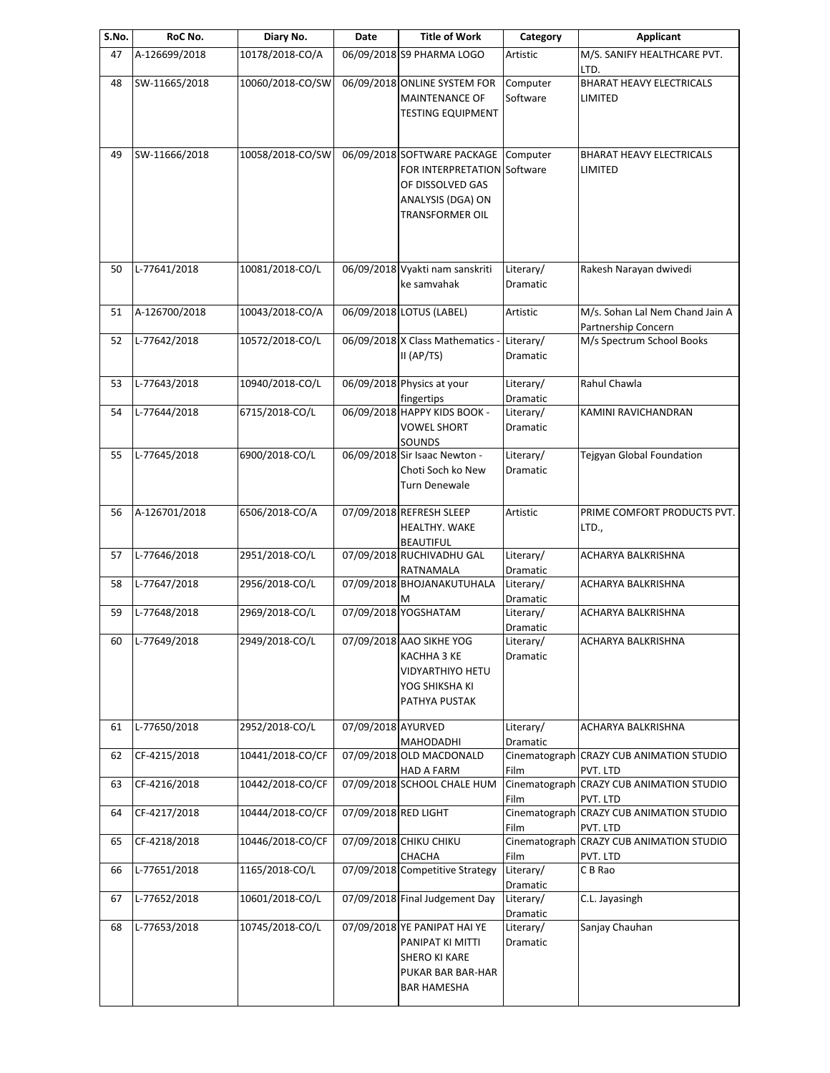| S.No. | RoC No.               | Diary No.        | Date                 | <b>Title of Work</b>                                                                                                          | Category              | <b>Applicant</b>                                       |
|-------|-----------------------|------------------|----------------------|-------------------------------------------------------------------------------------------------------------------------------|-----------------------|--------------------------------------------------------|
| 47    | A-126699/2018         | 10178/2018-CO/A  |                      | 06/09/2018 S9 PHARMA LOGO                                                                                                     | Artistic              | M/S. SANIFY HEALTHCARE PVT.<br>LTD.                    |
| 48    | SW-11665/2018         | 10060/2018-CO/SW |                      | 06/09/2018 ONLINE SYSTEM FOR<br>MAINTENANCE OF<br><b>TESTING EQUIPMENT</b>                                                    | Computer<br>Software  | <b>BHARAT HEAVY ELECTRICALS</b><br>LIMITED             |
| 49    | SW-11666/2018         | 10058/2018-CO/SW |                      | 06/09/2018 SOFTWARE PACKAGE<br>FOR INTERPRETATION Software<br>OF DISSOLVED GAS<br>ANALYSIS (DGA) ON<br><b>TRANSFORMER OIL</b> | Computer              | <b>BHARAT HEAVY ELECTRICALS</b><br>LIMITED             |
| 50    | L-77641/2018          | 10081/2018-CO/L  |                      | 06/09/2018 Vyakti nam sanskriti<br>ke samvahak                                                                                | Literary/<br>Dramatic | Rakesh Narayan dwivedi                                 |
| 51    | A-126700/2018         | 10043/2018-CO/A  |                      | 06/09/2018 LOTUS (LABEL)                                                                                                      | Artistic              | M/s. Sohan Lal Nem Chand Jain A<br>Partnership Concern |
| 52    | L-77642/2018          | 10572/2018-CO/L  |                      | 06/09/2018 X Class Mathematics -<br>II (AP/TS)                                                                                | Literary/<br>Dramatic | M/s Spectrum School Books                              |
| 53    | L-77643/2018          | 10940/2018-CO/L  |                      | 06/09/2018 Physics at your<br>fingertips                                                                                      | Literary/<br>Dramatic | Rahul Chawla                                           |
| 54    | L-77644/2018          | 6715/2018-CO/L   |                      | 06/09/2018 HAPPY KIDS BOOK -<br><b>VOWEL SHORT</b><br>SOUNDS                                                                  | Literary/<br>Dramatic | KAMINI RAVICHANDRAN                                    |
| 55    | L-77645/2018          | 6900/2018-CO/L   |                      | 06/09/2018 Sir Isaac Newton -<br>Choti Soch ko New<br>Turn Denewale                                                           | Literary/<br>Dramatic | Tejgyan Global Foundation                              |
| 56    | A-126701/2018         | 6506/2018-CO/A   |                      | 07/09/2018 REFRESH SLEEP<br>HEALTHY. WAKE<br><b>BEAUTIFUL</b>                                                                 | Artistic              | PRIME COMFORT PRODUCTS PVT.<br>LTD.,                   |
| 57    | L-77646/2018          | 2951/2018-CO/L   |                      | 07/09/2018 RUCHIVADHU GAL<br>RATNAMALA                                                                                        | Literary/<br>Dramatic | <b>ACHARYA BALKRISHNA</b>                              |
| 58    | L-77647/2018          | 2956/2018-CO/L   |                      | 07/09/2018 BHOJANAKUTUHALA<br>M                                                                                               | Literary/<br>Dramatic | ACHARYA BALKRISHNA                                     |
| 59    | L-77648/2018          | 2969/2018-CO/L   |                      | 07/09/2018 YOGSHATAM                                                                                                          | Literary/<br>Dramatic | ACHARYA BALKRISHNA                                     |
| 60    | $\sqrt{L-77649/2018}$ | 2949/2018-CO/L   |                      | 07/09/2018 AAO SIKHE YOG<br>KACHHA 3 KE<br>VIDYARTHIYO HETU<br>YOG SHIKSHA KI<br>PATHYA PUSTAK                                | Literary/<br>Dramatic | ACHARYA BALKRISHNA                                     |
| 61    | L-77650/2018          | 2952/2018-CO/L   | 07/09/2018 AYURVED   | <b>MAHODADHI</b>                                                                                                              | Literary/<br>Dramatic | ACHARYA BALKRISHNA                                     |
| 62    | CF-4215/2018          | 10441/2018-CO/CF |                      | 07/09/2018 OLD MACDONALD<br>HAD A FARM                                                                                        | Film                  | Cinematograph CRAZY CUB ANIMATION STUDIO<br>PVT. LTD   |
| 63    | CF-4216/2018          | 10442/2018-CO/CF |                      | 07/09/2018 SCHOOL CHALE HUM                                                                                                   | Cinematograph<br>Film | <b>CRAZY CUB ANIMATION STUDIO</b><br>PVT. LTD          |
| 64    | CF-4217/2018          | 10444/2018-CO/CF | 07/09/2018 RED LIGHT |                                                                                                                               | Film                  | Cinematograph CRAZY CUB ANIMATION STUDIO<br>PVT. LTD   |
| 65    | CF-4218/2018          | 10446/2018-CO/CF |                      | 07/09/2018 CHIKU CHIKU<br>CHACHA                                                                                              | Cinematograph<br>Film | <b>CRAZY CUB ANIMATION STUDIO</b><br>PVT. LTD          |
| 66    | L-77651/2018          | 1165/2018-CO/L   |                      | 07/09/2018 Competitive Strategy                                                                                               | Literary/<br>Dramatic | C B Rao                                                |
| 67    | L-77652/2018          | 10601/2018-CO/L  |                      | 07/09/2018 Final Judgement Day                                                                                                | Literary/<br>Dramatic | C.L. Jayasingh                                         |
| 68    | L-77653/2018          | 10745/2018-CO/L  |                      | 07/09/2018 YE PANIPAT HAI YE<br>PANIPAT KI MITTI<br><b>SHERO KI KARE</b><br>PUKAR BAR BAR-HAR<br><b>BAR HAMESHA</b>           | Literary/<br>Dramatic | Sanjay Chauhan                                         |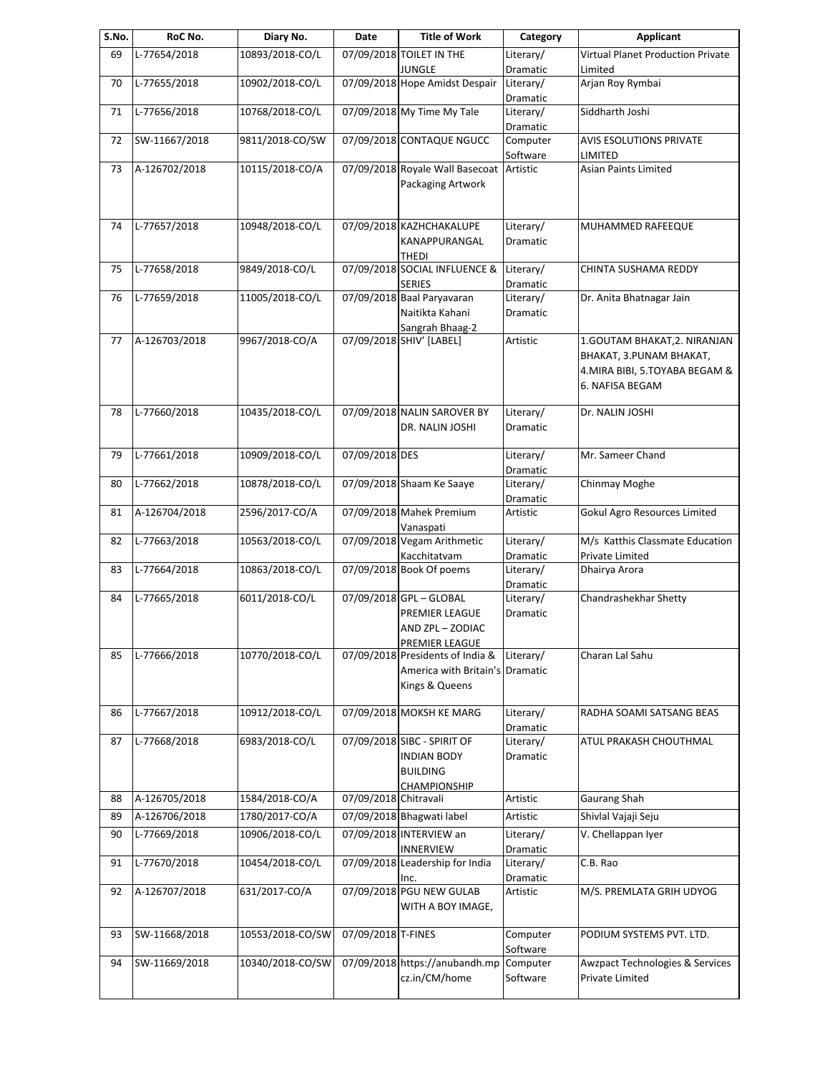| S.No. | RoC No.       | Diary No.        | Date                  | <b>Title of Work</b>                                                                  | Category              | Applicant                                                                                                       |
|-------|---------------|------------------|-----------------------|---------------------------------------------------------------------------------------|-----------------------|-----------------------------------------------------------------------------------------------------------------|
| 69    | L-77654/2018  | 10893/2018-CO/L  |                       | 07/09/2018 TOILET IN THE<br><b>JUNGLE</b>                                             | Literary/<br>Dramatic | <b>Virtual Planet Production Private</b><br>Limited                                                             |
| 70    | L-77655/2018  | 10902/2018-CO/L  |                       | 07/09/2018 Hope Amidst Despair                                                        | Literary/             | Arjan Roy Rymbai                                                                                                |
| 71    | L-77656/2018  | 10768/2018-CO/L  |                       | 07/09/2018 My Time My Tale                                                            | Dramatic<br>Literary/ | Siddharth Joshi                                                                                                 |
| 72    | SW-11667/2018 | 9811/2018-CO/SW  |                       | 07/09/2018 CONTAQUE NGUCC                                                             | Dramatic<br>Computer  | <b>AVIS ESOLUTIONS PRIVATE</b>                                                                                  |
| 73    | A-126702/2018 | 10115/2018-CO/A  |                       | 07/09/2018 Royale Wall Basecoat Artistic<br>Packaging Artwork                         | Software              | LIMITED<br><b>Asian Paints Limited</b>                                                                          |
| 74    | L-77657/2018  | 10948/2018-CO/L  |                       | 07/09/2018 KAZHCHAKALUPE<br>KANAPPURANGAL<br>THEDI                                    | Literary/<br>Dramatic | MUHAMMED RAFEEQUE                                                                                               |
| 75    | L-77658/2018  | 9849/2018-CO/L   |                       | 07/09/2018 SOCIAL INFLUENCE &<br><b>SERIES</b>                                        | Literary/<br>Dramatic | CHINTA SUSHAMA REDDY                                                                                            |
| 76    | L-77659/2018  | 11005/2018-CO/L  |                       | 07/09/2018 Baal Paryavaran<br>Naitikta Kahani                                         | Literary/<br>Dramatic | Dr. Anita Bhatnagar Jain                                                                                        |
| 77    | A-126703/2018 | 9967/2018-CO/A   |                       | Sangrah Bhaag-2<br>07/09/2018 SHIV' [LABEL]                                           | Artistic              | 1. GOUTAM BHAKAT, 2. NIRANJAN<br>BHAKAT, 3. PUNAM BHAKAT,<br>4. MIRA BIBI, 5. TOYABA BEGAM &<br>6. NAFISA BEGAM |
| 78    | L-77660/2018  | 10435/2018-CO/L  |                       | 07/09/2018 NALIN SAROVER BY<br>DR. NALIN JOSHI                                        | Literary/<br>Dramatic | Dr. NALIN JOSHI                                                                                                 |
| 79    | L-77661/2018  | 10909/2018-CO/L  | 07/09/2018 DES        |                                                                                       | Literary/<br>Dramatic | Mr. Sameer Chand                                                                                                |
| 80    | L-77662/2018  | 10878/2018-CO/L  |                       | 07/09/2018 Shaam Ke Saaye                                                             | Literary/<br>Dramatic | Chinmay Moghe                                                                                                   |
| 81    | A-126704/2018 | 2596/2017-CO/A   |                       | 07/09/2018 Mahek Premium<br>Vanaspati                                                 | Artistic              | Gokul Agro Resources Limited                                                                                    |
| 82    | L-77663/2018  | 10563/2018-CO/L  |                       | 07/09/2018 Vegam Arithmetic<br>Kacchitatvam                                           | Literary/<br>Dramatic | M/s Katthis Classmate Education<br>Private Limited                                                              |
| 83    | L-77664/2018  | 10863/2018-CO/L  |                       | 07/09/2018 Book Of poems                                                              | Literary/<br>Dramatic | Dhairya Arora                                                                                                   |
| 84    | L-77665/2018  | 6011/2018-CO/L   |                       | 07/09/2018 GPL - GLOBAL<br>PREMIER LEAGUE<br>AND ZPL - ZODIAC<br>PREMIER LEAGUE       | Literary/<br>Dramatic | Chandrashekhar Shetty                                                                                           |
| 85    | L-77666/2018  | 10770/2018-CO/L  |                       | 07/09/2018 Presidents of India &<br>America with Britain's Dramatic<br>Kings & Queens | Literary/             | Charan Lal Sahu                                                                                                 |
| 86    | L-77667/2018  | 10912/2018-CO/L  |                       | 07/09/2018 MOKSH KE MARG                                                              | Literary/<br>Dramatic | RADHA SOAMI SATSANG BEAS                                                                                        |
| 87    | L-77668/2018  | 6983/2018-CO/L   |                       | 07/09/2018 SIBC - SPIRIT OF<br>INDIAN BODY<br><b>BUILDING</b><br><b>CHAMPIONSHIP</b>  | Literary/<br>Dramatic | ATUL PRAKASH CHOUTHMAL                                                                                          |
| 88    | A-126705/2018 | 1584/2018-CO/A   | 07/09/2018 Chitravali |                                                                                       | Artistic              | Gaurang Shah                                                                                                    |
| 89    | A-126706/2018 | 1780/2017-CO/A   |                       | 07/09/2018 Bhagwati label                                                             | Artistic              | Shivlal Vajaji Seju                                                                                             |
| 90    | L-77669/2018  | 10906/2018-CO/L  |                       | 07/09/2018 INTERVIEW an<br><b>INNERVIEW</b>                                           | Literary/<br>Dramatic | V. Chellappan Iyer                                                                                              |
| 91    | L-77670/2018  | 10454/2018-CO/L  |                       | 07/09/2018 Leadership for India<br>Inc.                                               | Literary/<br>Dramatic | C.B. Rao                                                                                                        |
| 92    | A-126707/2018 | 631/2017-CO/A    |                       | 07/09/2018 PGU NEW GULAB<br>WITH A BOY IMAGE,                                         | Artistic              | M/S. PREMLATA GRIH UDYOG                                                                                        |
| 93    | SW-11668/2018 | 10553/2018-CO/SW | 07/09/2018 T-FINES    |                                                                                       | Computer<br>Software  | PODIUM SYSTEMS PVT. LTD.                                                                                        |
| 94    | SW-11669/2018 | 10340/2018-CO/SW |                       | 07/09/2018 https://anubandh.mp<br>cz.in/CM/home                                       | Computer<br>Software  | <b>Awzpact Technologies &amp; Services</b><br>Private Limited                                                   |
|       |               |                  |                       |                                                                                       |                       |                                                                                                                 |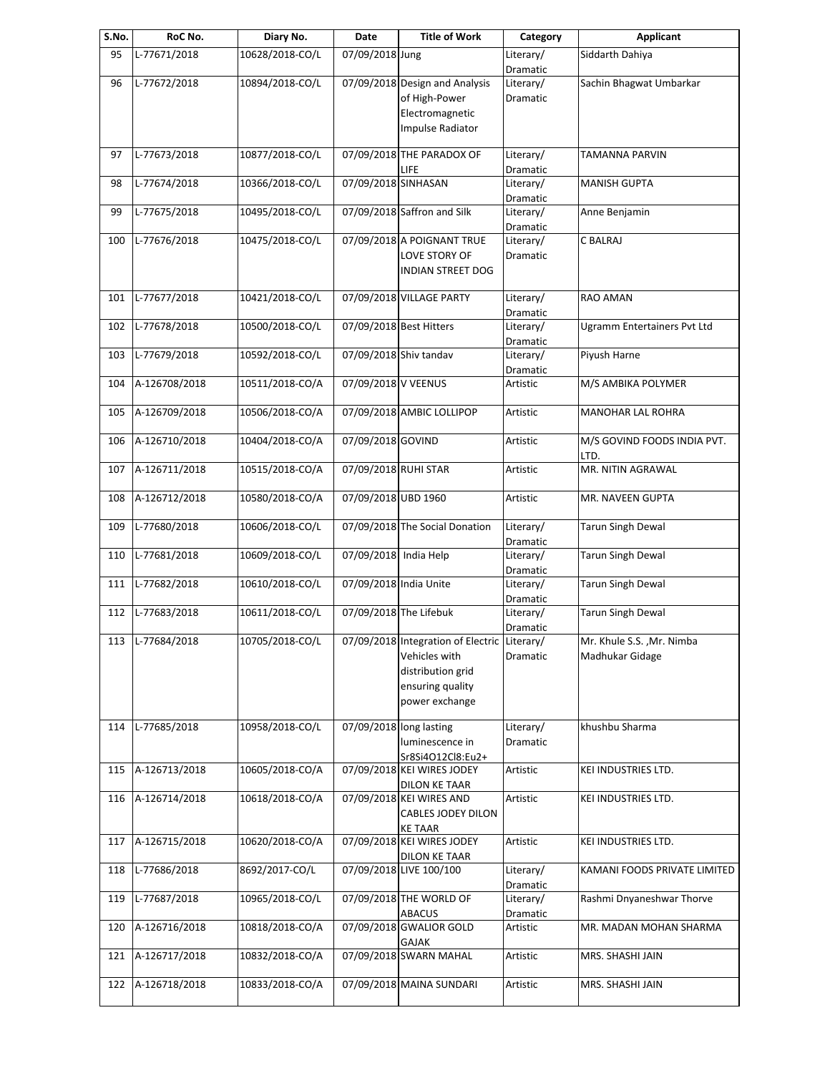| S.No. | RoC No.          | Diary No.       | Date                   | <b>Title of Work</b>                                                                                                     | Category              | Applicant                                     |
|-------|------------------|-----------------|------------------------|--------------------------------------------------------------------------------------------------------------------------|-----------------------|-----------------------------------------------|
| 95    | L-77671/2018     | 10628/2018-CO/L | 07/09/2018 Jung        |                                                                                                                          | Literary/<br>Dramatic | Siddarth Dahiya                               |
| 96    | L-77672/2018     | 10894/2018-CO/L |                        | 07/09/2018 Design and Analysis<br>of High-Power<br>Electromagnetic<br>Impulse Radiator                                   | Literary/<br>Dramatic | Sachin Bhagwat Umbarkar                       |
| 97    | L-77673/2018     | 10877/2018-CO/L |                        | 07/09/2018 THE PARADOX OF                                                                                                | Literary/             | TAMANNA PARVIN                                |
| 98    | L-77674/2018     | 10366/2018-CO/L | 07/09/2018 SINHASAN    | LIFE                                                                                                                     | Dramatic<br>Literary/ | <b>MANISH GUPTA</b>                           |
|       |                  |                 |                        |                                                                                                                          | Dramatic              |                                               |
| 99    | L-77675/2018     | 10495/2018-CO/L |                        | 07/09/2018 Saffron and Silk                                                                                              | Literary/<br>Dramatic | Anne Benjamin                                 |
| 100   | L-77676/2018     | 10475/2018-CO/L |                        | 07/09/2018 A POIGNANT TRUE<br>LOVE STORY OF<br><b>INDIAN STREET DOG</b>                                                  | Literary/<br>Dramatic | C BALRAJ                                      |
| 101   | L-77677/2018     | 10421/2018-CO/L |                        | 07/09/2018 VILLAGE PARTY                                                                                                 | Literary/<br>Dramatic | RAO AMAN                                      |
| 102   | L-77678/2018     | 10500/2018-CO/L |                        | 07/09/2018 Best Hitters                                                                                                  | Literary/<br>Dramatic | Ugramm Entertainers Pvt Ltd                   |
| 103   | L-77679/2018     | 10592/2018-CO/L |                        | 07/09/2018 Shiv tandav                                                                                                   | Literary/             | Piyush Harne                                  |
| 104   | A-126708/2018    | 10511/2018-CO/A | 07/09/2018 V VEENUS    |                                                                                                                          | Dramatic<br>Artistic  | M/S AMBIKA POLYMER                            |
| 105   | A-126709/2018    | 10506/2018-CO/A |                        | 07/09/2018 AMBIC LOLLIPOP                                                                                                | Artistic              | MANOHAR LAL ROHRA                             |
| 106   | A-126710/2018    | 10404/2018-CO/A | 07/09/2018 GOVIND      |                                                                                                                          | Artistic              | M/S GOVIND FOODS INDIA PVT.<br>LTD.           |
| 107   | A-126711/2018    | 10515/2018-CO/A | 07/09/2018 RUHI STAR   |                                                                                                                          | Artistic              | MR. NITIN AGRAWAL                             |
| 108   | A-126712/2018    | 10580/2018-CO/A | 07/09/2018 UBD 1960    |                                                                                                                          | Artistic              | MR. NAVEEN GUPTA                              |
| 109   | L-77680/2018     | 10606/2018-CO/L |                        | 07/09/2018 The Social Donation                                                                                           | Literary/<br>Dramatic | <b>Tarun Singh Dewal</b>                      |
| 110   | L-77681/2018     | 10609/2018-CO/L | 07/09/2018 India Help  |                                                                                                                          | Literary/<br>Dramatic | Tarun Singh Dewal                             |
| 111   | L-77682/2018     | 10610/2018-CO/L | 07/09/2018 India Unite |                                                                                                                          | Literary/<br>Dramatic | <b>Tarun Singh Dewal</b>                      |
| 112   | L-77683/2018     | 10611/2018-CO/L |                        | 07/09/2018 The Lifebuk                                                                                                   | Literary/<br>Dramatic | Tarun Singh Dewal                             |
|       | 113 L-77684/2018 | 10705/2018-CO/L |                        | 07/09/2018 Integration of Electric Literary/<br>Vehicles with<br>distribution grid<br>ensuring quality<br>power exchange | Dramatic              | Mr. Khule S.S. , Mr. Nimba<br>Madhukar Gidage |
| 114   | L-77685/2018     | 10958/2018-CO/L |                        | 07/09/2018 long lasting<br>luminescence in<br>Sr8Si4O12Cl8:Eu2+                                                          | Literary/<br>Dramatic | khushbu Sharma                                |
| 115   | A-126713/2018    | 10605/2018-CO/A |                        | 07/09/2018 KEI WIRES JODEY<br>DILON KE TAAR                                                                              | Artistic              | KEI INDUSTRIES LTD.                           |
| 116   | A-126714/2018    | 10618/2018-CO/A |                        | 07/09/2018 KEI WIRES AND<br><b>CABLES JODEY DILON</b><br><b>KE TAAR</b>                                                  | Artistic              | KEI INDUSTRIES LTD.                           |
| 117   | A-126715/2018    | 10620/2018-CO/A |                        | 07/09/2018 KEI WIRES JODEY<br><b>DILON KE TAAR</b>                                                                       | Artistic              | KEI INDUSTRIES LTD.                           |
| 118   | L-77686/2018     | 8692/2017-CO/L  |                        | 07/09/2018 LIVE 100/100                                                                                                  | Literary/<br>Dramatic | KAMANI FOODS PRIVATE LIMITED                  |
| 119   | L-77687/2018     | 10965/2018-CO/L |                        | 07/09/2018 THE WORLD OF<br><b>ABACUS</b>                                                                                 | Literary/<br>Dramatic | Rashmi Dnyaneshwar Thorve                     |
| 120   | A-126716/2018    | 10818/2018-CO/A |                        | 07/09/2018 GWALIOR GOLD<br>GAJAK                                                                                         | Artistic              | MR. MADAN MOHAN SHARMA                        |
| 121   | A-126717/2018    | 10832/2018-CO/A |                        | 07/09/2018 SWARN MAHAL                                                                                                   | Artistic              | MRS. SHASHI JAIN                              |
| 122   | A-126718/2018    | 10833/2018-CO/A |                        | 07/09/2018 MAINA SUNDARI                                                                                                 | Artistic              | MRS. SHASHI JAIN                              |
|       |                  |                 |                        |                                                                                                                          |                       |                                               |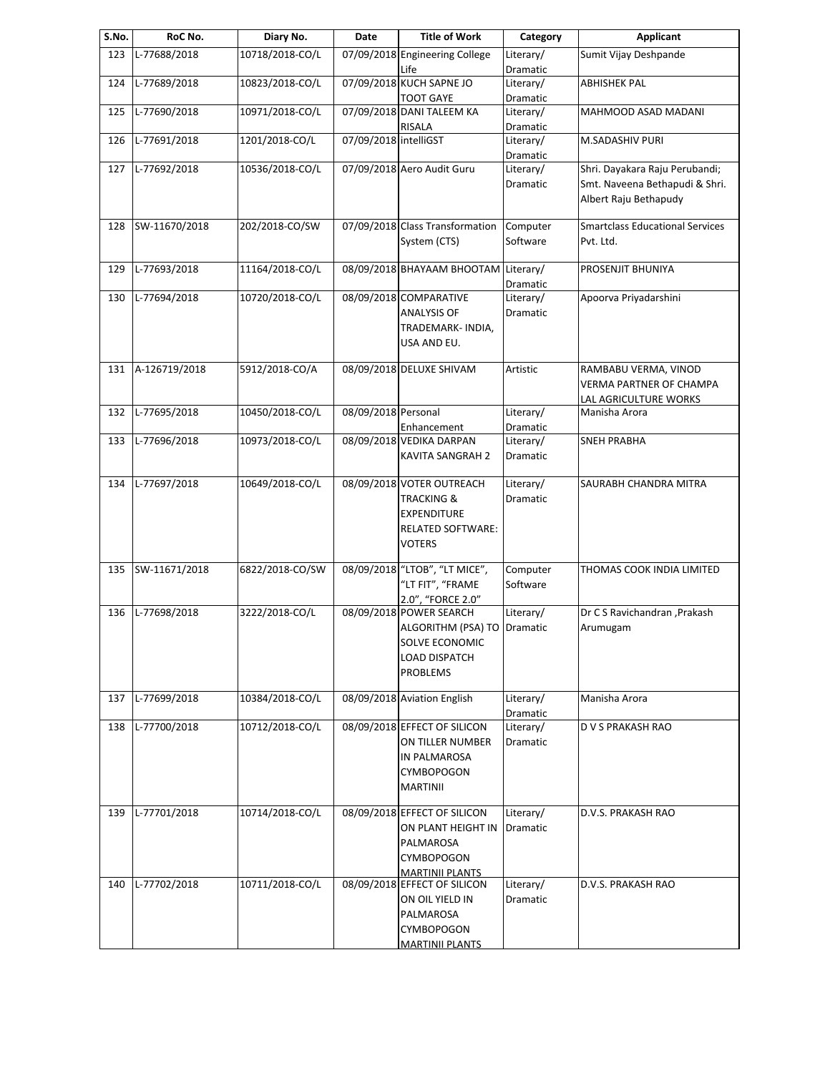| S.No. | RoC No.       | Diary No.       | Date                  | <b>Title of Work</b>                                                                                                                  | Category                     | Applicant                                                                                 |
|-------|---------------|-----------------|-----------------------|---------------------------------------------------------------------------------------------------------------------------------------|------------------------------|-------------------------------------------------------------------------------------------|
| 123   | L-77688/2018  | 10718/2018-CO/L |                       | 07/09/2018 Engineering College<br>Life                                                                                                | Literary/<br>Dramatic        | Sumit Vijay Deshpande                                                                     |
| 124   | L-77689/2018  | 10823/2018-CO/L |                       | 07/09/2018 KUCH SAPNE JO<br><b>TOOT GAYE</b>                                                                                          | Literary/<br>Dramatic        | <b>ABHISHEK PAL</b>                                                                       |
| 125   | L-77690/2018  | 10971/2018-CO/L |                       | 07/09/2018 DANI TALEEM KA<br><b>RISALA</b>                                                                                            | Literary/<br>Dramatic        | MAHMOOD ASAD MADANI                                                                       |
| 126   | L-77691/2018  | 1201/2018-CO/L  | 07/09/2018 intelliGST |                                                                                                                                       | Literary/<br>Dramatic        | M.SADASHIV PURI                                                                           |
| 127   | L-77692/2018  | 10536/2018-CO/L |                       | 07/09/2018 Aero Audit Guru                                                                                                            | Literary/<br>Dramatic        | Shri. Dayakara Raju Perubandi;<br>Smt. Naveena Bethapudi & Shri.<br>Albert Raju Bethapudy |
| 128   | SW-11670/2018 | 202/2018-CO/SW  |                       | 07/09/2018 Class Transformation<br>System (CTS)                                                                                       | Computer<br>Software         | <b>Smartclass Educational Services</b><br>Pvt. Ltd.                                       |
| 129   | L-77693/2018  | 11164/2018-CO/L |                       | 08/09/2018 BHAYAAM BHOOTAM                                                                                                            | Literary/<br>Dramatic        | PROSENJIT BHUNIYA                                                                         |
| 130   | L-77694/2018  | 10720/2018-CO/L |                       | 08/09/2018 COMPARATIVE<br>ANALYSIS OF<br>TRADEMARK- INDIA,<br>USA AND EU.                                                             | Literary/<br><b>Dramatic</b> | Apoorva Priyadarshini                                                                     |
| 131   | A-126719/2018 | 5912/2018-CO/A  |                       | 08/09/2018 DELUXE SHIVAM                                                                                                              | Artistic                     | RAMBABU VERMA, VINOD<br>VERMA PARTNER OF CHAMPA<br>LAL AGRICULTURE WORKS                  |
| 132   | L-77695/2018  | 10450/2018-CO/L | 08/09/2018 Personal   | Enhancement                                                                                                                           | Literary/<br>Dramatic        | Manisha Arora                                                                             |
| 133   | L-77696/2018  | 10973/2018-CO/L |                       | 08/09/2018 VEDIKA DARPAN<br>KAVITA SANGRAH 2                                                                                          | Literary/<br>Dramatic        | <b>SNEH PRABHA</b>                                                                        |
| 134   | L-77697/2018  | 10649/2018-CO/L |                       | 08/09/2018 VOTER OUTREACH<br><b>TRACKING &amp;</b><br><b>EXPENDITURE</b><br><b>RELATED SOFTWARE:</b><br><b>VOTERS</b>                 | Literary/<br>Dramatic        | SAURABH CHANDRA MITRA                                                                     |
| 135   | SW-11671/2018 | 6822/2018-CO/SW |                       | 08/09/2018 "LTOB", "LT MICE",<br>"LT FIT", "FRAME                                                                                     | Computer<br>Software         | THOMAS COOK INDIA LIMITED                                                                 |
| 136   | L-77698/2018  | 3222/2018-CO/L  |                       | 2.0", "FORCE 2.0"<br>08/09/2018 POWER SEARCH<br>ALGORITHM (PSA) TO<br>SOLVE ECONOMIC<br><b>LOAD DISPATCH</b><br><b>PROBLEMS</b>       | Literary/<br>Dramatic        | Dr C S Ravichandran , Prakash<br>Arumugam                                                 |
| 137   | L-77699/2018  | 10384/2018-CO/L |                       | 08/09/2018 Aviation English                                                                                                           | Literary/<br>Dramatic        | Manisha Arora                                                                             |
| 138   | L-77700/2018  | 10712/2018-CO/L |                       | 08/09/2018 EFFECT OF SILICON<br>ON TILLER NUMBER<br>IN PALMAROSA<br><b>CYMBOPOGON</b><br><b>MARTINII</b>                              | Literary/<br>Dramatic        | D V S PRAKASH RAO                                                                         |
| 139   | L-77701/2018  | 10714/2018-CO/L |                       | 08/09/2018 EFFECT OF SILICON<br>ON PLANT HEIGHT IN<br>PALMAROSA<br><b>CYMBOPOGON</b>                                                  | Literary/<br>Dramatic        | D.V.S. PRAKASH RAO                                                                        |
| 140   | L-77702/2018  | 10711/2018-CO/L |                       | <b>MARTINII PLANTS</b><br>08/09/2018 EFFECT OF SILICON<br>ON OIL YIELD IN<br>PALMAROSA<br><b>CYMBOPOGON</b><br><b>MARTINII PLANTS</b> | Literary/<br>Dramatic        | D.V.S. PRAKASH RAO                                                                        |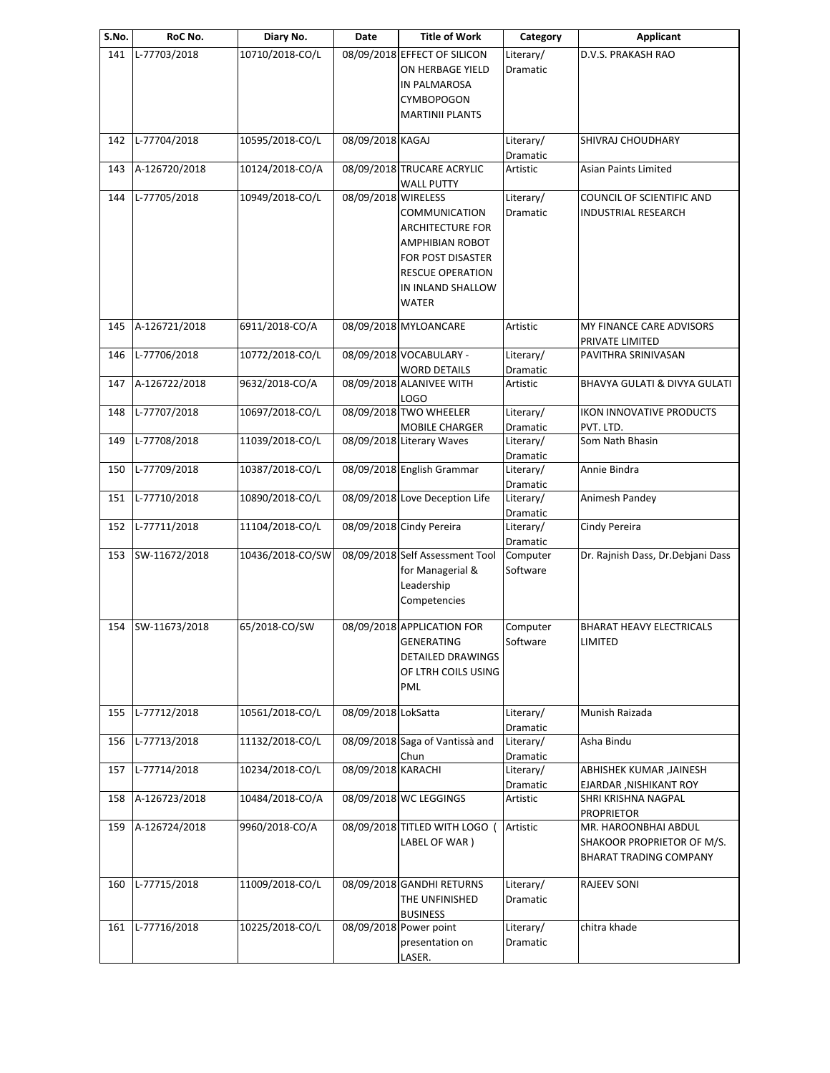| S.No. | RoC No.       | Diary No.        | Date                | <b>Title of Work</b>                                                                                                                                           | Category                     | <b>Applicant</b>                                                             |
|-------|---------------|------------------|---------------------|----------------------------------------------------------------------------------------------------------------------------------------------------------------|------------------------------|------------------------------------------------------------------------------|
| 141   | L-77703/2018  | 10710/2018-CO/L  |                     | 08/09/2018 EFFECT OF SILICON<br>ON HERBAGE YIELD<br>IN PALMAROSA<br><b>CYMBOPOGON</b><br><b>MARTINII PLANTS</b>                                                | Literary/<br>Dramatic        | D.V.S. PRAKASH RAO                                                           |
| 142   | L-77704/2018  | 10595/2018-CO/L  | 08/09/2018 KAGAJ    |                                                                                                                                                                | Literary/                    | SHIVRAJ CHOUDHARY                                                            |
| 143   | A-126720/2018 | 10124/2018-CO/A  |                     | 08/09/2018 TRUCARE ACRYLIC                                                                                                                                     | Dramatic<br>Artistic         | Asian Paints Limited                                                         |
| 144   | L-77705/2018  | 10949/2018-CO/L  | 08/09/2018 WIRELESS | <b>WALL PUTTY</b><br>COMMUNICATION<br><b>ARCHITECTURE FOR</b><br>AMPHIBIAN ROBOT<br>FOR POST DISASTER<br><b>RESCUE OPERATION</b><br>IN INLAND SHALLOW<br>WATER | Literary/<br>Dramatic        | COUNCIL OF SCIENTIFIC AND<br>INDUSTRIAL RESEARCH                             |
| 145   | A-126721/2018 | 6911/2018-CO/A   |                     | 08/09/2018 MYLOANCARE                                                                                                                                          | Artistic                     | MY FINANCE CARE ADVISORS<br>PRIVATE LIMITED                                  |
| 146   | L-77706/2018  | 10772/2018-CO/L  |                     | 08/09/2018 VOCABULARY -<br><b>WORD DETAILS</b>                                                                                                                 | Literary/<br><b>Dramatic</b> | PAVITHRA SRINIVASAN                                                          |
| 147   | A-126722/2018 | 9632/2018-CO/A   |                     | 08/09/2018 ALANIVEE WITH<br>LOGO                                                                                                                               | Artistic                     | BHAVYA GULATI & DIVYA GULATI                                                 |
| 148   | L-77707/2018  | 10697/2018-CO/L  |                     | 08/09/2018 TWO WHEELER<br>MOBILE CHARGER                                                                                                                       | Literary/<br>Dramatic        | <b>IKON INNOVATIVE PRODUCTS</b><br>PVT. LTD.                                 |
| 149   | L-77708/2018  | 11039/2018-CO/L  |                     | 08/09/2018 Literary Waves                                                                                                                                      | Literary/<br>Dramatic        | Som Nath Bhasin                                                              |
| 150   | L-77709/2018  | 10387/2018-CO/L  |                     | 08/09/2018 English Grammar                                                                                                                                     | Literary/<br>Dramatic        | Annie Bindra                                                                 |
| 151   | L-77710/2018  | 10890/2018-CO/L  |                     | 08/09/2018 Love Deception Life                                                                                                                                 | Literary/<br>Dramatic        | Animesh Pandey                                                               |
| 152   | L-77711/2018  | 11104/2018-CO/L  |                     | 08/09/2018 Cindy Pereira                                                                                                                                       | Literary/<br>Dramatic        | Cindy Pereira                                                                |
| 153   | SW-11672/2018 | 10436/2018-CO/SW |                     | 08/09/2018 Self Assessment Tool<br>for Managerial &<br>Leadership<br>Competencies                                                                              | Computer<br>Software         | Dr. Rajnish Dass, Dr. Debjani Dass                                           |
| 154   | SW-11673/2018 | 65/2018-CO/SW    |                     | 08/09/2018 APPLICATION FOR<br>GENERATING<br><b>DETAILED DRAWINGS</b><br>OF LTRH COILS USING<br>PML                                                             | Computer<br>Software         | <b>BHARAT HEAVY ELECTRICALS</b><br>LIMITED                                   |
| 155   | L-77712/2018  | 10561/2018-CO/L  | 08/09/2018 LokSatta |                                                                                                                                                                | Literary/<br>Dramatic        | Munish Raizada                                                               |
| 156   | L-77713/2018  | 11132/2018-CO/L  |                     | 08/09/2018 Saga of Vantissà and<br>Chun                                                                                                                        | Literary/<br>Dramatic        | Asha Bindu                                                                   |
| 157   | L-77714/2018  | 10234/2018-CO/L  | 08/09/2018 KARACHI  |                                                                                                                                                                | Literary/<br>Dramatic        | ABHISHEK KUMAR ,JAINESH<br>EJARDAR, NISHIKANT ROY                            |
| 158   | A-126723/2018 | 10484/2018-CO/A  |                     | 08/09/2018 WC LEGGINGS                                                                                                                                         | Artistic                     | SHRI KRISHNA NAGPAL<br><b>PROPRIETOR</b>                                     |
| 159   | A-126724/2018 | 9960/2018-CO/A   |                     | 08/09/2018 TITLED WITH LOGO (<br>LABEL OF WAR)                                                                                                                 | Artistic                     | MR. HAROONBHAI ABDUL<br>SHAKOOR PROPRIETOR OF M/S.<br>BHARAT TRADING COMPANY |
| 160   | L-77715/2018  | 11009/2018-CO/L  |                     | 08/09/2018 GANDHI RETURNS<br>THE UNFINISHED<br><b>BUSINESS</b>                                                                                                 | Literary/<br>Dramatic        | RAJEEV SONI                                                                  |
| 161   | L-77716/2018  | 10225/2018-CO/L  |                     | 08/09/2018 Power point<br>presentation on<br>LASER.                                                                                                            | Literary/<br>Dramatic        | chitra khade                                                                 |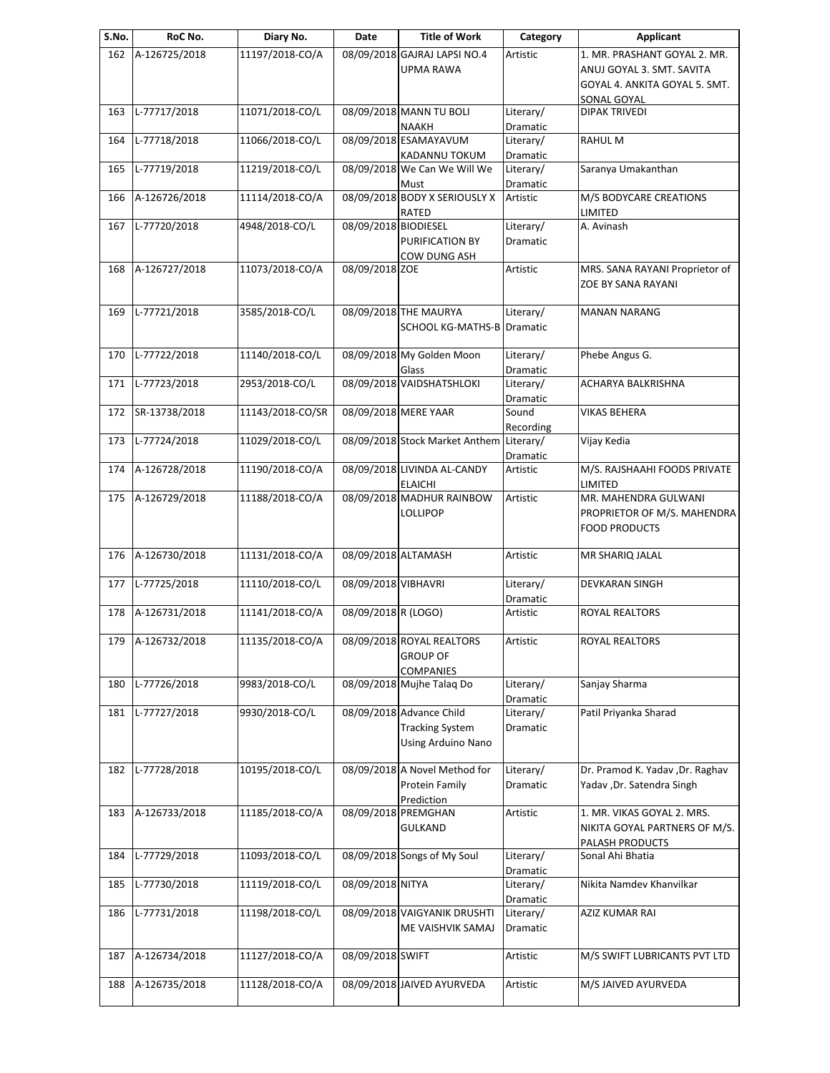| S.No. | RoC No.           | Diary No.        | Date                 | <b>Title of Work</b>           | Category        | <b>Applicant</b>                |
|-------|-------------------|------------------|----------------------|--------------------------------|-----------------|---------------------------------|
| 162   | A-126725/2018     | 11197/2018-CO/A  |                      | 08/09/2018 GAJRAJ LAPSI NO.4   | Artistic        | 1. MR. PRASHANT GOYAL 2. MR.    |
|       |                   |                  |                      | <b>UPMA RAWA</b>               |                 | ANUJ GOYAL 3. SMT. SAVITA       |
|       |                   |                  |                      |                                |                 | GOYAL 4. ANKITA GOYAL 5. SMT.   |
|       |                   |                  |                      |                                |                 | SONAL GOYAL                     |
| 163   | L-77717/2018      | 11071/2018-CO/L  |                      | 08/09/2018 MANN TU BOLI        | Literary/       | <b>DIPAK TRIVEDI</b>            |
|       |                   |                  |                      | <b>NAAKH</b>                   | Dramatic        |                                 |
| 164   | L-77718/2018      | 11066/2018-CO/L  |                      | 08/09/2018 ESAMAYAVUM          | Literary/       | RAHUL M                         |
|       |                   |                  |                      | KADANNU TOKUM                  | Dramatic        |                                 |
| 165   | L-77719/2018      | 11219/2018-CO/L  |                      | 08/09/2018 We Can We Will We   | Literary/       | Saranya Umakanthan              |
|       |                   |                  |                      |                                |                 |                                 |
|       | A-126726/2018     |                  |                      | Must                           | Dramatic        |                                 |
| 166   |                   | 11114/2018-CO/A  |                      | 08/09/2018 BODY X SERIOUSLY X  | Artistic        | M/S BODYCARE CREATIONS          |
|       |                   |                  |                      | RATED                          |                 | LIMITED                         |
| 167   | L-77720/2018      | 4948/2018-CO/L   | 08/09/2018 BIODIESEL |                                | Literary/       | A. Avinash                      |
|       |                   |                  |                      | PURIFICATION BY                | Dramatic        |                                 |
|       |                   |                  |                      | COW DUNG ASH                   |                 |                                 |
| 168   | A-126727/2018     | 11073/2018-CO/A  | 08/09/2018 ZOE       |                                | Artistic        | MRS. SANA RAYANI Proprietor of  |
|       |                   |                  |                      |                                |                 | ZOE BY SANA RAYANI              |
|       |                   |                  |                      |                                |                 |                                 |
| 169   | L-77721/2018      | 3585/2018-CO/L   |                      | 08/09/2018 THE MAURYA          | Literary/       | <b>MANAN NARANG</b>             |
|       |                   |                  |                      | <b>SCHOOL KG-MATHS-B</b>       | <b>Dramatic</b> |                                 |
|       |                   |                  |                      |                                |                 |                                 |
| 170   | L-77722/2018      | 11140/2018-CO/L  |                      | 08/09/2018 My Golden Moon      | Literary/       | Phebe Angus G.                  |
|       |                   |                  |                      | Glass                          | Dramatic        |                                 |
| 171   | L-77723/2018      | 2953/2018-CO/L   |                      | 08/09/2018 VAIDSHATSHLOKI      | Literary/       | ACHARYA BALKRISHNA              |
|       |                   |                  |                      |                                | Dramatic        |                                 |
| 172   | SR-13738/2018     | 11143/2018-CO/SR |                      | 08/09/2018 MERE YAAR           | Sound           | <b>VIKAS BEHERA</b>             |
|       |                   |                  |                      |                                | Recording       |                                 |
| 173   | L-77724/2018      | 11029/2018-CO/L  |                      | 08/09/2018 Stock Market Anthem | Literary/       | Vijay Kedia                     |
|       |                   |                  |                      |                                |                 |                                 |
|       |                   |                  |                      |                                | Dramatic        |                                 |
| 174   | A-126728/2018     | 11190/2018-CO/A  |                      | 08/09/2018 LIVINDA AL-CANDY    | Artistic        | M/S. RAJSHAAHI FOODS PRIVATE    |
|       |                   |                  |                      | <b>ELAICHI</b>                 |                 | LIMITED                         |
| 175   | A-126729/2018     | 11188/2018-CO/A  |                      | 08/09/2018 MADHUR RAINBOW      | Artistic        | MR. MAHENDRA GULWANI            |
|       |                   |                  |                      | LOLLIPOP                       |                 | PROPRIETOR OF M/S. MAHENDRA     |
|       |                   |                  |                      |                                |                 | <b>FOOD PRODUCTS</b>            |
|       |                   |                  |                      |                                |                 |                                 |
| 176   | A-126730/2018     | 11131/2018-CO/A  | 08/09/2018 ALTAMASH  |                                | Artistic        | MR SHARIQ JALAL                 |
|       |                   |                  |                      |                                |                 |                                 |
| 177   | L-77725/2018      | 11110/2018-CO/L  | 08/09/2018 VIBHAVRI  |                                | Literary/       | <b>DEVKARAN SINGH</b>           |
|       |                   |                  |                      |                                | Dramatic        |                                 |
| 178   | A-126731/2018     | 11141/2018-CO/A  | 08/09/2018 R (LOGO)  |                                | Artistic        | <b>ROYAL REALTORS</b>           |
|       |                   |                  |                      |                                |                 |                                 |
|       | 179 A-126732/2018 | 11135/2018-CO/A  |                      | 08/09/2018 ROYAL REALTORS      | Artistic        | ROYAL REALTORS                  |
|       |                   |                  |                      |                                |                 |                                 |
|       |                   |                  |                      | <b>GROUP OF</b>                |                 |                                 |
|       |                   |                  |                      | <b>COMPANIES</b>               |                 |                                 |
| 180   | L-77726/2018      | 9983/2018-CO/L   |                      | 08/09/2018 Mujhe Talaq Do      | Literary/       | Sanjay Sharma                   |
|       |                   |                  |                      |                                | Dramatic        |                                 |
| 181   | L-77727/2018      | 9930/2018-CO/L   |                      | 08/09/2018 Advance Child       | Literary/       | Patil Priyanka Sharad           |
|       |                   |                  |                      | <b>Tracking System</b>         | Dramatic        |                                 |
|       |                   |                  |                      | Using Arduino Nano             |                 |                                 |
|       |                   |                  |                      |                                |                 |                                 |
| 182   | L-77728/2018      | 10195/2018-CO/L  |                      | 08/09/2018 A Novel Method for  | Literary/       | Dr. Pramod K. Yadav ,Dr. Raghav |
|       |                   |                  |                      | Protein Family                 | Dramatic        | Yadav , Dr. Satendra Singh      |
|       |                   |                  |                      | Prediction                     |                 |                                 |
| 183   | A-126733/2018     | 11185/2018-CO/A  |                      | 08/09/2018 PREMGHAN            | Artistic        | 1. MR. VIKAS GOYAL 2. MRS.      |
|       |                   |                  |                      | GULKAND                        |                 | NIKITA GOYAL PARTNERS OF M/S.   |
|       |                   |                  |                      |                                |                 |                                 |
|       | L-77729/2018      | 11093/2018-CO/L  |                      | 08/09/2018 Songs of My Soul    | Literary/       | PALASH PRODUCTS                 |
| 184   |                   |                  |                      |                                |                 | Sonal Ahi Bhatia                |
|       |                   |                  |                      |                                | Dramatic        |                                 |
| 185   | L-77730/2018      | 11119/2018-CO/L  | 08/09/2018 NITYA     |                                | Literary/       | Nikita Namdev Khanvilkar        |
|       |                   |                  |                      |                                | Dramatic        |                                 |
| 186   | L-77731/2018      | 11198/2018-CO/L  |                      | 08/09/2018 VAIGYANIK DRUSHTI   | Literary/       | AZIZ KUMAR RAI                  |
|       |                   |                  |                      | ME VAISHVIK SAMAJ              | Dramatic        |                                 |
|       |                   |                  |                      |                                |                 |                                 |
| 187   | A-126734/2018     | 11127/2018-CO/A  | 08/09/2018 SWIFT     |                                | Artistic        | M/S SWIFT LUBRICANTS PVT LTD    |
|       |                   |                  |                      |                                |                 |                                 |
| 188   | A-126735/2018     | 11128/2018-CO/A  |                      | 08/09/2018 JAIVED AYURVEDA     | Artistic        | M/S JAIVED AYURVEDA             |
|       |                   |                  |                      |                                |                 |                                 |
|       |                   |                  |                      |                                |                 |                                 |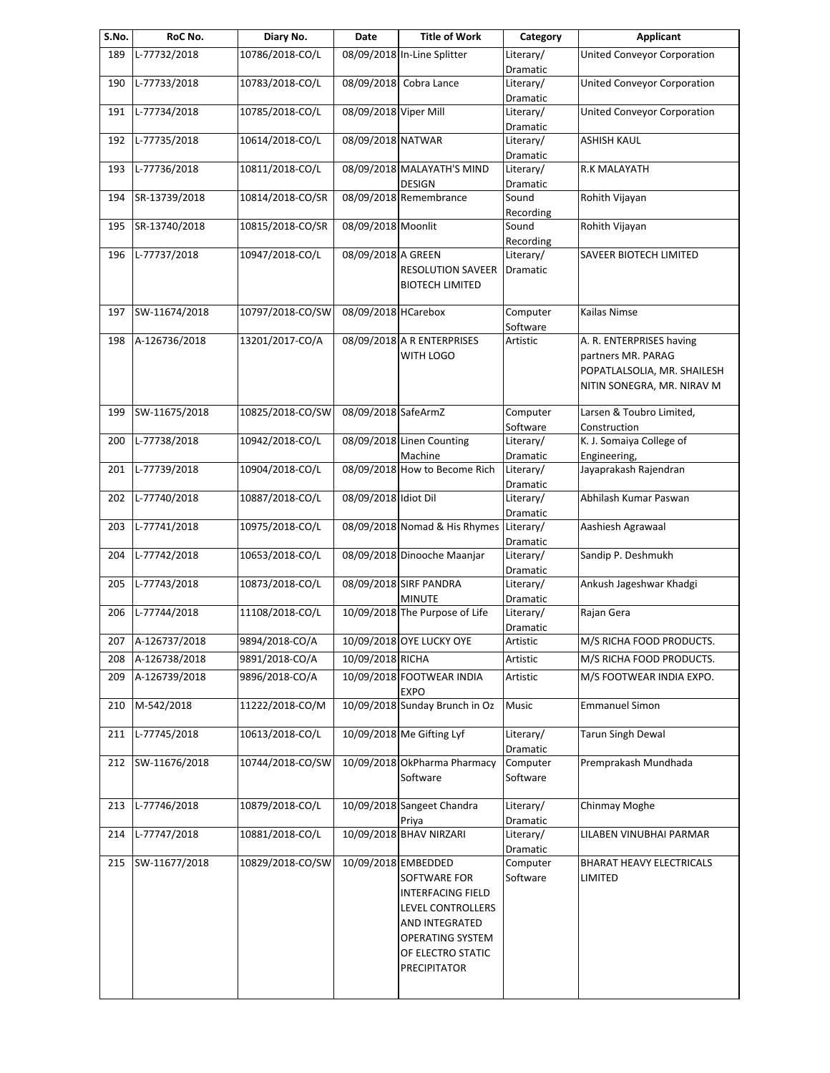| S.No. | RoC No.           | Diary No.        | Date                  | <b>Title of Work</b>                                                                                                                                                   | Category                        | <b>Applicant</b>                                                                                            |
|-------|-------------------|------------------|-----------------------|------------------------------------------------------------------------------------------------------------------------------------------------------------------------|---------------------------------|-------------------------------------------------------------------------------------------------------------|
| 189   | L-77732/2018      | 10786/2018-CO/L  |                       | 08/09/2018 In-Line Splitter                                                                                                                                            | Literary/<br>Dramatic           | United Conveyor Corporation                                                                                 |
| 190   | L-77733/2018      | 10783/2018-CO/L  | 08/09/2018            | Cobra Lance                                                                                                                                                            | Literary/<br>Dramatic           | United Conveyor Corporation                                                                                 |
| 191   | L-77734/2018      | 10785/2018-CO/L  | 08/09/2018 Viper Mill |                                                                                                                                                                        | Literary/<br>Dramatic           | United Conveyor Corporation                                                                                 |
| 192   | L-77735/2018      | 10614/2018-CO/L  | 08/09/2018 NATWAR     |                                                                                                                                                                        | Literary/                       | <b>ASHISH KAUL</b>                                                                                          |
| 193   | L-77736/2018      | 10811/2018-CO/L  |                       | 08/09/2018 MALAYATH'S MIND                                                                                                                                             | Dramatic<br>Literary/           | R.K MALAYATH                                                                                                |
| 194   | SR-13739/2018     | 10814/2018-CO/SR |                       | <b>DESIGN</b><br>08/09/2018 Remembrance                                                                                                                                | Dramatic<br>Sound               | Rohith Vijayan                                                                                              |
| 195   | SR-13740/2018     | 10815/2018-CO/SR | 08/09/2018 Moonlit    |                                                                                                                                                                        | Recording<br>Sound<br>Recording | Rohith Vijayan                                                                                              |
| 196   | L-77737/2018      | 10947/2018-CO/L  | 08/09/2018 A GREEN    | <b>RESOLUTION SAVEER</b><br><b>BIOTECH LIMITED</b>                                                                                                                     | Literary/<br>Dramatic           | SAVEER BIOTECH LIMITED                                                                                      |
| 197   | SW-11674/2018     | 10797/2018-CO/SW | 08/09/2018 HCarebox   |                                                                                                                                                                        | Computer<br>Software            | Kailas Nimse                                                                                                |
| 198   | A-126736/2018     | 13201/2017-CO/A  |                       | 08/09/2018 A R ENTERPRISES<br>WITH LOGO                                                                                                                                | Artistic                        | A. R. ENTERPRISES having<br>partners MR. PARAG<br>POPATLALSOLIA, MR. SHAILESH<br>NITIN SONEGRA, MR. NIRAV M |
| 199   | SW-11675/2018     | 10825/2018-CO/SW | 08/09/2018 SafeArmZ   |                                                                                                                                                                        | Computer<br>Software            | Larsen & Toubro Limited,<br>Construction                                                                    |
| 200   | L-77738/2018      | 10942/2018-CO/L  |                       | 08/09/2018 Linen Counting<br>Machine                                                                                                                                   | Literary/<br>Dramatic           | K. J. Somaiya College of<br>Engineering,                                                                    |
| 201   | L-77739/2018      | 10904/2018-CO/L  |                       | 08/09/2018 How to Become Rich                                                                                                                                          | Literary/<br>Dramatic           | Jayaprakash Rajendran                                                                                       |
| 202   | L-77740/2018      | 10887/2018-CO/L  | 08/09/2018 Idiot Dil  |                                                                                                                                                                        | Literary/<br>Dramatic           | Abhilash Kumar Paswan                                                                                       |
| 203   | L-77741/2018      | 10975/2018-CO/L  |                       | 08/09/2018 Nomad & His Rhymes                                                                                                                                          | Literary/<br>Dramatic           | Aashiesh Agrawaal                                                                                           |
| 204   | L-77742/2018      | 10653/2018-CO/L  |                       | 08/09/2018 Dinooche Maanjar                                                                                                                                            | Literary/<br>Dramatic           | Sandip P. Deshmukh                                                                                          |
| 205   | L-77743/2018      | 10873/2018-CO/L  |                       | 08/09/2018 SIRF PANDRA<br><b>MINUTE</b>                                                                                                                                | Literary/<br>Dramatic           | Ankush Jageshwar Khadgi                                                                                     |
| 206   | L-77744/2018      | 11108/2018-CO/L  |                       | 10/09/2018 The Purpose of Life                                                                                                                                         | Literary/<br>Dramatic           | Rajan Gera                                                                                                  |
|       | 207 A-126737/2018 | 9894/2018-CO/A   |                       | 10/09/2018 OYE LUCKY OYE                                                                                                                                               | Artistic                        | M/S RICHA FOOD PRODUCTS.                                                                                    |
| 208   | A-126738/2018     | 9891/2018-CO/A   | 10/09/2018 RICHA      |                                                                                                                                                                        | Artistic                        | M/S RICHA FOOD PRODUCTS.                                                                                    |
| 209   | A-126739/2018     | 9896/2018-CO/A   |                       | 10/09/2018 FOOTWEAR INDIA<br><b>EXPO</b>                                                                                                                               | Artistic                        | M/S FOOTWEAR INDIA EXPO.                                                                                    |
| 210   | M-542/2018        | 11222/2018-CO/M  |                       | 10/09/2018 Sunday Brunch in Oz                                                                                                                                         | Music                           | <b>Emmanuel Simon</b>                                                                                       |
| 211   | L-77745/2018      | 10613/2018-CO/L  |                       | 10/09/2018 Me Gifting Lyf                                                                                                                                              | Literary/<br>Dramatic           | <b>Tarun Singh Dewal</b>                                                                                    |
| 212   | SW-11676/2018     | 10744/2018-CO/SW |                       | 10/09/2018 OkPharma Pharmacy<br>Software                                                                                                                               | Computer<br>Software            | Premprakash Mundhada                                                                                        |
| 213   | L-77746/2018      | 10879/2018-CO/L  |                       | 10/09/2018 Sangeet Chandra<br>Priya                                                                                                                                    | Literary/<br>Dramatic           | Chinmay Moghe                                                                                               |
| 214   | L-77747/2018      | 10881/2018-CO/L  |                       | 10/09/2018 BHAV NIRZARI                                                                                                                                                | Literary/<br>Dramatic           | LILABEN VINUBHAI PARMAR                                                                                     |
| 215   | SW-11677/2018     | 10829/2018-CO/SW |                       | 10/09/2018 EMBEDDED<br>SOFTWARE FOR<br><b>INTERFACING FIELD</b><br>LEVEL CONTROLLERS<br>AND INTEGRATED<br><b>OPERATING SYSTEM</b><br>OF ELECTRO STATIC<br>PRECIPITATOR | Computer<br>Software            | <b>BHARAT HEAVY ELECTRICALS</b><br>LIMITED                                                                  |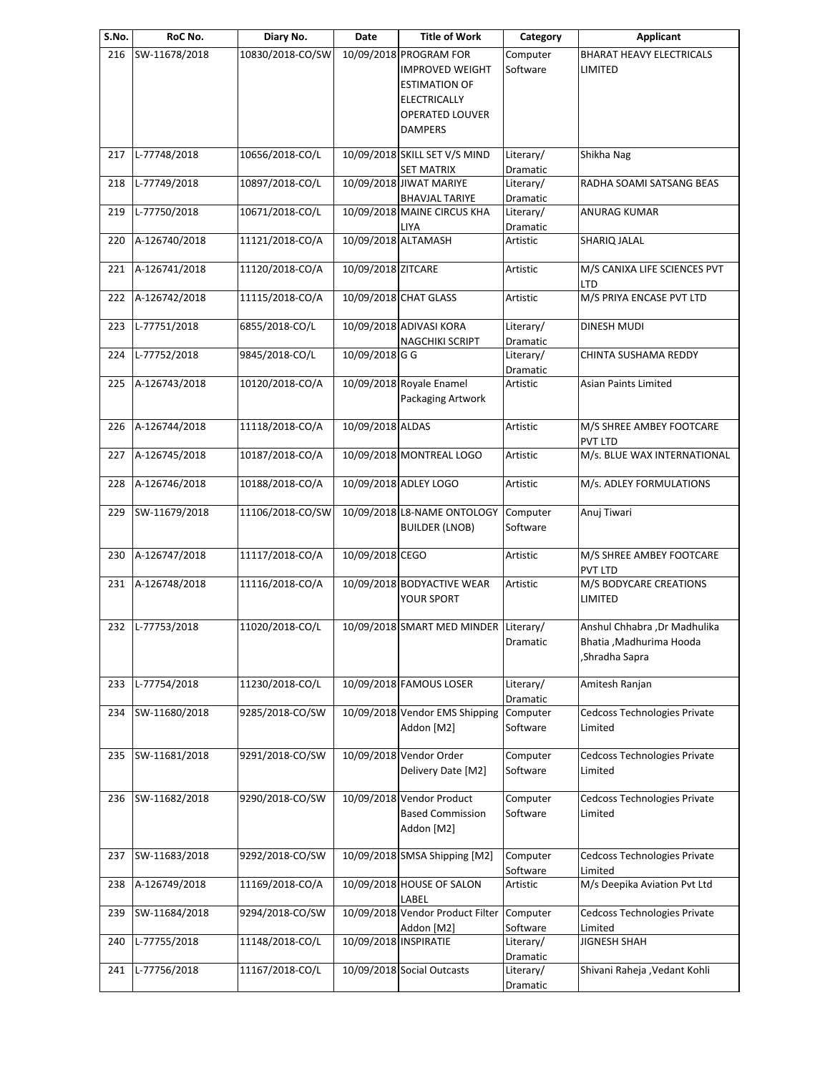| S.No. | RoC No.       | Diary No.        | Date                  | <b>Title of Work</b>                                                                                                                        | Category                     | <b>Applicant</b>                                                            |
|-------|---------------|------------------|-----------------------|---------------------------------------------------------------------------------------------------------------------------------------------|------------------------------|-----------------------------------------------------------------------------|
| 216   | SW-11678/2018 | 10830/2018-CO/SW |                       | 10/09/2018 PROGRAM FOR<br><b>IMPROVED WEIGHT</b><br><b>ESTIMATION OF</b><br><b>ELECTRICALLY</b><br><b>OPERATED LOUVER</b><br><b>DAMPERS</b> | Computer<br>Software         | <b>BHARAT HEAVY ELECTRICALS</b><br>LIMITED                                  |
| 217   | L-77748/2018  | 10656/2018-CO/L  |                       | 10/09/2018 SKILL SET V/S MIND<br><b>SET MATRIX</b>                                                                                          | Literary/<br>Dramatic        | Shikha Nag                                                                  |
| 218   | L-77749/2018  | 10897/2018-CO/L  |                       | 10/09/2018 JIWAT MARIYE<br><b>BHAVJAL TARIYE</b>                                                                                            | Literary/<br>Dramatic        | RADHA SOAMI SATSANG BEAS                                                    |
| 219   | L-77750/2018  | 10671/2018-CO/L  |                       | 10/09/2018 MAINE CIRCUS KHA<br>LIYA                                                                                                         | Literary/<br>Dramatic        | <b>ANURAG KUMAR</b>                                                         |
| 220   | A-126740/2018 | 11121/2018-CO/A  | 10/09/2018 ALTAMASH   |                                                                                                                                             | Artistic                     | SHARIQ JALAL                                                                |
| 221   | A-126741/2018 | 11120/2018-CO/A  | 10/09/2018 ZITCARE    |                                                                                                                                             | Artistic                     | M/S CANIXA LIFE SCIENCES PVT<br>LTD                                         |
| 222   | A-126742/2018 | 11115/2018-CO/A  |                       | 10/09/2018 CHAT GLASS                                                                                                                       | Artistic                     | M/S PRIYA ENCASE PVT LTD                                                    |
| 223   | L-77751/2018  | 6855/2018-CO/L   |                       | 10/09/2018 ADIVASI KORA<br><b>NAGCHIKI SCRIPT</b>                                                                                           | Literary/<br>Dramatic        | DINESH MUDI                                                                 |
| 224   | L-77752/2018  | 9845/2018-CO/L   | 10/09/2018 G G        |                                                                                                                                             | Literary/<br><b>Dramatic</b> | CHINTA SUSHAMA REDDY                                                        |
| 225   | A-126743/2018 | 10120/2018-CO/A  |                       | 10/09/2018 Royale Enamel<br>Packaging Artwork                                                                                               | Artistic                     | <b>Asian Paints Limited</b>                                                 |
| 226   | A-126744/2018 | 11118/2018-CO/A  | 10/09/2018 ALDAS      |                                                                                                                                             | Artistic                     | M/S SHREE AMBEY FOOTCARE<br><b>PVT LTD</b>                                  |
| 227   | A-126745/2018 | 10187/2018-CO/A  |                       | 10/09/2018 MONTREAL LOGO                                                                                                                    | Artistic                     | M/s. BLUE WAX INTERNATIONAL                                                 |
| 228   | A-126746/2018 | 10188/2018-CO/A  |                       | 10/09/2018 ADLEY LOGO                                                                                                                       | Artistic                     | M/s. ADLEY FORMULATIONS                                                     |
| 229   | SW-11679/2018 | 11106/2018-CO/SW |                       | 10/09/2018 L8-NAME ONTOLOGY<br><b>BUILDER (LNOB)</b>                                                                                        | Computer<br>Software         | Anuj Tiwari                                                                 |
| 230   | A-126747/2018 | 11117/2018-CO/A  | 10/09/2018 CEGO       |                                                                                                                                             | Artistic                     | M/S SHREE AMBEY FOOTCARE<br>PVT LTD                                         |
| 231   | A-126748/2018 | 11116/2018-CO/A  |                       | 10/09/2018 BODYACTIVE WEAR<br>YOUR SPORT                                                                                                    | Artistic                     | M/S BODYCARE CREATIONS<br>LIMITED                                           |
| 232   | L-77753/2018  | 11020/2018-CO/L  |                       | 10/09/2018 SMART MED MINDER Literary/                                                                                                       | Dramatic                     | Anshul Chhabra , Dr Madhulika<br>Bhatia , Madhurima Hooda<br>Shradha Sapra, |
| 233   | L-77754/2018  | 11230/2018-CO/L  |                       | 10/09/2018 FAMOUS LOSER                                                                                                                     | Literary/<br>Dramatic        | Amitesh Ranjan                                                              |
| 234   | SW-11680/2018 | 9285/2018-CO/SW  |                       | 10/09/2018 Vendor EMS Shipping<br>Addon [M2]                                                                                                | Computer<br>Software         | Cedcoss Technologies Private<br>Limited                                     |
| 235   | SW-11681/2018 | 9291/2018-CO/SW  |                       | 10/09/2018 Vendor Order<br>Delivery Date [M2]                                                                                               | Computer<br>Software         | Cedcoss Technologies Private<br>Limited                                     |
| 236   | SW-11682/2018 | 9290/2018-CO/SW  |                       | 10/09/2018 Vendor Product<br><b>Based Commission</b><br>Addon [M2]                                                                          | Computer<br>Software         | Cedcoss Technologies Private<br>Limited                                     |
| 237   | SW-11683/2018 | 9292/2018-CO/SW  |                       | 10/09/2018 SMSA Shipping [M2]                                                                                                               | Computer<br>Software         | Cedcoss Technologies Private<br>Limited                                     |
| 238   | A-126749/2018 | 11169/2018-CO/A  |                       | 10/09/2018 HOUSE OF SALON<br>LABEL                                                                                                          | Artistic                     | M/s Deepika Aviation Pvt Ltd                                                |
| 239   | SW-11684/2018 | 9294/2018-CO/SW  |                       | 10/09/2018 Vendor Product Filter<br>Addon [M2]                                                                                              | Computer<br>Software         | Cedcoss Technologies Private<br>Limited                                     |
| 240   | L-77755/2018  | 11148/2018-CO/L  | 10/09/2018 INSPIRATIE |                                                                                                                                             | Literary/<br>Dramatic        | <b>JIGNESH SHAH</b>                                                         |
| 241   | L-77756/2018  | 11167/2018-CO/L  |                       | 10/09/2018 Social Outcasts                                                                                                                  | Literary/<br>Dramatic        | Shivani Raheja , Vedant Kohli                                               |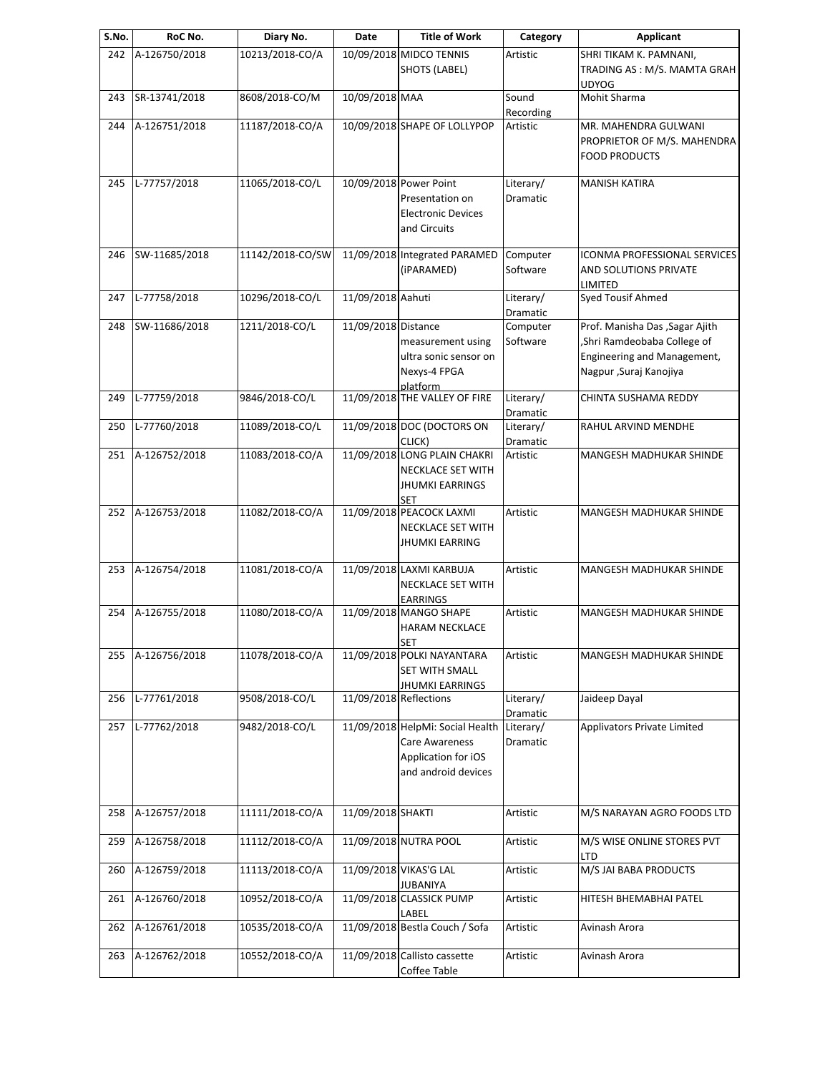| S.No. | RoC No.       | Diary No.        | Date                   | <b>Title of Work</b>                                                                                    | Category              | <b>Applicant</b>                                                                                                        |
|-------|---------------|------------------|------------------------|---------------------------------------------------------------------------------------------------------|-----------------------|-------------------------------------------------------------------------------------------------------------------------|
| 242   | A-126750/2018 | 10213/2018-CO/A  |                        | 10/09/2018 MIDCO TENNIS<br>SHOTS (LABEL)                                                                | Artistic              | SHRI TIKAM K. PAMNANI,<br>TRADING AS: M/S. MAMTA GRAH                                                                   |
| 243   | SR-13741/2018 | 8608/2018-CO/M   | 10/09/2018 MAA         |                                                                                                         | Sound<br>Recording    | <b>UDYOG</b><br>Mohit Sharma                                                                                            |
| 244   | A-126751/2018 | 11187/2018-CO/A  |                        | 10/09/2018 SHAPE OF LOLLYPOP                                                                            | Artistic              | MR. MAHENDRA GULWANI<br>PROPRIETOR OF M/S. MAHENDRA<br><b>FOOD PRODUCTS</b>                                             |
| 245   | L-77757/2018  | 11065/2018-CO/L  |                        | 10/09/2018 Power Point<br>Presentation on<br><b>Electronic Devices</b><br>and Circuits                  | Literary/<br>Dramatic | <b>MANISH KATIRA</b>                                                                                                    |
| 246   | SW-11685/2018 | 11142/2018-CO/SW |                        | 11/09/2018 Integrated PARAMED<br>(iPARAMED)                                                             | Computer<br>Software  | ICONMA PROFESSIONAL SERVICES<br>AND SOLUTIONS PRIVATE<br>LIMITED                                                        |
| 247   | L-77758/2018  | 10296/2018-CO/L  | 11/09/2018 Aahuti      |                                                                                                         | Literary/<br>Dramatic | Syed Tousif Ahmed                                                                                                       |
| 248   | SW-11686/2018 | 1211/2018-CO/L   | 11/09/2018 Distance    | measurement using<br>ultra sonic sensor on<br>Nexys-4 FPGA<br>platform                                  | Computer<br>Software  | Prof. Manisha Das , Sagar Ajith<br>Shri Ramdeobaba College of<br>Engineering and Management,<br>Nagpur , Suraj Kanojiya |
| 249   | L-77759/2018  | 9846/2018-CO/L   |                        | 11/09/2018 THE VALLEY OF FIRE                                                                           | Literary/<br>Dramatic | CHINTA SUSHAMA REDDY                                                                                                    |
| 250   | L-77760/2018  | 11089/2018-CO/L  |                        | 11/09/2018 DOC (DOCTORS ON<br>CLICK)                                                                    | Literary/<br>Dramatic | RAHUL ARVIND MENDHE                                                                                                     |
| 251   | A-126752/2018 | 11083/2018-CO/A  |                        | 11/09/2018 LONG PLAIN CHAKRI<br>NECKLACE SET WITH<br><b>JHUMKI EARRINGS</b><br><b>SET</b>               | Artistic              | MANGESH MADHUKAR SHINDE                                                                                                 |
| 252   | A-126753/2018 | 11082/2018-CO/A  |                        | 11/09/2018 PEACOCK LAXMI<br><b>NECKLACE SET WITH</b><br><b>JHUMKI EARRING</b>                           | Artistic              | MANGESH MADHUKAR SHINDE                                                                                                 |
| 253   | A-126754/2018 | 11081/2018-CO/A  |                        | 11/09/2018 LAXMI KARBUJA<br><b>NECKLACE SET WITH</b><br><b>EARRINGS</b>                                 | Artistic              | MANGESH MADHUKAR SHINDE                                                                                                 |
| 254   | A-126755/2018 | 11080/2018-CO/A  |                        | 11/09/2018 MANGO SHAPE<br><b>HARAM NECKLACE</b><br><b>SET</b>                                           | Artistic              | MANGESH MADHUKAR SHINDE                                                                                                 |
| 255   | A-126756/2018 | 11078/2018-CO/A  |                        | 11/09/2018 POLKI NAYANTARA<br>SET WITH SMALL<br><b>JHUMKI EARRINGS</b>                                  | Artistic              | MANGESH MADHUKAR SHINDE                                                                                                 |
| 256   | L-77761/2018  | 9508/2018-CO/L   | 11/09/2018 Reflections |                                                                                                         | Literary/<br>Dramatic | Jaideep Dayal                                                                                                           |
| 257   | L-77762/2018  | 9482/2018-CO/L   |                        | 11/09/2018 HelpMi: Social Health<br><b>Care Awareness</b><br>Application for iOS<br>and android devices | Literary/<br>Dramatic | Applivators Private Limited                                                                                             |
| 258   | A-126757/2018 | 11111/2018-CO/A  | 11/09/2018 SHAKTI      |                                                                                                         | Artistic              | M/S NARAYAN AGRO FOODS LTD                                                                                              |
| 259   | A-126758/2018 | 11112/2018-CO/A  |                        | 11/09/2018 NUTRA POOL                                                                                   | Artistic              | M/S WISE ONLINE STORES PVT<br>LTD                                                                                       |
| 260   | A-126759/2018 | 11113/2018-CO/A  |                        | 11/09/2018 VIKAS'G LAL<br><b>JUBANIYA</b>                                                               | Artistic              | M/S JAI BABA PRODUCTS                                                                                                   |
| 261   | A-126760/2018 | 10952/2018-CO/A  |                        | 11/09/2018 CLASSICK PUMP<br>LABEL                                                                       | Artistic              | HITESH BHEMABHAI PATEL                                                                                                  |
| 262   | A-126761/2018 | 10535/2018-CO/A  |                        | 11/09/2018 Bestla Couch / Sofa                                                                          | Artistic              | Avinash Arora                                                                                                           |
| 263   | A-126762/2018 | 10552/2018-CO/A  |                        | 11/09/2018 Callisto cassette<br>Coffee Table                                                            | Artistic              | Avinash Arora                                                                                                           |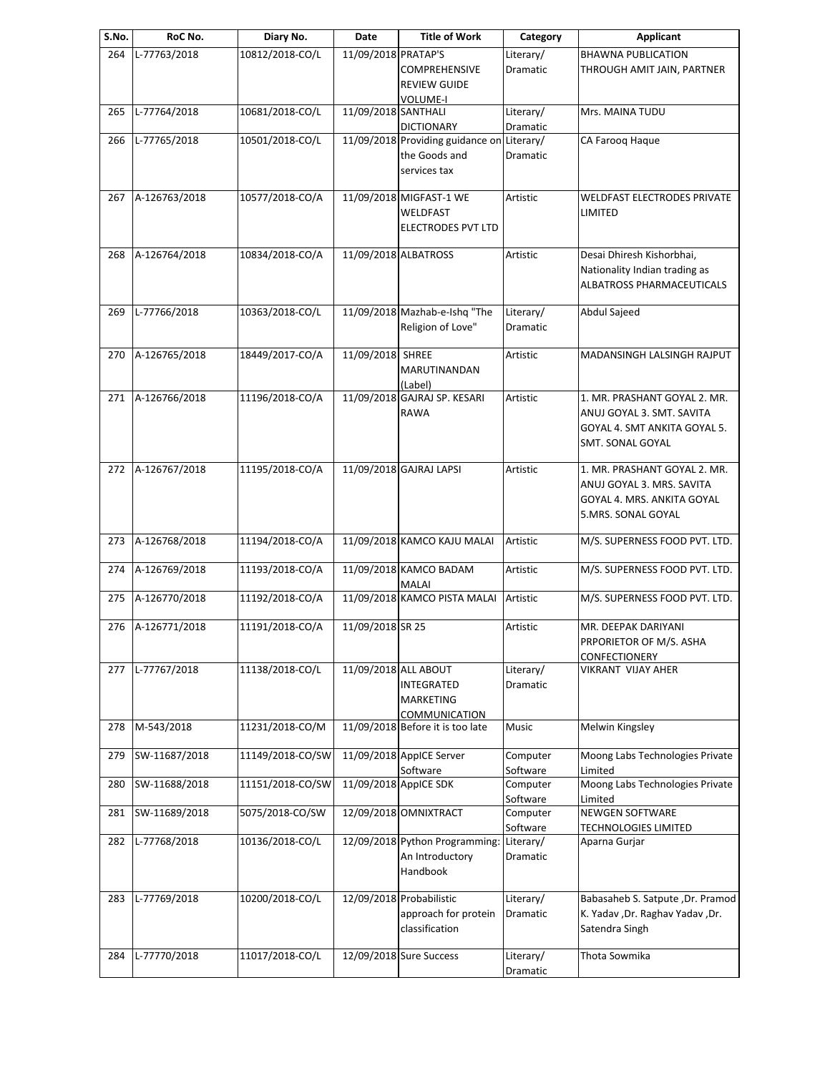| S.No. | RoC No.       | Diary No.        | Date                | <b>Title of Work</b>             | Category              | <b>Applicant</b>                                                       |
|-------|---------------|------------------|---------------------|----------------------------------|-----------------------|------------------------------------------------------------------------|
| 264   | L-77763/2018  | 10812/2018-CO/L  | 11/09/2018 PRATAP'S |                                  | Literary/             | <b>BHAWNA PUBLICATION</b>                                              |
|       |               |                  |                     | <b>COMPREHENSIVE</b>             | Dramatic              | THROUGH AMIT JAIN, PARTNER                                             |
|       |               |                  |                     | <b>REVIEW GUIDE</b>              |                       |                                                                        |
|       |               |                  |                     | VOLUME-I                         | Literary/             | Mrs. MAINA TUDU                                                        |
| 265   | L-77764/2018  | 10681/2018-CO/L  | 11/09/2018 SANTHALI | <b>DICTIONARY</b>                |                       |                                                                        |
| 266   | L-77765/2018  | 10501/2018-CO/L  |                     | 11/09/2018 Providing guidance on | Dramatic<br>Literary/ | CA Farooq Haque                                                        |
|       |               |                  |                     | the Goods and                    | Dramatic              |                                                                        |
|       |               |                  |                     | services tax                     |                       |                                                                        |
|       |               |                  |                     |                                  |                       |                                                                        |
| 267   | A-126763/2018 | 10577/2018-CO/A  |                     | 11/09/2018 MIGFAST-1 WE          | Artistic              | WELDFAST ELECTRODES PRIVATE                                            |
|       |               |                  |                     | WELDFAST                         |                       | LIMITED                                                                |
|       |               |                  |                     | ELECTRODES PVT LTD               |                       |                                                                        |
|       |               |                  |                     |                                  |                       |                                                                        |
| 268   | A-126764/2018 | 10834/2018-CO/A  |                     | 11/09/2018 ALBATROSS             | Artistic              | Desai Dhiresh Kishorbhai,                                              |
|       |               |                  |                     |                                  |                       | Nationality Indian trading as                                          |
|       |               |                  |                     |                                  |                       | ALBATROSS PHARMACEUTICALS                                              |
| 269   | L-77766/2018  | 10363/2018-CO/L  |                     | 11/09/2018 Mazhab-e-Ishq "The    | Literary/             | Abdul Sajeed                                                           |
|       |               |                  |                     | Religion of Love"                | Dramatic              |                                                                        |
|       |               |                  |                     |                                  |                       |                                                                        |
| 270   | A-126765/2018 | 18449/2017-CO/A  | 11/09/2018 SHREE    |                                  | Artistic              | MADANSINGH LALSINGH RAJPUT                                             |
|       |               |                  |                     | MARUTINANDAN                     |                       |                                                                        |
|       |               |                  |                     | (Label)                          |                       |                                                                        |
| 271   | A-126766/2018 | 11196/2018-CO/A  |                     | 11/09/2018 GAJRAJ SP. KESARI     | Artistic              | 1. MR. PRASHANT GOYAL 2. MR.                                           |
|       |               |                  |                     | RAWA                             |                       | ANUJ GOYAL 3. SMT. SAVITA                                              |
|       |               |                  |                     |                                  |                       | GOYAL 4. SMT ANKITA GOYAL 5.                                           |
|       |               |                  |                     |                                  |                       | SMT. SONAL GOYAL                                                       |
| 272   | A-126767/2018 | 11195/2018-CO/A  |                     | 11/09/2018 GAJRAJ LAPSI          | Artistic              | 1. MR. PRASHANT GOYAL 2. MR.                                           |
|       |               |                  |                     |                                  |                       | ANUJ GOYAL 3. MRS. SAVITA                                              |
|       |               |                  |                     |                                  |                       | GOYAL 4. MRS. ANKITA GOYAL                                             |
|       |               |                  |                     |                                  |                       | 5.MRS. SONAL GOYAL                                                     |
|       |               |                  |                     |                                  |                       |                                                                        |
| 273   | A-126768/2018 | 11194/2018-CO/A  |                     | 11/09/2018 KAMCO KAJU MALAI      | Artistic              | M/S. SUPERNESS FOOD PVT. LTD.                                          |
|       |               |                  |                     |                                  |                       |                                                                        |
| 274   | A-126769/2018 | 11193/2018-CO/A  |                     | 11/09/2018 KAMCO BADAM<br>MALAI  | Artistic              | M/S. SUPERNESS FOOD PVT. LTD.                                          |
| 275   | A-126770/2018 | 11192/2018-CO/A  |                     | 11/09/2018 KAMCO PISTA MALAI     | Artistic              | M/S. SUPERNESS FOOD PVT. LTD.                                          |
|       |               |                  |                     |                                  |                       |                                                                        |
| 276   | A-126771/2018 | 11191/2018-CO/A  | 11/09/2018 SR 25    |                                  | Artistic              | MR. DEEPAK DARIYANI                                                    |
|       |               |                  |                     |                                  |                       | PRPORIETOR OF M/S. ASHA                                                |
|       |               |                  |                     |                                  |                       | CONFECTIONERY                                                          |
| 277   | L-77767/2018  | 11138/2018-CO/L  |                     | 11/09/2018 ALL ABOUT             | Literary/             | VIKRANT VIJAY AHER                                                     |
|       |               |                  |                     | <b>INTEGRATED</b>                | Dramatic              |                                                                        |
|       |               |                  |                     | MARKETING                        |                       |                                                                        |
|       |               |                  |                     | COMMUNICATION                    |                       |                                                                        |
| 278   | M-543/2018    | 11231/2018-CO/M  |                     | 11/09/2018 Before it is too late | Music                 | Melwin Kingsley                                                        |
| 279   | SW-11687/2018 | 11149/2018-CO/SW |                     | 11/09/2018 AppICE Server         | Computer              | Moong Labs Technologies Private                                        |
|       |               |                  |                     | Software                         | Software              | Limited                                                                |
| 280   | SW-11688/2018 | 11151/2018-CO/SW |                     | 11/09/2018 AppICE SDK            | Computer              | Moong Labs Technologies Private                                        |
|       |               |                  |                     |                                  | Software              | Limited                                                                |
| 281   | SW-11689/2018 | 5075/2018-CO/SW  |                     | 12/09/2018 OMNIXTRACT            | Computer              | <b>NEWGEN SOFTWARE</b>                                                 |
|       |               |                  |                     |                                  | Software              | <b>TECHNOLOGIES LIMITED</b>                                            |
| 282   | L-77768/2018  | 10136/2018-CO/L  |                     | 12/09/2018 Python Programming:   | Literary/             | Aparna Gurjar                                                          |
|       |               |                  |                     | An Introductory                  | Dramatic              |                                                                        |
|       |               |                  |                     | Handbook                         |                       |                                                                        |
|       | L-77769/2018  | 10200/2018-CO/L  |                     | 12/09/2018 Probabilistic         | Literary/             |                                                                        |
| 283   |               |                  |                     | approach for protein             | Dramatic              | Babasaheb S. Satpute , Dr. Pramod<br>K. Yadav , Dr. Raghav Yadav , Dr. |
|       |               |                  |                     | classification                   |                       | Satendra Singh                                                         |
|       |               |                  |                     |                                  |                       |                                                                        |
| 284   | L-77770/2018  | 11017/2018-CO/L  |                     | 12/09/2018 Sure Success          | Literary/             | Thota Sowmika                                                          |
|       |               |                  |                     |                                  | Dramatic              |                                                                        |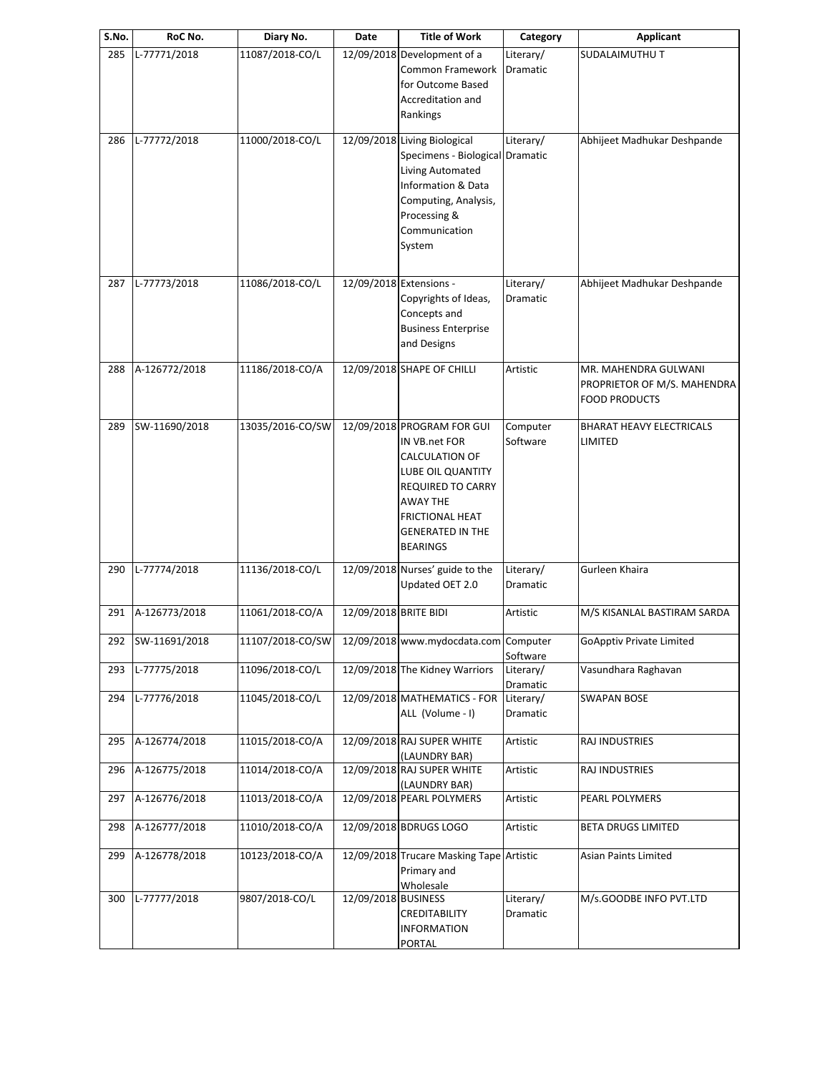| S.No. | RoC No.           | Diary No.        | Date                  | <b>Title of Work</b>                                                                                                                                                                               | Category                     | <b>Applicant</b>                                                            |
|-------|-------------------|------------------|-----------------------|----------------------------------------------------------------------------------------------------------------------------------------------------------------------------------------------------|------------------------------|-----------------------------------------------------------------------------|
| 285   | L-77771/2018      | 11087/2018-CO/L  |                       | 12/09/2018 Development of a<br>Common Framework<br>for Outcome Based<br>Accreditation and<br>Rankings                                                                                              | Literary/<br>Dramatic        | SUDALAIMUTHU T                                                              |
| 286   | L-77772/2018      | 11000/2018-CO/L  |                       | 12/09/2018 Living Biological<br>Specimens - Biological Dramatic<br>Living Automated<br>Information & Data<br>Computing, Analysis,<br>Processing &<br>Communication<br>System                       | Literary/                    | Abhijeet Madhukar Deshpande                                                 |
| 287   | L-77773/2018      | 11086/2018-CO/L  |                       | 12/09/2018 Extensions -<br>Copyrights of Ideas,<br>Concepts and<br><b>Business Enterprise</b><br>and Designs                                                                                       | Literary/<br><b>Dramatic</b> | Abhijeet Madhukar Deshpande                                                 |
| 288   | A-126772/2018     | 11186/2018-CO/A  |                       | 12/09/2018 SHAPE OF CHILLI                                                                                                                                                                         | Artistic                     | MR. MAHENDRA GULWANI<br>PROPRIETOR OF M/S. MAHENDRA<br><b>FOOD PRODUCTS</b> |
| 289   | SW-11690/2018     | 13035/2016-CO/SW |                       | 12/09/2018 PROGRAM FOR GUI<br>IN VB.net FOR<br>CALCULATION OF<br>LUBE OIL QUANTITY<br><b>REQUIRED TO CARRY</b><br>AWAY THE<br><b>FRICTIONAL HEAT</b><br><b>GENERATED IN THE</b><br><b>BEARINGS</b> | Computer<br>Software         | <b>BHARAT HEAVY ELECTRICALS</b><br>LIMITED                                  |
| 290   | L-77774/2018      | 11136/2018-CO/L  |                       | 12/09/2018 Nurses' guide to the<br>Updated OET 2.0                                                                                                                                                 | Literary/<br><b>Dramatic</b> | Gurleen Khaira                                                              |
| 291   | A-126773/2018     | 11061/2018-CO/A  | 12/09/2018 BRITE BIDI |                                                                                                                                                                                                    | Artistic                     | M/S KISANLAL BASTIRAM SARDA                                                 |
|       | 292 SW-11691/2018 |                  |                       | 11107/2018-CO/SW 12/09/2018 www.mydocdata.com Computer                                                                                                                                             | Software                     | <b>GoApptiv Private Limited</b>                                             |
| 293   | L-77775/2018      | 11096/2018-CO/L  |                       | 12/09/2018 The Kidney Warriors                                                                                                                                                                     | Literary/<br>Dramatic        | Vasundhara Raghavan                                                         |
| 294   | L-77776/2018      | 11045/2018-CO/L  |                       | 12/09/2018 MATHEMATICS - FOR<br>ALL (Volume - I)                                                                                                                                                   | Literary/<br>Dramatic        | <b>SWAPAN BOSE</b>                                                          |
| 295   | A-126774/2018     | 11015/2018-CO/A  |                       | 12/09/2018 RAJ SUPER WHITE<br>(LAUNDRY BAR)                                                                                                                                                        | Artistic                     | RAJ INDUSTRIES                                                              |
| 296   | A-126775/2018     | 11014/2018-CO/A  |                       | 12/09/2018 RAJ SUPER WHITE<br>(LAUNDRY BAR)                                                                                                                                                        | Artistic                     | RAJ INDUSTRIES                                                              |
| 297   | A-126776/2018     | 11013/2018-CO/A  |                       | 12/09/2018 PEARL POLYMERS                                                                                                                                                                          | Artistic                     | PEARL POLYMERS                                                              |
| 298   | A-126777/2018     | 11010/2018-CO/A  |                       | 12/09/2018 BDRUGS LOGO                                                                                                                                                                             | Artistic                     | <b>BETA DRUGS LIMITED</b>                                                   |
| 299   | A-126778/2018     | 10123/2018-CO/A  |                       | 12/09/2018 Trucare Masking Tape Artistic<br>Primary and<br>Wholesale                                                                                                                               |                              | Asian Paints Limited                                                        |
| 300   | L-77777/2018      | 9807/2018-CO/L   | 12/09/2018 BUSINESS   | CREDITABILITY<br>INFORMATION<br><b>PORTAL</b>                                                                                                                                                      | Literary/<br>Dramatic        | M/s.GOODBE INFO PVT.LTD                                                     |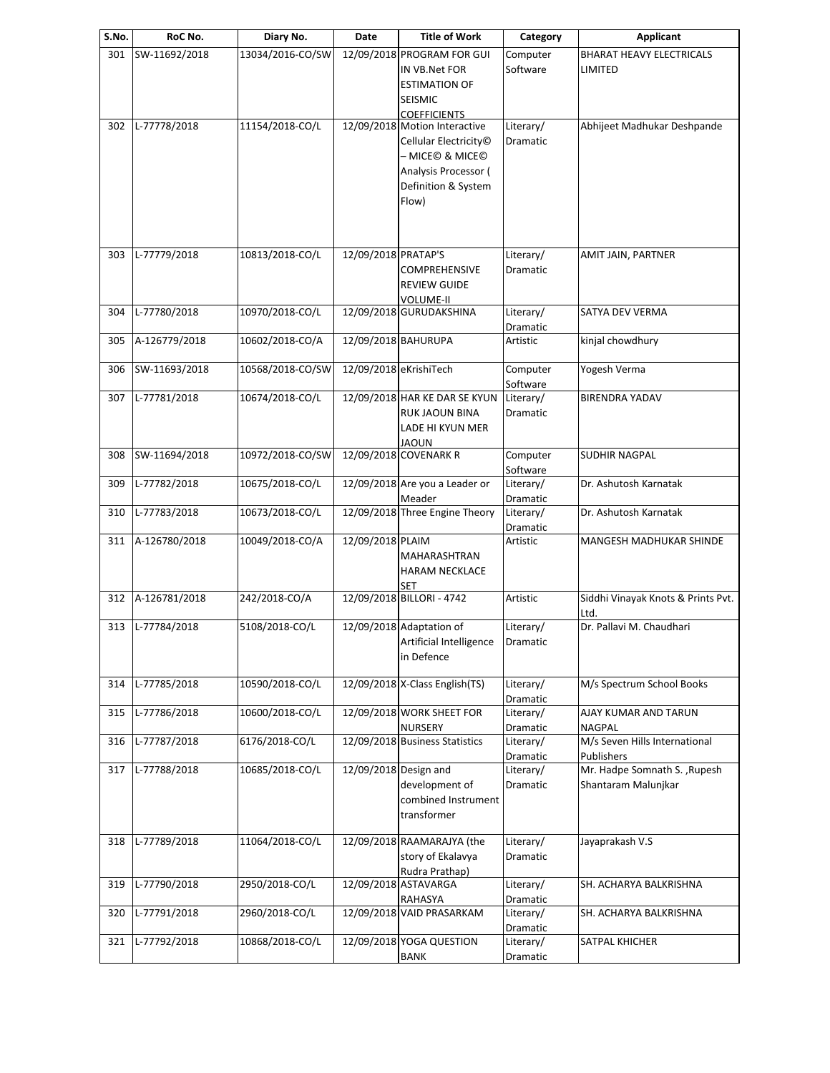| S.No. | RoC No.       | Diary No.        | Date                   | <b>Title of Work</b>                                                                                          | Category                          | Applicant                                           |
|-------|---------------|------------------|------------------------|---------------------------------------------------------------------------------------------------------------|-----------------------------------|-----------------------------------------------------|
| 301   | SW-11692/2018 | 13034/2016-CO/SW |                        | 12/09/2018 PROGRAM FOR GUI<br>IN VB.Net FOR<br><b>ESTIMATION OF</b>                                           | Computer<br>Software              | <b>BHARAT HEAVY ELECTRICALS</b><br>LIMITED          |
|       |               |                  |                        | SEISMIC                                                                                                       |                                   |                                                     |
|       |               |                  |                        | <b>COEFFICIENTS</b>                                                                                           |                                   | Abhijeet Madhukar Deshpande                         |
| 302   | L-77778/2018  | 11154/2018-CO/L  |                        | 12/09/2018 Motion Interactive<br>Cellular Electricity <sup>®</sup><br>– MICE© & MICE©<br>Analysis Processor ( | Literary/<br>Dramatic             |                                                     |
|       |               |                  |                        | Definition & System<br>Flow)                                                                                  |                                   |                                                     |
| 303   | L-77779/2018  | 10813/2018-CO/L  | 12/09/2018 PRATAP'S    | <b>COMPREHENSIVE</b><br><b>REVIEW GUIDE</b><br><b>VOLUME-II</b>                                               | Literary/<br>Dramatic             | AMIT JAIN, PARTNER                                  |
| 304   | L-77780/2018  | 10970/2018-CO/L  |                        | 12/09/2018 GURUDAKSHINA                                                                                       | Literary/                         | SATYA DEV VERMA                                     |
|       |               |                  |                        |                                                                                                               | Dramatic                          |                                                     |
| 305   | A-126779/2018 | 10602/2018-CO/A  | 12/09/2018 BAHURUPA    |                                                                                                               | Artistic                          | kinjal chowdhury                                    |
| 306   | SW-11693/2018 | 10568/2018-CO/SW | 12/09/2018 eKrishiTech |                                                                                                               | Computer<br>Software              | Yogesh Verma                                        |
| 307   | L-77781/2018  | 10674/2018-CO/L  |                        | 12/09/2018 HAR KE DAR SE KYUN<br><b>RUK JAOUN BINA</b>                                                        | Literary/<br>Dramatic             | <b>BIRENDRA YADAV</b>                               |
|       |               |                  |                        | LADE HI KYUN MER<br><b>JAOUN</b>                                                                              |                                   |                                                     |
| 308   | SW-11694/2018 | 10972/2018-CO/SW |                        | 12/09/2018 COVENARK R                                                                                         | Computer<br>Software              | SUDHIR NAGPAL                                       |
| 309   | L-77782/2018  | 10675/2018-CO/L  |                        | 12/09/2018 Are you a Leader or<br>Meader                                                                      | Literary/<br>Dramatic             | Dr. Ashutosh Karnatak                               |
| 310   | L-77783/2018  | 10673/2018-CO/L  |                        | 12/09/2018 Three Engine Theory                                                                                | Literary/<br>Dramatic             | Dr. Ashutosh Karnatak                               |
| 311   | A-126780/2018 | 10049/2018-CO/A  | 12/09/2018 PLAIM       | MAHARASHTRAN<br><b>HARAM NECKLACE</b><br>SET                                                                  | Artistic                          | MANGESH MADHUKAR SHINDE                             |
| 312   | A-126781/2018 | 242/2018-CO/A    |                        | 12/09/2018 BILLORI - 4742                                                                                     | Artistic                          | Siddhi Vinayak Knots & Prints Pvt.<br>Ltd.          |
| 313   | L-77784/2018  | 5108/2018-CO/L   |                        | 12/09/2018 Adaptation of<br>Artificial Intelligence<br>in Defence                                             | Literary/<br>Dramatic             | Dr. Pallavi M. Chaudhari                            |
| 314   | L-77785/2018  | 10590/2018-CO/L  |                        | 12/09/2018 X-Class English(TS)                                                                                | Literary/<br>Dramatic             | M/s Spectrum School Books                           |
| 315   | L-77786/2018  | 10600/2018-CO/L  |                        | 12/09/2018 WORK SHEET FOR<br><b>NURSERY</b>                                                                   | Literary/<br>Dramatic             | AJAY KUMAR AND TARUN<br><b>NAGPAL</b>               |
| 316   | L-77787/2018  | 6176/2018-CO/L   |                        | 12/09/2018 Business Statistics                                                                                | Literary/<br>Dramatic             | M/s Seven Hills International<br>Publishers         |
| 317   | L-77788/2018  | 10685/2018-CO/L  | 12/09/2018 Design and  | development of<br>combined Instrument<br>transformer                                                          | Literary/<br>Dramatic             | Mr. Hadpe Somnath S., Rupesh<br>Shantaram Malunjkar |
| 318   | L-77789/2018  | 11064/2018-CO/L  |                        | 12/09/2018 RAAMARAJYA (the<br>story of Ekalavya<br>Rudra Prathap)                                             | Literary/<br>Dramatic             | Jayaprakash V.S                                     |
| 319   | L-77790/2018  | 2950/2018-CO/L   |                        | 12/09/2018 ASTAVARGA                                                                                          | Literary/                         | SH. ACHARYA BALKRISHNA                              |
| 320   | L-77791/2018  | 2960/2018-CO/L   |                        | RAHASYA<br>12/09/2018 VAID PRASARKAM                                                                          | Dramatic<br>Literary/<br>Dramatic | SH. ACHARYA BALKRISHNA                              |
| 321   | L-77792/2018  | 10868/2018-CO/L  |                        | 12/09/2018 YOGA QUESTION<br><b>BANK</b>                                                                       | Literary/<br>Dramatic             | SATPAL KHICHER                                      |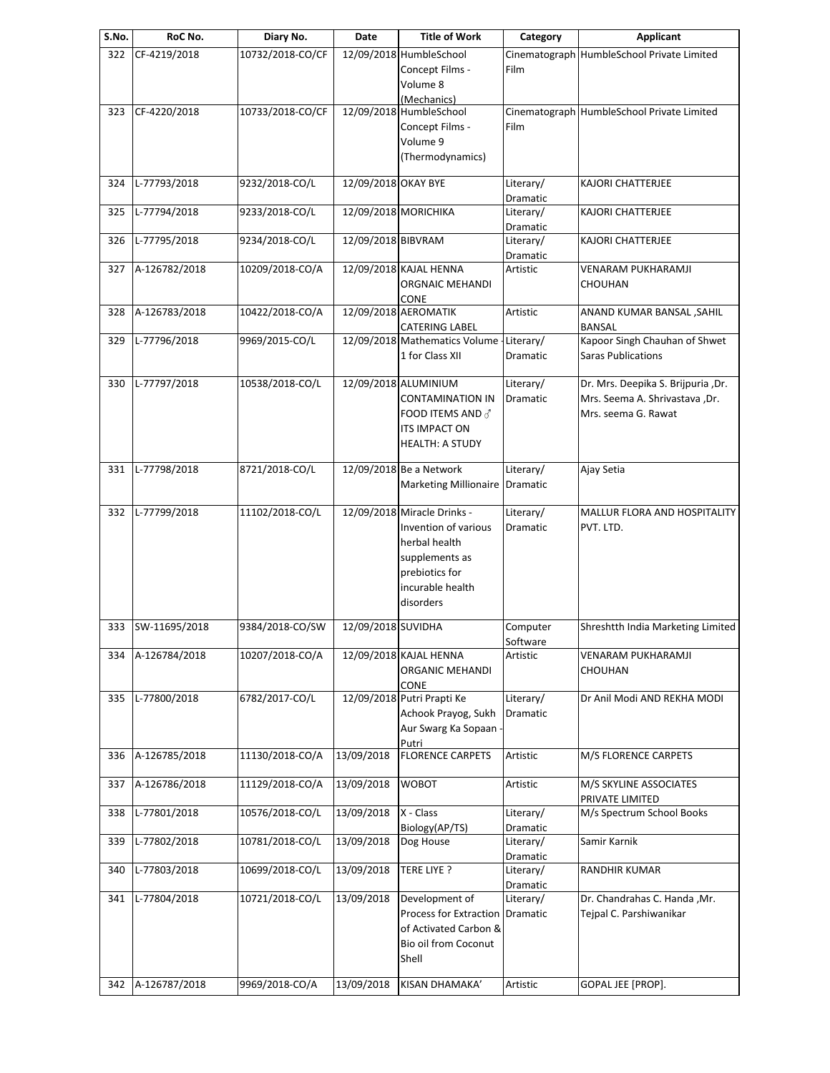| S.No. | RoC No.       | Diary No.        | Date                | <b>Title of Work</b>                                                                                                                      | Category              | Applicant                                                                                   |
|-------|---------------|------------------|---------------------|-------------------------------------------------------------------------------------------------------------------------------------------|-----------------------|---------------------------------------------------------------------------------------------|
| 322   | CF-4219/2018  | 10732/2018-CO/CF |                     | 12/09/2018 HumbleSchool<br>Concept Films -<br>Volume 8                                                                                    | Film                  | Cinematograph HumbleSchool Private Limited                                                  |
| 323   | CF-4220/2018  | 10733/2018-CO/CF |                     | (Mechanics)<br>12/09/2018 HumbleSchool<br>Concept Films -<br>Volume 9<br>(Thermodynamics)                                                 | Film                  | Cinematograph HumbleSchool Private Limited                                                  |
| 324   | L-77793/2018  | 9232/2018-CO/L   | 12/09/2018 OKAY BYE |                                                                                                                                           | Literary/<br>Dramatic | KAJORI CHATTERJEE                                                                           |
| 325   | L-77794/2018  | 9233/2018-CO/L   |                     | 12/09/2018 MORICHIKA                                                                                                                      | Literary/<br>Dramatic | KAJORI CHATTERJEE                                                                           |
| 326   | L-77795/2018  | 9234/2018-CO/L   | 12/09/2018 BIBVRAM  |                                                                                                                                           | Literary/<br>Dramatic | <b>KAJORI CHATTERJEE</b>                                                                    |
| 327   | A-126782/2018 | 10209/2018-CO/A  |                     | 12/09/2018 KAJAL HENNA<br>ORGNAIC MEHANDI<br>CONE                                                                                         | Artistic              | VENARAM PUKHARAMJI<br>CHOUHAN                                                               |
| 328   | A-126783/2018 | 10422/2018-CO/A  |                     | 12/09/2018 AEROMATIK<br><b>CATERING LABEL</b>                                                                                             | Artistic              | ANAND KUMAR BANSAL , SAHIL<br>BANSAL                                                        |
| 329   | L-77796/2018  | 9969/2015-CO/L   |                     | 12/09/2018 Mathematics Volume - Literary/<br>1 for Class XII                                                                              | Dramatic              | Kapoor Singh Chauhan of Shwet<br><b>Saras Publications</b>                                  |
| 330   | L-77797/2018  | 10538/2018-CO/L  |                     | 12/09/2018 ALUMINIUM<br><b>CONTAMINATION IN</b><br>FOOD ITEMS AND $\vec{\sigma}$<br>ITS IMPACT ON<br><b>HEALTH: A STUDY</b>               | Literary/<br>Dramatic | Dr. Mrs. Deepika S. Brijpuria ,Dr.<br>Mrs. Seema A. Shrivastava ,Dr.<br>Mrs. seema G. Rawat |
| 331   | L-77798/2018  | 8721/2018-CO/L   |                     | 12/09/2018 Be a Network<br>Marketing Millionaire Dramatic                                                                                 | Literary/             | Ajay Setia                                                                                  |
| 332   | L-77799/2018  | 11102/2018-CO/L  |                     | 12/09/2018 Miracle Drinks -<br>Invention of various<br>herbal health<br>supplements as<br>prebiotics for<br>incurable health<br>disorders | Literary/<br>Dramatic | MALLUR FLORA AND HOSPITALITY<br>PVT. LTD.                                                   |
| 333   | SW-11695/2018 | 9384/2018-CO/SW  | 12/09/2018 SUVIDHA  |                                                                                                                                           | Computer<br>Software  | Shreshtth India Marketing Limited                                                           |
| 334   | A-126784/2018 | 10207/2018-CO/A  |                     | 12/09/2018 KAJAL HENNA<br>ORGANIC MEHANDI<br>CONE                                                                                         | Artistic              | VENARAM PUKHARAMJI<br>CHOUHAN                                                               |
| 335   | L-77800/2018  | 6782/2017-CO/L   |                     | 12/09/2018 Putri Prapti Ke<br>Achook Prayog, Sukh<br>Aur Swarg Ka Sopaan<br>Putri                                                         | Literary/<br>Dramatic | Dr Anil Modi AND REKHA MODI                                                                 |
| 336   | A-126785/2018 | 11130/2018-CO/A  | 13/09/2018          | <b>FLORENCE CARPETS</b>                                                                                                                   | Artistic              | M/S FLORENCE CARPETS                                                                        |
| 337   | A-126786/2018 | 11129/2018-CO/A  | 13/09/2018          | WOBOT                                                                                                                                     | Artistic              | M/S SKYLINE ASSOCIATES<br>PRIVATE LIMITED                                                   |
| 338   | L-77801/2018  | 10576/2018-CO/L  | 13/09/2018          | X - Class<br>Biology(AP/TS)                                                                                                               | Literary/<br>Dramatic | M/s Spectrum School Books                                                                   |
| 339   | L-77802/2018  | 10781/2018-CO/L  | 13/09/2018          | Dog House                                                                                                                                 | Literary/<br>Dramatic | Samir Karnik                                                                                |
| 340   | L-77803/2018  | 10699/2018-CO/L  | 13/09/2018          | TERE LIYE ?                                                                                                                               | Literary/<br>Dramatic | RANDHIR KUMAR                                                                               |
| 341   | L-77804/2018  | 10721/2018-CO/L  | 13/09/2018          | Development of<br>Process for Extraction<br>of Activated Carbon &<br>Bio oil from Coconut<br>Shell                                        | Literary/<br>Dramatic | Dr. Chandrahas C. Handa , Mr.<br>Tejpal C. Parshiwanikar                                    |
| 342   | A-126787/2018 | 9969/2018-CO/A   | 13/09/2018          | KISAN DHAMAKA'                                                                                                                            | Artistic              | GOPAL JEE [PROP].                                                                           |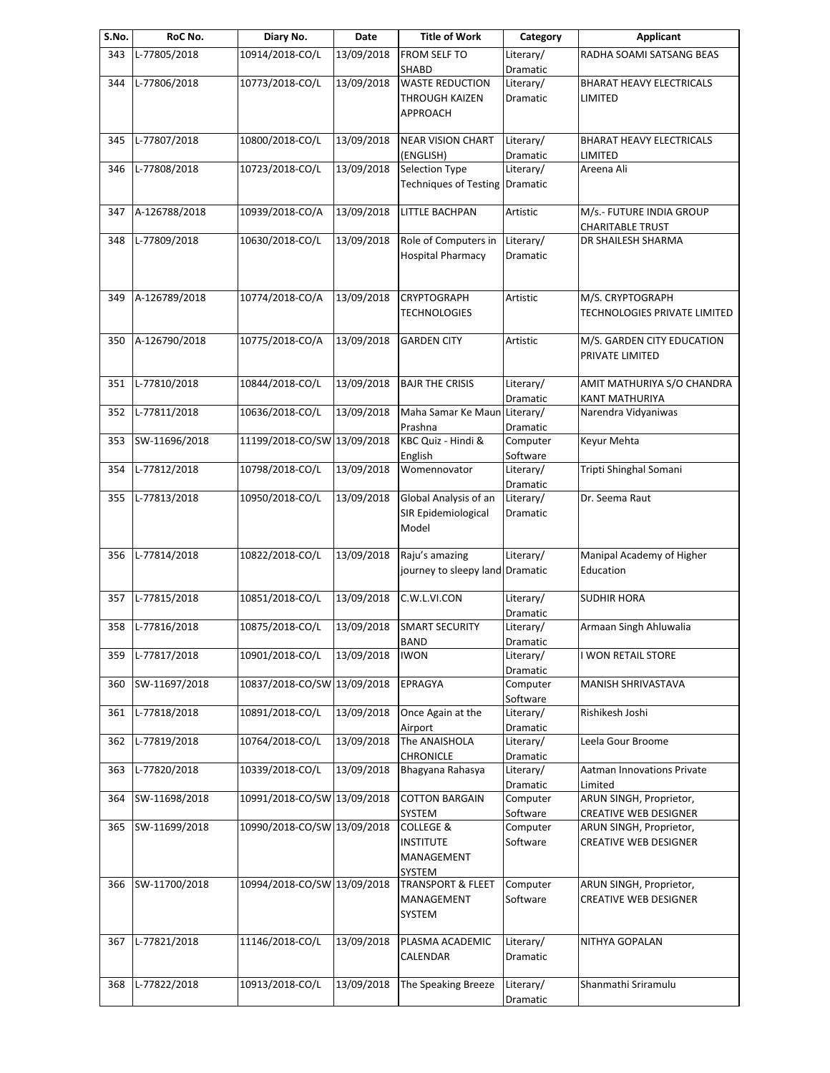| S.No. | RoC No.       | Diary No.                   | Date       | <b>Title of Work</b>                                             | Category              | <b>Applicant</b>                                        |
|-------|---------------|-----------------------------|------------|------------------------------------------------------------------|-----------------------|---------------------------------------------------------|
| 343   | L-77805/2018  | 10914/2018-CO/L             | 13/09/2018 | FROM SELF TO                                                     | Literary/             | RADHA SOAMI SATSANG BEAS                                |
| 344   | L-77806/2018  | 10773/2018-CO/L             | 13/09/2018 | SHABD<br><b>WASTE REDUCTION</b>                                  | Dramatic<br>Literary/ | <b>BHARAT HEAVY ELECTRICALS</b>                         |
|       |               |                             |            | THROUGH KAIZEN<br>APPROACH                                       | Dramatic              | LIMITED                                                 |
| 345   | L-77807/2018  | 10800/2018-CO/L             | 13/09/2018 | <b>NEAR VISION CHART</b><br>(ENGLISH)                            | Literary/<br>Dramatic | <b>BHARAT HEAVY ELECTRICALS</b><br>LIMITED              |
| 346   | L-77808/2018  | 10723/2018-CO/L             | 13/09/2018 | Selection Type<br>Techniques of Testing Dramatic                 | Literary/             | Areena Ali                                              |
| 347   | A-126788/2018 | 10939/2018-CO/A             | 13/09/2018 | LITTLE BACHPAN                                                   | Artistic              | M/s.- FUTURE INDIA GROUP<br><b>CHARITABLE TRUST</b>     |
| 348   | L-77809/2018  | 10630/2018-CO/L             | 13/09/2018 | Role of Computers in<br><b>Hospital Pharmacy</b>                 | Literary/<br>Dramatic | DR SHAILESH SHARMA                                      |
| 349   | A-126789/2018 | 10774/2018-CO/A             | 13/09/2018 | <b>CRYPTOGRAPH</b><br>TECHNOLOGIES                               | Artistic              | M/S. CRYPTOGRAPH<br>TECHNOLOGIES PRIVATE LIMITED        |
| 350   | A-126790/2018 | 10775/2018-CO/A             | 13/09/2018 | <b>GARDEN CITY</b>                                               | Artistic              | M/S. GARDEN CITY EDUCATION<br>PRIVATE LIMITED           |
| 351   | L-77810/2018  | 10844/2018-CO/L             | 13/09/2018 | <b>BAJR THE CRISIS</b>                                           | Literary/<br>Dramatic | AMIT MATHURIYA S/O CHANDRA<br>KANT MATHURIYA            |
| 352   | L-77811/2018  | 10636/2018-CO/L             | 13/09/2018 | Maha Samar Ke Maun<br>Prashna                                    | Literary/<br>Dramatic | Narendra Vidyaniwas                                     |
| 353   | SW-11696/2018 | 11199/2018-CO/SW 13/09/2018 |            | KBC Quiz - Hindi &<br>English                                    | Computer<br>Software  | Keyur Mehta                                             |
| 354   | L-77812/2018  | 10798/2018-CO/L             | 13/09/2018 | Womennovator                                                     | Literary/<br>Dramatic | Tripti Shinghal Somani                                  |
| 355   | L-77813/2018  | 10950/2018-CO/L             | 13/09/2018 | Global Analysis of an<br>SIR Epidemiological<br>Model            | Literary/<br>Dramatic | Dr. Seema Raut                                          |
| 356   | L-77814/2018  | 10822/2018-CO/L             | 13/09/2018 | Raju's amazing<br>journey to sleepy land Dramatic                | Literary/             | Manipal Academy of Higher<br>Education                  |
| 357   | L-77815/2018  | 10851/2018-CO/L             | 13/09/2018 | C.W.L.VI.CON                                                     | Literary/<br>Dramatic | <b>SUDHIR HORA</b>                                      |
| 358   | L-77816/2018  | 10875/2018-CO/L             | 13/09/2018 | <b>SMART SECURITY</b><br><b>BAND</b>                             | Literary/<br>Dramatic | Armaan Singh Ahluwalia                                  |
| 359   | L-77817/2018  | 10901/2018-CO/L             | 13/09/2018 | IWON                                                             | Literary/<br>Dramatic | I WON RETAIL STORE                                      |
| 360   | SW-11697/2018 | 10837/2018-CO/SW 13/09/2018 |            | EPRAGYA                                                          | Computer<br>Software  | <b>MANISH SHRIVASTAVA</b>                               |
| 361   | L-77818/2018  | 10891/2018-CO/L             | 13/09/2018 | Once Again at the<br>Airport                                     | Literary/<br>Dramatic | Rishikesh Joshi                                         |
| 362   | L-77819/2018  | 10764/2018-CO/L             | 13/09/2018 | The ANAISHOLA<br><b>CHRONICLE</b>                                | Literary/<br>Dramatic | Leela Gour Broome                                       |
| 363   | L-77820/2018  | 10339/2018-CO/L             | 13/09/2018 | Bhagyana Rahasya                                                 | Literary/<br>Dramatic | Aatman Innovations Private<br>Limited                   |
| 364   | SW-11698/2018 | 10991/2018-CO/SW 13/09/2018 |            | <b>COTTON BARGAIN</b><br>SYSTEM                                  | Computer<br>Software  | ARUN SINGH, Proprietor,<br><b>CREATIVE WEB DESIGNER</b> |
| 365   | SW-11699/2018 | 10990/2018-CO/SW 13/09/2018 |            | <b>COLLEGE &amp;</b><br><b>INSTITUTE</b><br>MANAGEMENT<br>SYSTEM | Computer<br>Software  | ARUN SINGH, Proprietor,<br><b>CREATIVE WEB DESIGNER</b> |
| 366   | SW-11700/2018 | 10994/2018-CO/SW 13/09/2018 |            | <b>TRANSPORT &amp; FLEET</b><br>MANAGEMENT<br>SYSTEM             | Computer<br>Software  | ARUN SINGH, Proprietor,<br><b>CREATIVE WEB DESIGNER</b> |
| 367   | L-77821/2018  | 11146/2018-CO/L             | 13/09/2018 | PLASMA ACADEMIC<br>CALENDAR                                      | Literary/<br>Dramatic | NITHYA GOPALAN                                          |
| 368   | L-77822/2018  | 10913/2018-CO/L             | 13/09/2018 | The Speaking Breeze                                              | Literary/<br>Dramatic | Shanmathi Sriramulu                                     |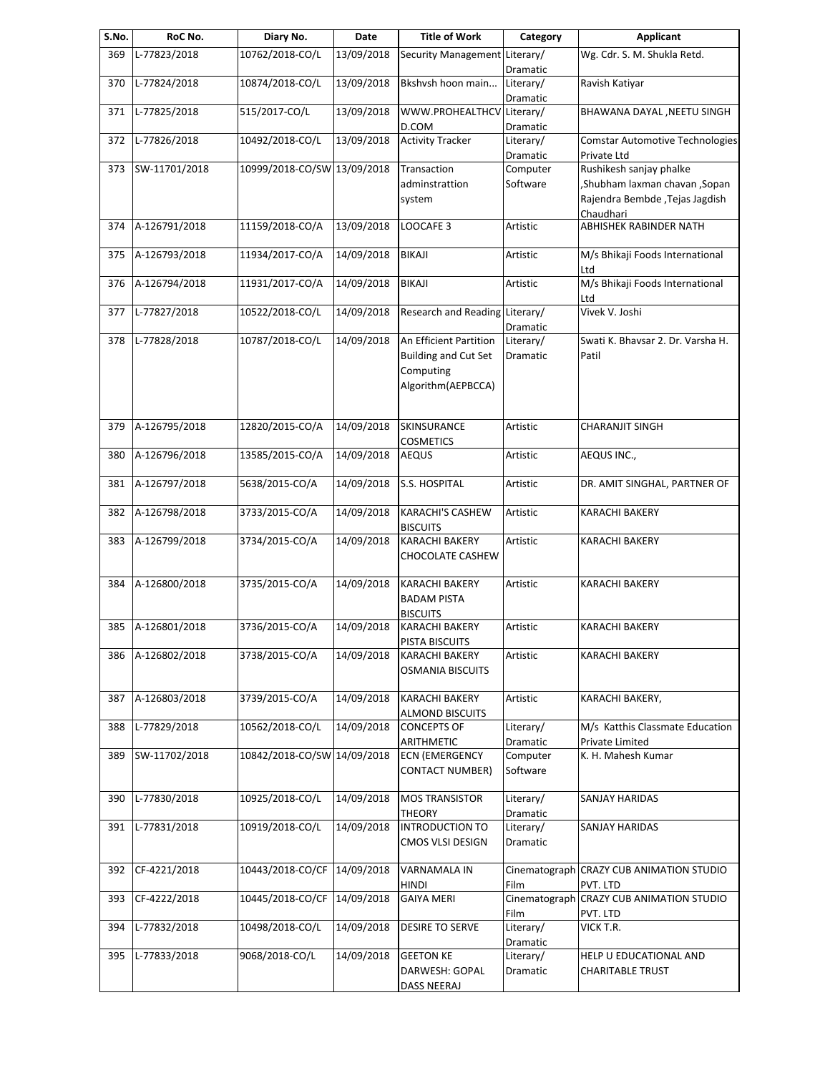| S.No. | RoC No.       | Diary No.                   | Date       | <b>Title of Work</b>                             | Category              | <b>Applicant</b>                                          |
|-------|---------------|-----------------------------|------------|--------------------------------------------------|-----------------------|-----------------------------------------------------------|
| 369   | L-77823/2018  | 10762/2018-CO/L             | 13/09/2018 | Security Management Literary/                    | Dramatic              | Wg. Cdr. S. M. Shukla Retd.                               |
| 370   | L-77824/2018  | 10874/2018-CO/L             | 13/09/2018 | Bkshvsh hoon main                                | Literary/             | Ravish Katiyar                                            |
| 371   | L-77825/2018  | 515/2017-CO/L               | 13/09/2018 | WWW.PROHEALTHCV Literary/                        | Dramatic              | BHAWANA DAYAL , NEETU SINGH                               |
| 372   | L-77826/2018  | 10492/2018-CO/L             | 13/09/2018 | D.COM<br><b>Activity Tracker</b>                 | Dramatic<br>Literary/ | <b>Comstar Automotive Technologies</b>                    |
| 373   | SW-11701/2018 | 10999/2018-CO/SW 13/09/2018 |            | Transaction                                      | Dramatic<br>Computer  | Private Ltd<br>Rushikesh sanjay phalke                    |
|       |               |                             |            | adminstrattion                                   | Software              | , Shubham laxman chavan, Sopan                            |
|       |               |                             |            | system                                           |                       | Rajendra Bembde, Tejas Jagdish                            |
| 374   | A-126791/2018 | 11159/2018-CO/A             | 13/09/2018 | LOOCAFE <sub>3</sub>                             | Artistic              | Chaudhari<br>ABHISHEK RABINDER NATH                       |
| 375   | A-126793/2018 | 11934/2017-CO/A             | 14/09/2018 | <b>BIKAJI</b>                                    | Artistic              | M/s Bhikaji Foods International                           |
| 376   | A-126794/2018 | 11931/2017-CO/A             | 14/09/2018 | BIKAJI                                           | Artistic              | Ltd<br>M/s Bhikaji Foods International                    |
|       |               |                             |            |                                                  |                       | Ltd                                                       |
| 377   | L-77827/2018  | 10522/2018-CO/L             | 14/09/2018 | Research and Reading Literary/                   | Dramatic              | Vivek V. Joshi                                            |
| 378   | L-77828/2018  | 10787/2018-CO/L             | 14/09/2018 | An Efficient Partition                           | Literary/             | Swati K. Bhavsar 2. Dr. Varsha H.                         |
|       |               |                             |            | <b>Building and Cut Set</b>                      | Dramatic              | Patil                                                     |
|       |               |                             |            | Computing                                        |                       |                                                           |
|       |               |                             |            | Algorithm(AEPBCCA)                               |                       |                                                           |
| 379   | A-126795/2018 | 12820/2015-CO/A             | 14/09/2018 | <b>SKINSURANCE</b>                               | Artistic              | <b>CHARANJIT SINGH</b>                                    |
| 380   | A-126796/2018 | 13585/2015-CO/A             | 14/09/2018 | <b>COSMETICS</b>                                 | Artistic              | AEQUS INC.,                                               |
|       |               |                             |            | <b>AEQUS</b>                                     |                       |                                                           |
| 381   | A-126797/2018 | 5638/2015-CO/A              | 14/09/2018 | S.S. HOSPITAL                                    | Artistic              | DR. AMIT SINGHAL, PARTNER OF                              |
| 382   | A-126798/2018 | 3733/2015-CO/A              | 14/09/2018 | <b>KARACHI'S CASHEW</b><br><b>BISCUITS</b>       | Artistic              | KARACHI BAKERY                                            |
| 383   | A-126799/2018 | 3734/2015-CO/A              | 14/09/2018 | <b>KARACHI BAKERY</b>                            | Artistic              | KARACHI BAKERY                                            |
|       |               |                             |            | CHOCOLATE CASHEW                                 |                       |                                                           |
| 384   | A-126800/2018 | 3735/2015-CO/A              | 14/09/2018 | <b>KARACHI BAKERY</b>                            | Artistic              | <b>KARACHI BAKERY</b>                                     |
|       |               |                             |            | <b>BADAM PISTA</b><br><b>BISCUITS</b>            |                       |                                                           |
| 385   | A-126801/2018 | 3736/2015-CO/A              | 14/09/2018 | <b>KARACHI BAKERY</b>                            | Artistic              | KARACHI BAKERY                                            |
|       |               |                             |            | PISTA BISCUITS                                   |                       |                                                           |
| 386   | A-126802/2018 | 3738/2015-CO/A              | 14/09/2018 | <b>KARACHI BAKERY</b><br><b>OSMANIA BISCUITS</b> | Artistic              | KARACHI BAKERY                                            |
|       |               |                             |            |                                                  |                       |                                                           |
| 387   | A-126803/2018 | 3739/2015-CO/A              | 14/09/2018 | <b>KARACHI BAKERY</b><br><b>ALMOND BISCUITS</b>  | Artistic              | KARACHI BAKERY,                                           |
| 388   | L-77829/2018  | 10562/2018-CO/L             | 14/09/2018 | <b>CONCEPTS OF</b><br>ARITHMETIC                 | Literary/<br>Dramatic | M/s Katthis Classmate Education<br><b>Private Limited</b> |
| 389   | SW-11702/2018 | 10842/2018-CO/SW 14/09/2018 |            | <b>ECN (EMERGENCY</b>                            | Computer              | K. H. Mahesh Kumar                                        |
|       |               |                             |            | <b>CONTACT NUMBER)</b>                           | Software              |                                                           |
| 390   | L-77830/2018  | 10925/2018-CO/L             | 14/09/2018 | <b>MOS TRANSISTOR</b>                            | Literary/             | SANJAY HARIDAS                                            |
| 391   | L-77831/2018  | 10919/2018-CO/L             | 14/09/2018 | THEORY<br><b>INTRODUCTION TO</b>                 | Dramatic<br>Literary/ | SANJAY HARIDAS                                            |
|       |               |                             |            | CMOS VLSI DESIGN                                 | Dramatic              |                                                           |
| 392   | CF-4221/2018  | 10443/2018-CO/CF            | 14/09/2018 | VARNAMALA IN                                     |                       | Cinematograph CRAZY CUB ANIMATION STUDIO                  |
| 393   | CF-4222/2018  | 10445/2018-CO/CF            | 14/09/2018 | <b>HINDI</b><br><b>GAIYA MERI</b>                | Film<br>Cinematograph | PVT. LTD<br><b>CRAZY CUB ANIMATION STUDIO</b>             |
|       |               |                             |            |                                                  | Film                  | pvt. Ltd                                                  |
| 394   | L-77832/2018  | 10498/2018-CO/L             | 14/09/2018 | DESIRE TO SERVE                                  | Literary/<br>Dramatic | VICK T.R.                                                 |
| 395   | L-77833/2018  | 9068/2018-CO/L              | 14/09/2018 | <b>GEETON KE</b>                                 | Literary/             | HELP U EDUCATIONAL AND                                    |
|       |               |                             |            | DARWESH: GOPAL                                   | Dramatic              | <b>CHARITABLE TRUST</b>                                   |
|       |               |                             |            | DASS NEERAJ                                      |                       |                                                           |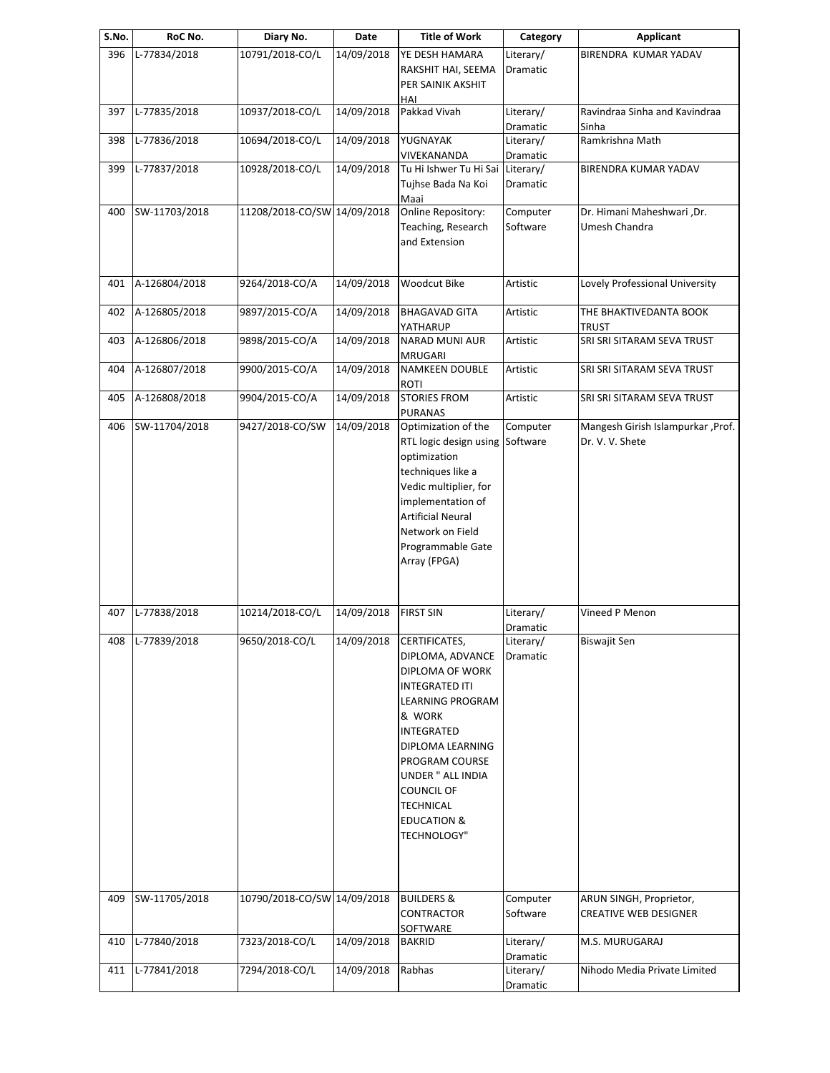| S.No. | RoC No.          | Diary No.                   | Date       | <b>Title of Work</b>                            | Category              | <b>Applicant</b>                  |
|-------|------------------|-----------------------------|------------|-------------------------------------------------|-----------------------|-----------------------------------|
| 396   | L-77834/2018     | 10791/2018-CO/L             | 14/09/2018 | YE DESH HAMARA                                  | Literary/             | BIRENDRA KUMAR YADAV              |
|       |                  |                             |            | RAKSHIT HAI, SEEMA                              | Dramatic              |                                   |
|       |                  |                             |            | PER SAINIK AKSHIT<br>HAI                        |                       |                                   |
| 397   | L-77835/2018     | 10937/2018-CO/L             | 14/09/2018 | Pakkad Vivah                                    | Literary/             | Ravindraa Sinha and Kavindraa     |
|       |                  |                             |            |                                                 | Dramatic              | Sinha                             |
| 398   | L-77836/2018     | 10694/2018-CO/L             | 14/09/2018 | YUGNAYAK                                        | Literary/             | Ramkrishna Math                   |
| 399   | L-77837/2018     | 10928/2018-CO/L             | 14/09/2018 | VIVEKANANDA<br>Tu Hi Ishwer Tu Hi Sai Literary/ | Dramatic              | BIRENDRA KUMAR YADAV              |
|       |                  |                             |            | Tujhse Bada Na Koi                              | Dramatic              |                                   |
|       |                  |                             |            | Maai                                            |                       |                                   |
| 400   | SW-11703/2018    | 11208/2018-CO/SW 14/09/2018 |            | Online Repository:                              | Computer              | Dr. Himani Maheshwari, Dr.        |
|       |                  |                             |            | Teaching, Research                              | Software              | Umesh Chandra                     |
|       |                  |                             |            | and Extension                                   |                       |                                   |
| 401   | A-126804/2018    | 9264/2018-CO/A              | 14/09/2018 | Woodcut Bike                                    | Artistic              | Lovely Professional University    |
| 402   | A-126805/2018    | 9897/2015-CO/A              | 14/09/2018 | <b>BHAGAVAD GITA</b>                            | Artistic              | THE BHAKTIVEDANTA BOOK            |
|       |                  |                             |            | YATHARUP                                        |                       | TRUST                             |
| 403   | A-126806/2018    | 9898/2015-CO/A              | 14/09/2018 | <b>NARAD MUNI AUR</b>                           | Artistic              | SRI SRI SITARAM SEVA TRUST        |
|       | A-126807/2018    |                             |            | <b>MRUGARI</b>                                  |                       |                                   |
| 404   |                  | 9900/2015-CO/A              | 14/09/2018 | <b>NAMKEEN DOUBLE</b><br><b>ROTI</b>            | Artistic              | SRI SRI SITARAM SEVA TRUST        |
| 405   | A-126808/2018    | 9904/2015-CO/A              | 14/09/2018 | <b>STORIES FROM</b><br><b>PURANAS</b>           | Artistic              | SRI SRI SITARAM SEVA TRUST        |
| 406   | SW-11704/2018    | 9427/2018-CO/SW             | 14/09/2018 | Optimization of the                             | Computer              | Mangesh Girish Islampurkar, Prof. |
|       |                  |                             |            | RTL logic design using Software                 |                       | Dr. V. V. Shete                   |
|       |                  |                             |            | optimization<br>techniques like a               |                       |                                   |
|       |                  |                             |            | Vedic multiplier, for                           |                       |                                   |
|       |                  |                             |            | implementation of                               |                       |                                   |
|       |                  |                             |            | <b>Artificial Neural</b>                        |                       |                                   |
|       |                  |                             |            | Network on Field                                |                       |                                   |
|       |                  |                             |            | Programmable Gate                               |                       |                                   |
|       |                  |                             |            | Array (FPGA)                                    |                       |                                   |
| 407   | L-77838/2018     | 10214/2018-CO/L             | 14/09/2018 | <b>FIRST SIN</b>                                | Literary/             | Vineed P Menon                    |
|       |                  |                             |            |                                                 | Dramatic              |                                   |
|       | 408 L-77839/2018 | 9650/2018-CO/L              | 14/09/2018 | CERTIFICATES,                                   | Literary/             | <b>Biswajit Sen</b>               |
|       |                  |                             |            | DIPLOMA, ADVANCE                                | Dramatic              |                                   |
|       |                  |                             |            | DIPLOMA OF WORK                                 |                       |                                   |
|       |                  |                             |            | <b>INTEGRATED ITI</b>                           |                       |                                   |
|       |                  |                             |            | <b>LEARNING PROGRAM</b><br>& WORK               |                       |                                   |
|       |                  |                             |            | INTEGRATED                                      |                       |                                   |
|       |                  |                             |            | DIPLOMA LEARNING                                |                       |                                   |
|       |                  |                             |            | PROGRAM COURSE                                  |                       |                                   |
|       |                  |                             |            | UNDER " ALL INDIA                               |                       |                                   |
|       |                  |                             |            | <b>COUNCIL OF</b>                               |                       |                                   |
|       |                  |                             |            | <b>TECHNICAL</b>                                |                       |                                   |
|       |                  |                             |            | <b>EDUCATION &amp;</b>                          |                       |                                   |
|       |                  |                             |            | TECHNOLOGY"                                     |                       |                                   |
|       |                  |                             |            |                                                 |                       |                                   |
| 409   | SW-11705/2018    | 10790/2018-CO/SW 14/09/2018 |            | <b>BUILDERS &amp;</b>                           | Computer              | ARUN SINGH, Proprietor,           |
|       |                  |                             |            | CONTRACTOR                                      | Software              | <b>CREATIVE WEB DESIGNER</b>      |
|       |                  |                             |            | SOFTWARE                                        |                       |                                   |
| 410   | L-77840/2018     | 7323/2018-CO/L              | 14/09/2018 | <b>BAKRID</b>                                   | Literary/             | M.S. MURUGARAJ                    |
| 411   | L-77841/2018     | 7294/2018-CO/L              | 14/09/2018 | Rabhas                                          | Dramatic<br>Literary/ | Nihodo Media Private Limited      |
|       |                  |                             |            |                                                 | Dramatic              |                                   |
|       |                  |                             |            |                                                 |                       |                                   |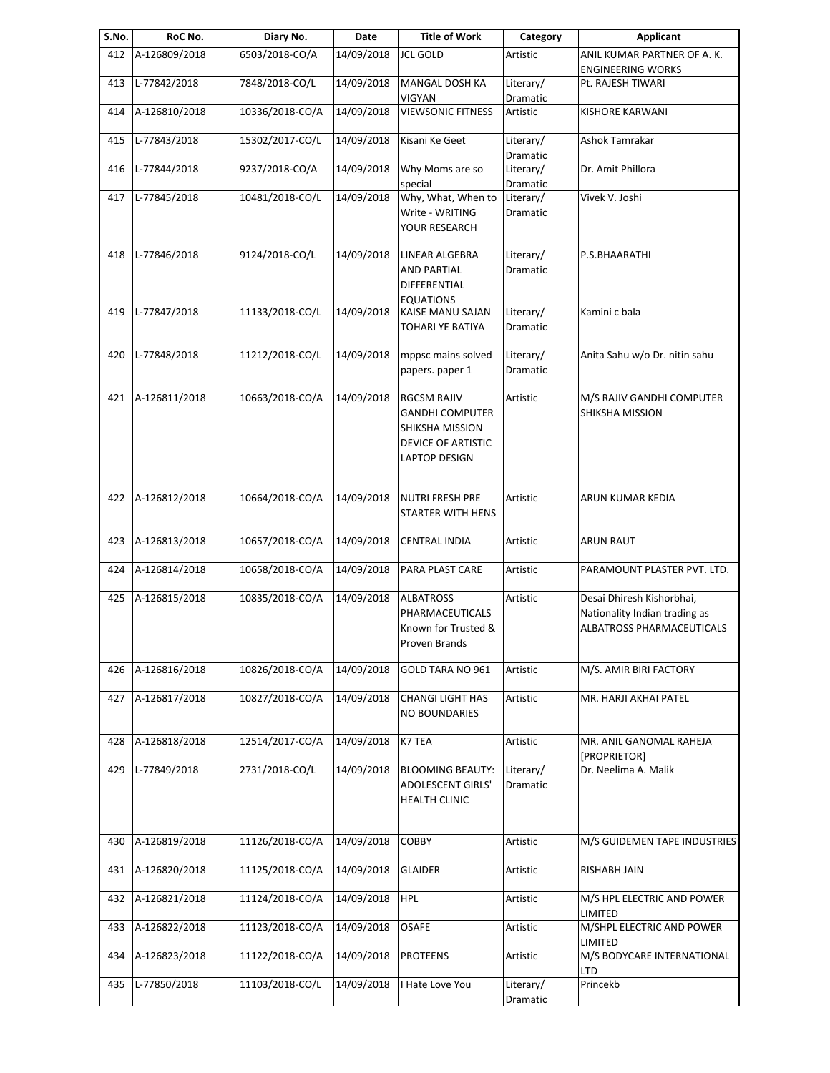| S.No. | RoC No.       | Diary No.       | Date       | <b>Title of Work</b>                                                                                   | Category                     | <b>Applicant</b>                                                                               |
|-------|---------------|-----------------|------------|--------------------------------------------------------------------------------------------------------|------------------------------|------------------------------------------------------------------------------------------------|
| 412   | A-126809/2018 | 6503/2018-CO/A  | 14/09/2018 | <b>JCL GOLD</b>                                                                                        | Artistic                     | ANIL KUMAR PARTNER OF A.K.                                                                     |
| 413   | L-77842/2018  | 7848/2018-CO/L  | 14/09/2018 | <b>MANGAL DOSH KA</b>                                                                                  | Literary/                    | <b>ENGINEERING WORKS</b><br>Pt. RAJESH TIWARI                                                  |
|       |               |                 |            | <b>VIGYAN</b>                                                                                          | Dramatic                     |                                                                                                |
| 414   | A-126810/2018 | 10336/2018-CO/A | 14/09/2018 | <b>VIEWSONIC FITNESS</b>                                                                               | Artistic                     | <b>KISHORE KARWANI</b>                                                                         |
| 415   | L-77843/2018  | 15302/2017-CO/L | 14/09/2018 | Kisani Ke Geet                                                                                         | Literary/<br>Dramatic        | Ashok Tamrakar                                                                                 |
| 416   | L-77844/2018  | 9237/2018-CO/A  | 14/09/2018 | Why Moms are so<br>special                                                                             | Literary/<br>Dramatic        | Dr. Amit Phillora                                                                              |
| 417   | L-77845/2018  | 10481/2018-CO/L | 14/09/2018 | Why, What, When to<br>Write - WRITING<br>YOUR RESEARCH                                                 | Literary/<br>Dramatic        | Vivek V. Joshi                                                                                 |
| 418   | L-77846/2018  | 9124/2018-CO/L  | 14/09/2018 | LINEAR ALGEBRA<br><b>AND PARTIAL</b><br>DIFFERENTIAL<br><b>EQUATIONS</b>                               | Literary/<br>Dramatic        | P.S.BHAARATHI                                                                                  |
| 419   | L-77847/2018  | 11133/2018-CO/L | 14/09/2018 | <b>KAISE MANU SAJAN</b><br><b>TOHARI YE BATIYA</b>                                                     | Literary/<br>Dramatic        | Kamini c bala                                                                                  |
| 420   | L-77848/2018  | 11212/2018-CO/L | 14/09/2018 | mppsc mains solved<br>papers. paper 1                                                                  | Literary/<br>Dramatic        | Anita Sahu w/o Dr. nitin sahu                                                                  |
| 421   | A-126811/2018 | 10663/2018-CO/A | 14/09/2018 | <b>RGCSM RAJIV</b><br><b>GANDHI COMPUTER</b><br>SHIKSHA MISSION<br>DEVICE OF ARTISTIC<br>LAPTOP DESIGN | Artistic                     | M/S RAJIV GANDHI COMPUTER<br>SHIKSHA MISSION                                                   |
| 422   | A-126812/2018 | 10664/2018-CO/A | 14/09/2018 | <b>NUTRI FRESH PRE</b><br>STARTER WITH HENS                                                            | Artistic                     | ARUN KUMAR KEDIA                                                                               |
| 423   | A-126813/2018 | 10657/2018-CO/A | 14/09/2018 | <b>CENTRAL INDIA</b>                                                                                   | Artistic                     | <b>ARUN RAUT</b>                                                                               |
| 424   | A-126814/2018 | 10658/2018-CO/A | 14/09/2018 | PARA PLAST CARE                                                                                        | Artistic                     | PARAMOUNT PLASTER PVT. LTD.                                                                    |
| 425   | A-126815/2018 | 10835/2018-CO/A | 14/09/2018 | <b>ALBATROSS</b><br>PHARMACEUTICALS<br>Known for Trusted &<br>Proven Brands                            | Artistic                     | Desai Dhiresh Kishorbhai,<br>Nationality Indian trading as<br><b>ALBATROSS PHARMACEUTICALS</b> |
| 426   | A-126816/2018 | 10826/2018-CO/A | 14/09/2018 | GOLD TARA NO 961                                                                                       | Artistic                     | M/S. AMIR BIRI FACTORY                                                                         |
| 427   | A-126817/2018 | 10827/2018-CO/A | 14/09/2018 | <b>CHANGI LIGHT HAS</b><br><b>NO BOUNDARIES</b>                                                        | Artistic                     | MR. HARJI AKHAI PATEL                                                                          |
| 428   | A-126818/2018 | 12514/2017-CO/A | 14/09/2018 | K7 TEA                                                                                                 | Artistic                     | MR. ANIL GANOMAL RAHEJA<br>[PROPRIETOR]                                                        |
| 429   | L-77849/2018  | 2731/2018-CO/L  | 14/09/2018 | <b>BLOOMING BEAUTY:</b><br><b>ADOLESCENT GIRLS'</b><br><b>HEALTH CLINIC</b>                            | Literary/<br><b>Dramatic</b> | Dr. Neelima A. Malik                                                                           |
| 430   | A-126819/2018 | 11126/2018-CO/A | 14/09/2018 | <b>COBBY</b>                                                                                           | Artistic                     | M/S GUIDEMEN TAPE INDUSTRIES                                                                   |
| 431   | A-126820/2018 | 11125/2018-CO/A | 14/09/2018 | <b>GLAIDER</b>                                                                                         | Artistic                     | RISHABH JAIN                                                                                   |
| 432   | A-126821/2018 | 11124/2018-CO/A | 14/09/2018 | <b>HPL</b>                                                                                             | Artistic                     | M/S HPL ELECTRIC AND POWER<br>LIMITED                                                          |
| 433   | A-126822/2018 | 11123/2018-CO/A | 14/09/2018 | OSAFE                                                                                                  | Artistic                     | M/SHPL ELECTRIC AND POWER<br>LIMITED                                                           |
| 434   | A-126823/2018 | 11122/2018-CO/A | 14/09/2018 | <b>PROTEENS</b>                                                                                        | Artistic                     | M/S BODYCARE INTERNATIONAL                                                                     |
| 435   | L-77850/2018  | 11103/2018-CO/L | 14/09/2018 | I Hate Love You                                                                                        | Literary/<br>Dramatic        | LTD<br>Princekb                                                                                |
|       |               |                 |            |                                                                                                        |                              |                                                                                                |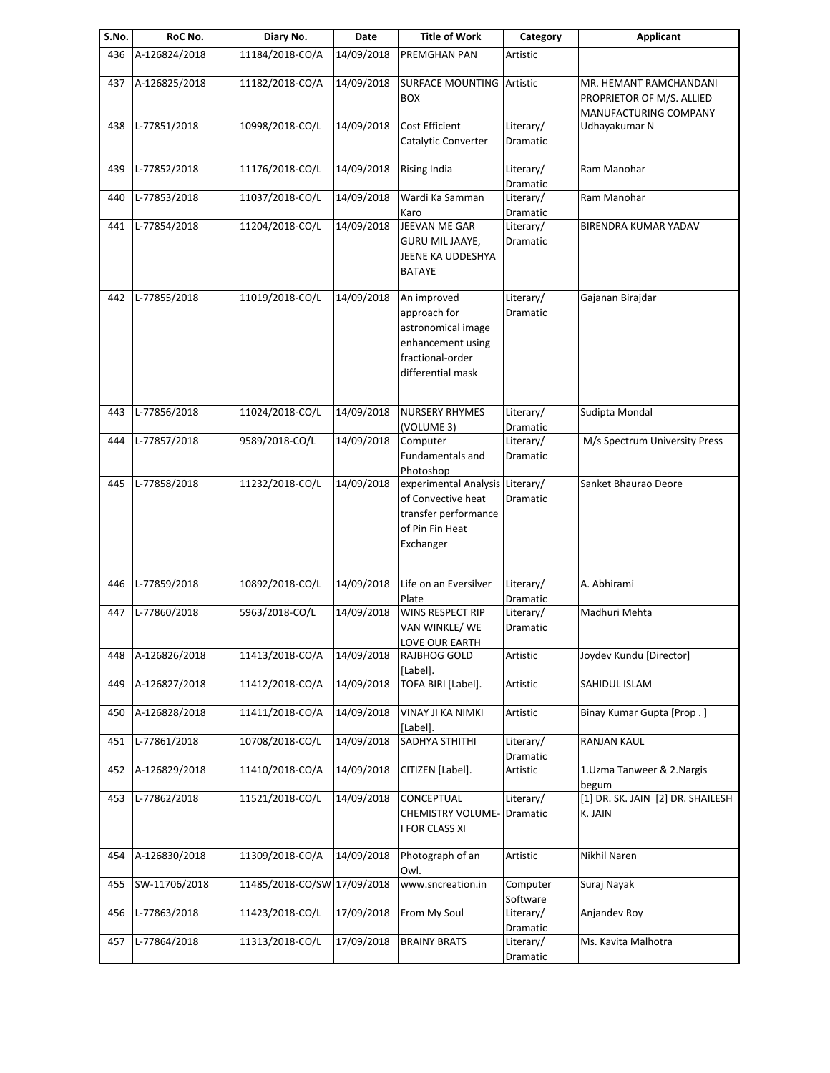| S.No. | RoC No.       | Diary No.                   | Date       | <b>Title of Work</b>                                                                                            | Category              | <b>Applicant</b>                                                             |
|-------|---------------|-----------------------------|------------|-----------------------------------------------------------------------------------------------------------------|-----------------------|------------------------------------------------------------------------------|
| 436   | A-126824/2018 | 11184/2018-CO/A             | 14/09/2018 | PREMGHAN PAN                                                                                                    | Artistic              |                                                                              |
| 437   | A-126825/2018 | 11182/2018-CO/A             | 14/09/2018 | <b>SURFACE MOUNTING</b><br><b>BOX</b>                                                                           | Artistic              | MR. HEMANT RAMCHANDANI<br>PROPRIETOR OF M/S. ALLIED<br>MANUFACTURING COMPANY |
| 438   | L-77851/2018  | 10998/2018-CO/L             | 14/09/2018 | Cost Efficient<br>Catalytic Converter                                                                           | Literary/<br>Dramatic | Udhayakumar N                                                                |
| 439   | L-77852/2018  | 11176/2018-CO/L             | 14/09/2018 | <b>Rising India</b>                                                                                             | Literary/<br>Dramatic | Ram Manohar                                                                  |
| 440   | L-77853/2018  | 11037/2018-CO/L             | 14/09/2018 | Wardi Ka Samman<br>Karo                                                                                         | Literary/<br>Dramatic | Ram Manohar                                                                  |
| 441   | L-77854/2018  | 11204/2018-CO/L             | 14/09/2018 | JEEVAN ME GAR<br><b>GURU MIL JAAYE,</b><br>JEENE KA UDDESHYA<br><b>BATAYE</b>                                   | Literary/<br>Dramatic | BIRENDRA KUMAR YADAV                                                         |
| 442   | L-77855/2018  | 11019/2018-CO/L             | 14/09/2018 | An improved<br>approach for<br>astronomical image<br>enhancement using<br>fractional-order<br>differential mask | Literary/<br>Dramatic | Gajanan Birajdar                                                             |
| 443   | L-77856/2018  | 11024/2018-CO/L             | 14/09/2018 | <b>NURSERY RHYMES</b><br>(VOLUME 3)                                                                             | Literary/<br>Dramatic | Sudipta Mondal                                                               |
| 444   | L-77857/2018  | 9589/2018-CO/L              | 14/09/2018 | Computer<br>Fundamentals and<br>Photoshop                                                                       | Literary/<br>Dramatic | M/s Spectrum University Press                                                |
| 445   | L-77858/2018  | 11232/2018-CO/L             | 14/09/2018 | experimental Analysis<br>of Convective heat<br>transfer performance<br>of Pin Fin Heat<br>Exchanger             | Literary/<br>Dramatic | Sanket Bhaurao Deore                                                         |
| 446   | L-77859/2018  | 10892/2018-CO/L             | 14/09/2018 | Life on an Eversilver<br>Plate                                                                                  | Literary/<br>Dramatic | A. Abhirami                                                                  |
| 447   | L-77860/2018  | 5963/2018-CO/L              | 14/09/2018 | WINS RESPECT RIP<br>VAN WINKLE/ WE<br>LOVE OUR EARTH                                                            | Literary/<br>Dramatic | Madhuri Mehta                                                                |
| 448   | A-126826/2018 | 11413/2018-CO/A             | 14/09/2018 | RAJBHOG GOLD<br>[Label].                                                                                        | Artistic              | Joydev Kundu [Director]                                                      |
| 449   | A-126827/2018 | 11412/2018-CO/A             | 14/09/2018 | TOFA BIRI [Label].                                                                                              | Artistic              | SAHIDUL ISLAM                                                                |
| 450   | A-126828/2018 | 11411/2018-CO/A             | 14/09/2018 | <b>VINAY JI KA NIMKI</b><br>[Label].                                                                            | Artistic              | Binay Kumar Gupta [Prop.]                                                    |
| 451   | L-77861/2018  | 10708/2018-CO/L             | 14/09/2018 | SADHYA STHITHI                                                                                                  | Literary/<br>Dramatic | RANJAN KAUL                                                                  |
| 452   | A-126829/2018 | 11410/2018-CO/A             | 14/09/2018 | CITIZEN [Label].                                                                                                | Artistic              | 1. Uzma Tanweer & 2. Nargis<br>begum                                         |
| 453   | L-77862/2018  | 11521/2018-CO/L             | 14/09/2018 | <b>CONCEPTUAL</b><br><b>CHEMISTRY VOLUME-</b><br>I FOR CLASS XI                                                 | Literary/<br>Dramatic | [1] DR. SK. JAIN [2] DR. SHAILESH<br>K. JAIN                                 |
| 454   | A-126830/2018 | 11309/2018-CO/A             | 14/09/2018 | Photograph of an<br>Owl.                                                                                        | Artistic              | Nikhil Naren                                                                 |
| 455   | SW-11706/2018 | 11485/2018-CO/SW 17/09/2018 |            | www.sncreation.in                                                                                               | Computer<br>Software  | Suraj Nayak                                                                  |
| 456   | L-77863/2018  | 11423/2018-CO/L             | 17/09/2018 | From My Soul                                                                                                    | Literary/<br>Dramatic | Anjandev Roy                                                                 |
| 457   | L-77864/2018  | 11313/2018-CO/L             | 17/09/2018 | <b>BRAINY BRATS</b>                                                                                             | Literary/<br>Dramatic | Ms. Kavita Malhotra                                                          |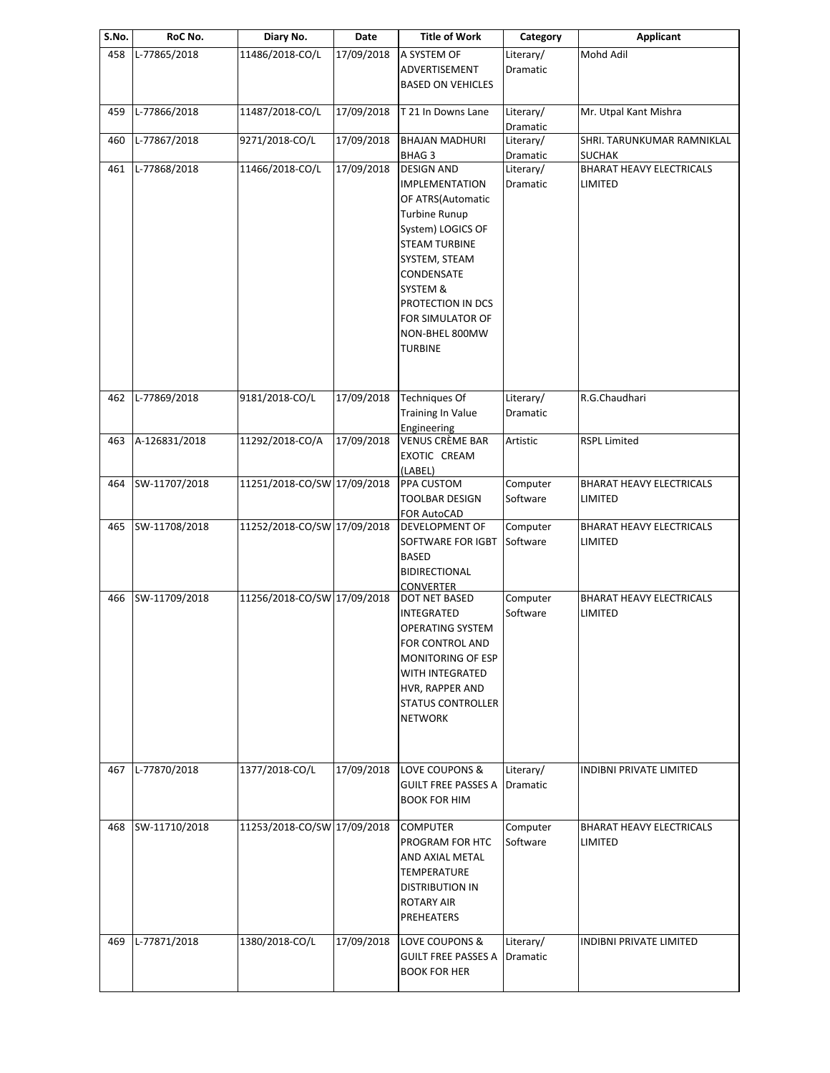| S.No. | RoC No.       | Diary No.                   | Date       | <b>Title of Work</b>                                                                                                                                                                                                                                                              | Category                                 | <b>Applicant</b>                                     |
|-------|---------------|-----------------------------|------------|-----------------------------------------------------------------------------------------------------------------------------------------------------------------------------------------------------------------------------------------------------------------------------------|------------------------------------------|------------------------------------------------------|
| 458   | L-77865/2018  | 11486/2018-CO/L             | 17/09/2018 | A SYSTEM OF<br>ADVERTISEMENT<br><b>BASED ON VEHICLES</b>                                                                                                                                                                                                                          | Literary/<br>Dramatic                    | Mohd Adil                                            |
| 459   | L-77866/2018  | 11487/2018-CO/L             | 17/09/2018 | T 21 In Downs Lane                                                                                                                                                                                                                                                                | Literary/                                | Mr. Utpal Kant Mishra                                |
| 460   | L-77867/2018  | 9271/2018-CO/L              | 17/09/2018 | <b>BHAJAN MADHURI</b>                                                                                                                                                                                                                                                             | Dramatic<br>Literary/                    | SHRI. TARUNKUMAR RAMNIKLAL                           |
| 461   | L-77868/2018  | 11466/2018-CO/L             | 17/09/2018 | BHAG <sub>3</sub><br><b>DESIGN AND</b><br><b>IMPLEMENTATION</b><br>OF ATRS(Automatic<br><b>Turbine Runup</b><br>System) LOGICS OF<br><b>STEAM TURBINE</b><br>SYSTEM, STEAM<br>CONDENSATE<br>SYSTEM &<br>PROTECTION IN DCS<br>FOR SIMULATOR OF<br>NON-BHEL 800MW<br><b>TURBINE</b> | Dramatic<br>Literary/<br><b>Dramatic</b> | <b>SUCHAK</b><br>BHARAT HEAVY ELECTRICALS<br>LIMITED |
| 462   | L-77869/2018  | 9181/2018-CO/L              | 17/09/2018 | <b>Techniques Of</b><br><b>Training In Value</b><br>Engineering                                                                                                                                                                                                                   | Literary/<br>Dramatic                    | R.G.Chaudhari                                        |
| 463   | A-126831/2018 | 11292/2018-CO/A             | 17/09/2018 | <b>VENUS CRÈME BAR</b><br>EXOTIC CREAM<br>(LABEL)                                                                                                                                                                                                                                 | Artistic                                 | <b>RSPL Limited</b>                                  |
| 464   | SW-11707/2018 | 11251/2018-CO/SW 17/09/2018 |            | PPA CUSTOM<br><b>TOOLBAR DESIGN</b><br><b>FOR AutoCAD</b>                                                                                                                                                                                                                         | Computer<br>Software                     | <b>BHARAT HEAVY ELECTRICALS</b><br>LIMITED           |
| 465   | SW-11708/2018 | 11252/2018-CO/SW 17/09/2018 |            | <b>DEVELOPMENT OF</b><br>SOFTWARE FOR IGBT<br><b>BASED</b><br><b>BIDIRECTIONAL</b><br><b>CONVERTER</b>                                                                                                                                                                            | Computer<br>Software                     | <b>BHARAT HEAVY ELECTRICALS</b><br>LIMITED           |
| 466   | SW-11709/2018 | 11256/2018-CO/SW 17/09/2018 |            | DOT NET BASED<br>INTEGRATED<br><b>OPERATING SYSTEM</b><br>FOR CONTROL AND<br>MONITORING OF ESP<br>WITH INTEGRATED<br>HVR, RAPPER AND<br><b>STATUS CONTROLLER</b><br><b>NETWORK</b>                                                                                                | Computer<br>Software                     | <b>BHARAT HEAVY ELECTRICALS</b><br>LIMITED           |
| 467   | L-77870/2018  | 1377/2018-CO/L              | 17/09/2018 | LOVE COUPONS &<br><b>GUILT FREE PASSES A</b><br><b>BOOK FOR HIM</b>                                                                                                                                                                                                               | Literary/<br>Dramatic                    | INDIBNI PRIVATE LIMITED                              |
| 468   | SW-11710/2018 | 11253/2018-CO/SW 17/09/2018 |            | <b>COMPUTER</b><br>PROGRAM FOR HTC<br>AND AXIAL METAL<br>TEMPERATURE<br><b>DISTRIBUTION IN</b><br><b>ROTARY AIR</b><br>PREHEATERS                                                                                                                                                 | Computer<br>Software                     | BHARAT HEAVY ELECTRICALS<br>LIMITED                  |
| 469   | L-77871/2018  | 1380/2018-CO/L              | 17/09/2018 | LOVE COUPONS &<br><b>GUILT FREE PASSES A</b><br><b>BOOK FOR HER</b>                                                                                                                                                                                                               | Literary/<br>Dramatic                    | INDIBNI PRIVATE LIMITED                              |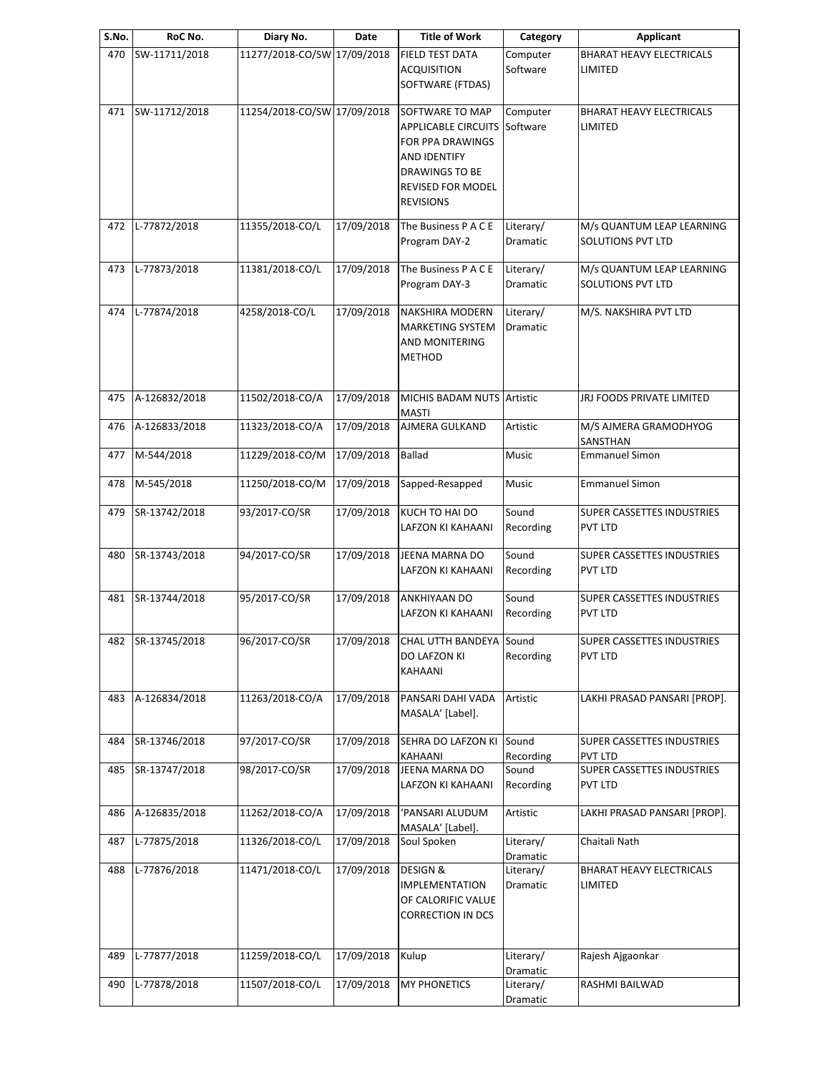| S.No. | RoC No.           | Diary No.                   | Date       | <b>Title of Work</b>                                                                                                                                | Category                          | Applicant                                             |
|-------|-------------------|-----------------------------|------------|-----------------------------------------------------------------------------------------------------------------------------------------------------|-----------------------------------|-------------------------------------------------------|
| 470   | SW-11711/2018     | 11277/2018-CO/SW 17/09/2018 |            | FIELD TEST DATA<br><b>ACQUISITION</b><br>SOFTWARE (FTDAS)                                                                                           | Computer<br>Software              | <b>BHARAT HEAVY ELECTRICALS</b><br>LIMITED            |
| 471   | SW-11712/2018     | 11254/2018-CO/SW 17/09/2018 |            | SOFTWARE TO MAP<br><b>APPLICABLE CIRCUITS</b><br>FOR PPA DRAWINGS<br>AND IDENTIFY<br>DRAWINGS TO BE<br><b>REVISED FOR MODEL</b><br><b>REVISIONS</b> | Computer<br>Software              | <b>BHARAT HEAVY ELECTRICALS</b><br>LIMITED            |
| 472   | L-77872/2018      | 11355/2018-CO/L             | 17/09/2018 | The Business P A C E<br>Program DAY-2                                                                                                               | Literary/<br>Dramatic             | M/s QUANTUM LEAP LEARNING<br>SOLUTIONS PVT LTD        |
| 473   | L-77873/2018      | 11381/2018-CO/L             | 17/09/2018 | The Business P A C E<br>Program DAY-3                                                                                                               | Literary/<br>Dramatic             | M/s QUANTUM LEAP LEARNING<br><b>SOLUTIONS PVT LTD</b> |
| 474   | L-77874/2018      | 4258/2018-CO/L              | 17/09/2018 | NAKSHIRA MODERN<br><b>MARKETING SYSTEM</b><br>AND MONITERING<br><b>METHOD</b>                                                                       | Literary/<br>Dramatic             | M/S. NAKSHIRA PVT LTD                                 |
| 475   | A-126832/2018     | 11502/2018-CO/A             | 17/09/2018 | MICHIS BADAM NUTS Artistic<br><b>MASTI</b>                                                                                                          |                                   | JRJ FOODS PRIVATE LIMITED                             |
| 476   | A-126833/2018     | 11323/2018-CO/A             | 17/09/2018 | AJMERA GULKAND                                                                                                                                      | Artistic                          | M/S AJMERA GRAMODHYOG<br>SANSTHAN                     |
| 477   | M-544/2018        | 11229/2018-CO/M             | 17/09/2018 | <b>Ballad</b>                                                                                                                                       | Music                             | <b>Emmanuel Simon</b>                                 |
| 478   | M-545/2018        | 11250/2018-CO/M             | 17/09/2018 | Sapped-Resapped                                                                                                                                     | Music                             | <b>Emmanuel Simon</b>                                 |
| 479   | SR-13742/2018     | 93/2017-CO/SR               | 17/09/2018 | KUCH TO HAI DO<br>LAFZON KI KAHAANI                                                                                                                 | Sound<br>Recording                | SUPER CASSETTES INDUSTRIES<br><b>PVT LTD</b>          |
| 480   | SR-13743/2018     | 94/2017-CO/SR               | 17/09/2018 | JEENA MARNA DO<br>LAFZON KI KAHAANI                                                                                                                 | Sound<br>Recording                | SUPER CASSETTES INDUSTRIES<br>PVT LTD                 |
| 481   | SR-13744/2018     | 95/2017-CO/SR               | 17/09/2018 | ANKHIYAAN DO<br>LAFZON KI KAHAANI                                                                                                                   | Sound<br>Recording                | SUPER CASSETTES INDUSTRIES<br>PVT LTD                 |
|       | 482 SR-13745/2018 | 96/2017-CO/SR               |            | 17/09/2018 CHAL UTTH BANDEYA Sound<br>DO LAFZON KI<br>KAHAANI                                                                                       | Recording                         | SUPER CASSETTES INDUSTRIES<br>PVT LTD                 |
| 483   | A-126834/2018     | 11263/2018-CO/A             | 17/09/2018 | PANSARI DAHI VADA<br>MASALA' [Label].                                                                                                               | Artistic                          | LAKHI PRASAD PANSARI [PROP].                          |
| 484   | SR-13746/2018     | 97/2017-CO/SR               | 17/09/2018 | SEHRA DO LAFZON KI<br>KAHAANI                                                                                                                       | Sound<br>Recording                | SUPER CASSETTES INDUSTRIES<br>PVT LTD                 |
| 485   | SR-13747/2018     | 98/2017-CO/SR               | 17/09/2018 | JEENA MARNA DO<br>LAFZON KI KAHAANI                                                                                                                 | Sound<br>Recording                | SUPER CASSETTES INDUSTRIES<br>PVT LTD                 |
| 486   | A-126835/2018     | 11262/2018-CO/A             | 17/09/2018 | 'PANSARI ALUDUM<br>MASALA' [Label].                                                                                                                 | Artistic                          | LAKHI PRASAD PANSARI [PROP].                          |
| 487   | L-77875/2018      | 11326/2018-CO/L             | 17/09/2018 | Soul Spoken                                                                                                                                         | Literary/<br>Dramatic             | Chaitali Nath                                         |
| 488   | L-77876/2018      | 11471/2018-CO/L             | 17/09/2018 | <b>DESIGN &amp;</b><br><b>IMPLEMENTATION</b><br>OF CALORIFIC VALUE<br><b>CORRECTION IN DCS</b>                                                      | Literary/<br>Dramatic             | BHARAT HEAVY ELECTRICALS<br>LIMITED                   |
| 489   | L-77877/2018      | 11259/2018-CO/L             | 17/09/2018 | Kulup                                                                                                                                               | Literary/                         | Rajesh Ajgaonkar                                      |
| 490   | L-77878/2018      | 11507/2018-CO/L             | 17/09/2018 | <b>MY PHONETICS</b>                                                                                                                                 | Dramatic<br>Literary/<br>Dramatic | RASHMI BAILWAD                                        |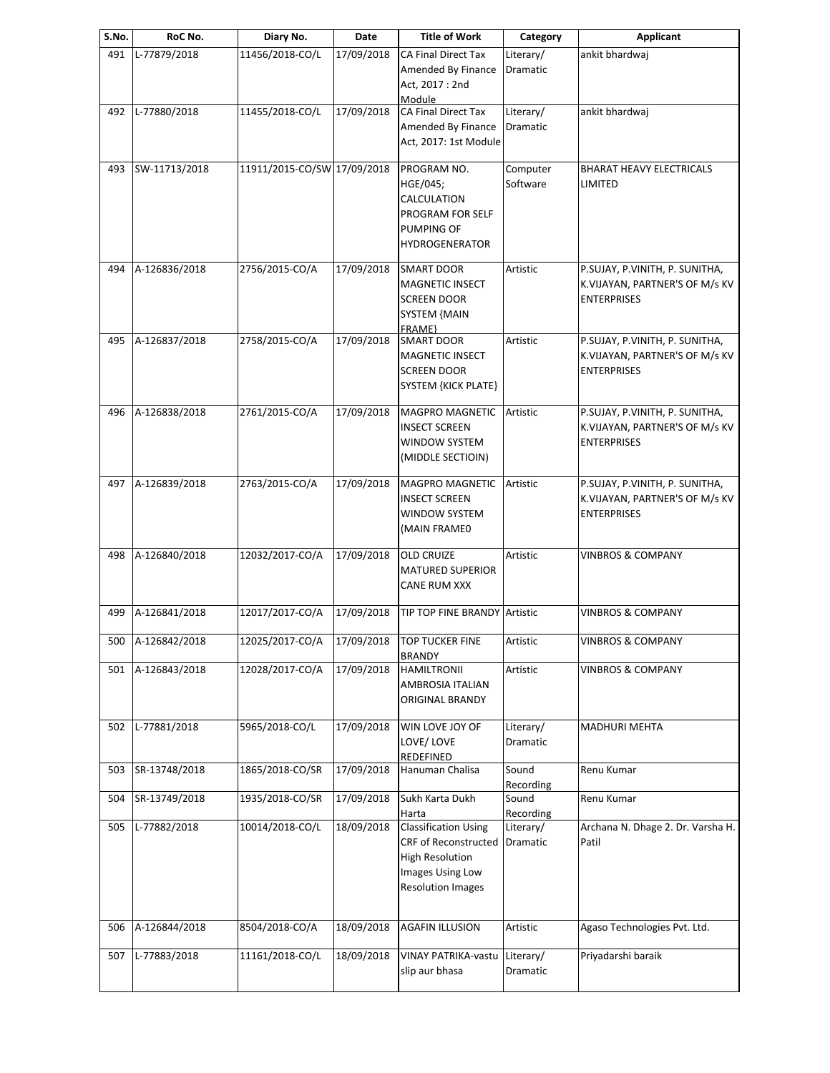| S.No. | RoC No.           | Diary No.                                  | Date                   | <b>Title of Work</b>                                                                                                          | Category                     | <b>Applicant</b>                                                                       |
|-------|-------------------|--------------------------------------------|------------------------|-------------------------------------------------------------------------------------------------------------------------------|------------------------------|----------------------------------------------------------------------------------------|
| 491   | L-77879/2018      | 11456/2018-CO/L                            | 17/09/2018             | CA Final Direct Tax<br>Amended By Finance<br>Act, 2017: 2nd<br>Module                                                         | Literary/<br>Dramatic        | ankit bhardwaj                                                                         |
| 492   | L-77880/2018      | 11455/2018-CO/L                            | 17/09/2018             | <b>CA Final Direct Tax</b><br>Amended By Finance<br>Act, 2017: 1st Module                                                     | Literary/<br><b>Dramatic</b> | ankit bhardwaj                                                                         |
| 493   | SW-11713/2018     | 11911/2015-CO/SW 17/09/2018                |                        | PROGRAM NO.<br>HGE/045;<br>CALCULATION<br>PROGRAM FOR SELF<br><b>PUMPING OF</b><br><b>HYDROGENERATOR</b>                      | Computer<br>Software         | <b>BHARAT HEAVY ELECTRICALS</b><br>LIMITED                                             |
| 494   | A-126836/2018     | 2756/2015-CO/A                             | 17/09/2018             | <b>SMART DOOR</b><br><b>MAGNETIC INSECT</b><br><b>SCREEN DOOR</b><br><b>SYSTEM {MAIN</b><br>FRAME}                            | Artistic                     | P.SUJAY, P.VINITH, P. SUNITHA,<br>K.VIJAYAN, PARTNER'S OF M/s KV<br><b>ENTERPRISES</b> |
| 495   | A-126837/2018     | 2758/2015-CO/A                             | 17/09/2018             | <b>SMART DOOR</b><br><b>MAGNETIC INSECT</b><br><b>SCREEN DOOR</b><br><b>SYSTEM {KICK PLATE}</b>                               | Artistic                     | P.SUJAY, P.VINITH, P. SUNITHA,<br>K.VIJAYAN, PARTNER'S OF M/s KV<br><b>ENTERPRISES</b> |
| 496   | A-126838/2018     | 2761/2015-CO/A                             | 17/09/2018             | MAGPRO MAGNETIC<br><b>INSECT SCREEN</b><br>WINDOW SYSTEM<br>(MIDDLE SECTIOIN)                                                 | Artistic                     | P.SUJAY, P.VINITH, P. SUNITHA,<br>K.VIJAYAN, PARTNER'S OF M/s KV<br><b>ENTERPRISES</b> |
| 497   | A-126839/2018     | 2763/2015-CO/A                             | 17/09/2018             | <b>MAGPRO MAGNETIC</b><br><b>INSECT SCREEN</b><br>WINDOW SYSTEM<br>(MAIN FRAMEO                                               | Artistic                     | P.SUJAY, P.VINITH, P. SUNITHA,<br>K.VIJAYAN, PARTNER'S OF M/s KV<br><b>ENTERPRISES</b> |
| 498   | A-126840/2018     | 12032/2017-CO/A                            | 17/09/2018             | <b>OLD CRUIZE</b><br><b>MATURED SUPERIOR</b><br><b>CANE RUM XXX</b>                                                           | Artistic                     | <b>VINBROS &amp; COMPANY</b>                                                           |
| 499   | A-126841/2018     | 12017/2017-CO/A                            | 17/09/2018             | TIP TOP FINE BRANDY Artistic                                                                                                  |                              | <b>VINBROS &amp; COMPANY</b>                                                           |
|       | 500 A-126842/2018 | 12025/2017-CO/A 17/09/2018 TOP TUCKER FINE |                        | <b>BRANDY</b>                                                                                                                 | Artistic                     | <b>VINBROS &amp; COMPANY</b>                                                           |
| 501   | A-126843/2018     | 12028/2017-CO/A                            | 17/09/2018             | <b>HAMILTRONII</b><br>AMBROSIA ITALIAN<br>ORIGINAL BRANDY                                                                     | Artistic                     | <b>VINBROS &amp; COMPANY</b>                                                           |
| 502   | L-77881/2018      | 5965/2018-CO/L                             | 17/09/2018             | WIN LOVE JOY OF<br>LOVE/LOVE<br>REDEFINED                                                                                     | Literary/<br><b>Dramatic</b> | <b>MADHURI MEHTA</b>                                                                   |
| 503   | SR-13748/2018     | 1865/2018-CO/SR                            | $\frac{1}{17/09/2018}$ | Hanuman Chalisa                                                                                                               | Sound<br>Recording           | Renu Kumar                                                                             |
| 504   | SR-13749/2018     | 1935/2018-CO/SR                            | 17/09/2018             | Sukh Karta Dukh<br>Harta                                                                                                      | Sound<br>Recording           | Renu Kumar                                                                             |
| 505   | L-77882/2018      | 10014/2018-CO/L                            | 18/09/2018             | <b>Classification Using</b><br>CRF of Reconstructed<br><b>High Resolution</b><br>Images Using Low<br><b>Resolution Images</b> | Literary/<br>Dramatic        | Archana N. Dhage 2. Dr. Varsha H.<br>Patil                                             |
| 506   | A-126844/2018     | 8504/2018-CO/A                             | 18/09/2018             | <b>AGAFIN ILLUSION</b>                                                                                                        | Artistic                     | Agaso Technologies Pvt. Ltd.                                                           |
| 507   | L-77883/2018      | 11161/2018-CO/L                            | 18/09/2018             | VINAY PATRIKA-vastu<br>slip aur bhasa                                                                                         | Literary/<br>Dramatic        | Priyadarshi baraik                                                                     |
|       |                   |                                            |                        |                                                                                                                               |                              |                                                                                        |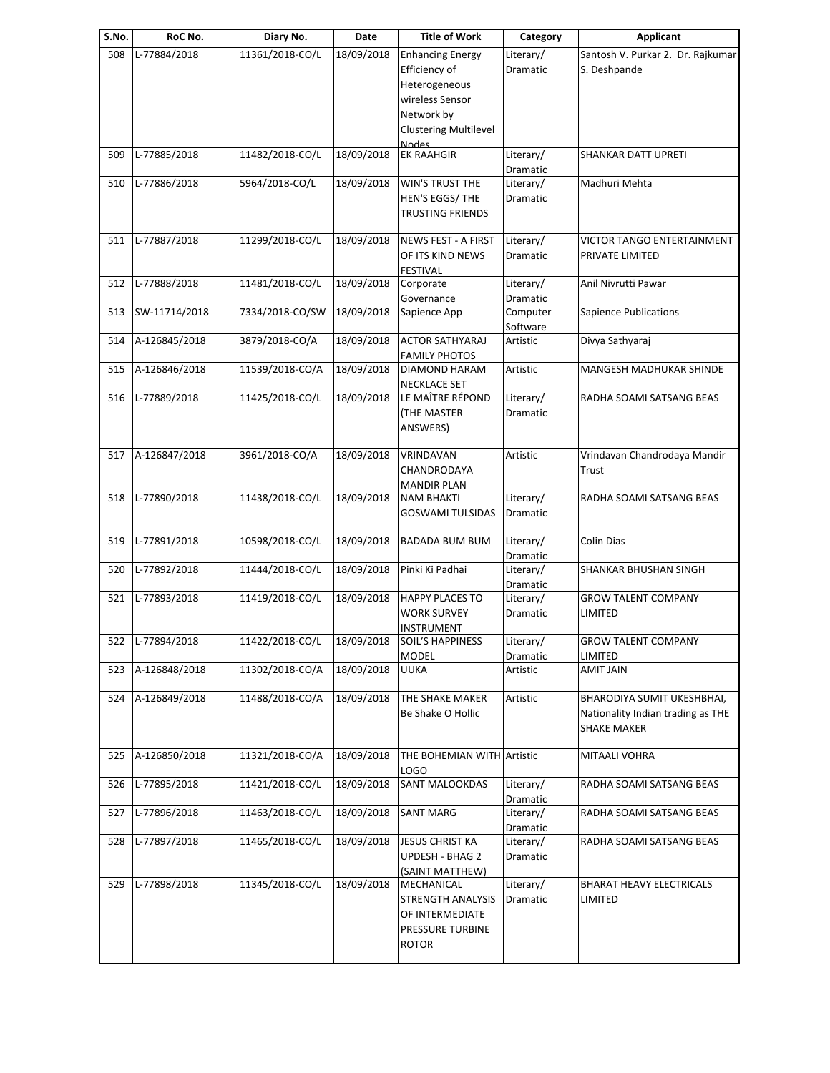| S.No. | RoC No.          | Diary No.       | Date       | <b>Title of Work</b>                                                                                                                       | Category              | <b>Applicant</b>                                                               |
|-------|------------------|-----------------|------------|--------------------------------------------------------------------------------------------------------------------------------------------|-----------------------|--------------------------------------------------------------------------------|
| 508   | L-77884/2018     | 11361/2018-CO/L | 18/09/2018 | <b>Enhancing Energy</b><br>Efficiency of<br>Heterogeneous<br>wireless Sensor<br>Network by<br><b>Clustering Multilevel</b><br><b>Nodes</b> | Literary/<br>Dramatic | Santosh V. Purkar 2. Dr. Rajkumar<br>S. Deshpande                              |
| 509   | L-77885/2018     | 11482/2018-CO/L | 18/09/2018 | <b>EK RAAHGIR</b>                                                                                                                          | Literary/<br>Dramatic | SHANKAR DATT UPRETI                                                            |
| 510   | L-77886/2018     | 5964/2018-CO/L  | 18/09/2018 | WIN'S TRUST THE<br>HEN'S EGGS/ THE<br><b>TRUSTING FRIENDS</b>                                                                              | Literary/<br>Dramatic | Madhuri Mehta                                                                  |
| 511   | L-77887/2018     | 11299/2018-CO/L | 18/09/2018 | <b>NEWS FEST - A FIRST</b><br>OF ITS KIND NEWS<br><b>FESTIVAL</b>                                                                          | Literary/<br>Dramatic | VICTOR TANGO ENTERTAINMENT<br>PRIVATE LIMITED                                  |
| 512   | L-77888/2018     | 11481/2018-CO/L | 18/09/2018 | Corporate<br>Governance                                                                                                                    | Literary/<br>Dramatic | Anil Nivrutti Pawar                                                            |
| 513   | SW-11714/2018    | 7334/2018-CO/SW | 18/09/2018 | Sapience App                                                                                                                               | Computer<br>Software  | <b>Sapience Publications</b>                                                   |
| 514   | A-126845/2018    | 3879/2018-CO/A  | 18/09/2018 | <b>ACTOR SATHYARAJ</b><br><b>FAMILY PHOTOS</b>                                                                                             | Artistic              | Divya Sathyaraj                                                                |
| 515   | A-126846/2018    | 11539/2018-CO/A | 18/09/2018 | DIAMOND HARAM<br><b>NECKLACE SET</b>                                                                                                       | Artistic              | MANGESH MADHUKAR SHINDE                                                        |
| 516   | L-77889/2018     | 11425/2018-CO/L | 18/09/2018 | LE MAÎTRE RÉPOND<br><b>(THE MASTER</b><br>ANSWERS)                                                                                         | Literary/<br>Dramatic | RADHA SOAMI SATSANG BEAS                                                       |
| 517   | A-126847/2018    | 3961/2018-CO/A  | 18/09/2018 | VRINDAVAN<br>CHANDRODAYA<br><b>MANDIR PLAN</b>                                                                                             | Artistic              | Vrindavan Chandrodaya Mandir<br>Trust                                          |
| 518   | L-77890/2018     | 11438/2018-CO/L | 18/09/2018 | <b>NAM BHAKTI</b><br><b>GOSWAMI TULSIDAS</b>                                                                                               | Literary/<br>Dramatic | RADHA SOAMI SATSANG BEAS                                                       |
| 519   | L-77891/2018     | 10598/2018-CO/L | 18/09/2018 | <b>BADADA BUM BUM</b>                                                                                                                      | Literary/<br>Dramatic | Colin Dias                                                                     |
| 520   | L-77892/2018     | 11444/2018-CO/L | 18/09/2018 | Pinki Ki Padhai                                                                                                                            | Literary/<br>Dramatic | SHANKAR BHUSHAN SINGH                                                          |
| 521   | L-77893/2018     | 11419/2018-CO/L | 18/09/2018 | <b>HAPPY PLACES TO</b><br><b>WORK SURVEY</b><br>INSTRUMENT                                                                                 | Literary/<br>Dramatic | <b>GROW TALENT COMPANY</b><br>LIMITED                                          |
|       | 522 L-77894/2018 | 11422/2018-CO/L |            | 18/09/2018 SOIL'S HAPPINESS<br><b>MODEL</b>                                                                                                | Literary/<br>Dramatic | <b>GROW TALENT COMPANY</b><br>LIMITED                                          |
| 523   | A-126848/2018    | 11302/2018-CO/A | 18/09/2018 | <b>UUKA</b>                                                                                                                                | Artistic              | <b>AMIT JAIN</b>                                                               |
| 524   | A-126849/2018    | 11488/2018-CO/A | 18/09/2018 | THE SHAKE MAKER<br>Be Shake O Hollic                                                                                                       | Artistic              | BHARODIYA SUMIT UKESHBHAI,<br>Nationality Indian trading as THE<br>SHAKE MAKER |
| 525   | A-126850/2018    | 11321/2018-CO/A | 18/09/2018 | THE BOHEMIAN WITH Artistic<br>LOGO                                                                                                         |                       | MITAALI VOHRA                                                                  |
| 526   | L-77895/2018     | 11421/2018-CO/L | 18/09/2018 | <b>SANT MALOOKDAS</b>                                                                                                                      | Literary/<br>Dramatic | RADHA SOAMI SATSANG BEAS                                                       |
| 527   | L-77896/2018     | 11463/2018-CO/L | 18/09/2018 | <b>SANT MARG</b>                                                                                                                           | Literary/<br>Dramatic | RADHA SOAMI SATSANG BEAS                                                       |
| 528   | L-77897/2018     | 11465/2018-CO/L | 18/09/2018 | <b>JESUS CHRIST KA</b><br>UPDESH - BHAG 2<br>(SAINT MATTHEW)                                                                               | Literary/<br>Dramatic | RADHA SOAMI SATSANG BEAS                                                       |
| 529   | L-77898/2018     | 11345/2018-CO/L | 18/09/2018 | MECHANICAL<br>STRENGTH ANALYSIS<br>OF INTERMEDIATE<br>PRESSURE TURBINE<br><b>ROTOR</b>                                                     | Literary/<br>Dramatic | BHARAT HEAVY ELECTRICALS<br>LIMITED                                            |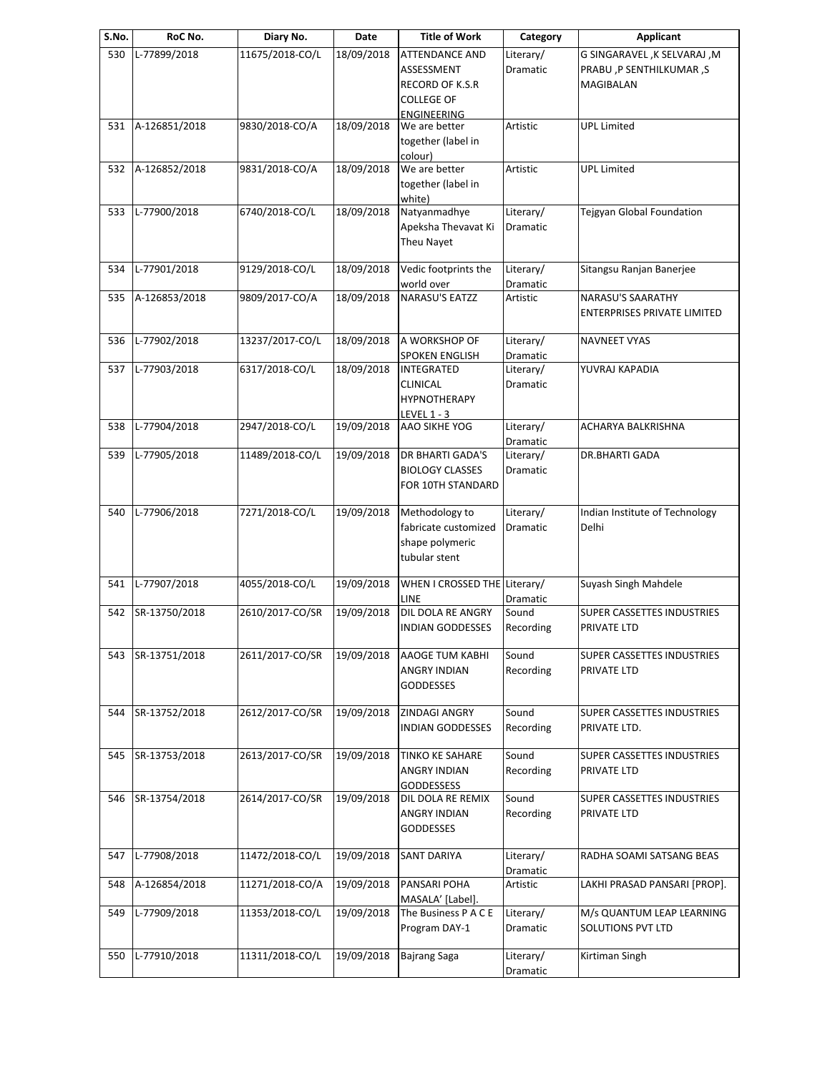| S.No. | RoC No.       | Diary No.       | Date       | <b>Title of Work</b>                       | Category  | <b>Applicant</b>                   |
|-------|---------------|-----------------|------------|--------------------------------------------|-----------|------------------------------------|
| 530   | L-77899/2018  | 11675/2018-CO/L | 18/09/2018 | <b>ATTENDANCE AND</b>                      | Literary/ | G SINGARAVEL, K SELVARAJ, M        |
|       |               |                 |            | ASSESSMENT                                 | Dramatic  | PRABU ,P SENTHILKUMAR ,S           |
|       |               |                 |            | RECORD OF K.S.R                            |           | MAGIBALAN                          |
|       |               |                 |            | <b>COLLEGE OF</b>                          |           |                                    |
|       |               |                 |            | ENGINEERING                                |           |                                    |
| 531   | A-126851/2018 | 9830/2018-CO/A  | 18/09/2018 | We are better                              | Artistic  | <b>UPL Limited</b>                 |
|       |               |                 |            | together (label in                         |           |                                    |
|       |               |                 |            | colour)                                    |           |                                    |
| 532   | A-126852/2018 | 9831/2018-CO/A  | 18/09/2018 | We are better                              | Artistic  | <b>UPL Limited</b>                 |
|       |               |                 |            | together (label in                         |           |                                    |
|       |               |                 |            | white)                                     |           |                                    |
| 533   | L-77900/2018  | 6740/2018-CO/L  | 18/09/2018 | Natyanmadhye                               | Literary/ | Tejgyan Global Foundation          |
|       |               |                 |            | Apeksha Thevavat Ki                        | Dramatic  |                                    |
|       |               |                 |            | Theu Nayet                                 |           |                                    |
|       |               |                 |            |                                            |           |                                    |
| 534   | L-77901/2018  | 9129/2018-CO/L  | 18/09/2018 | Vedic footprints the                       | Literary/ | Sitangsu Ranjan Banerjee           |
|       |               |                 |            | world over                                 | Dramatic  |                                    |
| 535   | A-126853/2018 | 9809/2017-CO/A  | 18/09/2018 | <b>NARASU'S EATZZ</b>                      | Artistic  | NARASU'S SAARATHY                  |
|       |               |                 |            |                                            |           | <b>ENTERPRISES PRIVATE LIMITED</b> |
|       |               |                 |            |                                            |           |                                    |
| 536   | L-77902/2018  | 13237/2017-CO/L | 18/09/2018 | A WORKSHOP OF                              | Literary/ | <b>NAVNEET VYAS</b>                |
|       |               |                 |            |                                            | Dramatic  |                                    |
| 537   | L-77903/2018  | 6317/2018-CO/L  | 18/09/2018 | <b>SPOKEN ENGLISH</b><br><b>INTEGRATED</b> | Literary/ | YUVRAJ KAPADIA                     |
|       |               |                 |            |                                            |           |                                    |
|       |               |                 |            | CLINICAL                                   | Dramatic  |                                    |
|       |               |                 |            | <b>HYPNOTHERAPY</b>                        |           |                                    |
|       |               |                 |            | LEVEL 1 - 3                                |           |                                    |
| 538   | L-77904/2018  | 2947/2018-CO/L  | 19/09/2018 | AAO SIKHE YOG                              | Literary/ | ACHARYA BALKRISHNA                 |
|       |               |                 |            |                                            | Dramatic  |                                    |
| 539   | L-77905/2018  | 11489/2018-CO/L | 19/09/2018 | DR BHARTI GADA'S                           | Literary/ | DR.BHARTI GADA                     |
|       |               |                 |            | <b>BIOLOGY CLASSES</b>                     | Dramatic  |                                    |
|       |               |                 |            | FOR 10TH STANDARD                          |           |                                    |
|       |               |                 |            |                                            |           |                                    |
| 540   | L-77906/2018  | 7271/2018-CO/L  | 19/09/2018 | Methodology to                             | Literary/ | Indian Institute of Technology     |
|       |               |                 |            | fabricate customized                       | Dramatic  | Delhi                              |
|       |               |                 |            | shape polymeric                            |           |                                    |
|       |               |                 |            | tubular stent                              |           |                                    |
|       |               |                 |            |                                            |           |                                    |
| 541   | L-77907/2018  | 4055/2018-CO/L  | 19/09/2018 | WHEN I CROSSED THE Literary/               |           | Suyash Singh Mahdele               |
|       |               |                 |            | LINE                                       | Dramatic  |                                    |
| 542   | SR-13750/2018 | 2610/2017-CO/SR | 19/09/2018 | DIL DOLA RE ANGRY                          | Sound     | SUPER CASSETTES INDUSTRIES         |
|       |               |                 |            | <b>INDIAN GODDESSES</b>                    | Recording | PRIVATE LTD                        |
|       |               |                 |            |                                            |           |                                    |
| 543   | SR-13751/2018 | 2611/2017-CO/SR | 19/09/2018 | AAOGE TUM KABHI                            | Sound     | SUPER CASSETTES INDUSTRIES         |
|       |               |                 |            | ANGRY INDIAN                               | Recording | PRIVATE LTD                        |
|       |               |                 |            | <b>GODDESSES</b>                           |           |                                    |
|       |               |                 |            |                                            |           |                                    |
| 544   | SR-13752/2018 | 2612/2017-CO/SR | 19/09/2018 | ZINDAGI ANGRY                              | Sound     | SUPER CASSETTES INDUSTRIES         |
|       |               |                 |            | <b>INDIAN GODDESSES</b>                    | Recording | PRIVATE LTD.                       |
|       |               |                 |            |                                            |           |                                    |
| 545   | SR-13753/2018 | 2613/2017-CO/SR | 19/09/2018 | <b>TINKO KE SAHARE</b>                     | Sound     | SUPER CASSETTES INDUSTRIES         |
|       |               |                 |            | <b>ANGRY INDIAN</b>                        | Recording | PRIVATE LTD                        |
|       |               |                 |            | <b>GODDESSESS</b>                          |           |                                    |
| 546   | SR-13754/2018 | 2614/2017-CO/SR | 19/09/2018 | DIL DOLA RE REMIX                          | Sound     | SUPER CASSETTES INDUSTRIES         |
|       |               |                 |            | <b>ANGRY INDIAN</b>                        | Recording | PRIVATE LTD                        |
|       |               |                 |            | <b>GODDESSES</b>                           |           |                                    |
|       |               |                 |            |                                            |           |                                    |
| 547   | L-77908/2018  | 11472/2018-CO/L | 19/09/2018 | <b>SANT DARIYA</b>                         | Literary/ | RADHA SOAMI SATSANG BEAS           |
|       |               |                 |            |                                            | Dramatic  |                                    |
| 548   | A-126854/2018 | 11271/2018-CO/A | 19/09/2018 | PANSARI POHA                               | Artistic  | LAKHI PRASAD PANSARI [PROP].       |
|       |               |                 |            | MASALA' [Label].                           |           |                                    |
| 549   | L-77909/2018  | 11353/2018-CO/L | 19/09/2018 | The Business P A C E                       | Literary/ | M/s QUANTUM LEAP LEARNING          |
|       |               |                 |            | Program DAY-1                              | Dramatic  | <b>SOLUTIONS PVT LTD</b>           |
|       |               |                 |            |                                            |           |                                    |
| 550   | L-77910/2018  | 11311/2018-CO/L | 19/09/2018 | <b>Bajrang Saga</b>                        | Literary/ | Kirtiman Singh                     |
|       |               |                 |            |                                            |           |                                    |
|       |               |                 |            |                                            | Dramatic  |                                    |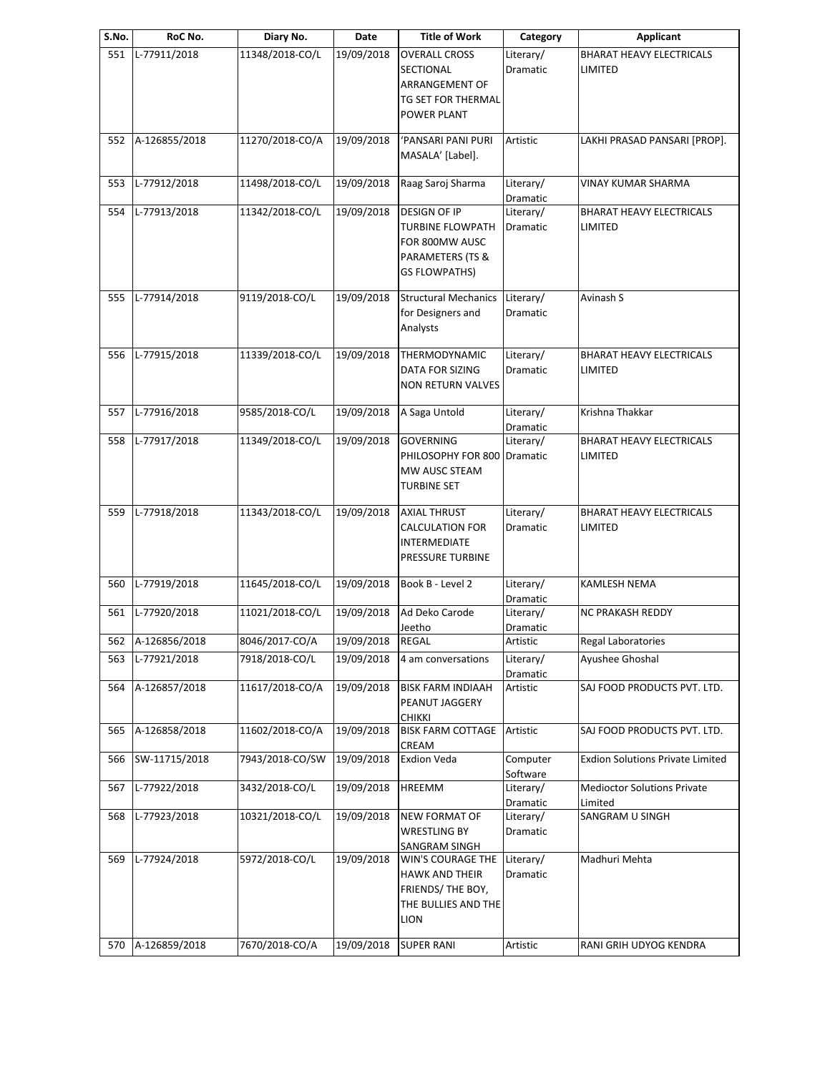| S.No. | RoC No.           | Diary No.       | Date       | <b>Title of Work</b>                                                                                  | Category                     | <b>Applicant</b>                                  |
|-------|-------------------|-----------------|------------|-------------------------------------------------------------------------------------------------------|------------------------------|---------------------------------------------------|
| 551   | L-77911/2018      | 11348/2018-CO/L | 19/09/2018 | <b>OVERALL CROSS</b><br>SECTIONAL<br>ARRANGEMENT OF<br>TG SET FOR THERMAL<br>POWER PLANT              | Literary/<br>Dramatic        | <b>BHARAT HEAVY ELECTRICALS</b><br><b>LIMITED</b> |
| 552   | A-126855/2018     | 11270/2018-CO/A | 19/09/2018 | 'PANSARI PANI PURI<br>MASALA' [Label].                                                                | Artistic                     | LAKHI PRASAD PANSARI [PROP].                      |
| 553   | L-77912/2018      | 11498/2018-CO/L | 19/09/2018 | Raag Saroj Sharma                                                                                     | Literary/<br>Dramatic        | <b>VINAY KUMAR SHARMA</b>                         |
| 554   | L-77913/2018      | 11342/2018-CO/L | 19/09/2018 | DESIGN OF IP<br><b>TURBINE FLOWPATH</b><br>FOR 800MW AUSC<br>PARAMETERS (TS &<br><b>GS FLOWPATHS)</b> | Literary/<br>Dramatic        | <b>BHARAT HEAVY ELECTRICALS</b><br>LIMITED        |
| 555   | L-77914/2018      | 9119/2018-CO/L  | 19/09/2018 | <b>Structural Mechanics</b><br>for Designers and<br>Analysts                                          | Literary/<br>Dramatic        | Avinash S                                         |
| 556   | L-77915/2018      | 11339/2018-CO/L | 19/09/2018 | THERMODYNAMIC<br>DATA FOR SIZING<br><b>NON RETURN VALVES</b>                                          | Literary/<br><b>Dramatic</b> | <b>BHARAT HEAVY ELECTRICALS</b><br>LIMITED        |
| 557   | L-77916/2018      | 9585/2018-CO/L  | 19/09/2018 | A Saga Untold                                                                                         | Literary/<br>Dramatic        | Krishna Thakkar                                   |
| 558   | L-77917/2018      | 11349/2018-CO/L | 19/09/2018 | <b>GOVERNING</b><br>PHILOSOPHY FOR 800 Dramatic<br>MW AUSC STEAM<br><b>TURBINE SET</b>                | Literary/                    | <b>BHARAT HEAVY ELECTRICALS</b><br>LIMITED        |
| 559   | L-77918/2018      | 11343/2018-CO/L | 19/09/2018 | <b>AXIAL THRUST</b><br>CALCULATION FOR<br><b>INTERMEDIATE</b><br>PRESSURE TURBINE                     | Literary/<br>Dramatic        | <b>BHARAT HEAVY ELECTRICALS</b><br>LIMITED        |
| 560   | L-77919/2018      | 11645/2018-CO/L | 19/09/2018 | Book B - Level 2                                                                                      | Literary/<br>Dramatic        | KAMLESH NEMA                                      |
| 561   | L-77920/2018      | 11021/2018-CO/L | 19/09/2018 | Ad Deko Carode<br>Jeetho                                                                              | Literary/<br>Dramatic        | NC PRAKASH REDDY                                  |
|       | 562 A-126856/2018 | 8046/2017-CO/A  | 19/09/2018 | <b>REGAL</b>                                                                                          | Artistic                     | Regal Laboratories                                |
| 563   | L-77921/2018      | 7918/2018-CO/L  | 19/09/2018 | 4 am conversations                                                                                    | Literary/<br>Dramatic        | Ayushee Ghoshal                                   |
| 564   | A-126857/2018     | 11617/2018-CO/A | 19/09/2018 | <b>BISK FARM INDIAAH</b><br>PEANUT JAGGERY<br><b>CHIKKI</b>                                           | Artistic                     | SAJ FOOD PRODUCTS PVT. LTD.                       |
| 565   | A-126858/2018     | 11602/2018-CO/A | 19/09/2018 | <b>BISK FARM COTTAGE</b><br>CREAM                                                                     | Artistic                     | SAJ FOOD PRODUCTS PVT. LTD.                       |
| 566   | SW-11715/2018     | 7943/2018-CO/SW | 19/09/2018 | <b>Exdion Veda</b>                                                                                    | Computer<br>Software         | <b>Exdion Solutions Private Limited</b>           |
| 567   | L-77922/2018      | 3432/2018-CO/L  | 19/09/2018 | HREEMM                                                                                                | Literary/<br>Dramatic        | <b>Medioctor Solutions Private</b><br>Limited     |
| 568   | L-77923/2018      | 10321/2018-CO/L | 19/09/2018 | <b>NEW FORMAT OF</b><br><b>WRESTLING BY</b><br>SANGRAM SINGH                                          | Literary/<br>Dramatic        | SANGRAM U SINGH                                   |
| 569   | L-77924/2018      | 5972/2018-CO/L  | 19/09/2018 | WIN'S COURAGE THE<br><b>HAWK AND THEIR</b><br>FRIENDS/ THE BOY,<br>THE BULLIES AND THE<br><b>LION</b> | Literary/<br>Dramatic        | Madhuri Mehta                                     |
| 570   | A-126859/2018     | 7670/2018-CO/A  | 19/09/2018 | <b>SUPER RANI</b>                                                                                     | Artistic                     | RANI GRIH UDYOG KENDRA                            |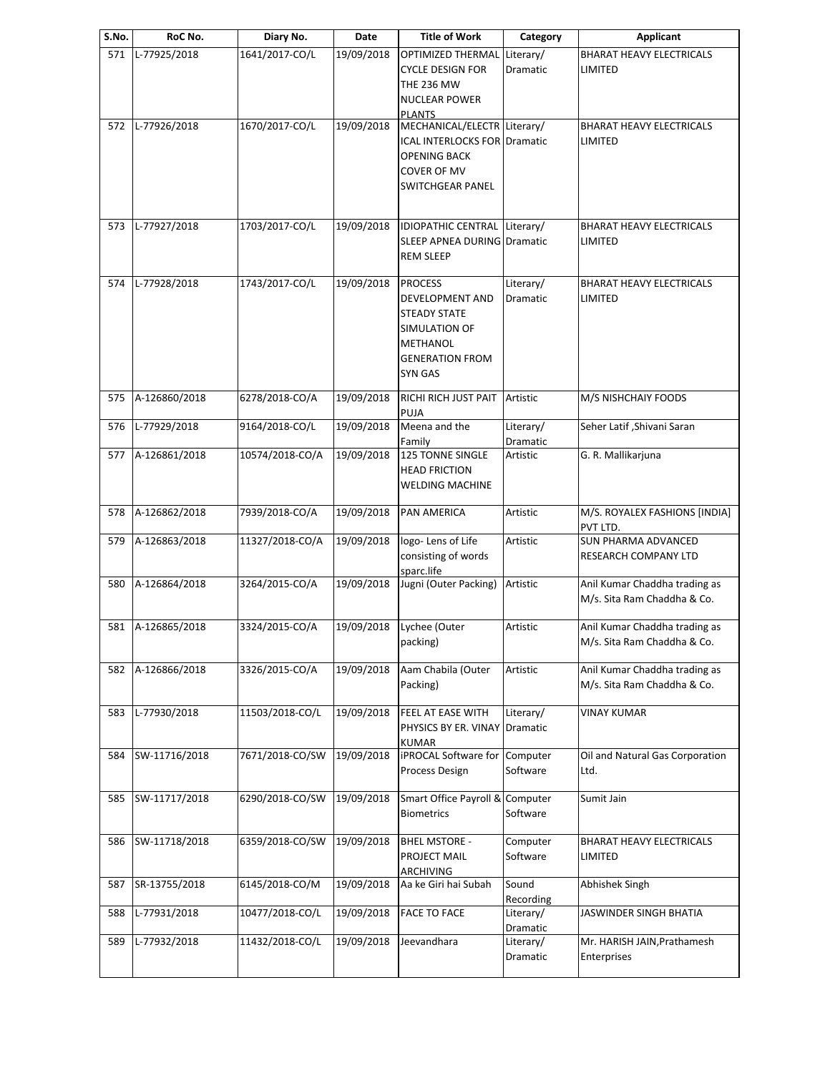| S.No. | RoC No.       | Diary No.       | Date       | <b>Title of Work</b>                                                                                                              | Category              | <b>Applicant</b>                                             |
|-------|---------------|-----------------|------------|-----------------------------------------------------------------------------------------------------------------------------------|-----------------------|--------------------------------------------------------------|
| 571   | L-77925/2018  | 1641/2017-CO/L  | 19/09/2018 | <b>OPTIMIZED THERMAL</b><br><b>CYCLE DESIGN FOR</b><br><b>THE 236 MW</b><br><b>NUCLEAR POWER</b><br><b>PLANTS</b>                 | Literary/<br>Dramatic | <b>BHARAT HEAVY ELECTRICALS</b><br>LIMITED                   |
| 572   | L-77926/2018  | 1670/2017-CO/L  | 19/09/2018 | MECHANICAL/ELECTR Literary/<br><b>ICAL INTERLOCKS FOR Dramatic</b><br>OPENING BACK<br>COVER OF MV<br><b>SWITCHGEAR PANEL</b>      |                       | <b>BHARAT HEAVY ELECTRICALS</b><br>LIMITED                   |
| 573   | L-77927/2018  | 1703/2017-CO/L  | 19/09/2018 | IDIOPATHIC CENTRAL Literary/<br>SLEEP APNEA DURING Dramatic<br><b>REM SLEEP</b>                                                   |                       | <b>BHARAT HEAVY ELECTRICALS</b><br>LIMITED                   |
| 574   | L-77928/2018  | 1743/2017-CO/L  | 19/09/2018 | <b>PROCESS</b><br><b>DEVELOPMENT AND</b><br><b>STEADY STATE</b><br>SIMULATION OF<br>METHANOL<br><b>GENERATION FROM</b><br>SYN GAS | Literary/<br>Dramatic | <b>BHARAT HEAVY ELECTRICALS</b><br>LIMITED                   |
| 575   | A-126860/2018 | 6278/2018-CO/A  | 19/09/2018 | RICHI RICH JUST PAIT Artistic<br>PUJA                                                                                             |                       | M/S NISHCHAIY FOODS                                          |
| 576   | L-77929/2018  | 9164/2018-CO/L  | 19/09/2018 | Meena and the<br>Family                                                                                                           | Literary/<br>Dramatic | Seher Latif, Shivani Saran                                   |
| 577   | A-126861/2018 | 10574/2018-CO/A | 19/09/2018 | <b>125 TONNE SINGLE</b><br><b>HEAD FRICTION</b><br>WELDING MACHINE                                                                | Artistic              | G. R. Mallikarjuna                                           |
| 578   | A-126862/2018 | 7939/2018-CO/A  | 19/09/2018 | <b>PAN AMERICA</b>                                                                                                                | Artistic              | M/S. ROYALEX FASHIONS [INDIA]<br>PVT LTD.                    |
| 579   | A-126863/2018 | 11327/2018-CO/A | 19/09/2018 | logo-Lens of Life<br>consisting of words<br>sparc.life                                                                            | Artistic              | SUN PHARMA ADVANCED<br>RESEARCH COMPANY LTD                  |
| 580   | A-126864/2018 | 3264/2015-CO/A  | 19/09/2018 | Jugni (Outer Packing)                                                                                                             | Artistic              | Anil Kumar Chaddha trading as<br>M/s. Sita Ram Chaddha & Co. |
| 581   | A-126865/2018 | 3324/2015-CO/A  | 19/09/2018 | Lychee (Outer<br>packing)                                                                                                         | Artistic              | Anil Kumar Chaddha trading as<br>M/s. Sita Ram Chaddha & Co. |
| 582   | A-126866/2018 | 3326/2015-CO/A  | 19/09/2018 | Aam Chabila (Outer<br>Packing)                                                                                                    | Artistic              | Anil Kumar Chaddha trading as<br>M/s. Sita Ram Chaddha & Co. |
| 583   | L-77930/2018  | 11503/2018-CO/L | 19/09/2018 | FEEL AT EASE WITH<br>PHYSICS BY ER. VINAY Dramatic<br><b>KUMAR</b>                                                                | Literary/             | <b>VINAY KUMAR</b>                                           |
| 584   | SW-11716/2018 | 7671/2018-CO/SW | 19/09/2018 | <b>iPROCAL Software for Computer</b><br><b>Process Design</b>                                                                     | Software              | Oil and Natural Gas Corporation<br>Ltd.                      |
| 585   | SW-11717/2018 | 6290/2018-CO/SW | 19/09/2018 | Smart Office Payroll & Computer<br><b>Biometrics</b>                                                                              | Software              | Sumit Jain                                                   |
| 586   | SW-11718/2018 | 6359/2018-CO/SW | 19/09/2018 | <b>BHEL MSTORE -</b><br>PROJECT MAIL<br>ARCHIVING                                                                                 | Computer<br>Software  | <b>BHARAT HEAVY ELECTRICALS</b><br>LIMITED                   |
| 587   | SR-13755/2018 | 6145/2018-CO/M  | 19/09/2018 | Aa ke Giri hai Subah                                                                                                              | Sound<br>Recording    | Abhishek Singh                                               |
| 588   | L-77931/2018  | 10477/2018-CO/L | 19/09/2018 | <b>FACE TO FACE</b>                                                                                                               | Literary/<br>Dramatic | JASWINDER SINGH BHATIA                                       |
| 589   | L-77932/2018  | 11432/2018-CO/L | 19/09/2018 | Jeevandhara                                                                                                                       | Literary/<br>Dramatic | Mr. HARISH JAIN, Prathamesh<br>Enterprises                   |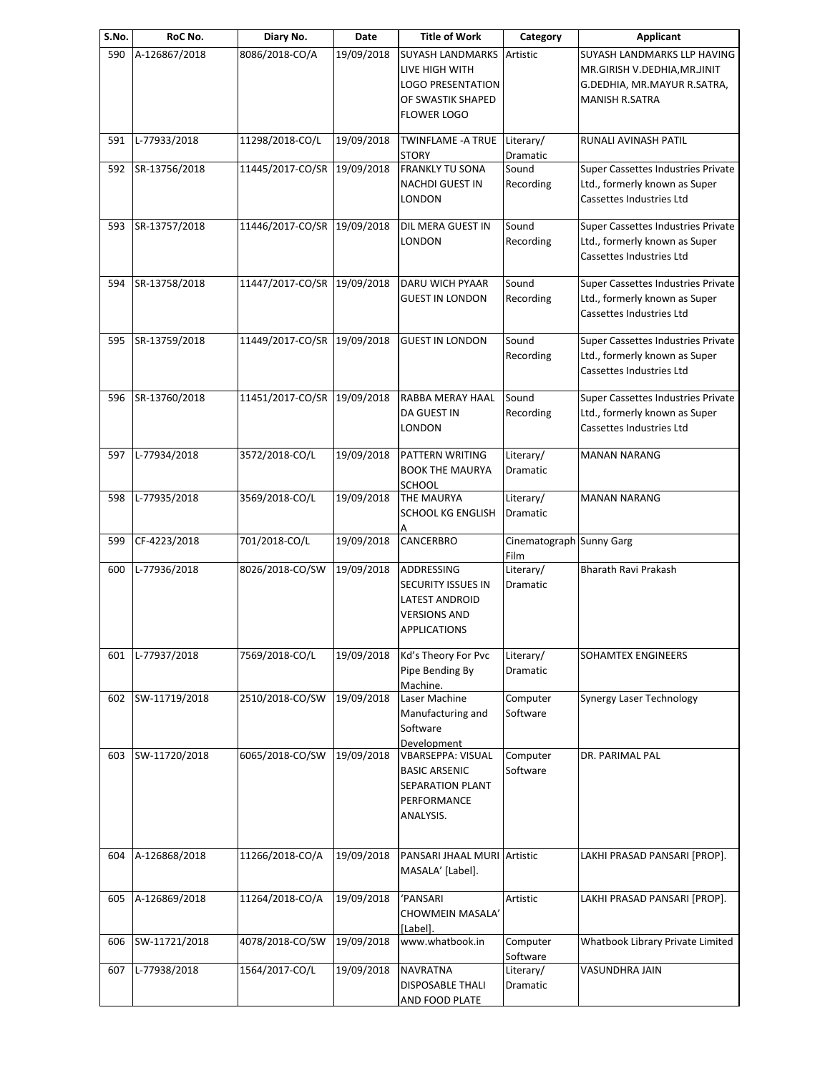| S.No. | RoC No.       | Diary No.                   | Date       | <b>Title of Work</b>                                                                                             | Category                         | <b>Applicant</b>                                                                                                    |
|-------|---------------|-----------------------------|------------|------------------------------------------------------------------------------------------------------------------|----------------------------------|---------------------------------------------------------------------------------------------------------------------|
| 590   | A-126867/2018 | 8086/2018-CO/A              | 19/09/2018 | <b>SUYASH LANDMARKS</b><br>LIVE HIGH WITH<br><b>LOGO PRESENTATION</b><br>OF SWASTIK SHAPED<br><b>FLOWER LOGO</b> | Artistic                         | SUYASH LANDMARKS LLP HAVING<br>MR.GIRISH V.DEDHIA, MR.JINIT<br>G.DEDHIA, MR.MAYUR R.SATRA,<br><b>MANISH R.SATRA</b> |
| 591   | L-77933/2018  | 11298/2018-CO/L             | 19/09/2018 | TWINFLAME - A TRUE<br><b>STORY</b>                                                                               | Literary/<br>Dramatic            | RUNALI AVINASH PATIL                                                                                                |
| 592   | SR-13756/2018 | 11445/2017-CO/SR            | 19/09/2018 | <b>FRANKLY TU SONA</b><br>NACHDI GUEST IN<br>LONDON                                                              | Sound<br>Recording               | Super Cassettes Industries Private<br>Ltd., formerly known as Super<br>Cassettes Industries Ltd                     |
| 593   | SR-13757/2018 | 11446/2017-CO/SR 19/09/2018 |            | DIL MERA GUEST IN<br>LONDON                                                                                      | Sound<br>Recording               | Super Cassettes Industries Private<br>Ltd., formerly known as Super<br>Cassettes Industries Ltd                     |
| 594   | SR-13758/2018 | 11447/2017-CO/SR 19/09/2018 |            | DARU WICH PYAAR<br><b>GUEST IN LONDON</b>                                                                        | Sound<br>Recording               | Super Cassettes Industries Private<br>Ltd., formerly known as Super<br>Cassettes Industries Ltd                     |
| 595   | SR-13759/2018 | 11449/2017-CO/SR 19/09/2018 |            | <b>GUEST IN LONDON</b>                                                                                           | Sound<br>Recording               | Super Cassettes Industries Private<br>Ltd., formerly known as Super<br>Cassettes Industries Ltd                     |
| 596   | SR-13760/2018 | 11451/2017-CO/SR            | 19/09/2018 | RABBA MERAY HAAL<br>DA GUEST IN<br>LONDON                                                                        | Sound<br>Recording               | Super Cassettes Industries Private<br>Ltd., formerly known as Super<br>Cassettes Industries Ltd                     |
| 597   | L-77934/2018  | 3572/2018-CO/L              | 19/09/2018 | PATTERN WRITING<br><b>BOOK THE MAURYA</b><br>SCHOOL                                                              | Literary/<br>Dramatic            | <b>MANAN NARANG</b>                                                                                                 |
| 598   | L-77935/2018  | 3569/2018-CO/L              | 19/09/2018 | THE MAURYA<br><b>SCHOOL KG ENGLISH</b>                                                                           | Literary/<br>Dramatic            | <b>MANAN NARANG</b>                                                                                                 |
| 599   | CF-4223/2018  | 701/2018-CO/L               | 19/09/2018 | CANCERBRO                                                                                                        | Cinematograph Sunny Garg<br>Film |                                                                                                                     |
| 600   | L-77936/2018  | 8026/2018-CO/SW             | 19/09/2018 | ADDRESSING<br>SECURITY ISSUES IN<br><b>LATEST ANDROID</b><br><b>VERSIONS AND</b><br><b>APPLICATIONS</b>          | Literary/<br>Dramatic            | Bharath Ravi Prakash                                                                                                |
| 601   | L-77937/2018  | 7569/2018-CO/L              | 19/09/2018 | Kd's Theory For Pvc<br>Pipe Bending By<br>Machine.                                                               | Literary/<br>Dramatic            | SOHAMTEX ENGINEERS                                                                                                  |
| 602   | SW-11719/2018 | 2510/2018-CO/SW             | 19/09/2018 | Laser Machine<br>Manufacturing and<br>Software<br>Development                                                    | Computer<br>Software             | <b>Synergy Laser Technology</b>                                                                                     |
| 603   | SW-11720/2018 | 6065/2018-CO/SW             | 19/09/2018 | <b>VBARSEPPA: VISUAL</b><br><b>BASIC ARSENIC</b><br>SEPARATION PLANT<br>PERFORMANCE<br>ANALYSIS.                 | Computer<br>Software             | DR. PARIMAL PAL                                                                                                     |
| 604   | A-126868/2018 | 11266/2018-CO/A             | 19/09/2018 | PANSARI JHAAL MURI Artistic<br>MASALA' [Label].                                                                  |                                  | LAKHI PRASAD PANSARI [PROP].                                                                                        |
| 605   | A-126869/2018 | 11264/2018-CO/A             | 19/09/2018 | 'PANSARI<br>CHOWMEIN MASALA'<br>[Label].                                                                         | Artistic                         | LAKHI PRASAD PANSARI [PROP].                                                                                        |
| 606   | SW-11721/2018 | 4078/2018-CO/SW             | 19/09/2018 | www.whatbook.in                                                                                                  | Computer<br>Software             | Whatbook Library Private Limited                                                                                    |
| 607   | L-77938/2018  | 1564/2017-CO/L              | 19/09/2018 | <b>NAVRATNA</b><br><b>DISPOSABLE THALI</b><br>AND FOOD PLATE                                                     | Literary/<br>Dramatic            | VASUNDHRA JAIN                                                                                                      |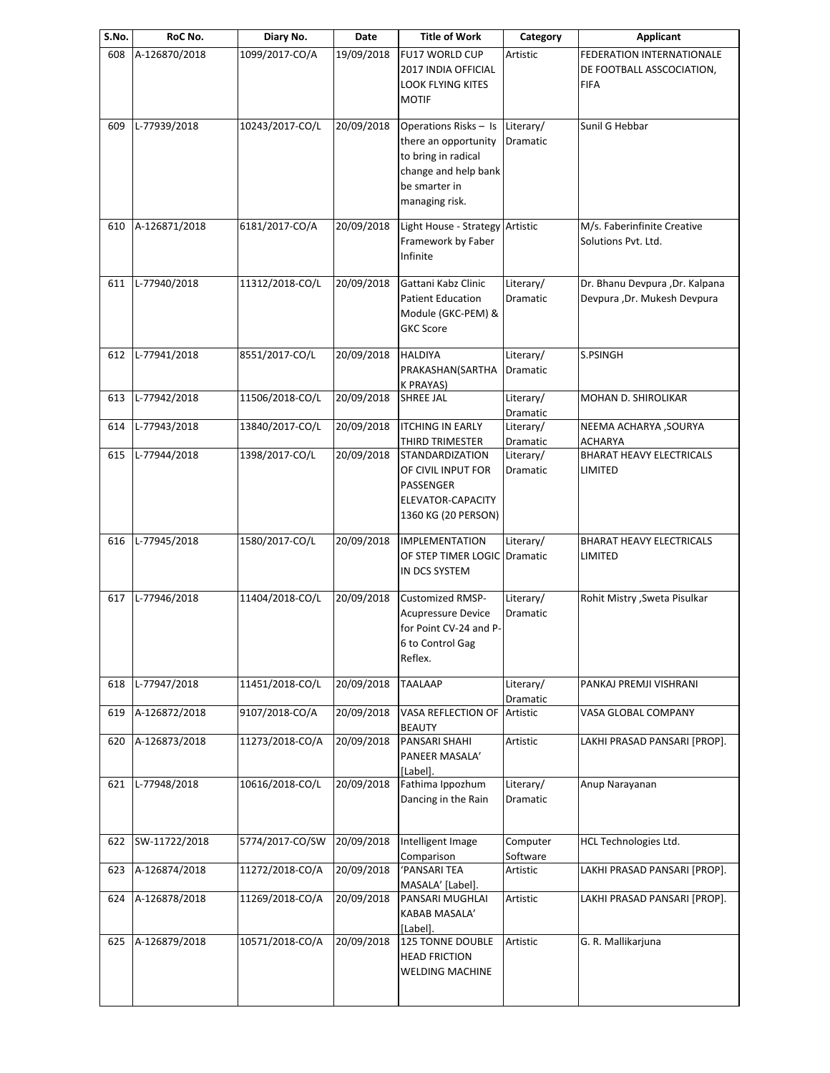| S.No. | RoC No.       | Diary No.       | Date       | <b>Title of Work</b>                                                                                                            | Category              | Applicant                                                                    |
|-------|---------------|-----------------|------------|---------------------------------------------------------------------------------------------------------------------------------|-----------------------|------------------------------------------------------------------------------|
| 608   | A-126870/2018 | 1099/2017-CO/A  | 19/09/2018 | <b>FU17 WORLD CUP</b><br>2017 INDIA OFFICIAL<br><b>LOOK FLYING KITES</b><br><b>MOTIF</b>                                        | Artistic              | <b>FEDERATION INTERNATIONALE</b><br>DE FOOTBALL ASSCOCIATION,<br><b>FIFA</b> |
| 609   | L-77939/2018  | 10243/2017-CO/L | 20/09/2018 | Operations Risks - Is<br>there an opportunity<br>to bring in radical<br>change and help bank<br>be smarter in<br>managing risk. | Literary/<br>Dramatic | Sunil G Hebbar                                                               |
| 610   | A-126871/2018 | 6181/2017-CO/A  | 20/09/2018 | Light House - Strategy Artistic<br>Framework by Faber<br>Infinite                                                               |                       | M/s. Faberinfinite Creative<br>Solutions Pvt. Ltd.                           |
| 611   | L-77940/2018  | 11312/2018-CO/L | 20/09/2018 | Gattani Kabz Clinic<br><b>Patient Education</b><br>Module (GKC-PEM) &<br><b>GKC Score</b>                                       | Literary/<br>Dramatic | Dr. Bhanu Devpura , Dr. Kalpana<br>Devpura , Dr. Mukesh Devpura              |
| 612   | L-77941/2018  | 8551/2017-CO/L  | 20/09/2018 | <b>HALDIYA</b><br>PRAKASHAN(SARTHA<br><b>K PRAYAS)</b>                                                                          | Literary/<br>Dramatic | S.PSINGH                                                                     |
| 613   | L-77942/2018  | 11506/2018-CO/L | 20/09/2018 | <b>SHREE JAL</b>                                                                                                                | Literary/<br>Dramatic | <b>MOHAN D. SHIROLIKAR</b>                                                   |
| 614   | L-77943/2018  | 13840/2017-CO/L | 20/09/2018 | <b>ITCHING IN EARLY</b><br>THIRD TRIMESTER                                                                                      | Literary/<br>Dramatic | <b>NEEMA ACHARYA, SOURYA</b><br><b>ACHARYA</b>                               |
| 615   | L-77944/2018  | 1398/2017-CO/L  | 20/09/2018 | <b>STANDARDIZATION</b><br>OF CIVIL INPUT FOR<br>PASSENGER<br>ELEVATOR-CAPACITY<br>1360 KG (20 PERSON)                           | Literary/<br>Dramatic | <b>BHARAT HEAVY ELECTRICALS</b><br>LIMITED                                   |
| 616   | L-77945/2018  | 1580/2017-CO/L  | 20/09/2018 | <b>IMPLEMENTATION</b><br>OF STEP TIMER LOGIC Dramatic<br>IN DCS SYSTEM                                                          | Literary/             | <b>BHARAT HEAVY ELECTRICALS</b><br>LIMITED                                   |
| 617   | L-77946/2018  | 11404/2018-CO/L | 20/09/2018 | <b>Customized RMSP-</b><br><b>Acupressure Device</b><br>for Point CV-24 and P-<br>6 to Control Gag<br>Reflex.                   | Literary/<br>Dramatic | Rohit Mistry , Sweta Pisulkar                                                |
| 618   | L-77947/2018  | 11451/2018-CO/L | 20/09/2018 | <b>TAALAAP</b>                                                                                                                  | Literary/<br>Dramatic | PANKAJ PREMJI VISHRANI                                                       |
| 619   | A-126872/2018 | 9107/2018-CO/A  | 20/09/2018 | VASA REFLECTION OF<br><b>BEAUTY</b>                                                                                             | Artistic              | VASA GLOBAL COMPANY                                                          |
| 620   | A-126873/2018 | 11273/2018-CO/A | 20/09/2018 | PANSARI SHAHI<br>PANEER MASALA'<br>[Label].                                                                                     | Artistic              | LAKHI PRASAD PANSARI [PROP].                                                 |
| 621   | L-77948/2018  | 10616/2018-CO/L | 20/09/2018 | Fathima Ippozhum<br>Dancing in the Rain                                                                                         | Literary/<br>Dramatic | Anup Narayanan                                                               |
| 622   | SW-11722/2018 | 5774/2017-CO/SW | 20/09/2018 | Intelligent Image<br>Comparison                                                                                                 | Computer<br>Software  | HCL Technologies Ltd.                                                        |
| 623   | A-126874/2018 | 11272/2018-CO/A | 20/09/2018 | 'PANSARI TEA<br>MASALA' [Label].                                                                                                | Artistic              | LAKHI PRASAD PANSARI [PROP].                                                 |
| 624   | A-126878/2018 | 11269/2018-CO/A | 20/09/2018 | PANSARI MUGHLAI<br>KABAB MASALA'<br>[Label].                                                                                    | Artistic              | LAKHI PRASAD PANSARI [PROP].                                                 |
| 625   | A-126879/2018 | 10571/2018-CO/A | 20/09/2018 | <b>125 TONNE DOUBLE</b><br><b>HEAD FRICTION</b><br><b>WELDING MACHINE</b>                                                       | Artistic              | G. R. Mallikarjuna                                                           |
|       |               |                 |            |                                                                                                                                 |                       |                                                                              |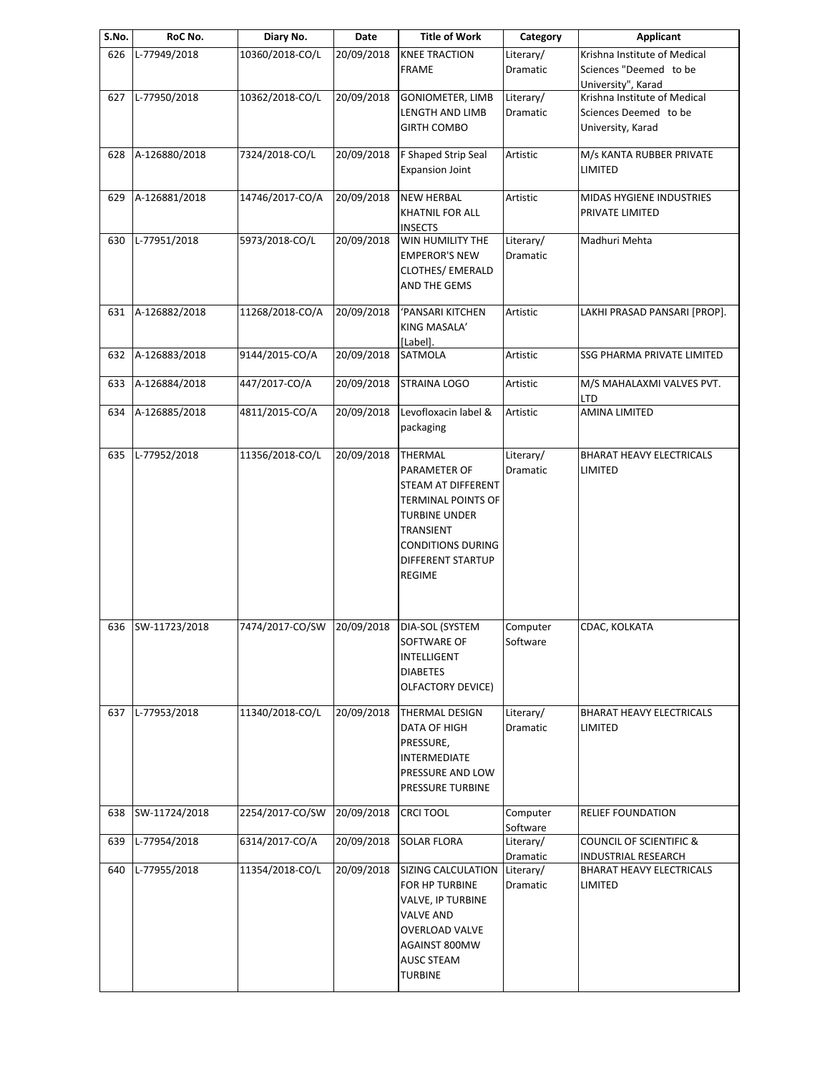| S.No. | RoC No.       | Diary No.       | Date       | <b>Title of Work</b>                                                                                                                                                                            | Category              | <b>Applicant</b>                                                                                 |
|-------|---------------|-----------------|------------|-------------------------------------------------------------------------------------------------------------------------------------------------------------------------------------------------|-----------------------|--------------------------------------------------------------------------------------------------|
| 626   | L-77949/2018  | 10360/2018-CO/L | 20/09/2018 | <b>KNEE TRACTION</b><br><b>FRAME</b>                                                                                                                                                            | Literary/<br>Dramatic | Krishna Institute of Medical<br>Sciences "Deemed to be                                           |
| 627   | L-77950/2018  | 10362/2018-CO/L | 20/09/2018 | <b>GONIOMETER, LIMB</b><br>LENGTH AND LIMB<br><b>GIRTH COMBO</b>                                                                                                                                | Literary/<br>Dramatic | University", Karad<br>Krishna Institute of Medical<br>Sciences Deemed to be<br>University, Karad |
| 628   | A-126880/2018 | 7324/2018-CO/L  | 20/09/2018 | F Shaped Strip Seal<br><b>Expansion Joint</b>                                                                                                                                                   | Artistic              | M/s KANTA RUBBER PRIVATE<br>LIMITED                                                              |
| 629   | A-126881/2018 | 14746/2017-CO/A | 20/09/2018 | <b>NEW HERBAL</b><br><b>KHATNIL FOR ALL</b>                                                                                                                                                     | Artistic              | MIDAS HYGIENE INDUSTRIES<br>PRIVATE LIMITED                                                      |
| 630   | L-77951/2018  | 5973/2018-CO/L  | 20/09/2018 | <b>INSECTS</b><br>WIN HUMILITY THE<br><b>EMPEROR'S NEW</b><br><b>CLOTHES/ EMERALD</b><br>AND THE GEMS                                                                                           | Literary/<br>Dramatic | Madhuri Mehta                                                                                    |
| 631   | A-126882/2018 | 11268/2018-CO/A | 20/09/2018 | 'PANSARI KITCHEN<br>KING MASALA'<br>[Label].                                                                                                                                                    | Artistic              | LAKHI PRASAD PANSARI [PROP].                                                                     |
| 632   | A-126883/2018 | 9144/2015-CO/A  | 20/09/2018 | SATMOLA                                                                                                                                                                                         | Artistic              | SSG PHARMA PRIVATE LIMITED                                                                       |
| 633   | A-126884/2018 | 447/2017-CO/A   | 20/09/2018 | STRAINA LOGO                                                                                                                                                                                    | Artistic              | M/S MAHALAXMI VALVES PVT.<br>LTD                                                                 |
| 634   | A-126885/2018 | 4811/2015-CO/A  | 20/09/2018 | Levofloxacin label &<br>packaging                                                                                                                                                               | Artistic              | <b>AMINA LIMITED</b>                                                                             |
| 635   | L-77952/2018  | 11356/2018-CO/L | 20/09/2018 | <b>THERMAL</b><br>PARAMETER OF<br>STEAM AT DIFFERENT<br><b>TERMINAL POINTS OF</b><br><b>TURBINE UNDER</b><br>TRANSIENT<br><b>CONDITIONS DURING</b><br><b>DIFFERENT STARTUP</b><br><b>REGIME</b> | Literary/<br>Dramatic | <b>BHARAT HEAVY ELECTRICALS</b><br>LIMITED                                                       |
| 636   | SW-11723/2018 | 7474/2017-CO/SW | 20/09/2018 | DIA-SOL (SYSTEM<br>SOFTWARE OF<br>INTELLIGENT<br><b>DIABETES</b><br>OLFACTORY DEVICE)                                                                                                           | Computer<br>Software  | CDAC, KOLKATA                                                                                    |
| 637   | L-77953/2018  | 11340/2018-CO/L | 20/09/2018 | <b>THERMAL DESIGN</b><br>DATA OF HIGH<br>PRESSURE,<br>INTERMEDIATE<br>PRESSURE AND LOW<br>PRESSURE TURBINE                                                                                      | Literary/<br>Dramatic | <b>BHARAT HEAVY ELECTRICALS</b><br>LIMITED                                                       |
| 638   | SW-11724/2018 | 2254/2017-CO/SW | 20/09/2018 | <b>CRCI TOOL</b>                                                                                                                                                                                | Computer<br>Software  | <b>RELIEF FOUNDATION</b>                                                                         |
| 639   | L-77954/2018  | 6314/2017-CO/A  | 20/09/2018 | <b>SOLAR FLORA</b>                                                                                                                                                                              | Literary/<br>Dramatic | <b>COUNCIL OF SCIENTIFIC &amp;</b><br><b>INDUSTRIAL RESEARCH</b>                                 |
| 640   | L-77955/2018  | 11354/2018-CO/L | 20/09/2018 | SIZING CALCULATION<br>FOR HP TURBINE<br>VALVE, IP TURBINE<br><b>VALVE AND</b><br>OVERLOAD VALVE<br>AGAINST 800MW<br><b>AUSC STEAM</b><br><b>TURBINE</b>                                         | Literary/<br>Dramatic | <b>BHARAT HEAVY ELECTRICALS</b><br>LIMITED                                                       |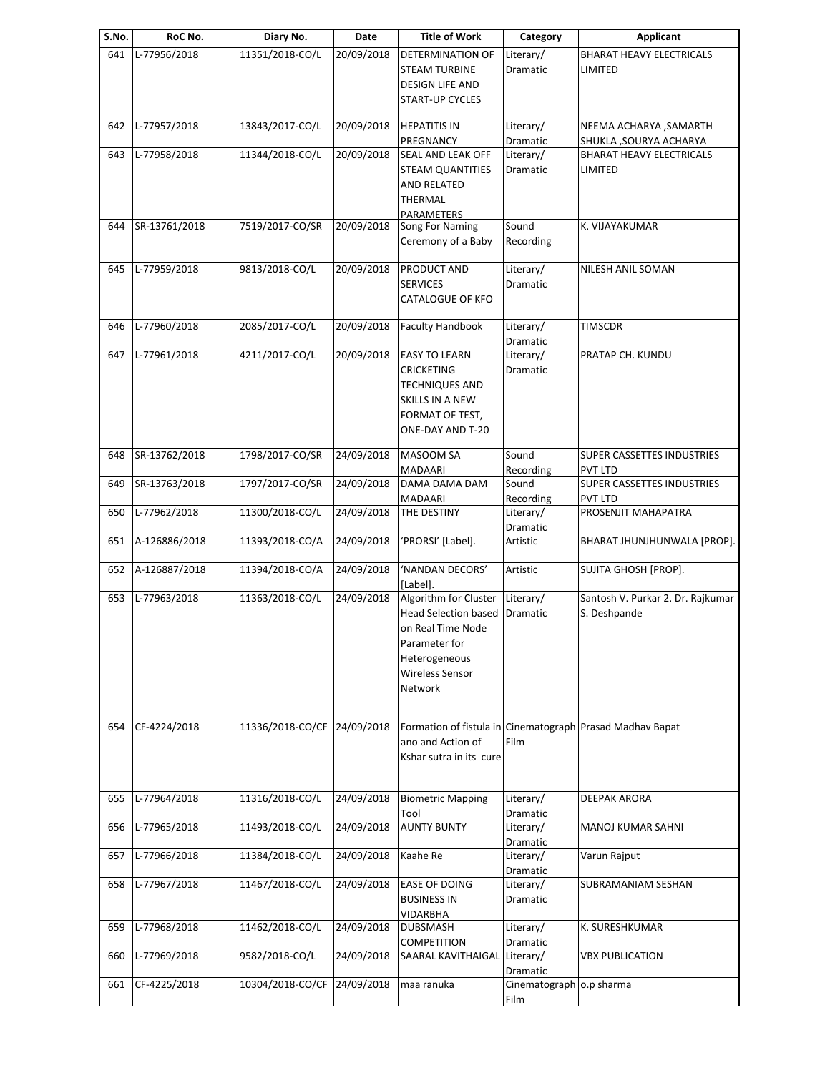| S.No. | RoC No.       | Diary No.        | Date       | <b>Title of Work</b>                                                                                                                             | Category                          | <b>Applicant</b>                                                     |
|-------|---------------|------------------|------------|--------------------------------------------------------------------------------------------------------------------------------------------------|-----------------------------------|----------------------------------------------------------------------|
| 641   | L-77956/2018  | 11351/2018-CO/L  | 20/09/2018 | DETERMINATION OF<br><b>STEAM TURBINE</b><br><b>DESIGN LIFE AND</b><br><b>START-UP CYCLES</b>                                                     | Literary/<br>Dramatic             | <b>BHARAT HEAVY ELECTRICALS</b><br>LIMITED                           |
| 642   | L-77957/2018  | 13843/2017-CO/L  | 20/09/2018 | <b>HEPATITIS IN</b>                                                                                                                              | Literary/                         | NEEMA ACHARYA , SAMARTH                                              |
| 643   | L-77958/2018  | 11344/2018-CO/L  | 20/09/2018 | PREGNANCY<br>SEAL AND LEAK OFF<br><b>STEAM QUANTITIES</b><br><b>AND RELATED</b><br><b>THERMAL</b>                                                | Dramatic<br>Literary/<br>Dramatic | SHUKLA, SOURYA ACHARYA<br><b>BHARAT HEAVY ELECTRICALS</b><br>LIMITED |
| 644   | SR-13761/2018 | 7519/2017-CO/SR  | 20/09/2018 | <b>PARAMETERS</b><br>Song For Naming<br>Ceremony of a Baby                                                                                       | Sound<br>Recording                | K. VIJAYAKUMAR                                                       |
| 645   | L-77959/2018  | 9813/2018-CO/L   | 20/09/2018 | PRODUCT AND<br><b>SERVICES</b><br>CATALOGUE OF KFO                                                                                               | Literary/<br>Dramatic             | NILESH ANIL SOMAN                                                    |
| 646   | L-77960/2018  | 2085/2017-CO/L   | 20/09/2018 | <b>Faculty Handbook</b>                                                                                                                          | Literary/<br>Dramatic             | TIMSCDR                                                              |
| 647   | L-77961/2018  | 4211/2017-CO/L   | 20/09/2018 | <b>EASY TO LEARN</b><br><b>CRICKETING</b><br><b>TECHNIQUES AND</b><br>SKILLS IN A NEW<br>FORMAT OF TEST,<br>ONE-DAY AND T-20                     | Literary/<br>Dramatic             | PRATAP CH. KUNDU                                                     |
| 648   | SR-13762/2018 | 1798/2017-CO/SR  | 24/09/2018 | <b>MASOOM SA</b><br>MADAARI                                                                                                                      | Sound<br>Recording                | SUPER CASSETTES INDUSTRIES<br>PVT LTD                                |
| 649   | SR-13763/2018 | 1797/2017-CO/SR  | 24/09/2018 | DAMA DAMA DAM<br>MADAARI                                                                                                                         | Sound<br>Recording                | SUPER CASSETTES INDUSTRIES<br>PVT LTD                                |
| 650   | L-77962/2018  | 11300/2018-CO/L  | 24/09/2018 | THE DESTINY                                                                                                                                      | Literary/<br>Dramatic             | PROSENJIT MAHAPATRA                                                  |
| 651   | A-126886/2018 | 11393/2018-CO/A  | 24/09/2018 | 'PRORSI' [Label].                                                                                                                                | Artistic                          | BHARAT JHUNJHUNWALA [PROP].                                          |
| 652   | A-126887/2018 | 11394/2018-CO/A  | 24/09/2018 | 'NANDAN DECORS'<br>[Label].                                                                                                                      | Artistic                          | SUJITA GHOSH [PROP].                                                 |
| 653   | L-77963/2018  | 11363/2018-CO/L  | 24/09/2018 | Algorithm for Cluster<br><b>Head Selection based</b><br>on Real Time Node<br>Parameter for<br>Heterogeneous<br><b>Wireless Sensor</b><br>Network | Literary/<br>Dramatic             | Santosh V. Purkar 2. Dr. Rajkumar<br>S. Deshpande                    |
| 654   | CF-4224/2018  | 11336/2018-CO/CF | 24/09/2018 | ano and Action of<br>Kshar sutra in its cure                                                                                                     | Film                              | Formation of fistula in Cinematograph Prasad Madhav Bapat            |
| 655   | L-77964/2018  | 11316/2018-CO/L  | 24/09/2018 | <b>Biometric Mapping</b>                                                                                                                         | Literary/<br>Dramatic             | <b>DEEPAK ARORA</b>                                                  |
| 656   | L-77965/2018  | 11493/2018-CO/L  | 24/09/2018 | Tool<br><b>AUNTY BUNTY</b>                                                                                                                       | Literary/<br>Dramatic             | MANOJ KUMAR SAHNI                                                    |
| 657   | L-77966/2018  | 11384/2018-CO/L  | 24/09/2018 | Kaahe Re                                                                                                                                         | Literary/<br>Dramatic             | Varun Rajput                                                         |
| 658   | L-77967/2018  | 11467/2018-CO/L  | 24/09/2018 | <b>EASE OF DOING</b><br><b>BUSINESS IN</b><br><b>VIDARBHA</b>                                                                                    | Literary/<br>Dramatic             | SUBRAMANIAM SESHAN                                                   |
| 659   | L-77968/2018  | 11462/2018-CO/L  | 24/09/2018 | <b>DUBSMASH</b><br><b>COMPETITION</b>                                                                                                            | Literary/<br>Dramatic             | K. SURESHKUMAR                                                       |
| 660   | L-77969/2018  | 9582/2018-CO/L   | 24/09/2018 | SAARAL KAVITHAIGAL                                                                                                                               | Literary/<br>Dramatic             | <b>VBX PUBLICATION</b>                                               |
| 661   | CF-4225/2018  | 10304/2018-CO/CF | 24/09/2018 | maa ranuka                                                                                                                                       | Cinematograph 0.p sharma<br>Film  |                                                                      |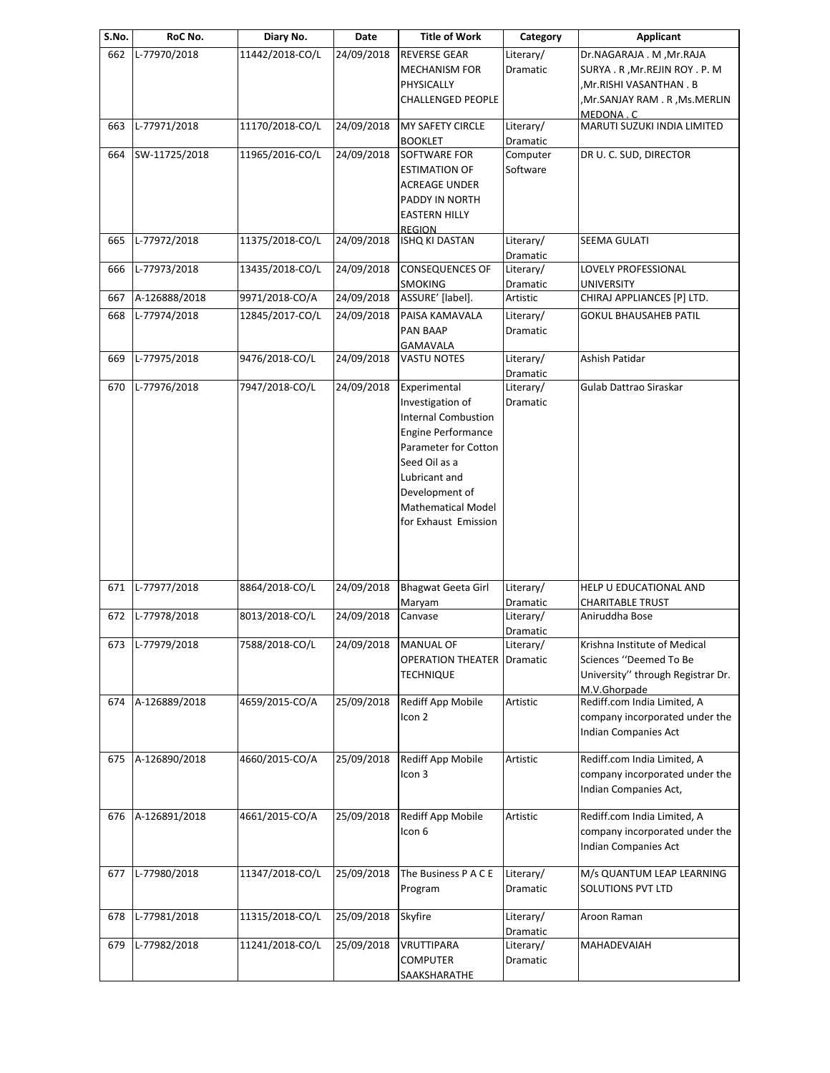| S.No. | RoC No.          | Diary No.       | Date       | Title of Work              | Category        | Applicant                         |
|-------|------------------|-----------------|------------|----------------------------|-----------------|-----------------------------------|
| 662   | L-77970/2018     | 11442/2018-CO/L | 24/09/2018 | <b>REVERSE GEAR</b>        | Literary/       | Dr.NAGARAJA . M, Mr.RAJA          |
|       |                  |                 |            | <b>MECHANISM FOR</b>       | <b>Dramatic</b> | SURYA. R, Mr. REJIN ROY. P. M     |
|       |                  |                 |            | PHYSICALLY                 |                 | Mr.RISHI VASANTHAN . B            |
|       |                  |                 |            | <b>CHALLENGED PEOPLE</b>   |                 | Mr.SANJAY RAM . R , Ms. MERLIN    |
|       |                  |                 |            |                            |                 | MEDONA . C                        |
| 663   | L-77971/2018     | 11170/2018-CO/L | 24/09/2018 | MY SAFETY CIRCLE           | Literary/       | MARUTI SUZUKI INDIA LIMITED       |
|       |                  |                 |            | <b>BOOKLET</b>             | Dramatic        |                                   |
| 664   | SW-11725/2018    | 11965/2016-CO/L | 24/09/2018 | SOFTWARE FOR               | Computer        | DR U. C. SUD, DIRECTOR            |
|       |                  |                 |            | <b>ESTIMATION OF</b>       | Software        |                                   |
|       |                  |                 |            | ACREAGE UNDER              |                 |                                   |
|       |                  |                 |            | PADDY IN NORTH             |                 |                                   |
|       |                  |                 |            | <b>EASTERN HILLY</b>       |                 |                                   |
|       |                  |                 |            | <b>REGION</b>              |                 |                                   |
| 665   | L-77972/2018     | 11375/2018-CO/L | 24/09/2018 | <b>ISHQ KI DASTAN</b>      | Literary/       | SEEMA GULATI                      |
|       |                  |                 |            |                            | Dramatic        |                                   |
| 666   | L-77973/2018     | 13435/2018-CO/L | 24/09/2018 | <b>CONSEQUENCES OF</b>     | Literary/       | LOVELY PROFESSIONAL               |
|       |                  |                 |            | <b>SMOKING</b>             | Dramatic        | UNIVERSITY                        |
| 667   | A-126888/2018    | 9971/2018-CO/A  | 24/09/2018 | ASSURE' [label].           | Artistic        | CHIRAJ APPLIANCES [P] LTD.        |
| 668   | L-77974/2018     | 12845/2017-CO/L | 24/09/2018 | PAISA KAMAVALA             | Literary/       | <b>GOKUL BHAUSAHEB PATIL</b>      |
|       |                  |                 |            | PAN BAAP                   | Dramatic        |                                   |
|       |                  |                 |            | GAMAVALA                   |                 |                                   |
| 669   | L-77975/2018     | 9476/2018-CO/L  | 24/09/2018 | <b>VASTU NOTES</b>         | Literary/       | Ashish Patidar                    |
|       |                  |                 |            |                            | Dramatic        |                                   |
| 670   | L-77976/2018     | 7947/2018-CO/L  | 24/09/2018 | Experimental               | Literary/       | Gulab Dattrao Siraskar            |
|       |                  |                 |            | Investigation of           | Dramatic        |                                   |
|       |                  |                 |            | <b>Internal Combustion</b> |                 |                                   |
|       |                  |                 |            | <b>Engine Performance</b>  |                 |                                   |
|       |                  |                 |            | Parameter for Cotton       |                 |                                   |
|       |                  |                 |            | Seed Oil as a              |                 |                                   |
|       |                  |                 |            | Lubricant and              |                 |                                   |
|       |                  |                 |            |                            |                 |                                   |
|       |                  |                 |            | Development of             |                 |                                   |
|       |                  |                 |            | <b>Mathematical Model</b>  |                 |                                   |
|       |                  |                 |            | for Exhaust Emission       |                 |                                   |
|       |                  |                 |            |                            |                 |                                   |
|       |                  |                 |            |                            |                 |                                   |
|       |                  |                 |            |                            |                 |                                   |
| 671   | L-77977/2018     | 8864/2018-CO/L  | 24/09/2018 | <b>Bhagwat Geeta Girl</b>  | Literary/       | HELP U EDUCATIONAL AND            |
|       |                  |                 |            | Maryam                     | Dramatic        | CHARITABLE TRUST                  |
| 672   | L-77978/2018     | 8013/2018-CO/L  | 24/09/2018 | Canvase                    | Literary/       | Aniruddha Bose                    |
|       |                  |                 |            |                            | Dramatic        |                                   |
|       | 673 L-77979/2018 | 7588/2018-CO/L  | 24/09/2018 | <b>MANUAL OF</b>           | Literary/       | Krishna Institute of Medical      |
|       |                  |                 |            | <b>OPERATION THEATER</b>   | Dramatic        | Sciences "Deemed To Be            |
|       |                  |                 |            | <b>TECHNIQUE</b>           |                 | University" through Registrar Dr. |
|       |                  |                 |            |                            |                 | M.V.Ghorpade                      |
| 674   | A-126889/2018    | 4659/2015-CO/A  | 25/09/2018 | Rediff App Mobile          | Artistic        | Rediff.com India Limited, A       |
|       |                  |                 |            | Icon 2                     |                 | company incorporated under the    |
|       |                  |                 |            |                            |                 | Indian Companies Act              |
|       |                  |                 |            |                            |                 |                                   |
| 675   | A-126890/2018    | 4660/2015-CO/A  | 25/09/2018 | Rediff App Mobile          | Artistic        | Rediff.com India Limited, A       |
|       |                  |                 |            | Icon 3                     |                 | company incorporated under the    |
|       |                  |                 |            |                            |                 | Indian Companies Act,             |
|       |                  |                 |            |                            |                 |                                   |
| 676   | A-126891/2018    | 4661/2015-CO/A  | 25/09/2018 | Rediff App Mobile          | Artistic        | Rediff.com India Limited, A       |
|       |                  |                 |            | Icon 6                     |                 | company incorporated under the    |
|       |                  |                 |            |                            |                 | Indian Companies Act              |
|       |                  |                 |            |                            |                 |                                   |
| 677   | L-77980/2018     | 11347/2018-CO/L | 25/09/2018 | The Business P A C E       | Literary/       | M/s QUANTUM LEAP LEARNING         |
|       |                  |                 |            | Program                    | Dramatic        | <b>SOLUTIONS PVT LTD</b>          |
|       |                  |                 |            |                            |                 |                                   |
| 678   | L-77981/2018     | 11315/2018-CO/L | 25/09/2018 | Skyfire                    | Literary/       | Aroon Raman                       |
|       |                  |                 |            |                            | Dramatic        |                                   |
| 679   | L-77982/2018     | 11241/2018-CO/L | 25/09/2018 | <b>VRUTTIPARA</b>          | Literary/       | MAHADEVAIAH                       |
|       |                  |                 |            | <b>COMPUTER</b>            |                 |                                   |
|       |                  |                 |            |                            | Dramatic        |                                   |
|       |                  |                 |            | SAAKSHARATHE               |                 |                                   |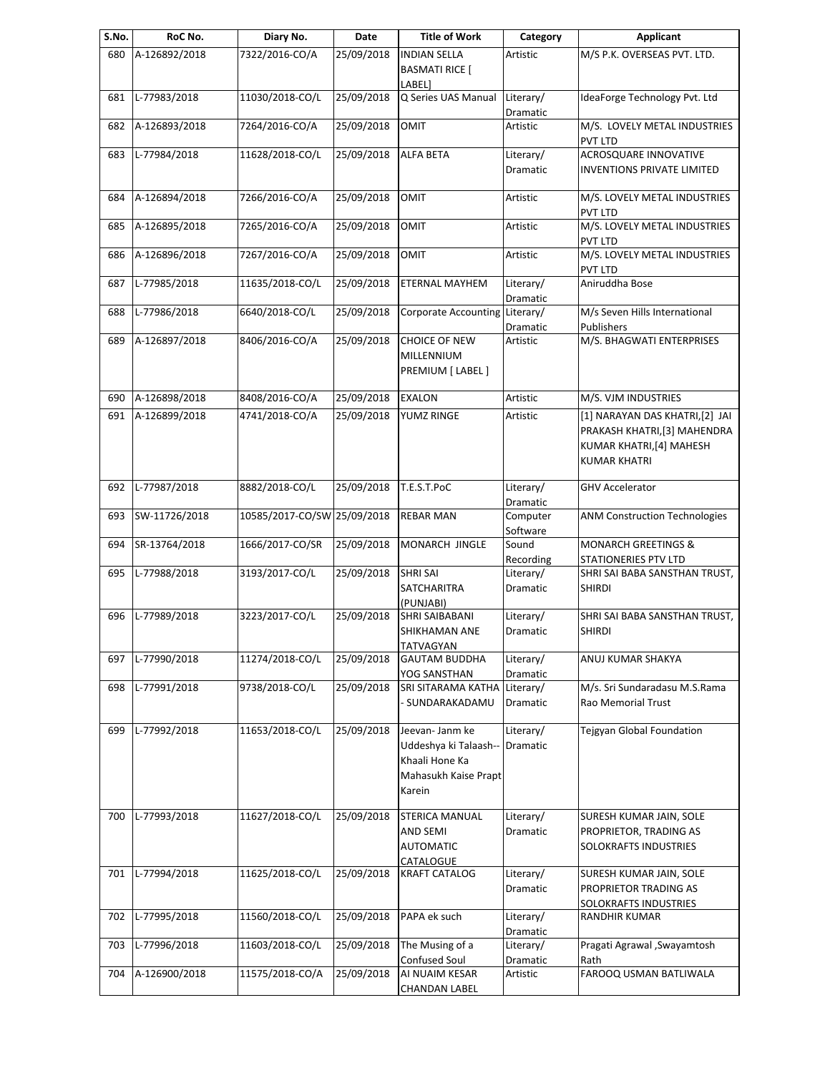| S.No. | RoC No.       | Diary No.                   | Date       | Title of Work                                                                                | Category                     | <b>Applicant</b>                                                                                                  |
|-------|---------------|-----------------------------|------------|----------------------------------------------------------------------------------------------|------------------------------|-------------------------------------------------------------------------------------------------------------------|
| 680   | A-126892/2018 | 7322/2016-CO/A              | 25/09/2018 | <b>INDIAN SELLA</b><br><b>BASMATI RICE [</b><br>LABEL]                                       | Artistic                     | M/S P.K. OVERSEAS PVT. LTD.                                                                                       |
| 681   | L-77983/2018  | 11030/2018-CO/L             | 25/09/2018 | Q Series UAS Manual                                                                          | Literary/<br><b>Dramatic</b> | IdeaForge Technology Pvt. Ltd                                                                                     |
| 682   | A-126893/2018 | 7264/2016-CO/A              | 25/09/2018 | <b>OMIT</b>                                                                                  | Artistic                     | M/S. LOVELY METAL INDUSTRIES<br><b>PVT LTD</b>                                                                    |
| 683   | L-77984/2018  | 11628/2018-CO/L             | 25/09/2018 | <b>ALFA BETA</b>                                                                             | Literary/<br>Dramatic        | ACROSQUARE INNOVATIVE<br><b>INVENTIONS PRIVATE LIMITED</b>                                                        |
| 684   | A-126894/2018 | 7266/2016-CO/A              | 25/09/2018 | <b>OMIT</b>                                                                                  | Artistic                     | M/S. LOVELY METAL INDUSTRIES<br>PVT LTD                                                                           |
| 685   | A-126895/2018 | 7265/2016-CO/A              | 25/09/2018 | <b>OMIT</b>                                                                                  | Artistic                     | M/S. LOVELY METAL INDUSTRIES<br><b>PVT LTD</b>                                                                    |
| 686   | A-126896/2018 | 7267/2016-CO/A              | 25/09/2018 | <b>OMIT</b>                                                                                  | Artistic                     | M/S. LOVELY METAL INDUSTRIES<br>PVT LTD                                                                           |
| 687   | L-77985/2018  | 11635/2018-CO/L             | 25/09/2018 | ETERNAL MAYHEM                                                                               | Literary/<br>Dramatic        | Aniruddha Bose                                                                                                    |
| 688   | L-77986/2018  | 6640/2018-CO/L              | 25/09/2018 | <b>Corporate Accounting</b>                                                                  | Literary/<br>Dramatic        | M/s Seven Hills International<br>Publishers                                                                       |
| 689   | A-126897/2018 | 8406/2016-CO/A              | 25/09/2018 | CHOICE OF NEW<br>MILLENNIUM<br>PREMIUM [ LABEL ]                                             | Artistic                     | M/S. BHAGWATI ENTERPRISES                                                                                         |
| 690   | A-126898/2018 | 8408/2016-CO/A              | 25/09/2018 | <b>EXALON</b>                                                                                | Artistic                     | M/S. VJM INDUSTRIES                                                                                               |
| 691   | A-126899/2018 | 4741/2018-CO/A              | 25/09/2018 | YUMZ RINGE                                                                                   | Artistic                     | [1] NARAYAN DAS KHATRI, [2] JAI<br>PRAKASH KHATRI, [3] MAHENDRA<br>KUMAR KHATRI,[4] MAHESH<br><b>KUMAR KHATRI</b> |
| 692   | L-77987/2018  | 8882/2018-CO/L              | 25/09/2018 | T.E.S.T.PoC                                                                                  | Literary/<br>Dramatic        | <b>GHV Accelerator</b>                                                                                            |
| 693   | SW-11726/2018 | 10585/2017-CO/SW 25/09/2018 |            | <b>REBAR MAN</b>                                                                             | Computer<br>Software         | ANM Construction Technologies                                                                                     |
| 694   | SR-13764/2018 | 1666/2017-CO/SR             | 25/09/2018 | MONARCH JINGLE                                                                               | Sound<br>Recording           | <b>MONARCH GREETINGS &amp;</b><br>STATIONERIES PTV LTD                                                            |
| 695   | L-77988/2018  | 3193/2017-CO/L              | 25/09/2018 | <b>SHRI SAI</b><br>SATCHARITRA<br>(PUNJABI)                                                  | Literary/<br>Dramatic        | SHRI SAI BABA SANSTHAN TRUST,<br><b>SHIRDI</b>                                                                    |
| 696   | L-77989/2018  | 3223/2017-CO/L              | 25/09/2018 | SHRI SAIBABANI<br>SHIKHAMAN ANE<br>TATVAGYAN                                                 | Literary/<br>Dramatic        | SHRI SAI BABA SANSTHAN TRUST,<br><b>SHIRDI</b>                                                                    |
| 697   | L-77990/2018  | 11274/2018-CO/L             | 25/09/2018 | <b>GAUTAM BUDDHA</b><br>YOG SANSTHAN                                                         | Literary/<br>Dramatic        | ANUJ KUMAR SHAKYA                                                                                                 |
| 698   | L-77991/2018  | 9738/2018-CO/L              | 25/09/2018 | SRI SITARAMA KATHA<br>- SUNDARAKADAMU                                                        | Literary/<br>Dramatic        | M/s. Sri Sundaradasu M.S.Rama<br>Rao Memorial Trust                                                               |
| 699   | L-77992/2018  | 11653/2018-CO/L             | 25/09/2018 | Jeevan- Janm ke<br>Uddeshya ki Talaash--<br>Khaali Hone Ka<br>Mahasukh Kaise Prapt<br>Karein | Literary/<br>Dramatic        | Tejgyan Global Foundation                                                                                         |
| 700   | L-77993/2018  | 11627/2018-CO/L             | 25/09/2018 | <b>STERICA MANUAL</b><br>AND SEMI<br><b>AUTOMATIC</b><br>CATALOGUE                           | Literary/<br>Dramatic        | SURESH KUMAR JAIN, SOLE<br>PROPRIETOR, TRADING AS<br>SOLOKRAFTS INDUSTRIES                                        |
| 701   | L-77994/2018  | 11625/2018-CO/L             | 25/09/2018 | <b>KRAFT CATALOG</b>                                                                         | Literary/<br>Dramatic        | SURESH KUMAR JAIN, SOLE<br>PROPRIETOR TRADING AS<br>SOLOKRAFTS INDUSTRIES                                         |
| 702   | L-77995/2018  | 11560/2018-CO/L             | 25/09/2018 | PAPA ek such                                                                                 | Literary/<br>Dramatic        | RANDHIR KUMAR                                                                                                     |
| 703   | L-77996/2018  | 11603/2018-CO/L             | 25/09/2018 | The Musing of a<br>Confused Soul                                                             | Literary/<br>Dramatic        | Pragati Agrawal , Swayamtosh<br>Rath                                                                              |
| 704   | A-126900/2018 | 11575/2018-CO/A             | 25/09/2018 | AI NUAIM KESAR<br><b>CHANDAN LABEL</b>                                                       | Artistic                     | FAROOQ USMAN BATLIWALA                                                                                            |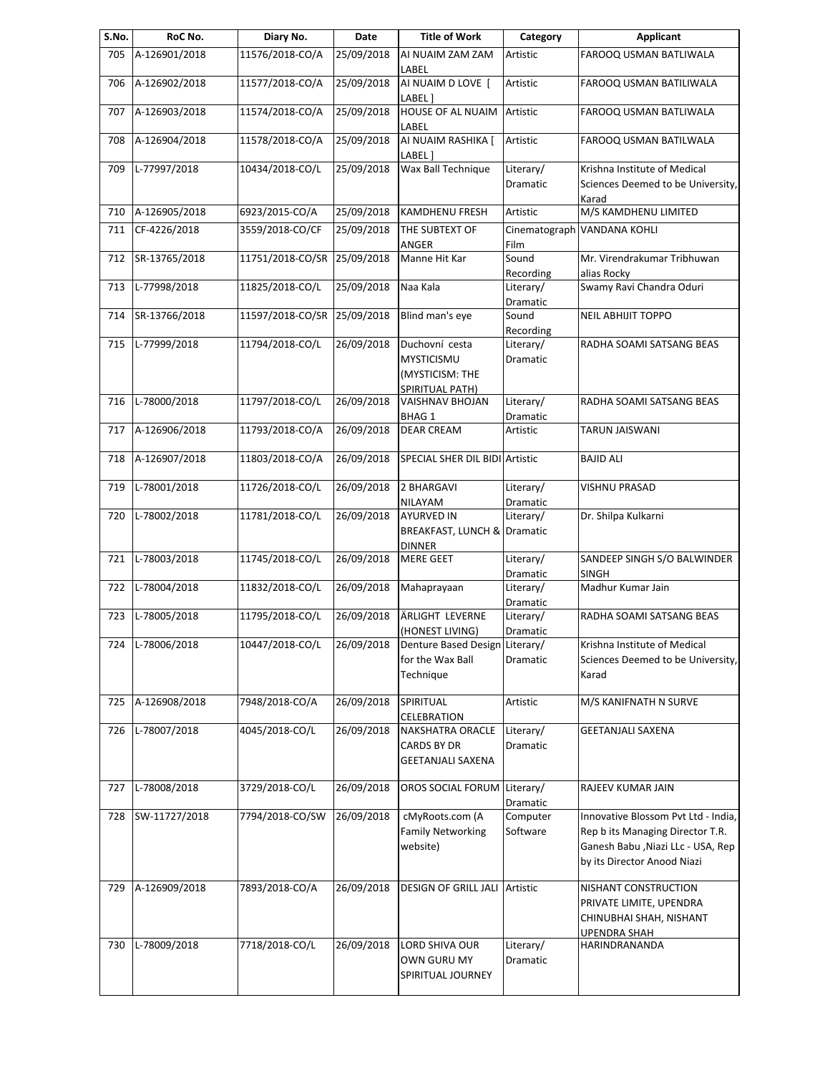| S.No. | RoC No.       | Diary No.                   | Date       | <b>Title of Work</b>                                                      | Category              | Applicant                                                                                                                                    |
|-------|---------------|-----------------------------|------------|---------------------------------------------------------------------------|-----------------------|----------------------------------------------------------------------------------------------------------------------------------------------|
| 705   | A-126901/2018 | 11576/2018-CO/A             | 25/09/2018 | AI NUAIM ZAM ZAM<br>LABEL                                                 | Artistic              | FAROOQ USMAN BATLIWALA                                                                                                                       |
| 706   | A-126902/2018 | 11577/2018-CO/A             | 25/09/2018 | AI NUAIM D LOVE [<br>LABEL ]                                              | Artistic              | FAROOQ USMAN BATILIWALA                                                                                                                      |
| 707   | A-126903/2018 | 11574/2018-CO/A             | 25/09/2018 | <b>HOUSE OF AL NUAIM</b><br>LABEL                                         | Artistic              | FAROOQ USMAN BATLIWALA                                                                                                                       |
| 708   | A-126904/2018 | 11578/2018-CO/A             | 25/09/2018 | AI NUAIM RASHIKA [<br>LABEL ]                                             | Artistic              | FAROOQ USMAN BATILWALA                                                                                                                       |
| 709   | L-77997/2018  | 10434/2018-CO/L             | 25/09/2018 | Wax Ball Technique                                                        | Literary/             | Krishna Institute of Medical                                                                                                                 |
|       |               |                             |            |                                                                           | <b>Dramatic</b>       | Sciences Deemed to be University,<br>Karad                                                                                                   |
| 710   | A-126905/2018 | 6923/2015-CO/A              | 25/09/2018 | KAMDHENU FRESH                                                            | Artistic              | M/S KAMDHENU LIMITED                                                                                                                         |
| 711   | CF-4226/2018  | 3559/2018-CO/CF             | 25/09/2018 | THE SUBTEXT OF<br>ANGER                                                   | Film                  | Cinematograph VANDANA KOHLI                                                                                                                  |
| 712   | SR-13765/2018 | 11751/2018-CO/SR 25/09/2018 |            | Manne Hit Kar                                                             | Sound<br>Recording    | Mr. Virendrakumar Tribhuwan<br>alias Rocky                                                                                                   |
| 713   | L-77998/2018  | 11825/2018-CO/L             | 25/09/2018 | Naa Kala                                                                  | Literary/<br>Dramatic | Swamy Ravi Chandra Oduri                                                                                                                     |
| 714   | SR-13766/2018 | 11597/2018-CO/SR 25/09/2018 |            | Blind man's eye                                                           | Sound<br>Recording    | <b>NEIL ABHIJIT TOPPO</b>                                                                                                                    |
| 715   | L-77999/2018  | 11794/2018-CO/L             | 26/09/2018 | Duchovní cesta<br><b>MYSTICISMU</b><br>(MYSTICISM: THE<br>SPIRITUAL PATH) | Literary/<br>Dramatic | RADHA SOAMI SATSANG BEAS                                                                                                                     |
| 716   | L-78000/2018  | 11797/2018-CO/L             | 26/09/2018 | VAISHNAV BHOJAN<br><b>BHAG 1</b>                                          | Literary/<br>Dramatic | RADHA SOAMI SATSANG BEAS                                                                                                                     |
| 717   | A-126906/2018 | 11793/2018-CO/A             | 26/09/2018 | <b>DEAR CREAM</b>                                                         | Artistic              | TARUN JAISWANI                                                                                                                               |
| 718   | A-126907/2018 | 11803/2018-CO/A             | 26/09/2018 | SPECIAL SHER DIL BIDI Artistic                                            |                       | <b>BAJID ALI</b>                                                                                                                             |
| 719   | L-78001/2018  | 11726/2018-CO/L             | 26/09/2018 | 2 BHARGAVI<br>NILAYAM                                                     | Literary/<br>Dramatic | VISHNU PRASAD                                                                                                                                |
| 720   | L-78002/2018  | 11781/2018-CO/L             | 26/09/2018 | <b>AYURVED IN</b><br>BREAKFAST, LUNCH & Dramatic<br><b>DINNER</b>         | Literary/             | Dr. Shilpa Kulkarni                                                                                                                          |
| 721   | L-78003/2018  | 11745/2018-CO/L             | 26/09/2018 | <b>MERE GEET</b>                                                          | Literary/<br>Dramatic | SANDEEP SINGH S/O BALWINDER<br><b>SINGH</b>                                                                                                  |
| 722   | L-78004/2018  | 11832/2018-CO/L             | 26/09/2018 | Mahaprayaan                                                               | Literary/<br>Dramatic | Madhur Kumar Jain                                                                                                                            |
| 723   | L-78005/2018  | 11795/2018-CO/L             | 26/09/2018 | ÄRLIGHT LEVERNE<br>(HONEST LIVING)                                        | Literary/<br>Dramatic | RADHA SOAMI SATSANG BEAS                                                                                                                     |
| 724   | L-78006/2018  | 10447/2018-CO/L             | 26/09/2018 | Denture Based Design Literary/<br>for the Wax Ball<br>Technique           | Dramatic              | Krishna Institute of Medical<br>Sciences Deemed to be University,<br>Karad                                                                   |
| 725   | A-126908/2018 | 7948/2018-CO/A              | 26/09/2018 | SPIRITUAL<br><b>CELEBRATION</b>                                           | Artistic              | M/S KANIFNATH N SURVE                                                                                                                        |
| 726   | L-78007/2018  | 4045/2018-CO/L              | 26/09/2018 | NAKSHATRA ORACLE<br>CARDS BY DR<br><b>GEETANJALI SAXENA</b>               | Literary/<br>Dramatic | GEETANJALI SAXENA                                                                                                                            |
| 727   | L-78008/2018  | 3729/2018-CO/L              | 26/09/2018 | OROS SOCIAL FORUM                                                         | Literary/<br>Dramatic | RAJEEV KUMAR JAIN                                                                                                                            |
| 728   | SW-11727/2018 | 7794/2018-CO/SW             | 26/09/2018 | cMyRoots.com (A<br><b>Family Networking</b><br>website)                   | Computer<br>Software  | Innovative Blossom Pvt Ltd - India,<br>Rep b its Managing Director T.R.<br>Ganesh Babu , Niazi LLc - USA, Rep<br>by its Director Anood Niazi |
| 729   | A-126909/2018 | 7893/2018-CO/A              | 26/09/2018 | <b>DESIGN OF GRILL JALI</b>                                               | Artistic              | NISHANT CONSTRUCTION<br>PRIVATE LIMITE, UPENDRA<br>CHINUBHAI SHAH, NISHANT<br><b>UPENDRA SHAH</b>                                            |
| 730   | L-78009/2018  | 7718/2018-CO/L              | 26/09/2018 | LORD SHIVA OUR<br>OWN GURU MY<br>SPIRITUAL JOURNEY                        | Literary/<br>Dramatic | HARINDRANANDA                                                                                                                                |
|       |               |                             |            |                                                                           |                       |                                                                                                                                              |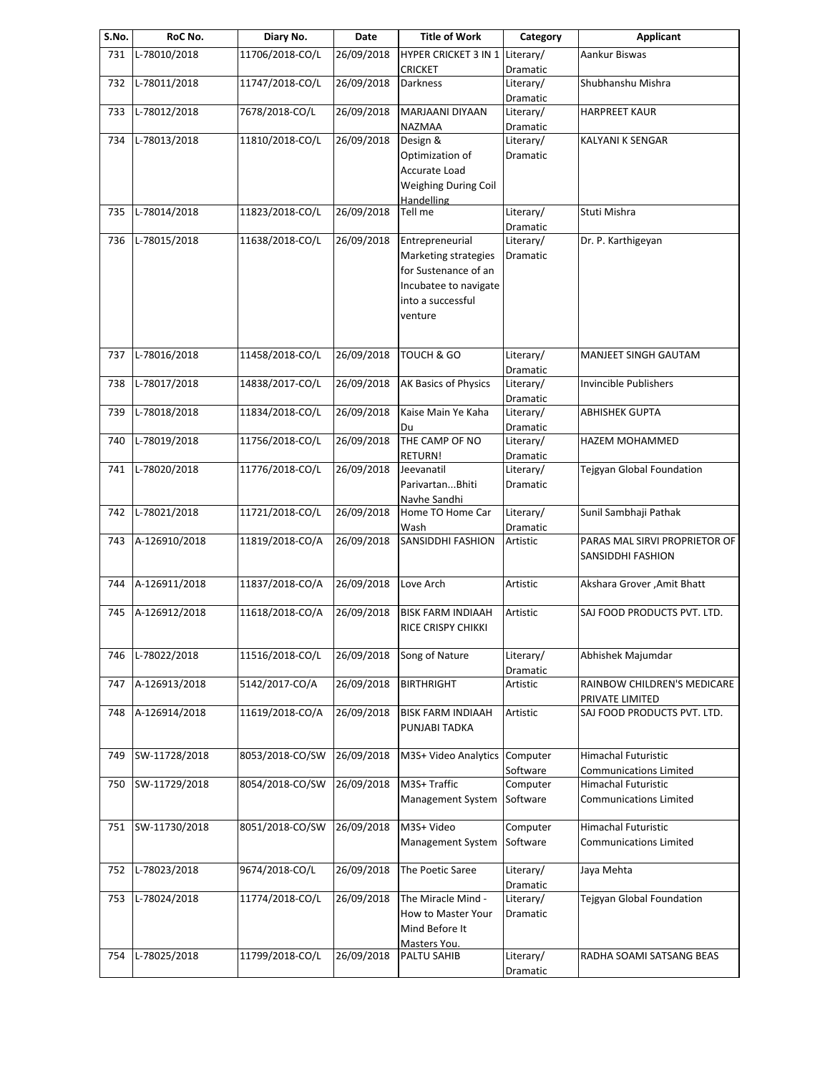| S.No. | RoC No.       | Diary No.       | Date       | <b>Title of Work</b>                             | Category              | <b>Applicant</b>                 |
|-------|---------------|-----------------|------------|--------------------------------------------------|-----------------------|----------------------------------|
| 731   | L-78010/2018  | 11706/2018-CO/L | 26/09/2018 | HYPER CRICKET 3 IN 1 Literary/<br><b>CRICKET</b> | Dramatic              | Aankur Biswas                    |
| 732   | L-78011/2018  | 11747/2018-CO/L | 26/09/2018 | <b>Darkness</b>                                  | Literary/             | Shubhanshu Mishra                |
| 733   | L-78012/2018  | 7678/2018-CO/L  | 26/09/2018 | MARJAANI DIYAAN                                  | Dramatic<br>Literary/ | <b>HARPREET KAUR</b>             |
| 734   | L-78013/2018  | 11810/2018-CO/L | 26/09/2018 | NAZMAA<br>Design &                               | Dramatic<br>Literary/ | KALYANI K SENGAR                 |
|       |               |                 |            | Optimization of                                  | Dramatic              |                                  |
|       |               |                 |            | Accurate Load                                    |                       |                                  |
|       |               |                 |            | Weighing During Coil                             |                       |                                  |
|       |               |                 |            | Handelling                                       |                       |                                  |
| 735   | L-78014/2018  | 11823/2018-CO/L | 26/09/2018 | Tell me                                          | Literary/             | Stuti Mishra                     |
|       |               |                 |            |                                                  | Dramatic              |                                  |
| 736   | L-78015/2018  | 11638/2018-CO/L | 26/09/2018 | Entrepreneurial                                  | Literary/             | Dr. P. Karthigeyan               |
|       |               |                 |            | Marketing strategies                             | Dramatic              |                                  |
|       |               |                 |            | for Sustenance of an                             |                       |                                  |
|       |               |                 |            | Incubatee to navigate                            |                       |                                  |
|       |               |                 |            | into a successful                                |                       |                                  |
|       |               |                 |            | venture                                          |                       |                                  |
|       |               |                 |            |                                                  |                       |                                  |
| 737   | L-78016/2018  | 11458/2018-CO/L | 26/09/2018 | TOUCH & GO                                       | Literary/             | MANJEET SINGH GAUTAM             |
|       |               |                 |            |                                                  | Dramatic              |                                  |
| 738   | L-78017/2018  | 14838/2017-CO/L | 26/09/2018 | AK Basics of Physics                             | Literary/             | Invincible Publishers            |
|       |               |                 |            | Kaise Main Ye Kaha                               | Dramatic              | <b>ABHISHEK GUPTA</b>            |
| 739   | L-78018/2018  | 11834/2018-CO/L | 26/09/2018 |                                                  | Literary/             |                                  |
|       | L-78019/2018  | 11756/2018-CO/L | 26/09/2018 | Du<br>THE CAMP OF NO                             | Dramatic              | HAZEM MOHAMMED                   |
| 740   |               |                 |            | RETURN!                                          | Literary/<br>Dramatic |                                  |
| 741   | L-78020/2018  | 11776/2018-CO/L | 26/09/2018 | Jeevanatil                                       | Literary/             | Tejgyan Global Foundation        |
|       |               |                 |            | ParivartanBhiti                                  | Dramatic              |                                  |
|       |               |                 |            | Navhe Sandhi                                     |                       |                                  |
| 742   | L-78021/2018  | 11721/2018-CO/L | 26/09/2018 | Home TO Home Car                                 | Literary/             | Sunil Sambhaji Pathak            |
|       |               |                 |            | Wash                                             | Dramatic              |                                  |
| 743   | A-126910/2018 | 11819/2018-CO/A | 26/09/2018 | <b>SANSIDDHI FASHION</b>                         | Artistic              | PARAS MAL SIRVI PROPRIETOR OF    |
|       |               |                 |            |                                                  |                       | SANSIDDHI FASHION                |
|       |               |                 |            |                                                  |                       |                                  |
| 744   | A-126911/2018 | 11837/2018-CO/A | 26/09/2018 | Love Arch                                        | Artistic              | Akshara Grover , Amit Bhatt      |
|       |               |                 |            |                                                  |                       |                                  |
| 745   | A-126912/2018 | 11618/2018-CO/A | 26/09/2018 | <b>BISK FARM INDIAAH</b>                         | Artistic              | SAJ FOOD PRODUCTS PVT. LTD.      |
|       |               |                 |            | RICE CRISPY CHIKKI                               |                       |                                  |
| 746   | L-78022/2018  | 11516/2018-CO/L | 26/09/2018 | Song of Nature                                   | Literary/             | Abhishek Majumdar                |
|       |               |                 |            |                                                  | Dramatic              |                                  |
| 747   | A-126913/2018 | 5142/2017-CO/A  | 26/09/2018 | <b>BIRTHRIGHT</b>                                | Artistic              | RAINBOW CHILDREN'S MEDICARE      |
|       |               |                 |            |                                                  |                       | PRIVATE LIMITED                  |
| 748   | A-126914/2018 | 11619/2018-CO/A | 26/09/2018 | <b>BISK FARM INDIAAH</b>                         | Artistic              | SAJ FOOD PRODUCTS PVT. LTD.      |
|       |               |                 |            | PUNJABI TADKA                                    |                       |                                  |
|       |               |                 |            |                                                  |                       |                                  |
| 749   | SW-11728/2018 | 8053/2018-CO/SW | 26/09/2018 | M3S+ Video Analytics Computer                    |                       | Himachal Futuristic              |
|       |               |                 |            |                                                  | Software              | <b>Communications Limited</b>    |
| 750   | SW-11729/2018 | 8054/2018-CO/SW | 26/09/2018 | M3S+ Traffic                                     | Computer              | Himachal Futuristic              |
|       |               |                 |            | <b>Management System</b>                         | Software              | <b>Communications Limited</b>    |
|       |               |                 |            |                                                  |                       |                                  |
| 751   | SW-11730/2018 | 8051/2018-CO/SW | 26/09/2018 | M3S+ Video                                       | Computer              | <b>Himachal Futuristic</b>       |
|       |               |                 |            | <b>Management System</b>                         | Software              | <b>Communications Limited</b>    |
|       |               |                 |            |                                                  |                       |                                  |
| 752   | L-78023/2018  | 9674/2018-CO/L  | 26/09/2018 | The Poetic Saree                                 | Literary/             | Jaya Mehta                       |
|       |               |                 |            |                                                  | Dramatic              |                                  |
| 753   | L-78024/2018  | 11774/2018-CO/L | 26/09/2018 | The Miracle Mind -                               | Literary/             | <b>Tejgyan Global Foundation</b> |
|       |               |                 |            | How to Master Your                               | Dramatic              |                                  |
|       |               |                 |            | Mind Before It                                   |                       |                                  |
|       |               |                 |            | Masters You.                                     |                       |                                  |
| 754   | L-78025/2018  | 11799/2018-CO/L | 26/09/2018 | PALTU SAHIB                                      | Literary/             | RADHA SOAMI SATSANG BEAS         |
|       |               |                 |            |                                                  | Dramatic              |                                  |
|       |               |                 |            |                                                  |                       |                                  |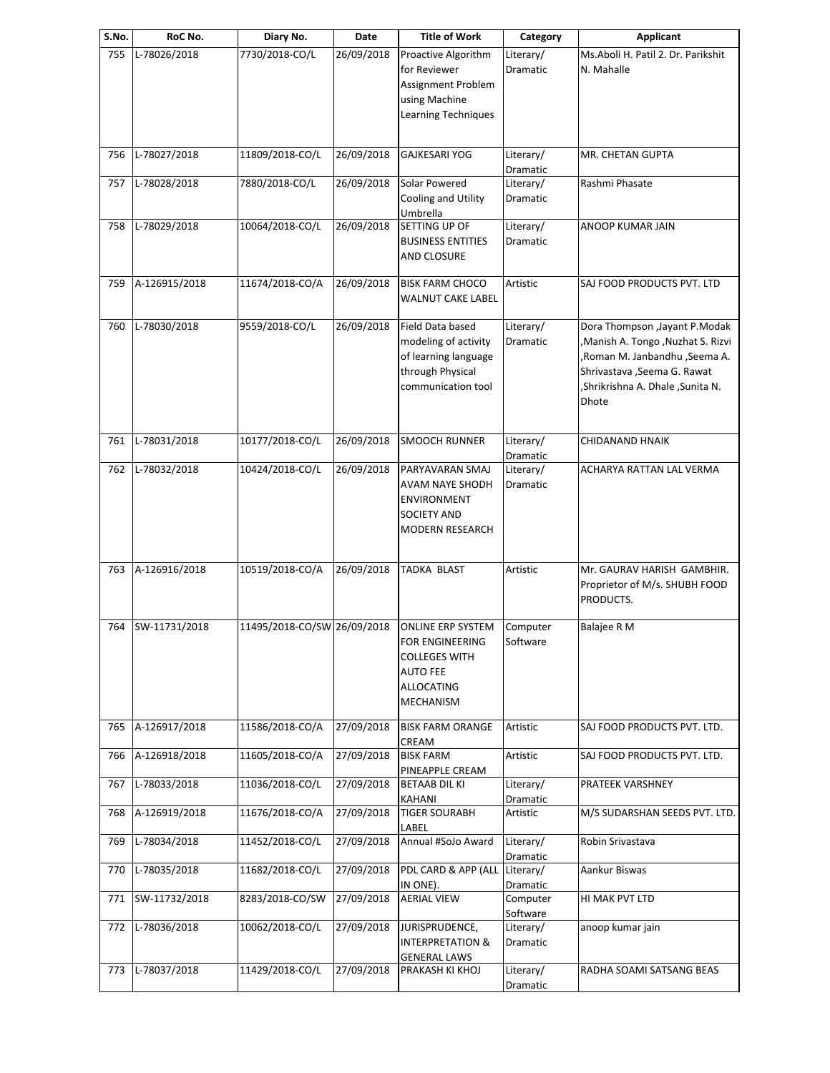| RoC No.       | Diary No.              | Date       | <b>Title of Work</b>                                                                                              | Category              | <b>Applicant</b>                                                                                                                                                                   |
|---------------|------------------------|------------|-------------------------------------------------------------------------------------------------------------------|-----------------------|------------------------------------------------------------------------------------------------------------------------------------------------------------------------------------|
| L-78026/2018  | 7730/2018-CO/L         | 26/09/2018 | Proactive Algorithm<br>for Reviewer<br>Assignment Problem<br>using Machine<br>Learning Techniques                 | Literary/<br>Dramatic | Ms.Aboli H. Patil 2. Dr. Parikshit<br>N. Mahalle                                                                                                                                   |
| L-78027/2018  | 11809/2018-CO/L        | 26/09/2018 | <b>GAJKESARI YOG</b>                                                                                              | Literary/             | MR. CHETAN GUPTA                                                                                                                                                                   |
| L-78028/2018  | 7880/2018-CO/L         | 26/09/2018 | Solar Powered<br>Cooling and Utility<br>Umbrella                                                                  | Literary/<br>Dramatic | Rashmi Phasate                                                                                                                                                                     |
| L-78029/2018  | 10064/2018-CO/L        | 26/09/2018 | SETTING UP OF<br><b>BUSINESS ENTITIES</b><br>AND CLOSURE                                                          | Literary/<br>Dramatic | <b>ANOOP KUMAR JAIN</b>                                                                                                                                                            |
|               | 11674/2018-CO/A        | 26/09/2018 | <b>BISK FARM CHOCO</b><br>WALNUT CAKE LABEL                                                                       | Artistic              | SAJ FOOD PRODUCTS PVT. LTD                                                                                                                                                         |
| L-78030/2018  | 9559/2018-CO/L         | 26/09/2018 | Field Data based<br>modeling of activity<br>of learning language<br>through Physical<br>communication tool        | Literary/<br>Dramatic | Dora Thompson , Jayant P.Modak<br>,Manish A. Tongo, Nuzhat S. Rizvi<br>,Roman M. Janbandhu ,Seema A.<br>Shrivastava , Seema G. Rawat<br>, Shrikrishna A. Dhale, Sunita N.<br>Dhote |
| L-78031/2018  | 10177/2018-CO/L        | 26/09/2018 | <b>SMOOCH RUNNER</b>                                                                                              | Literary/             | CHIDANAND HNAIK                                                                                                                                                                    |
| L-78032/2018  | 10424/2018-CO/L        | 26/09/2018 | PARYAVARAN SMAJ<br>AVAM NAYE SHODH<br><b>ENVIRONMENT</b><br>SOCIETY AND<br>MODERN RESEARCH                        | Literary/<br>Dramatic | ACHARYA RATTAN LAL VERMA                                                                                                                                                           |
| A-126916/2018 | 10519/2018-CO/A        | 26/09/2018 | TADKA BLAST                                                                                                       | Artistic              | Mr. GAURAV HARISH GAMBHIR.<br>Proprietor of M/s. SHUBH FOOD<br>PRODUCTS.                                                                                                           |
| SW-11731/2018 |                        |            | <b>ONLINE ERP SYSTEM</b><br>FOR ENGINEERING<br><b>COLLEGES WITH</b><br><b>AUTO FEE</b><br>ALLOCATING<br>MECHANISM | Computer<br>Software  | Balajee R M                                                                                                                                                                        |
| A-126917/2018 | 11586/2018-CO/A        | 27/09/2018 | <b>BISK FARM ORANGE</b><br>CREAM                                                                                  | Artistic              | SAJ FOOD PRODUCTS PVT. LTD.                                                                                                                                                        |
| A-126918/2018 | 11605/2018-CO/A        | 27/09/2018 | <b>BISK FARM</b><br>PINEAPPLE CREAM                                                                               | Artistic              | SAJ FOOD PRODUCTS PVT. LTD.                                                                                                                                                        |
| L-78033/2018  | 11036/2018-CO/L        | 27/09/2018 | <b>BETAAB DIL KI</b><br>KAHANI                                                                                    | Literary/<br>Dramatic | PRATEEK VARSHNEY                                                                                                                                                                   |
| A-126919/2018 | 11676/2018-CO/A        | 27/09/2018 | <b>TIGER SOURABH</b><br>LABEL                                                                                     | Artistic              | M/S SUDARSHAN SEEDS PVT. LTD.                                                                                                                                                      |
| L-78034/2018  | 11452/2018-CO/L        | 27/09/2018 | Annual #SoJo Award                                                                                                | Literary/<br>Dramatic | Robin Srivastava                                                                                                                                                                   |
| L-78035/2018  | 11682/2018-CO/L        | 27/09/2018 | PDL CARD & APP (ALL<br>IN ONE).                                                                                   | Literary/<br>Dramatic | Aankur Biswas                                                                                                                                                                      |
| SW-11732/2018 | 8283/2018-CO/SW        | 27/09/2018 | <b>AERIAL VIEW</b>                                                                                                | Computer              | HI MAK PVT LTD                                                                                                                                                                     |
| L-78036/2018  | 10062/2018-CO/L        | 27/09/2018 | JURISPRUDENCE,<br><b>INTERPRETATION &amp;</b><br><b>GENERAL LAWS</b>                                              | Literary/<br>Dramatic | anoop kumar jain                                                                                                                                                                   |
| L-78037/2018  | 11429/2018-CO/L        | 27/09/2018 | PRAKASH KI KHOJ                                                                                                   | Literary/<br>Dramatic | RADHA SOAMI SATSANG BEAS                                                                                                                                                           |
|               | S.No.<br>A-126915/2018 |            | 11495/2018-CO/SW 26/09/2018                                                                                       |                       | Dramatic<br>Dramatic<br>Software                                                                                                                                                   |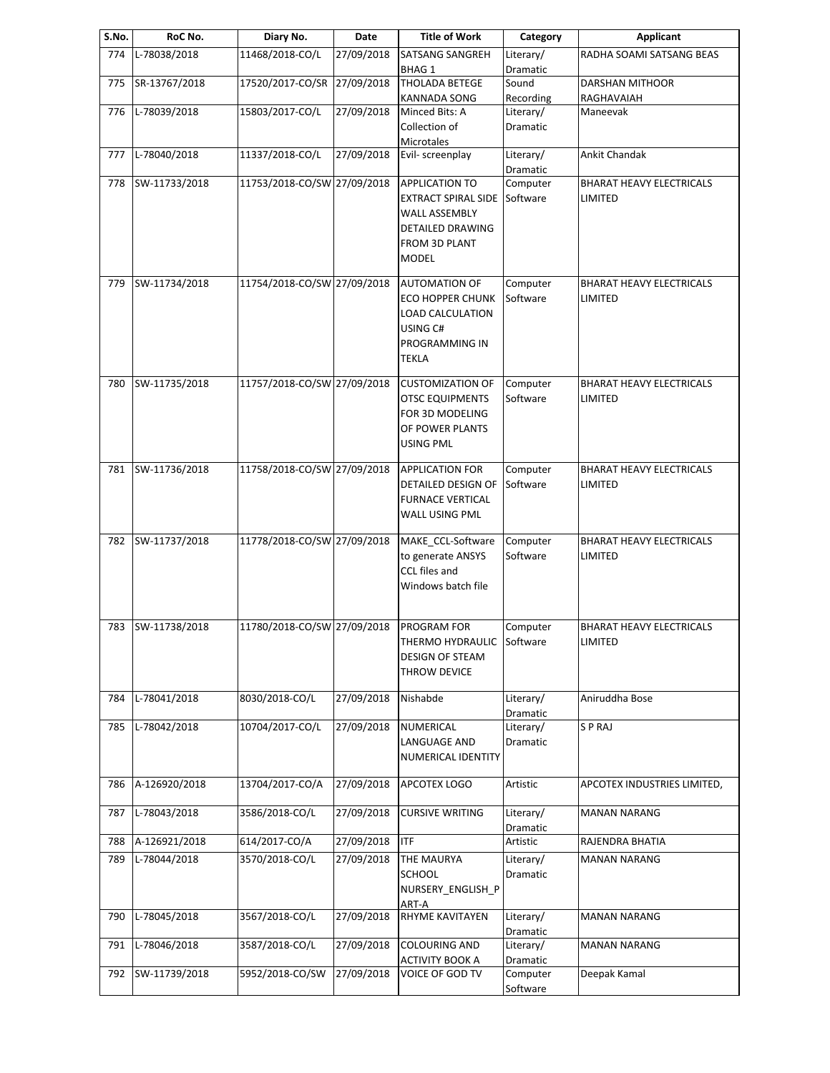| S.No. | RoC No.       | Diary No.                   | Date       | <b>Title of Work</b>                              | Category              | Applicant                                  |
|-------|---------------|-----------------------------|------------|---------------------------------------------------|-----------------------|--------------------------------------------|
| 774   | L-78038/2018  | 11468/2018-CO/L             | 27/09/2018 | <b>SATSANG SANGREH</b><br><b>BHAG1</b>            | Literary/<br>Dramatic | RADHA SOAMI SATSANG BEAS                   |
| 775   | SR-13767/2018 | 17520/2017-CO/SR            | 27/09/2018 | <b>THOLADA BETEGE</b>                             | Sound                 | DARSHAN MITHOOR                            |
|       |               |                             |            | KANNADA SONG                                      | Recording             | RAGHAVAIAH                                 |
| 776   | L-78039/2018  | 15803/2017-CO/L             | 27/09/2018 | Minced Bits: A                                    | Literary/             | Maneevak                                   |
|       |               |                             |            | Collection of                                     | Dramatic              |                                            |
| 777   | L-78040/2018  | 11337/2018-CO/L             | 27/09/2018 | Microtales<br>Evil- screenplay                    | Literary/             | Ankit Chandak                              |
|       |               |                             |            |                                                   | Dramatic              |                                            |
| 778   | SW-11733/2018 | 11753/2018-CO/SW 27/09/2018 |            | <b>APPLICATION TO</b>                             | Computer              | <b>BHARAT HEAVY ELECTRICALS</b>            |
|       |               |                             |            | <b>EXTRACT SPIRAL SIDE</b>                        | Software              | LIMITED                                    |
|       |               |                             |            | <b>WALL ASSEMBLY</b>                              |                       |                                            |
|       |               |                             |            | DETAILED DRAWING                                  |                       |                                            |
|       |               |                             |            | <b>FROM 3D PLANT</b>                              |                       |                                            |
|       |               |                             |            | <b>MODEL</b>                                      |                       |                                            |
| 779   | SW-11734/2018 | 11754/2018-CO/SW 27/09/2018 |            | <b>AUTOMATION OF</b>                              | Computer              | <b>BHARAT HEAVY ELECTRICALS</b>            |
|       |               |                             |            | <b>ECO HOPPER CHUNK</b>                           | Software              | LIMITED                                    |
|       |               |                             |            | <b>LOAD CALCULATION</b>                           |                       |                                            |
|       |               |                             |            | USING C#                                          |                       |                                            |
|       |               |                             |            | PROGRAMMING IN                                    |                       |                                            |
|       |               |                             |            | TEKLA                                             |                       |                                            |
|       |               |                             |            |                                                   |                       |                                            |
| 780   | SW-11735/2018 | 11757/2018-CO/SW 27/09/2018 |            | <b>CUSTOMIZATION OF</b><br><b>OTSC EQUIPMENTS</b> | Computer<br>Software  | <b>BHARAT HEAVY ELECTRICALS</b><br>LIMITED |
|       |               |                             |            | FOR 3D MODELING                                   |                       |                                            |
|       |               |                             |            | OF POWER PLANTS                                   |                       |                                            |
|       |               |                             |            | <b>USING PML</b>                                  |                       |                                            |
|       |               |                             |            |                                                   |                       |                                            |
| 781   | SW-11736/2018 | 11758/2018-CO/SW 27/09/2018 |            | <b>APPLICATION FOR</b>                            | Computer              | <b>BHARAT HEAVY ELECTRICALS</b>            |
|       |               |                             |            | DETAILED DESIGN OF                                | Software              | LIMITED                                    |
|       |               |                             |            | <b>FURNACE VERTICAL</b>                           |                       |                                            |
|       |               |                             |            | WALL USING PML                                    |                       |                                            |
| 782   | SW-11737/2018 | 11778/2018-CO/SW 27/09/2018 |            | MAKE_CCL-Software                                 | Computer              | <b>BHARAT HEAVY ELECTRICALS</b>            |
|       |               |                             |            | to generate ANSYS                                 | Software              | LIMITED                                    |
|       |               |                             |            | CCL files and                                     |                       |                                            |
|       |               |                             |            | Windows batch file                                |                       |                                            |
|       |               |                             |            |                                                   |                       |                                            |
| 783   | SW-11738/2018 | 11780/2018-CO/SW 27/09/2018 |            | PROGRAM FOR                                       | Computer              | <b>BHARAT HEAVY ELECTRICALS</b>            |
|       |               |                             |            | THERMO HYDRAULIC Software                         |                       | LIMITED                                    |
|       |               |                             |            | DESIGN OF STEAM                                   |                       |                                            |
|       |               |                             |            | THROW DEVICE                                      |                       |                                            |
| 784   | L-78041/2018  | 8030/2018-CO/L              | 27/09/2018 | Nishabde                                          | Literary/             | Aniruddha Bose                             |
|       |               |                             |            |                                                   | Dramatic              |                                            |
| 785   | L-78042/2018  | 10704/2017-CO/L             | 27/09/2018 | NUMERICAL                                         | Literary/             | S P RAJ                                    |
|       |               |                             |            | LANGUAGE AND                                      | Dramatic              |                                            |
|       |               |                             |            | NUMERICAL IDENTITY                                |                       |                                            |
|       | A-126920/2018 | 13704/2017-CO/A             | 27/09/2018 |                                                   | Artistic              |                                            |
| 786   |               |                             |            | APCOTEX LOGO                                      |                       | APCOTEX INDUSTRIES LIMITED,                |
| 787   | L-78043/2018  | 3586/2018-CO/L              | 27/09/2018 | <b>CURSIVE WRITING</b>                            | Literary/             | <b>MANAN NARANG</b>                        |
|       |               |                             |            |                                                   | Dramatic              |                                            |
| 788   | A-126921/2018 | 614/2017-CO/A               | 27/09/2018 | <b>ITF</b>                                        | Artistic              | RAJENDRA BHATIA                            |
| 789   | L-78044/2018  | 3570/2018-CO/L              | 27/09/2018 | THE MAURYA                                        | Literary/             | <b>MANAN NARANG</b>                        |
|       |               |                             |            | <b>SCHOOL</b>                                     | Dramatic              |                                            |
|       |               |                             |            | NURSERY_ENGLISH_P                                 |                       |                                            |
|       |               |                             |            | ART-A                                             |                       |                                            |
| 790   | L-78045/2018  | 3567/2018-CO/L              | 27/09/2018 | RHYME KAVITAYEN                                   | Literary/             | <b>MANAN NARANG</b>                        |
| 791   | L-78046/2018  | 3587/2018-CO/L              | 27/09/2018 | <b>COLOURING AND</b>                              | Dramatic<br>Literary/ | <b>MANAN NARANG</b>                        |
|       |               |                             |            | ACTIVITY BOOK A                                   | Dramatic              |                                            |
| 792   | SW-11739/2018 | 5952/2018-CO/SW             | 27/09/2018 | VOICE OF GOD TV                                   | Computer              | Deepak Kamal                               |
|       |               |                             |            |                                                   | Software              |                                            |
|       |               |                             |            |                                                   |                       |                                            |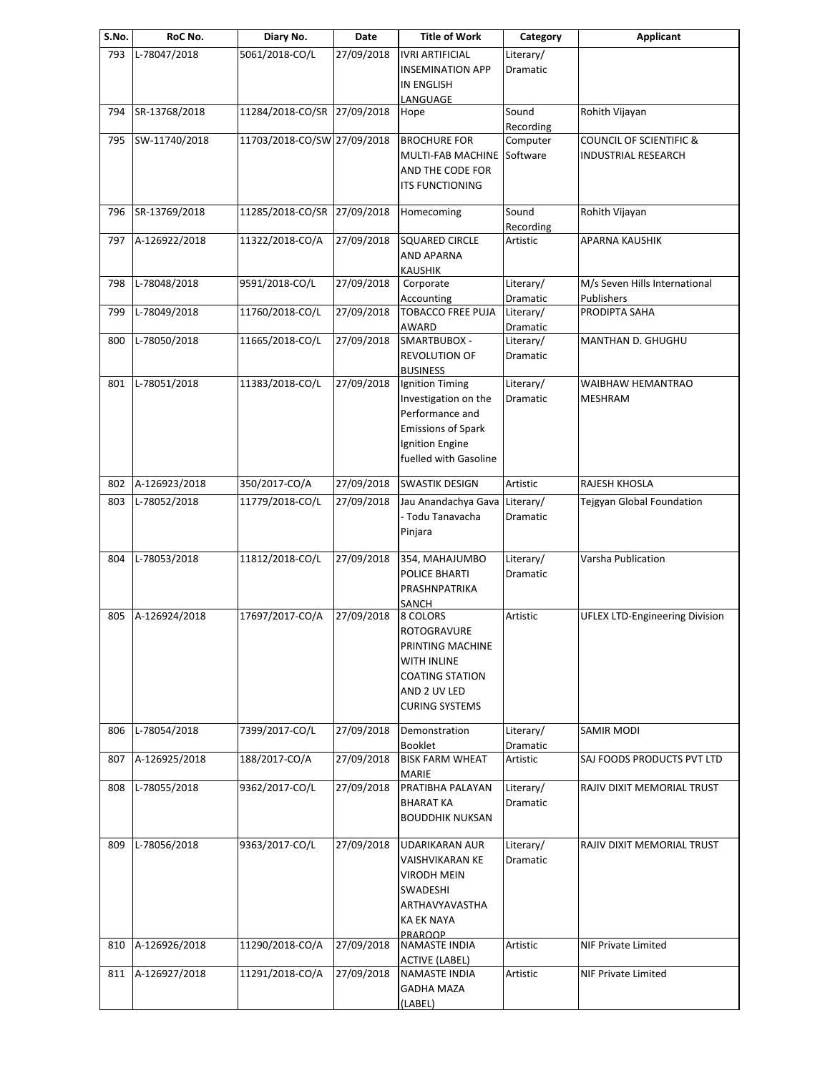| S.No. | RoC No.       | Diary No.                   | Date       | <b>Title of Work</b>                                                                                                                 | Category                     | <b>Applicant</b>                            |
|-------|---------------|-----------------------------|------------|--------------------------------------------------------------------------------------------------------------------------------------|------------------------------|---------------------------------------------|
| 793   | L-78047/2018  | 5061/2018-CO/L              | 27/09/2018 | <b>IVRI ARTIFICIAL</b><br><b>INSEMINATION APP</b>                                                                                    | Literary/<br>Dramatic        |                                             |
|       |               |                             |            | <b>IN ENGLISH</b><br>LANGUAGE                                                                                                        |                              |                                             |
| 794   | SR-13768/2018 | 11284/2018-CO/SR 27/09/2018 |            | Hope                                                                                                                                 | Sound<br>Recording           | Rohith Vijayan                              |
| 795   | SW-11740/2018 | 11703/2018-CO/SW 27/09/2018 |            | <b>BROCHURE FOR</b>                                                                                                                  | Computer                     | <b>COUNCIL OF SCIENTIFIC &amp;</b>          |
|       |               |                             |            | MULTI-FAB MACHINE<br>AND THE CODE FOR<br><b>ITS FUNCTIONING</b>                                                                      | Software                     | <b>INDUSTRIAL RESEARCH</b>                  |
| 796   | SR-13769/2018 | 11285/2018-CO/SR 27/09/2018 |            | Homecoming                                                                                                                           | Sound<br>Recording           | Rohith Vijayan                              |
| 797   | A-126922/2018 | 11322/2018-CO/A             | 27/09/2018 | <b>SQUARED CIRCLE</b><br><b>AND APARNA</b><br><b>KAUSHIK</b>                                                                         | Artistic                     | <b>APARNA KAUSHIK</b>                       |
| 798   | L-78048/2018  | 9591/2018-CO/L              | 27/09/2018 | Corporate<br>Accounting                                                                                                              | Literary/<br>Dramatic        | M/s Seven Hills International<br>Publishers |
| 799   | L-78049/2018  | 11760/2018-CO/L             | 27/09/2018 | <b>TOBACCO FREE PUJA</b><br>AWARD                                                                                                    | Literary/<br>Dramatic        | PRODIPTA SAHA                               |
| 800   | L-78050/2018  | 11665/2018-CO/L             | 27/09/2018 | SMARTBUBOX -                                                                                                                         | Literary/                    | MANTHAN D. GHUGHU                           |
|       |               |                             |            | REVOLUTION OF<br><b>BUSINESS</b>                                                                                                     | Dramatic                     |                                             |
| 801   | L-78051/2018  | 11383/2018-CO/L             | 27/09/2018 | Ignition Timing<br>Investigation on the<br>Performance and<br><b>Emissions of Spark</b><br>Ignition Engine<br>fuelled with Gasoline  | Literary/<br>Dramatic        | WAIBHAW HEMANTRAO<br>MESHRAM                |
| 802   | A-126923/2018 | 350/2017-CO/A               | 27/09/2018 | <b>SWASTIK DESIGN</b>                                                                                                                | Artistic                     | RAJESH KHOSLA                               |
| 803   | L-78052/2018  | 11779/2018-CO/L             | 27/09/2018 | Jau Anandachya Gava Literary/<br>- Todu Tanavacha<br>Pinjara                                                                         | Dramatic                     | Tejgyan Global Foundation                   |
| 804   | L-78053/2018  | 11812/2018-CO/L             | 27/09/2018 | 354, MAHAJUMBO<br>POLICE BHARTI<br>PRASHNPATRIKA<br>SANCH                                                                            | Literary/<br><b>Dramatic</b> | Varsha Publication                          |
| 805   | A-126924/2018 | 17697/2017-CO/A             | 27/09/2018 | 8 COLORS<br>ROTOGRAVURE<br>PRINTING MACHINE<br><b>WITH INLINE</b><br><b>COATING STATION</b><br>AND 2 UV LED<br><b>CURING SYSTEMS</b> | Artistic                     | <b>UFLEX LTD-Engineering Division</b>       |
| 806   | L-78054/2018  | 7399/2017-CO/L              | 27/09/2018 | Demonstration<br><b>Booklet</b>                                                                                                      | Literary/<br>Dramatic        | SAMIR MODI                                  |
| 807   | A-126925/2018 | 188/2017-CO/A               | 27/09/2018 | <b>BISK FARM WHEAT</b><br><b>MARIE</b>                                                                                               | Artistic                     | SAJ FOODS PRODUCTS PVT LTD                  |
| 808   | L-78055/2018  | 9362/2017-CO/L              | 27/09/2018 | PRATIBHA PALAYAN<br><b>BHARAT KA</b><br><b>BOUDDHIK NUKSAN</b>                                                                       | Literary/<br>Dramatic        | RAJIV DIXIT MEMORIAL TRUST                  |
| 809   | L-78056/2018  | 9363/2017-CO/L              | 27/09/2018 | <b>UDARIKARAN AUR</b><br>VAISHVIKARAN KE<br>VIRODH MEIN<br>SWADESHI<br>ARTHAVYAVASTHA<br>KA EK NAYA<br>PRAROOP                       | Literary/<br>Dramatic        | RAJIV DIXIT MEMORIAL TRUST                  |
| 810   | A-126926/2018 | 11290/2018-CO/A             | 27/09/2018 | NAMASTE INDIA<br><b>ACTIVE (LABEL)</b>                                                                                               | Artistic                     | <b>NIF Private Limited</b>                  |
| 811   | A-126927/2018 | 11291/2018-CO/A             | 27/09/2018 | NAMASTE INDIA<br><b>GADHA MAZA</b><br>(LABEL)                                                                                        | Artistic                     | NIF Private Limited                         |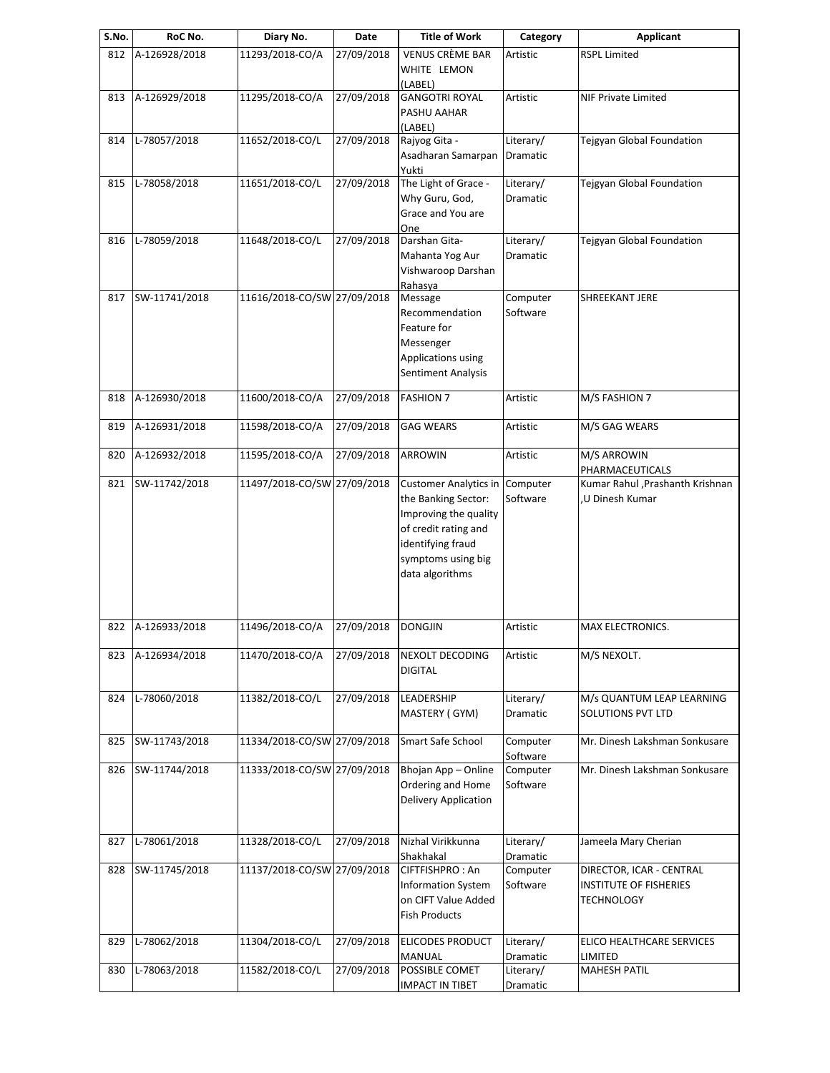| S.No. | RoC No.       | Diary No.                   | Date       | <b>Title of Work</b>         | Category        | Applicant                        |
|-------|---------------|-----------------------------|------------|------------------------------|-----------------|----------------------------------|
| 812   | A-126928/2018 | 11293/2018-CO/A             | 27/09/2018 | <b>VENUS CRÈME BAR</b>       | Artistic        | <b>RSPL Limited</b>              |
|       |               |                             |            | WHITE LEMON                  |                 |                                  |
|       |               |                             |            | (LABEL)                      |                 |                                  |
| 813   | A-126929/2018 | 11295/2018-CO/A             | 27/09/2018 | <b>GANGOTRI ROYAL</b>        | Artistic        | NIF Private Limited              |
|       |               |                             |            | PASHU AAHAR                  |                 |                                  |
|       |               |                             |            | (LABEL)                      |                 |                                  |
| 814   | L-78057/2018  | 11652/2018-CO/L             | 27/09/2018 | Rajyog Gita -                | Literary/       | Tejgyan Global Foundation        |
|       |               |                             |            | Asadharan Samarpan           | Dramatic        |                                  |
|       |               |                             |            | Yukti                        |                 |                                  |
| 815   | L-78058/2018  | 11651/2018-CO/L             | 27/09/2018 | The Light of Grace -         | Literary/       | Tejgyan Global Foundation        |
|       |               |                             |            | Why Guru, God,               | Dramatic        |                                  |
|       |               |                             |            | Grace and You are            |                 |                                  |
|       |               |                             |            | One                          |                 |                                  |
| 816   | L-78059/2018  | 11648/2018-CO/L             | 27/09/2018 | Darshan Gita-                | Literary/       | Tejgyan Global Foundation        |
|       |               |                             |            | Mahanta Yog Aur              | Dramatic        |                                  |
|       |               |                             |            | Vishwaroop Darshan           |                 |                                  |
|       |               |                             |            |                              |                 |                                  |
| 817   | SW-11741/2018 | 11616/2018-CO/SW 27/09/2018 |            | Rahasya<br>Message           | Computer        | SHREEKANT JERE                   |
|       |               |                             |            |                              |                 |                                  |
|       |               |                             |            | Recommendation               | Software        |                                  |
|       |               |                             |            | Feature for                  |                 |                                  |
|       |               |                             |            | Messenger                    |                 |                                  |
|       |               |                             |            | Applications using           |                 |                                  |
|       |               |                             |            | Sentiment Analysis           |                 |                                  |
|       |               |                             |            |                              |                 |                                  |
| 818   | A-126930/2018 | 11600/2018-CO/A             | 27/09/2018 | <b>FASHION 7</b>             | Artistic        | M/S FASHION 7                    |
|       |               |                             |            |                              |                 |                                  |
| 819   | A-126931/2018 | 11598/2018-CO/A             | 27/09/2018 | <b>GAG WEARS</b>             | Artistic        | M/S GAG WEARS                    |
|       |               |                             |            |                              |                 |                                  |
| 820   | A-126932/2018 | 11595/2018-CO/A             | 27/09/2018 | ARROWIN                      | Artistic        | M/S ARROWIN                      |
|       |               |                             |            |                              |                 | PHARMACEUTICALS                  |
| 821   | SW-11742/2018 | 11497/2018-CO/SW 27/09/2018 |            | <b>Customer Analytics in</b> | Computer        | Kumar Rahul , Prashanth Krishnan |
|       |               |                             |            | the Banking Sector:          | Software        | U Dinesh Kumar                   |
|       |               |                             |            | Improving the quality        |                 |                                  |
|       |               |                             |            | of credit rating and         |                 |                                  |
|       |               |                             |            | identifying fraud            |                 |                                  |
|       |               |                             |            | symptoms using big           |                 |                                  |
|       |               |                             |            | data algorithms              |                 |                                  |
|       |               |                             |            |                              |                 |                                  |
|       |               |                             |            |                              |                 |                                  |
|       |               |                             |            |                              |                 |                                  |
| 822   | A-126933/2018 | 11496/2018-CO/A             | 27/09/2018 | <b>DONGJIN</b>               | Artistic        | MAX ELECTRONICS.                 |
|       |               |                             |            |                              |                 |                                  |
| 823   | A-126934/2018 | 11470/2018-CO/A             | 27/09/2018 | NEXOLT DECODING              | Artistic        | M/S NEXOLT.                      |
|       |               |                             |            | <b>DIGITAL</b>               |                 |                                  |
|       |               |                             |            |                              |                 |                                  |
| 824   | L-78060/2018  | 11382/2018-CO/L             | 27/09/2018 | LEADERSHIP                   | Literary/       | M/s QUANTUM LEAP LEARNING        |
|       |               |                             |            | MASTERY (GYM)                | <b>Dramatic</b> | <b>SOLUTIONS PVT LTD</b>         |
|       |               |                             |            |                              |                 |                                  |
| 825   | SW-11743/2018 | 11334/2018-CO/SW 27/09/2018 |            | Smart Safe School            | Computer        | Mr. Dinesh Lakshman Sonkusare    |
|       |               |                             |            |                              | Software        |                                  |
| 826   | SW-11744/2018 | 11333/2018-CO/SW 27/09/2018 |            | Bhojan App - Online          | Computer        | Mr. Dinesh Lakshman Sonkusare    |
|       |               |                             |            | Ordering and Home            | Software        |                                  |
|       |               |                             |            |                              |                 |                                  |
|       |               |                             |            | Delivery Application         |                 |                                  |
|       |               |                             |            |                              |                 |                                  |
|       | L-78061/2018  | 11328/2018-CO/L             | 27/09/2018 | Nizhal Virikkunna            | Literary/       | Jameela Mary Cherian             |
| 827   |               |                             |            |                              |                 |                                  |
|       |               |                             |            | Shakhakal                    | Dramatic        |                                  |
| 828   | SW-11745/2018 | 11137/2018-CO/SW 27/09/2018 |            | CIFTFISHPRO: An              | Computer        | DIRECTOR, ICAR - CENTRAL         |
|       |               |                             |            | <b>Information System</b>    | Software        | <b>INSTITUTE OF FISHERIES</b>    |
|       |               |                             |            | on CIFT Value Added          |                 | <b>TECHNOLOGY</b>                |
|       |               |                             |            | <b>Fish Products</b>         |                 |                                  |
|       |               |                             |            |                              |                 |                                  |
| 829   | L-78062/2018  | 11304/2018-CO/L             | 27/09/2018 | <b>ELICODES PRODUCT</b>      | Literary/       | ELICO HEALTHCARE SERVICES        |
|       |               |                             |            | <b>MANUAL</b>                | Dramatic        | LIMITED                          |
| 830   | L-78063/2018  | 11582/2018-CO/L             | 27/09/2018 | POSSIBLE COMET               | Literary/       | <b>MAHESH PATIL</b>              |
|       |               |                             |            | <b>IMPACT IN TIBET</b>       | Dramatic        |                                  |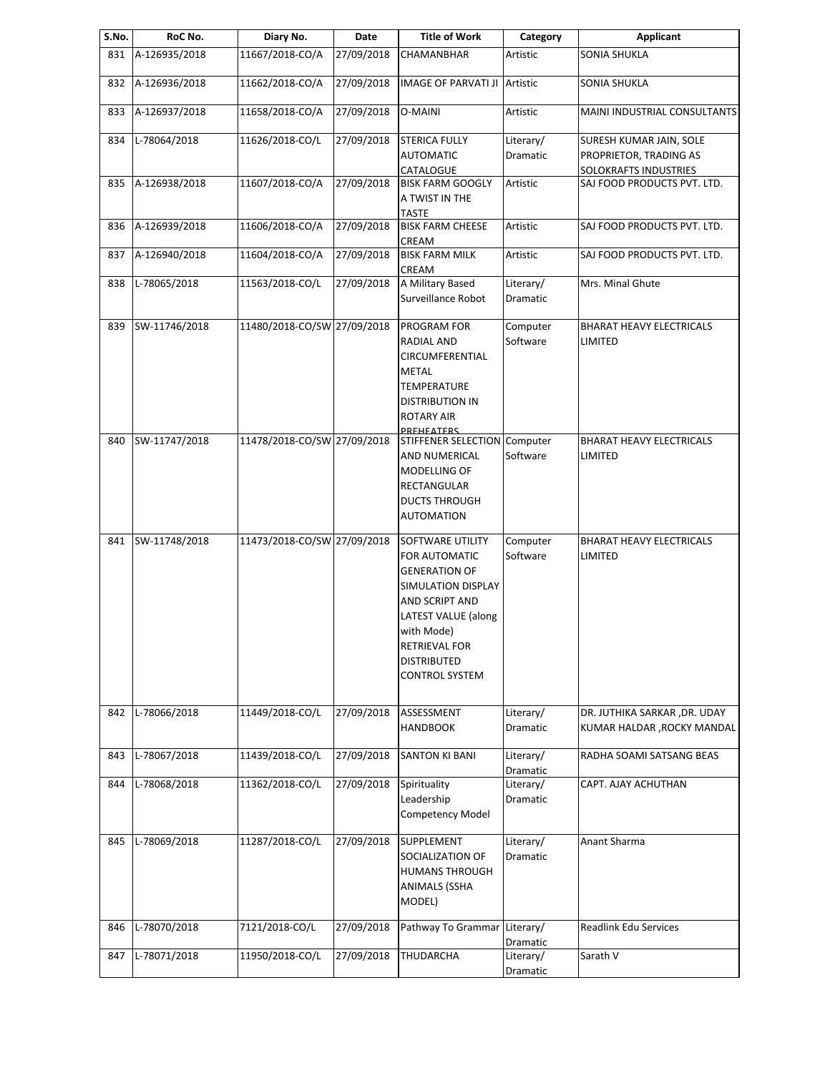| S.No. | RoC No.       | Diary No.                   | Date       | <b>Title of Work</b>          | Category              | <b>Applicant</b>                |
|-------|---------------|-----------------------------|------------|-------------------------------|-----------------------|---------------------------------|
| 831   | A-126935/2018 | 11667/2018-CO/A             | 27/09/2018 | CHAMANBHAR                    | Artistic              | <b>SONIA SHUKLA</b>             |
| 832   | A-126936/2018 | 11662/2018-CO/A             | 27/09/2018 | <b>IMAGE OF PARVATI JI</b>    | Artistic              | <b>SONIA SHUKLA</b>             |
| 833   | A-126937/2018 | 11658/2018-CO/A             | 27/09/2018 | <b>O-MAINI</b>                | Artistic              | MAINI INDUSTRIAL CONSULTANTS    |
| 834   | L-78064/2018  | 11626/2018-CO/L             | 27/09/2018 | <b>STERICA FULLY</b>          | Literary/             | SURESH KUMAR JAIN, SOLE         |
|       |               |                             |            | <b>AUTOMATIC</b>              | Dramatic              | PROPRIETOR, TRADING AS          |
|       |               |                             |            | CATALOGUE                     |                       | SOLOKRAFTS INDUSTRIES           |
| 835   | A-126938/2018 | 11607/2018-CO/A             | 27/09/2018 | <b>BISK FARM GOOGLY</b>       | Artistic              | SAJ FOOD PRODUCTS PVT. LTD.     |
|       |               |                             |            | A TWIST IN THE                |                       |                                 |
|       |               |                             |            | <b>TASTE</b>                  |                       |                                 |
| 836   | A-126939/2018 | 11606/2018-CO/A             | 27/09/2018 | <b>BISK FARM CHEESE</b>       | Artistic              | SAJ FOOD PRODUCTS PVT. LTD.     |
|       |               |                             |            | CREAM                         |                       |                                 |
| 837   | A-126940/2018 | 11604/2018-CO/A             | 27/09/2018 | <b>BISK FARM MILK</b>         | Artistic              | SAJ FOOD PRODUCTS PVT. LTD.     |
| 838   | L-78065/2018  | 11563/2018-CO/L             | 27/09/2018 | CREAM<br>A Military Based     | Literary/             | Mrs. Minal Ghute                |
|       |               |                             |            | Surveillance Robot            | <b>Dramatic</b>       |                                 |
|       |               |                             |            |                               |                       |                                 |
| 839   | SW-11746/2018 | 11480/2018-CO/SW 27/09/2018 |            | PROGRAM FOR                   | Computer              | <b>BHARAT HEAVY ELECTRICALS</b> |
|       |               |                             |            | RADIAL AND                    | Software              | LIMITED                         |
|       |               |                             |            | CIRCUMFERENTIAL               |                       |                                 |
|       |               |                             |            | <b>METAL</b>                  |                       |                                 |
|       |               |                             |            | <b>TEMPERATURE</b>            |                       |                                 |
|       |               |                             |            | <b>DISTRIBUTION IN</b>        |                       |                                 |
|       |               |                             |            | <b>ROTARY AIR</b>             |                       |                                 |
|       |               |                             |            | <b>PREHEATERS</b>             |                       |                                 |
| 840   | SW-11747/2018 | 11478/2018-CO/SW 27/09/2018 |            | STIFFENER SELECTION Computer  |                       | <b>BHARAT HEAVY ELECTRICALS</b> |
|       |               |                             |            | AND NUMERICAL<br>MODELLING OF | Software              | LIMITED                         |
|       |               |                             |            | RECTANGULAR                   |                       |                                 |
|       |               |                             |            | <b>DUCTS THROUGH</b>          |                       |                                 |
|       |               |                             |            | <b>AUTOMATION</b>             |                       |                                 |
|       |               |                             |            |                               |                       |                                 |
| 841   | SW-11748/2018 | 11473/2018-CO/SW 27/09/2018 |            | SOFTWARE UTILITY              | Computer              | <b>BHARAT HEAVY ELECTRICALS</b> |
|       |               |                             |            | FOR AUTOMATIC                 | Software              | LIMITED                         |
|       |               |                             |            | <b>GENERATION OF</b>          |                       |                                 |
|       |               |                             |            | SIMULATION DISPLAY            |                       |                                 |
|       |               |                             |            | AND SCRIPT AND                |                       |                                 |
|       |               |                             |            | LATEST VALUE (along           |                       |                                 |
|       |               |                             |            | with Mode)                    |                       |                                 |
|       |               |                             |            | <b>RETRIEVAL FOR</b>          |                       |                                 |
|       |               |                             |            | <b>DISTRIBUTED</b>            |                       |                                 |
|       |               |                             |            | <b>CONTROL SYSTEM</b>         |                       |                                 |
|       | L-78066/2018  |                             |            |                               |                       |                                 |
| 842   |               | 11449/2018-CO/L             | 27/09/2018 | ASSESSMENT<br><b>HANDBOOK</b> | Literary/<br>Dramatic | DR. JUTHIKA SARKAR , DR. UDAY   |
|       |               |                             |            |                               |                       | KUMAR HALDAR , ROCKY MANDAL     |
| 843   | L-78067/2018  | 11439/2018-CO/L             | 27/09/2018 | <b>SANTON KI BANI</b>         | Literary/             | RADHA SOAMI SATSANG BEAS        |
|       |               |                             |            |                               | Dramatic              |                                 |
| 844   | L-78068/2018  | 11362/2018-CO/L             | 27/09/2018 | Spirituality                  | Literary/             | CAPT. AJAY ACHUTHAN             |
|       |               |                             |            | Leadership                    | Dramatic              |                                 |
|       |               |                             |            | Competency Model              |                       |                                 |
|       |               |                             |            |                               |                       |                                 |
| 845   | L-78069/2018  | 11287/2018-CO/L             | 27/09/2018 | SUPPLEMENT                    | Literary/             | Anant Sharma                    |
|       |               |                             |            | SOCIALIZATION OF              | Dramatic              |                                 |
|       |               |                             |            | <b>HUMANS THROUGH</b>         |                       |                                 |
|       |               |                             |            | <b>ANIMALS (SSHA</b>          |                       |                                 |
|       |               |                             |            | MODEL)                        |                       |                                 |
| 846   | L-78070/2018  | 7121/2018-CO/L              | 27/09/2018 | Pathway To Grammar Literary/  |                       | Readlink Edu Services           |
|       |               |                             |            |                               | Dramatic              |                                 |
| 847   | L-78071/2018  | 11950/2018-CO/L             | 27/09/2018 | THUDARCHA                     | Literary/             | Sarath V                        |
|       |               |                             |            |                               | Dramatic              |                                 |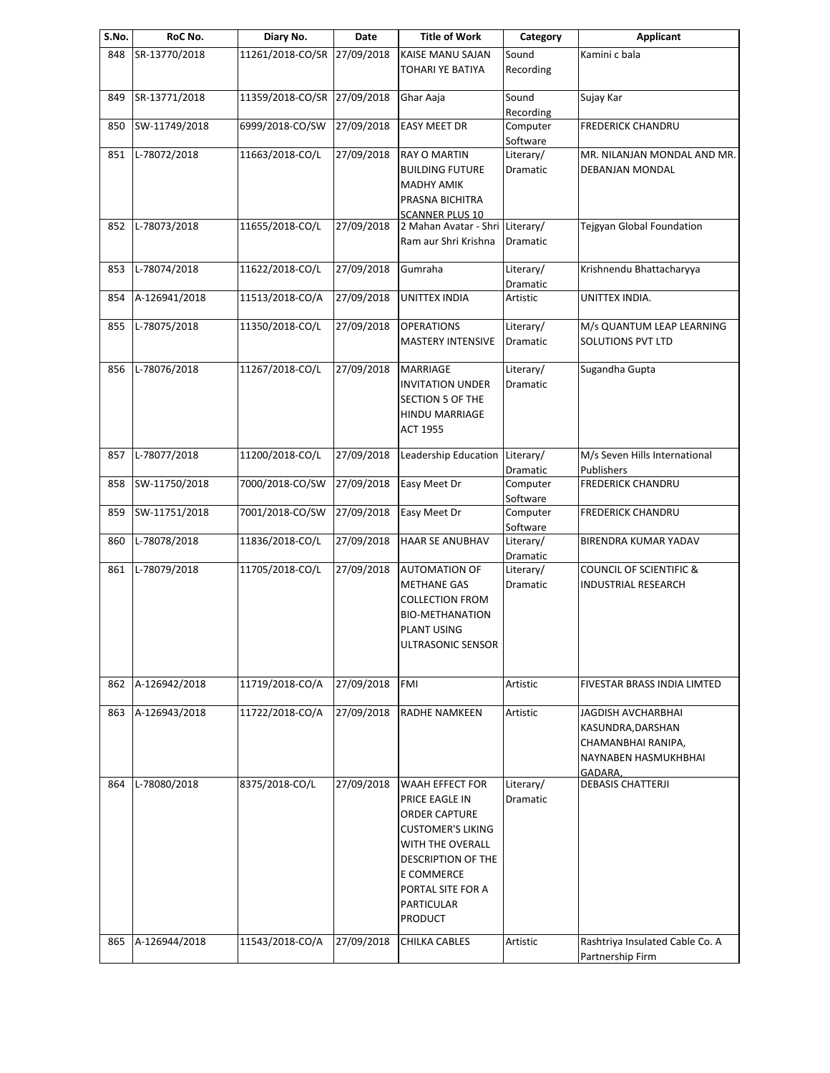| S.No. | RoC No.       | Diary No.                   | Date       | <b>Title of Work</b>                                                                                                                                                                        | Category                     | <b>Applicant</b>                                                                                 |
|-------|---------------|-----------------------------|------------|---------------------------------------------------------------------------------------------------------------------------------------------------------------------------------------------|------------------------------|--------------------------------------------------------------------------------------------------|
| 848   | SR-13770/2018 | 11261/2018-CO/SR 27/09/2018 |            | KAISE MANU SAJAN<br>TOHARI YE BATIYA                                                                                                                                                        | Sound<br>Recording           | Kamini c bala                                                                                    |
| 849   | SR-13771/2018 | 11359/2018-CO/SR 27/09/2018 |            | Ghar Aaja                                                                                                                                                                                   | Sound<br>Recording           | Sujay Kar                                                                                        |
| 850   | SW-11749/2018 | 6999/2018-CO/SW             | 27/09/2018 | <b>EASY MEET DR</b>                                                                                                                                                                         | Computer<br>Software         | <b>FREDERICK CHANDRU</b>                                                                         |
| 851   | L-78072/2018  | 11663/2018-CO/L             | 27/09/2018 | <b>RAY O MARTIN</b><br><b>BUILDING FUTURE</b><br><b>MADHY AMIK</b><br>PRASNA BICHITRA<br><b>SCANNER PLUS 10</b>                                                                             | Literary/<br>Dramatic        | MR. NILANJAN MONDAL AND MR.<br>DEBANJAN MONDAL                                                   |
| 852   | L-78073/2018  | 11655/2018-CO/L             | 27/09/2018 | 2 Mahan Avatar - Shri<br>Ram aur Shri Krishna                                                                                                                                               | Literary/<br>Dramatic        | Tejgyan Global Foundation                                                                        |
| 853   | L-78074/2018  | 11622/2018-CO/L             | 27/09/2018 | Gumraha                                                                                                                                                                                     | Literary/<br>Dramatic        | Krishnendu Bhattacharyya                                                                         |
| 854   | A-126941/2018 | 11513/2018-CO/A             | 27/09/2018 | <b>UNITTEX INDIA</b>                                                                                                                                                                        | Artistic                     | UNITTEX INDIA.                                                                                   |
| 855   | L-78075/2018  | 11350/2018-CO/L             | 27/09/2018 | <b>OPERATIONS</b><br><b>MASTERY INTENSIVE</b>                                                                                                                                               | Literary/<br>Dramatic        | M/s QUANTUM LEAP LEARNING<br>SOLUTIONS PVT LTD                                                   |
| 856   | L-78076/2018  | 11267/2018-CO/L             | 27/09/2018 | MARRIAGE<br><b>INVITATION UNDER</b><br>SECTION 5 OF THE<br>HINDU MARRIAGE<br><b>ACT 1955</b>                                                                                                | Literary/<br>Dramatic        | Sugandha Gupta                                                                                   |
| 857   | L-78077/2018  | 11200/2018-CO/L             | 27/09/2018 | Leadership Education                                                                                                                                                                        | Literary/<br>Dramatic        | M/s Seven Hills International<br>Publishers                                                      |
| 858   | SW-11750/2018 | 7000/2018-CO/SW             | 27/09/2018 | Easy Meet Dr                                                                                                                                                                                | Computer<br>Software         | <b>FREDERICK CHANDRU</b>                                                                         |
| 859   | SW-11751/2018 | 7001/2018-CO/SW             | 27/09/2018 | Easy Meet Dr                                                                                                                                                                                | Computer<br>Software         | <b>FREDERICK CHANDRU</b>                                                                         |
| 860   | L-78078/2018  | 11836/2018-CO/L             | 27/09/2018 | HAAR SE ANUBHAV                                                                                                                                                                             | Literary/<br>Dramatic        | BIRENDRA KUMAR YADAV                                                                             |
| 861   | L-78079/2018  | 11705/2018-CO/L             | 27/09/2018 | <b>AUTOMATION OF</b><br><b>METHANE GAS</b><br><b>COLLECTION FROM</b><br><b>BIO-METHANATION</b><br><b>PLANT USING</b><br>ULTRASONIC SENSOR                                                   | Literary/<br>Dramatic        | <b>COUNCIL OF SCIENTIFIC &amp;</b><br>INDUSTRIAL RESEARCH                                        |
| 862   | A-126942/2018 | 11719/2018-CO/A             | 27/09/2018 | FMI                                                                                                                                                                                         | Artistic                     | FIVESTAR BRASS INDIA LIMTED                                                                      |
| 863   | A-126943/2018 | 11722/2018-CO/A             | 27/09/2018 | RADHE NAMKEEN                                                                                                                                                                               | Artistic                     | JAGDISH AVCHARBHAI<br>KASUNDRA, DARSHAN<br>CHAMANBHAI RANIPA,<br>NAYNABEN HASMUKHBHAI<br>GADARA, |
| 864   | L-78080/2018  | 8375/2018-CO/L              | 27/09/2018 | WAAH EFFECT FOR<br>PRICE EAGLE IN<br>ORDER CAPTURE<br><b>CUSTOMER'S LIKING</b><br>WITH THE OVERALL<br>DESCRIPTION OF THE<br>E COMMERCE<br>PORTAL SITE FOR A<br>PARTICULAR<br><b>PRODUCT</b> | Literary/<br><b>Dramatic</b> | <b>DEBASIS CHATTERJI</b>                                                                         |
| 865   | A-126944/2018 | 11543/2018-CO/A             | 27/09/2018 | CHILKA CABLES                                                                                                                                                                               | Artistic                     | Rashtriya Insulated Cable Co. A<br>Partnership Firm                                              |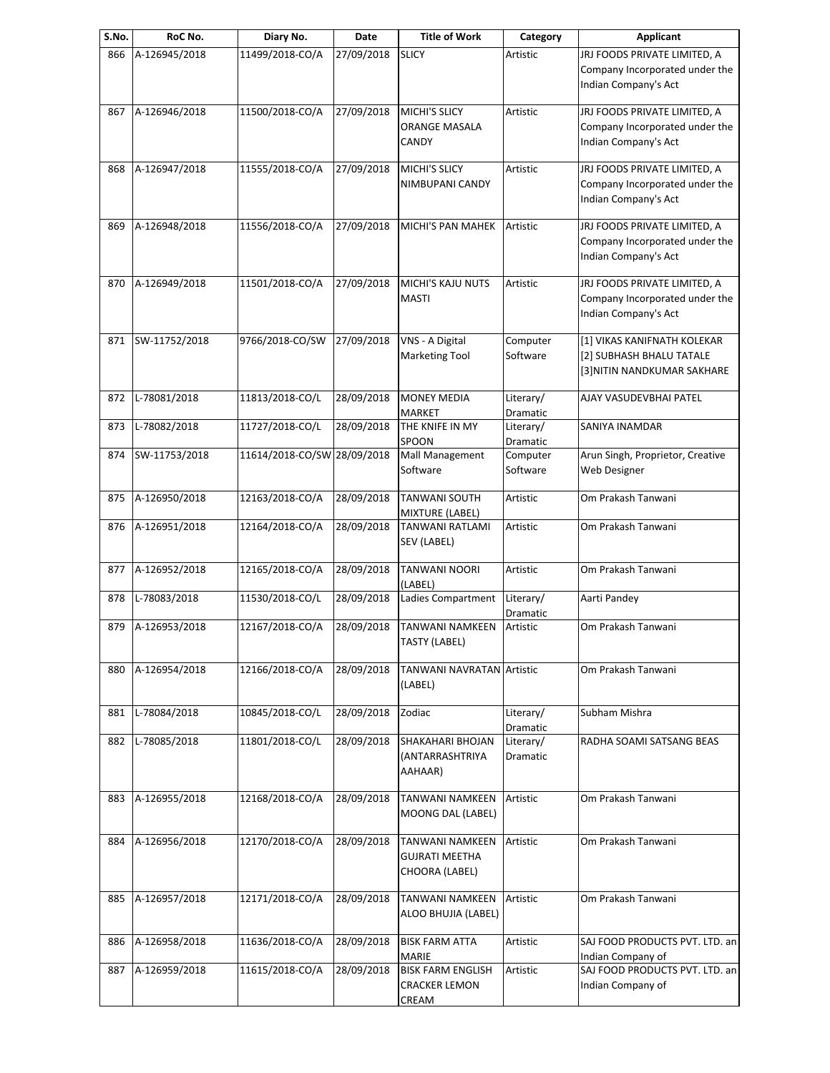| S.No. | RoC No.       | Diary No.                   | Date       | Title of Work                                                     | Category              | <b>Applicant</b>                                                                       |
|-------|---------------|-----------------------------|------------|-------------------------------------------------------------------|-----------------------|----------------------------------------------------------------------------------------|
| 866   | A-126945/2018 | 11499/2018-CO/A             | 27/09/2018 | <b>SLICY</b>                                                      | Artistic              | JRJ FOODS PRIVATE LIMITED, A<br>Company Incorporated under the<br>Indian Company's Act |
| 867   | A-126946/2018 | 11500/2018-CO/A             | 27/09/2018 | <b>MICHI'S SLICY</b><br><b>ORANGE MASALA</b><br>CANDY             | Artistic              | JRJ FOODS PRIVATE LIMITED, A<br>Company Incorporated under the<br>Indian Company's Act |
| 868   | A-126947/2018 | 11555/2018-CO/A             | 27/09/2018 | <b>MICHI'S SLICY</b><br>NIMBUPANI CANDY                           | Artistic              | JRJ FOODS PRIVATE LIMITED, A<br>Company Incorporated under the<br>Indian Company's Act |
| 869   | A-126948/2018 | 11556/2018-CO/A             | 27/09/2018 | MICHI'S PAN MAHEK                                                 | Artistic              | JRJ FOODS PRIVATE LIMITED, A<br>Company Incorporated under the<br>Indian Company's Act |
| 870   | A-126949/2018 | 11501/2018-CO/A             | 27/09/2018 | <b>MICHI'S KAJU NUTS</b><br><b>MASTI</b>                          | Artistic              | JRJ FOODS PRIVATE LIMITED, A<br>Company Incorporated under the<br>Indian Company's Act |
| 871   | SW-11752/2018 | 9766/2018-CO/SW             | 27/09/2018 | VNS - A Digital<br><b>Marketing Tool</b>                          | Computer<br>Software  | [1] VIKAS KANIFNATH KOLEKAR<br>[2] SUBHASH BHALU TATALE<br>[3] NITIN NANDKUMAR SAKHARE |
| 872   | L-78081/2018  | 11813/2018-CO/L             | 28/09/2018 | <b>MONEY MEDIA</b><br><b>MARKET</b>                               | Literary/<br>Dramatic | AJAY VASUDEVBHAI PATEL                                                                 |
| 873   | L-78082/2018  | 11727/2018-CO/L             | 28/09/2018 | THE KNIFE IN MY<br>SPOON                                          | Literary/<br>Dramatic | SANIYA INAMDAR                                                                         |
| 874   | SW-11753/2018 | 11614/2018-CO/SW 28/09/2018 |            | Mall Management<br>Software                                       | Computer<br>Software  | Arun Singh, Proprietor, Creative<br>Web Designer                                       |
| 875   | A-126950/2018 | 12163/2018-CO/A             | 28/09/2018 | <b>TANWANI SOUTH</b><br>MIXTURE (LABEL)                           | Artistic              | Om Prakash Tanwani                                                                     |
| 876   | A-126951/2018 | 12164/2018-CO/A             | 28/09/2018 | TANWANI RATLAMI<br>SEV (LABEL)                                    | Artistic              | Om Prakash Tanwani                                                                     |
| 877   | A-126952/2018 | 12165/2018-CO/A             | 28/09/2018 | <b>TANWANI NOORI</b><br>(LABEL)                                   | Artistic              | Om Prakash Tanwani                                                                     |
| 878   | L-78083/2018  | 11530/2018-CO/L             | 28/09/2018 | Ladies Compartment                                                | Literary/<br>Dramatic | Aarti Pandey                                                                           |
| 879   | A-126953/2018 | 12167/2018-CO/A             | 28/09/2018 | <b>TANWANI NAMKEEN</b><br>TASTY (LABEL)                           | Artistic              | Om Prakash Tanwani                                                                     |
| 880   | A-126954/2018 | 12166/2018-CO/A             | 28/09/2018 | <b>TANWANI NAVRATAN Artistic</b><br>(LABEL)                       |                       | Om Prakash Tanwani                                                                     |
| 881   | L-78084/2018  | 10845/2018-CO/L             | 28/09/2018 | Zodiac                                                            | Literary/<br>Dramatic | Subham Mishra                                                                          |
| 882   | L-78085/2018  | 11801/2018-CO/L             | 28/09/2018 | SHAKAHARI BHOJAN<br>(ANTARRASHTRIYA<br>AAHAAR)                    | Literary/<br>Dramatic | RADHA SOAMI SATSANG BEAS                                                               |
| 883   | A-126955/2018 | 12168/2018-CO/A             | 28/09/2018 | <b>TANWANI NAMKEEN</b><br>MOONG DAL (LABEL)                       | Artistic              | Om Prakash Tanwani                                                                     |
| 884   | A-126956/2018 | 12170/2018-CO/A             | 28/09/2018 | <b>TANWANI NAMKEEN</b><br><b>GUJRATI MEETHA</b><br>CHOORA (LABEL) | Artistic              | Om Prakash Tanwani                                                                     |
| 885   | A-126957/2018 | 12171/2018-CO/A             | 28/09/2018 | <b>TANWANI NAMKEEN</b><br>ALOO BHUJIA (LABEL)                     | Artistic              | Om Prakash Tanwani                                                                     |
| 886   | A-126958/2018 | 11636/2018-CO/A             | 28/09/2018 | <b>BISK FARM ATTA</b><br><b>MARIE</b>                             | Artistic              | SAJ FOOD PRODUCTS PVT. LTD. an<br>Indian Company of                                    |
| 887   | A-126959/2018 | 11615/2018-CO/A             | 28/09/2018 | <b>BISK FARM ENGLISH</b><br><b>CRACKER LEMON</b><br><b>CREAM</b>  | Artistic              | SAJ FOOD PRODUCTS PVT. LTD. an<br>Indian Company of                                    |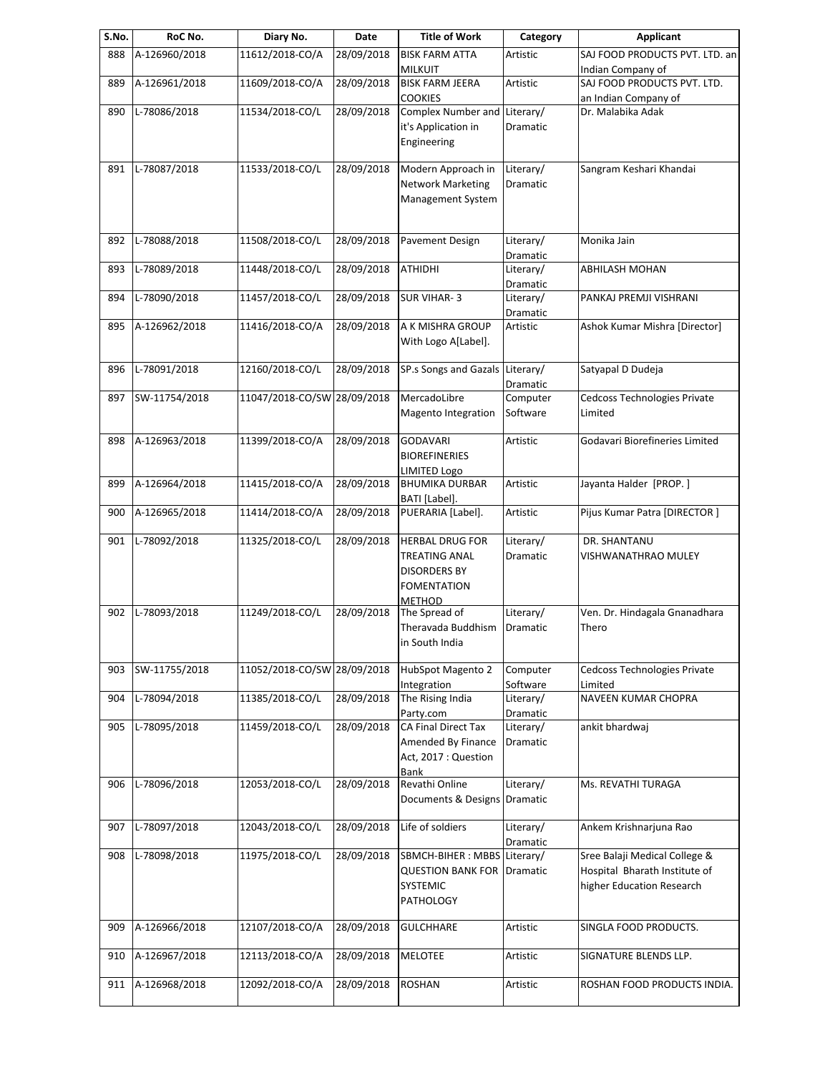| RoC No.       | Diary No.                                                                                                                                                                                                           | Date                                                                                                                                                                                       | <b>Title of Work</b>                                                                                                                                                                                   | Category                                                                                                                                                                                                                                                                                                                                                                                                                                                                                                                                                                                                                    | <b>Applicant</b>                                                                                                                                                                                                                 |
|---------------|---------------------------------------------------------------------------------------------------------------------------------------------------------------------------------------------------------------------|--------------------------------------------------------------------------------------------------------------------------------------------------------------------------------------------|--------------------------------------------------------------------------------------------------------------------------------------------------------------------------------------------------------|-----------------------------------------------------------------------------------------------------------------------------------------------------------------------------------------------------------------------------------------------------------------------------------------------------------------------------------------------------------------------------------------------------------------------------------------------------------------------------------------------------------------------------------------------------------------------------------------------------------------------------|----------------------------------------------------------------------------------------------------------------------------------------------------------------------------------------------------------------------------------|
| A-126960/2018 | 11612/2018-CO/A                                                                                                                                                                                                     | 28/09/2018                                                                                                                                                                                 | <b>BISK FARM ATTA</b>                                                                                                                                                                                  | Artistic                                                                                                                                                                                                                                                                                                                                                                                                                                                                                                                                                                                                                    | SAJ FOOD PRODUCTS PVT. LTD. an                                                                                                                                                                                                   |
|               |                                                                                                                                                                                                                     |                                                                                                                                                                                            |                                                                                                                                                                                                        |                                                                                                                                                                                                                                                                                                                                                                                                                                                                                                                                                                                                                             | Indian Company of<br>SAJ FOOD PRODUCTS PVT. LTD.                                                                                                                                                                                 |
|               |                                                                                                                                                                                                                     |                                                                                                                                                                                            |                                                                                                                                                                                                        |                                                                                                                                                                                                                                                                                                                                                                                                                                                                                                                                                                                                                             | an Indian Company of                                                                                                                                                                                                             |
| L-78086/2018  | 11534/2018-CO/L                                                                                                                                                                                                     | 28/09/2018                                                                                                                                                                                 | Complex Number and                                                                                                                                                                                     | Literary/                                                                                                                                                                                                                                                                                                                                                                                                                                                                                                                                                                                                                   | Dr. Malabika Adak                                                                                                                                                                                                                |
|               |                                                                                                                                                                                                                     |                                                                                                                                                                                            | it's Application in                                                                                                                                                                                    | Dramatic                                                                                                                                                                                                                                                                                                                                                                                                                                                                                                                                                                                                                    |                                                                                                                                                                                                                                  |
|               |                                                                                                                                                                                                                     |                                                                                                                                                                                            | Engineering                                                                                                                                                                                            |                                                                                                                                                                                                                                                                                                                                                                                                                                                                                                                                                                                                                             |                                                                                                                                                                                                                                  |
|               |                                                                                                                                                                                                                     |                                                                                                                                                                                            |                                                                                                                                                                                                        |                                                                                                                                                                                                                                                                                                                                                                                                                                                                                                                                                                                                                             |                                                                                                                                                                                                                                  |
|               |                                                                                                                                                                                                                     |                                                                                                                                                                                            |                                                                                                                                                                                                        |                                                                                                                                                                                                                                                                                                                                                                                                                                                                                                                                                                                                                             | Sangram Keshari Khandai                                                                                                                                                                                                          |
|               |                                                                                                                                                                                                                     |                                                                                                                                                                                            |                                                                                                                                                                                                        |                                                                                                                                                                                                                                                                                                                                                                                                                                                                                                                                                                                                                             |                                                                                                                                                                                                                                  |
|               |                                                                                                                                                                                                                     |                                                                                                                                                                                            |                                                                                                                                                                                                        |                                                                                                                                                                                                                                                                                                                                                                                                                                                                                                                                                                                                                             |                                                                                                                                                                                                                                  |
|               |                                                                                                                                                                                                                     |                                                                                                                                                                                            |                                                                                                                                                                                                        |                                                                                                                                                                                                                                                                                                                                                                                                                                                                                                                                                                                                                             |                                                                                                                                                                                                                                  |
| L-78088/2018  | 11508/2018-CO/L                                                                                                                                                                                                     | 28/09/2018                                                                                                                                                                                 | Pavement Design                                                                                                                                                                                        | Literary/                                                                                                                                                                                                                                                                                                                                                                                                                                                                                                                                                                                                                   | Monika Jain                                                                                                                                                                                                                      |
|               |                                                                                                                                                                                                                     |                                                                                                                                                                                            |                                                                                                                                                                                                        | Dramatic                                                                                                                                                                                                                                                                                                                                                                                                                                                                                                                                                                                                                    |                                                                                                                                                                                                                                  |
|               |                                                                                                                                                                                                                     |                                                                                                                                                                                            |                                                                                                                                                                                                        |                                                                                                                                                                                                                                                                                                                                                                                                                                                                                                                                                                                                                             | <b>ABHILASH MOHAN</b>                                                                                                                                                                                                            |
|               |                                                                                                                                                                                                                     |                                                                                                                                                                                            |                                                                                                                                                                                                        |                                                                                                                                                                                                                                                                                                                                                                                                                                                                                                                                                                                                                             |                                                                                                                                                                                                                                  |
|               |                                                                                                                                                                                                                     |                                                                                                                                                                                            |                                                                                                                                                                                                        |                                                                                                                                                                                                                                                                                                                                                                                                                                                                                                                                                                                                                             | PANKAJ PREMJI VISHRANI                                                                                                                                                                                                           |
|               |                                                                                                                                                                                                                     |                                                                                                                                                                                            |                                                                                                                                                                                                        |                                                                                                                                                                                                                                                                                                                                                                                                                                                                                                                                                                                                                             | Ashok Kumar Mishra [Director]                                                                                                                                                                                                    |
|               |                                                                                                                                                                                                                     |                                                                                                                                                                                            |                                                                                                                                                                                                        |                                                                                                                                                                                                                                                                                                                                                                                                                                                                                                                                                                                                                             |                                                                                                                                                                                                                                  |
|               |                                                                                                                                                                                                                     |                                                                                                                                                                                            |                                                                                                                                                                                                        |                                                                                                                                                                                                                                                                                                                                                                                                                                                                                                                                                                                                                             |                                                                                                                                                                                                                                  |
| L-78091/2018  | 12160/2018-CO/L                                                                                                                                                                                                     | 28/09/2018                                                                                                                                                                                 | SP.s Songs and Gazals                                                                                                                                                                                  | Literary/                                                                                                                                                                                                                                                                                                                                                                                                                                                                                                                                                                                                                   | Satyapal D Dudeja                                                                                                                                                                                                                |
|               |                                                                                                                                                                                                                     |                                                                                                                                                                                            |                                                                                                                                                                                                        | Dramatic                                                                                                                                                                                                                                                                                                                                                                                                                                                                                                                                                                                                                    |                                                                                                                                                                                                                                  |
|               |                                                                                                                                                                                                                     |                                                                                                                                                                                            |                                                                                                                                                                                                        |                                                                                                                                                                                                                                                                                                                                                                                                                                                                                                                                                                                                                             | Cedcoss Technologies Private                                                                                                                                                                                                     |
|               |                                                                                                                                                                                                                     |                                                                                                                                                                                            |                                                                                                                                                                                                        |                                                                                                                                                                                                                                                                                                                                                                                                                                                                                                                                                                                                                             | Limited                                                                                                                                                                                                                          |
|               |                                                                                                                                                                                                                     |                                                                                                                                                                                            |                                                                                                                                                                                                        |                                                                                                                                                                                                                                                                                                                                                                                                                                                                                                                                                                                                                             | Godavari Biorefineries Limited                                                                                                                                                                                                   |
|               |                                                                                                                                                                                                                     |                                                                                                                                                                                            | <b>BIOREFINERIES</b>                                                                                                                                                                                   |                                                                                                                                                                                                                                                                                                                                                                                                                                                                                                                                                                                                                             |                                                                                                                                                                                                                                  |
|               |                                                                                                                                                                                                                     |                                                                                                                                                                                            | <b>LIMITED Logo</b>                                                                                                                                                                                    |                                                                                                                                                                                                                                                                                                                                                                                                                                                                                                                                                                                                                             |                                                                                                                                                                                                                                  |
|               | 11415/2018-CO/A                                                                                                                                                                                                     | 28/09/2018                                                                                                                                                                                 | <b>BHUMIKA DURBAR</b>                                                                                                                                                                                  | Artistic                                                                                                                                                                                                                                                                                                                                                                                                                                                                                                                                                                                                                    | Jayanta Halder [PROP.]                                                                                                                                                                                                           |
|               |                                                                                                                                                                                                                     |                                                                                                                                                                                            | BATI [Label].                                                                                                                                                                                          |                                                                                                                                                                                                                                                                                                                                                                                                                                                                                                                                                                                                                             |                                                                                                                                                                                                                                  |
|               |                                                                                                                                                                                                                     |                                                                                                                                                                                            |                                                                                                                                                                                                        |                                                                                                                                                                                                                                                                                                                                                                                                                                                                                                                                                                                                                             | Pijus Kumar Patra [DIRECTOR]                                                                                                                                                                                                     |
|               |                                                                                                                                                                                                                     |                                                                                                                                                                                            |                                                                                                                                                                                                        |                                                                                                                                                                                                                                                                                                                                                                                                                                                                                                                                                                                                                             | DR. SHANTANU                                                                                                                                                                                                                     |
|               |                                                                                                                                                                                                                     |                                                                                                                                                                                            |                                                                                                                                                                                                        |                                                                                                                                                                                                                                                                                                                                                                                                                                                                                                                                                                                                                             | VISHWANATHRAO MULEY                                                                                                                                                                                                              |
|               |                                                                                                                                                                                                                     |                                                                                                                                                                                            |                                                                                                                                                                                                        |                                                                                                                                                                                                                                                                                                                                                                                                                                                                                                                                                                                                                             |                                                                                                                                                                                                                                  |
|               |                                                                                                                                                                                                                     |                                                                                                                                                                                            | <b>FOMENTATION</b>                                                                                                                                                                                     |                                                                                                                                                                                                                                                                                                                                                                                                                                                                                                                                                                                                                             |                                                                                                                                                                                                                                  |
|               |                                                                                                                                                                                                                     |                                                                                                                                                                                            | <b>METHOD</b>                                                                                                                                                                                          |                                                                                                                                                                                                                                                                                                                                                                                                                                                                                                                                                                                                                             |                                                                                                                                                                                                                                  |
| L-78093/2018  | 11249/2018-CO/L                                                                                                                                                                                                     | 28/09/2018                                                                                                                                                                                 | The Spread of                                                                                                                                                                                          | Literary/                                                                                                                                                                                                                                                                                                                                                                                                                                                                                                                                                                                                                   | Ven. Dr. Hindagala Gnanadhara                                                                                                                                                                                                    |
|               |                                                                                                                                                                                                                     |                                                                                                                                                                                            |                                                                                                                                                                                                        | Dramatic                                                                                                                                                                                                                                                                                                                                                                                                                                                                                                                                                                                                                    | Thero                                                                                                                                                                                                                            |
|               |                                                                                                                                                                                                                     |                                                                                                                                                                                            |                                                                                                                                                                                                        |                                                                                                                                                                                                                                                                                                                                                                                                                                                                                                                                                                                                                             |                                                                                                                                                                                                                                  |
|               |                                                                                                                                                                                                                     |                                                                                                                                                                                            |                                                                                                                                                                                                        |                                                                                                                                                                                                                                                                                                                                                                                                                                                                                                                                                                                                                             | Cedcoss Technologies Private                                                                                                                                                                                                     |
|               |                                                                                                                                                                                                                     |                                                                                                                                                                                            |                                                                                                                                                                                                        |                                                                                                                                                                                                                                                                                                                                                                                                                                                                                                                                                                                                                             | Limited                                                                                                                                                                                                                          |
| L-78094/2018  | 11385/2018-CO/L                                                                                                                                                                                                     | 28/09/2018                                                                                                                                                                                 | The Rising India                                                                                                                                                                                       | Literary/                                                                                                                                                                                                                                                                                                                                                                                                                                                                                                                                                                                                                   | NAVEEN KUMAR CHOPRA                                                                                                                                                                                                              |
|               |                                                                                                                                                                                                                     |                                                                                                                                                                                            | Party.com                                                                                                                                                                                              | Dramatic                                                                                                                                                                                                                                                                                                                                                                                                                                                                                                                                                                                                                    |                                                                                                                                                                                                                                  |
| L-78095/2018  | 11459/2018-CO/L                                                                                                                                                                                                     | 28/09/2018                                                                                                                                                                                 | CA Final Direct Tax                                                                                                                                                                                    | Literary/                                                                                                                                                                                                                                                                                                                                                                                                                                                                                                                                                                                                                   | ankit bhardwaj                                                                                                                                                                                                                   |
|               |                                                                                                                                                                                                                     |                                                                                                                                                                                            |                                                                                                                                                                                                        | Dramatic                                                                                                                                                                                                                                                                                                                                                                                                                                                                                                                                                                                                                    |                                                                                                                                                                                                                                  |
|               |                                                                                                                                                                                                                     |                                                                                                                                                                                            |                                                                                                                                                                                                        |                                                                                                                                                                                                                                                                                                                                                                                                                                                                                                                                                                                                                             |                                                                                                                                                                                                                                  |
|               |                                                                                                                                                                                                                     |                                                                                                                                                                                            |                                                                                                                                                                                                        |                                                                                                                                                                                                                                                                                                                                                                                                                                                                                                                                                                                                                             | Ms. REVATHI TURAGA                                                                                                                                                                                                               |
|               |                                                                                                                                                                                                                     |                                                                                                                                                                                            |                                                                                                                                                                                                        |                                                                                                                                                                                                                                                                                                                                                                                                                                                                                                                                                                                                                             |                                                                                                                                                                                                                                  |
|               |                                                                                                                                                                                                                     |                                                                                                                                                                                            |                                                                                                                                                                                                        |                                                                                                                                                                                                                                                                                                                                                                                                                                                                                                                                                                                                                             |                                                                                                                                                                                                                                  |
| L-78097/2018  | 12043/2018-CO/L                                                                                                                                                                                                     | 28/09/2018                                                                                                                                                                                 | Life of soldiers                                                                                                                                                                                       | Literary/                                                                                                                                                                                                                                                                                                                                                                                                                                                                                                                                                                                                                   | Ankem Krishnarjuna Rao                                                                                                                                                                                                           |
|               |                                                                                                                                                                                                                     |                                                                                                                                                                                            |                                                                                                                                                                                                        | Dramatic                                                                                                                                                                                                                                                                                                                                                                                                                                                                                                                                                                                                                    |                                                                                                                                                                                                                                  |
|               |                                                                                                                                                                                                                     |                                                                                                                                                                                            |                                                                                                                                                                                                        | Literary/                                                                                                                                                                                                                                                                                                                                                                                                                                                                                                                                                                                                                   | Sree Balaji Medical College &                                                                                                                                                                                                    |
|               |                                                                                                                                                                                                                     |                                                                                                                                                                                            |                                                                                                                                                                                                        | Dramatic                                                                                                                                                                                                                                                                                                                                                                                                                                                                                                                                                                                                                    | Hospital Bharath Institute of                                                                                                                                                                                                    |
|               |                                                                                                                                                                                                                     |                                                                                                                                                                                            |                                                                                                                                                                                                        |                                                                                                                                                                                                                                                                                                                                                                                                                                                                                                                                                                                                                             | higher Education Research                                                                                                                                                                                                        |
|               |                                                                                                                                                                                                                     |                                                                                                                                                                                            | <b>PATHOLOGY</b>                                                                                                                                                                                       |                                                                                                                                                                                                                                                                                                                                                                                                                                                                                                                                                                                                                             |                                                                                                                                                                                                                                  |
|               |                                                                                                                                                                                                                     |                                                                                                                                                                                            | <b>GULCHHARE</b>                                                                                                                                                                                       | Artistic                                                                                                                                                                                                                                                                                                                                                                                                                                                                                                                                                                                                                    | SINGLA FOOD PRODUCTS.                                                                                                                                                                                                            |
| A-126966/2018 | 12107/2018-CO/A                                                                                                                                                                                                     | 28/09/2018                                                                                                                                                                                 |                                                                                                                                                                                                        |                                                                                                                                                                                                                                                                                                                                                                                                                                                                                                                                                                                                                             |                                                                                                                                                                                                                                  |
|               |                                                                                                                                                                                                                     |                                                                                                                                                                                            |                                                                                                                                                                                                        |                                                                                                                                                                                                                                                                                                                                                                                                                                                                                                                                                                                                                             |                                                                                                                                                                                                                                  |
| A-126967/2018 | 12113/2018-CO/A                                                                                                                                                                                                     | 28/09/2018                                                                                                                                                                                 | <b>MELOTEE</b>                                                                                                                                                                                         | Artistic                                                                                                                                                                                                                                                                                                                                                                                                                                                                                                                                                                                                                    | SIGNATURE BLENDS LLP.                                                                                                                                                                                                            |
| A-126968/2018 | 12092/2018-CO/A                                                                                                                                                                                                     | 28/09/2018                                                                                                                                                                                 | <b>ROSHAN</b>                                                                                                                                                                                          | Artistic                                                                                                                                                                                                                                                                                                                                                                                                                                                                                                                                                                                                                    | ROSHAN FOOD PRODUCTS INDIA.                                                                                                                                                                                                      |
|               | A-126961/2018<br>L-78087/2018<br>L-78089/2018<br>L-78090/2018<br>A-126962/2018<br>SW-11754/2018<br>A-126963/2018<br>A-126964/2018<br>A-126965/2018<br>L-78092/2018<br>SW-11755/2018<br>L-78096/2018<br>L-78098/2018 | 11609/2018-CO/A<br>11533/2018-CO/L<br>11448/2018-CO/L<br>11457/2018-CO/L<br>11416/2018-CO/A<br>11399/2018-CO/A<br>11414/2018-CO/A<br>11325/2018-CO/L<br>12053/2018-CO/L<br>11975/2018-CO/L | 28/09/2018<br>28/09/2018<br>28/09/2018<br>28/09/2018<br>28/09/2018<br>11047/2018-CO/SW 28/09/2018<br>28/09/2018<br>28/09/2018<br>28/09/2018<br>11052/2018-CO/SW 28/09/2018<br>28/09/2018<br>28/09/2018 | <b>MILKUIT</b><br><b>BISK FARM JEERA</b><br><b>COOKIES</b><br>Modern Approach in<br><b>Network Marketing</b><br>Management System<br><b>ATHIDHI</b><br><b>SUR VIHAR-3</b><br>A K MISHRA GROUP<br>With Logo A[Label].<br>MercadoLibre<br><b>Magento Integration</b><br><b>GODAVARI</b><br>PUERARIA [Label].<br><b>HERBAL DRUG FOR</b><br><b>TREATING ANAL</b><br><b>DISORDERS BY</b><br>Theravada Buddhism<br>in South India<br>HubSpot Magento 2<br>Integration<br>Amended By Finance<br>Act, 2017 : Question<br>Bank<br>Revathi Online<br>Documents & Designs<br>SBMCH-BIHER: MBBS<br><b>QUESTION BANK FOR</b><br>SYSTEMIC | Artistic<br>Literary/<br><b>Dramatic</b><br>Literary/<br>Dramatic<br>Literary/<br>Dramatic<br>Artistic<br>Computer<br>Software<br>Artistic<br>Artistic<br>Literary/<br>Dramatic<br>Computer<br>Software<br>Literary/<br>Dramatic |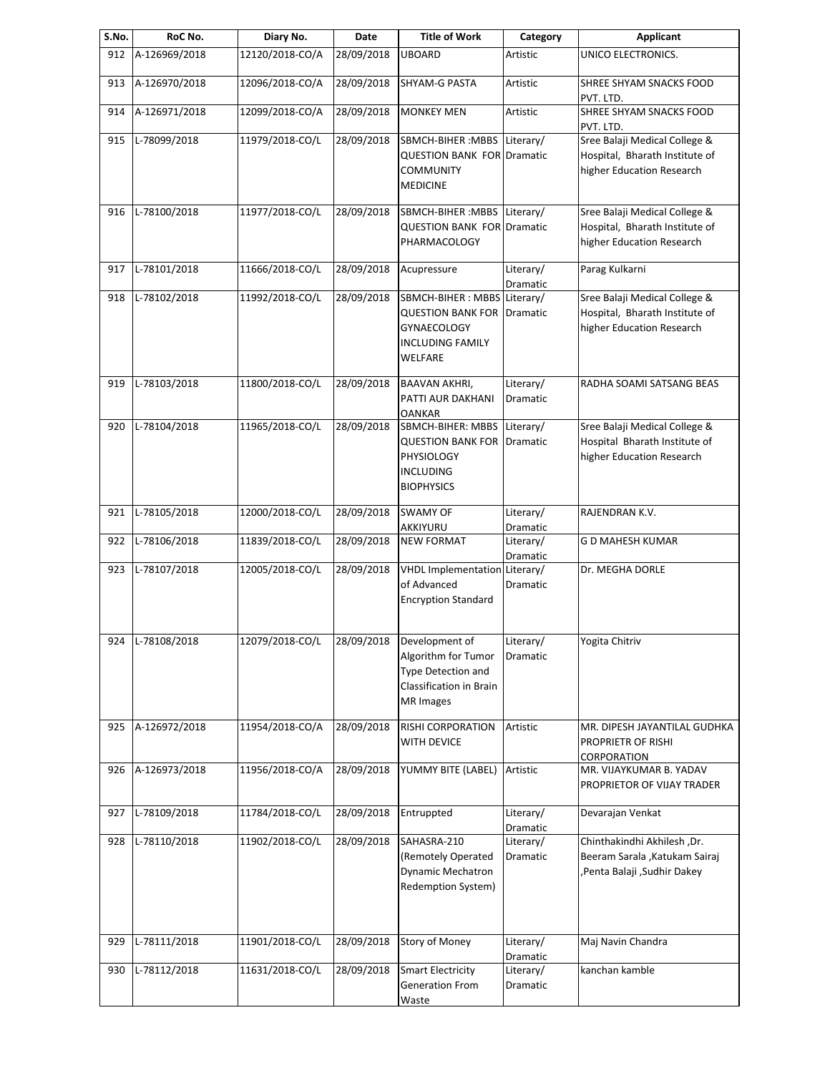| S.No. | RoC No.          | Diary No.       | Date       | <b>Title of Work</b>              | Category              | <b>Applicant</b>                       |
|-------|------------------|-----------------|------------|-----------------------------------|-----------------------|----------------------------------------|
| 912   | A-126969/2018    | 12120/2018-CO/A | 28/09/2018 | <b>UBOARD</b>                     | Artistic              | UNICO ELECTRONICS.                     |
| 913   | A-126970/2018    | 12096/2018-CO/A | 28/09/2018 | <b>SHYAM-G PASTA</b>              | Artistic              | SHREE SHYAM SNACKS FOOD<br>PVT. LTD.   |
| 914   | A-126971/2018    | 12099/2018-CO/A | 28/09/2018 | <b>MONKEY MEN</b>                 | Artistic              | SHREE SHYAM SNACKS FOOD<br>PVT. LTD.   |
| 915   | L-78099/2018     | 11979/2018-CO/L | 28/09/2018 | SBMCH-BIHER: MBBS                 | Literary/             | Sree Balaji Medical College &          |
|       |                  |                 |            | <b>QUESTION BANK FOR Dramatic</b> |                       | Hospital, Bharath Institute of         |
|       |                  |                 |            | <b>COMMUNITY</b>                  |                       | higher Education Research              |
|       |                  |                 |            | <b>MEDICINE</b>                   |                       |                                        |
|       |                  |                 |            |                                   |                       |                                        |
| 916   | L-78100/2018     | 11977/2018-CO/L | 28/09/2018 | SBMCH-BIHER: MBBS Literary/       |                       | Sree Balaji Medical College &          |
|       |                  |                 |            | <b>QUESTION BANK FOR Dramatic</b> |                       | Hospital, Bharath Institute of         |
|       |                  |                 |            | PHARMACOLOGY                      |                       | higher Education Research              |
|       |                  |                 |            |                                   |                       |                                        |
| 917   | L-78101/2018     | 11666/2018-CO/L | 28/09/2018 | Acupressure                       | Literary/             | Parag Kulkarni                         |
|       |                  |                 |            |                                   | Dramatic              |                                        |
| 918   | L-78102/2018     | 11992/2018-CO/L | 28/09/2018 | SBMCH-BIHER : MBBS Literary/      |                       | Sree Balaji Medical College &          |
|       |                  |                 |            | <b>QUESTION BANK FOR</b>          | Dramatic              | Hospital, Bharath Institute of         |
|       |                  |                 |            | <b>GYNAECOLOGY</b>                |                       | higher Education Research              |
|       |                  |                 |            | <b>INCLUDING FAMILY</b>           |                       |                                        |
|       |                  |                 |            | WELFARE                           |                       |                                        |
|       |                  |                 |            |                                   |                       |                                        |
| 919   | L-78103/2018     | 11800/2018-CO/L | 28/09/2018 | <b>BAAVAN AKHRI,</b>              | Literary/             | RADHA SOAMI SATSANG BEAS               |
|       |                  |                 |            | PATTI AUR DAKHANI                 | Dramatic              |                                        |
|       |                  |                 |            | <b>OANKAR</b>                     |                       |                                        |
| 920   | L-78104/2018     | 11965/2018-CO/L | 28/09/2018 | SBMCH-BIHER: MBBS                 | Literary/             | Sree Balaji Medical College &          |
|       |                  |                 |            | <b>QUESTION BANK FOR</b>          | Dramatic              | Hospital Bharath Institute of          |
|       |                  |                 |            | PHYSIOLOGY                        |                       | higher Education Research              |
|       |                  |                 |            | <b>INCLUDING</b>                  |                       |                                        |
|       |                  |                 |            | <b>BIOPHYSICS</b>                 |                       |                                        |
|       |                  |                 |            |                                   |                       |                                        |
| 921   | L-78105/2018     | 12000/2018-CO/L | 28/09/2018 | <b>SWAMY OF</b>                   | Literary/             | RAJENDRAN K.V.                         |
|       |                  |                 |            | AKKIYURU                          | Dramatic              |                                        |
| 922   | L-78106/2018     | 11839/2018-CO/L | 28/09/2018 | <b>NEW FORMAT</b>                 | Literary/             | G D MAHESH KUMAR                       |
|       | L-78107/2018     | 12005/2018-CO/L |            | <b>VHDL Implementation</b>        | Dramatic<br>Literary/ | Dr. MEGHA DORLE                        |
| 923   |                  |                 | 28/09/2018 | of Advanced                       | Dramatic              |                                        |
|       |                  |                 |            | <b>Encryption Standard</b>        |                       |                                        |
|       |                  |                 |            |                                   |                       |                                        |
|       |                  |                 |            |                                   |                       |                                        |
|       | 924 L-78108/2018 | 12079/2018-CO/L | 28/09/2018 | Development of                    | Literary/             | Yogita Chitriv                         |
|       |                  |                 |            | Algorithm for Tumor               | Dramatic              |                                        |
|       |                  |                 |            | <b>Type Detection and</b>         |                       |                                        |
|       |                  |                 |            | Classification in Brain           |                       |                                        |
|       |                  |                 |            | MR Images                         |                       |                                        |
|       |                  |                 |            |                                   |                       |                                        |
| 925   | A-126972/2018    | 11954/2018-CO/A | 28/09/2018 | RISHI CORPORATION                 | Artistic              | MR. DIPESH JAYANTILAL GUDHKA           |
|       |                  |                 |            | WITH DEVICE                       |                       | PROPRIETR OF RISHI                     |
|       | A-126973/2018    | 11956/2018-CO/A | 28/09/2018 | YUMMY BITE (LABEL)                | Artistic              | CORPORATION<br>MR. VIJAYKUMAR B. YADAV |
| 926   |                  |                 |            |                                   |                       |                                        |
|       |                  |                 |            |                                   |                       | PROPRIETOR OF VIJAY TRADER             |
| 927   | L-78109/2018     | 11784/2018-CO/L | 28/09/2018 | Entruppted                        | Literary/             | Devarajan Venkat                       |
|       |                  |                 |            |                                   | Dramatic              |                                        |
| 928   | L-78110/2018     | 11902/2018-CO/L | 28/09/2018 | SAHASRA-210                       | Literary/             | Chinthakindhi Akhilesh ,Dr.            |
|       |                  |                 |            | (Remotely Operated                | Dramatic              | Beeram Sarala , Katukam Sairaj         |
|       |                  |                 |            | <b>Dynamic Mechatron</b>          |                       | ,Penta Balaji ,Sudhir Dakey            |
|       |                  |                 |            | Redemption System)                |                       |                                        |
|       |                  |                 |            |                                   |                       |                                        |
|       |                  |                 |            |                                   |                       |                                        |
|       |                  |                 |            |                                   |                       |                                        |
| 929   | L-78111/2018     | 11901/2018-CO/L | 28/09/2018 | Story of Money                    | Literary/             | Maj Navin Chandra                      |
| 930   | L-78112/2018     | 11631/2018-CO/L | 28/09/2018 | <b>Smart Electricity</b>          | Dramatic<br>Literary/ | kanchan kamble                         |
|       |                  |                 |            |                                   |                       |                                        |
|       |                  |                 |            | Generation From                   | Dramatic              |                                        |
|       |                  |                 |            | Waste                             |                       |                                        |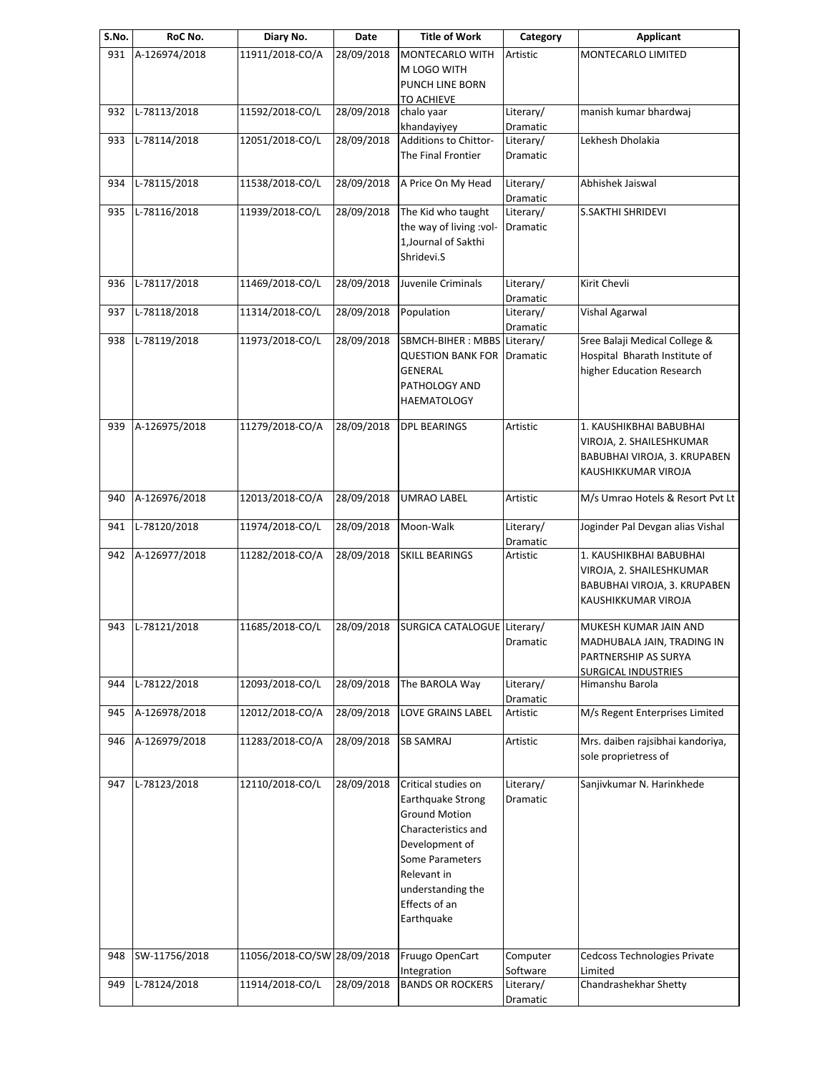| S.No. | RoC No.       | Diary No.                   | Date       | <b>Title of Work</b>         | Category  | <b>Applicant</b>                 |
|-------|---------------|-----------------------------|------------|------------------------------|-----------|----------------------------------|
| 931   | A-126974/2018 | 11911/2018-CO/A             | 28/09/2018 | MONTECARLO WITH              | Artistic  | MONTECARLO LIMITED               |
|       |               |                             |            | M LOGO WITH                  |           |                                  |
|       |               |                             |            | PUNCH LINE BORN              |           |                                  |
|       |               |                             |            | <b>TO ACHIEVE</b>            |           |                                  |
| 932   | L-78113/2018  | 11592/2018-CO/L             | 28/09/2018 | chalo yaar                   | Literary/ | manish kumar bhardwaj            |
|       |               |                             |            | khandayiyey                  | Dramatic  |                                  |
| 933   | L-78114/2018  | 12051/2018-CO/L             | 28/09/2018 | Additions to Chittor-        | Literary/ | Lekhesh Dholakia                 |
|       |               |                             |            | The Final Frontier           | Dramatic  |                                  |
|       |               |                             |            |                              |           |                                  |
| 934   | L-78115/2018  | 11538/2018-CO/L             | 28/09/2018 | A Price On My Head           | Literary/ | Abhishek Jaiswal                 |
|       |               |                             |            |                              | Dramatic  |                                  |
| 935   | L-78116/2018  | 11939/2018-CO/L             | 28/09/2018 | The Kid who taught           | Literary/ | S.SAKTHI SHRIDEVI                |
|       |               |                             |            | the way of living :vol-      | Dramatic  |                                  |
|       |               |                             |            | 1, Journal of Sakthi         |           |                                  |
|       |               |                             |            | Shridevi.S                   |           |                                  |
|       |               |                             |            |                              |           |                                  |
| 936   | L-78117/2018  | 11469/2018-CO/L             | 28/09/2018 | Juvenile Criminals           | Literary/ | Kirit Chevli                     |
|       |               |                             |            |                              | Dramatic  |                                  |
| 937   | L-78118/2018  | 11314/2018-CO/L             | 28/09/2018 | Population                   | Literary/ | Vishal Agarwal                   |
|       |               |                             |            |                              | Dramatic  |                                  |
| 938   | L-78119/2018  | 11973/2018-CO/L             | 28/09/2018 | SBMCH-BIHER : MBBS Literary/ |           | Sree Balaji Medical College &    |
|       |               |                             |            | <b>QUESTION BANK FOR</b>     | Dramatic  | Hospital Bharath Institute of    |
|       |               |                             |            | <b>GENERAL</b>               |           | higher Education Research        |
|       |               |                             |            |                              |           |                                  |
|       |               |                             |            | PATHOLOGY AND                |           |                                  |
|       |               |                             |            | <b>HAEMATOLOGY</b>           |           |                                  |
|       | A-126975/2018 | 11279/2018-CO/A             | 28/09/2018 | <b>DPL BEARINGS</b>          | Artistic  | 1. KAUSHIKBHAI BABUBHAI          |
| 939   |               |                             |            |                              |           |                                  |
|       |               |                             |            |                              |           | VIROJA, 2. SHAILESHKUMAR         |
|       |               |                             |            |                              |           | BABUBHAI VIROJA, 3. KRUPABEN     |
|       |               |                             |            |                              |           | KAUSHIKKUMAR VIROJA              |
|       |               |                             |            |                              |           |                                  |
| 940   | A-126976/2018 | 12013/2018-CO/A             | 28/09/2018 | UMRAO LABEL                  | Artistic  | M/s Umrao Hotels & Resort Pvt Lt |
|       |               |                             |            |                              |           |                                  |
| 941   | L-78120/2018  | 11974/2018-CO/L             | 28/09/2018 | Moon-Walk                    | Literary/ | Joginder Pal Devgan alias Vishal |
|       |               |                             |            |                              | Dramatic  |                                  |
| 942   | A-126977/2018 | 11282/2018-CO/A             | 28/09/2018 | <b>SKILL BEARINGS</b>        | Artistic  | 1. KAUSHIKBHAI BABUBHAI          |
|       |               |                             |            |                              |           | VIROJA, 2. SHAILESHKUMAR         |
|       |               |                             |            |                              |           | BABUBHAI VIROJA, 3. KRUPABEN     |
|       |               |                             |            |                              |           | KAUSHIKKUMAR VIROJA              |
|       |               |                             |            |                              |           |                                  |
| 943   | L-78121/2018  | 11685/2018-CO/L             | 28/09/2018 | SURGICA CATALOGUE Literary/  |           | MUKESH KUMAR JAIN AND            |
|       |               |                             |            |                              | Dramatic  | MADHUBALA JAIN, TRADING IN       |
|       |               |                             |            |                              |           | PARTNERSHIP AS SURYA             |
|       |               |                             |            |                              |           | <b>SURGICAL INDUSTRIES</b>       |
| 944   | L-78122/2018  | 12093/2018-CO/L             | 28/09/2018 | The BAROLA Way               | Literary/ | Himanshu Barola                  |
|       |               |                             |            |                              | Dramatic  |                                  |
| 945   | A-126978/2018 | 12012/2018-CO/A             | 28/09/2018 | LOVE GRAINS LABEL            | Artistic  | M/s Regent Enterprises Limited   |
|       |               |                             |            |                              |           |                                  |
| 946   | A-126979/2018 | 11283/2018-CO/A             | 28/09/2018 | <b>SB SAMRAJ</b>             | Artistic  | Mrs. daiben rajsibhai kandoriya, |
|       |               |                             |            |                              |           | sole proprietress of             |
|       |               |                             |            |                              |           |                                  |
| 947   | L-78123/2018  | 12110/2018-CO/L             | 28/09/2018 | Critical studies on          | Literary/ | Sanjivkumar N. Harinkhede        |
|       |               |                             |            | <b>Earthquake Strong</b>     | Dramatic  |                                  |
|       |               |                             |            | <b>Ground Motion</b>         |           |                                  |
|       |               |                             |            | Characteristics and          |           |                                  |
|       |               |                             |            | Development of               |           |                                  |
|       |               |                             |            | Some Parameters              |           |                                  |
|       |               |                             |            | Relevant in                  |           |                                  |
|       |               |                             |            |                              |           |                                  |
|       |               |                             |            | understanding the            |           |                                  |
|       |               |                             |            | Effects of an                |           |                                  |
|       |               |                             |            | Earthquake                   |           |                                  |
|       |               |                             |            |                              |           |                                  |
| 948   | SW-11756/2018 | 11056/2018-CO/SW 28/09/2018 |            | Fruugo OpenCart              | Computer  | Cedcoss Technologies Private     |
|       |               |                             |            | Integration                  | Software  | Limited                          |
| 949   | L-78124/2018  | 11914/2018-CO/L             | 28/09/2018 | <b>BANDS OR ROCKERS</b>      | Literary/ | Chandrashekhar Shetty            |
|       |               |                             |            |                              | Dramatic  |                                  |
|       |               |                             |            |                              |           |                                  |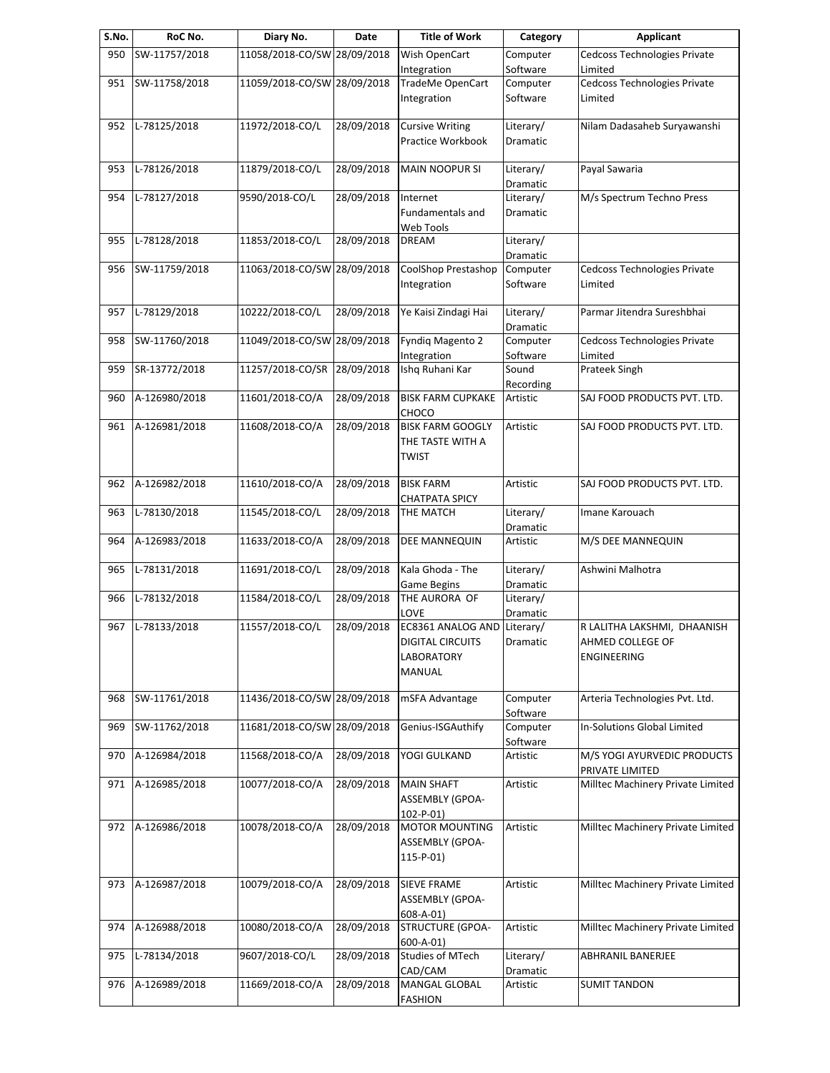| S.No. | RoC No.       | Diary No.                   | Date       | <b>Title of Work</b>                                                 | Category              | <b>Applicant</b>                                               |
|-------|---------------|-----------------------------|------------|----------------------------------------------------------------------|-----------------------|----------------------------------------------------------------|
| 950   | SW-11757/2018 | 11058/2018-CO/SW 28/09/2018 |            | Wish OpenCart                                                        | Computer              | Cedcoss Technologies Private                                   |
|       |               |                             |            | Integration                                                          | Software              | Limited                                                        |
| 951   | SW-11758/2018 | 11059/2018-CO/SW 28/09/2018 |            | <b>TradeMe OpenCart</b><br>Integration                               | Computer<br>Software  | Cedcoss Technologies Private<br>Limited                        |
| 952   | L-78125/2018  | 11972/2018-CO/L             | 28/09/2018 | <b>Cursive Writing</b><br>Practice Workbook                          | Literary/<br>Dramatic | Nilam Dadasaheb Suryawanshi                                    |
| 953   | L-78126/2018  | 11879/2018-CO/L             | 28/09/2018 | <b>MAIN NOOPUR SI</b>                                                | Literary/<br>Dramatic | Payal Sawaria                                                  |
| 954   | L-78127/2018  | 9590/2018-CO/L              | 28/09/2018 | Internet<br>Fundamentals and<br>Web Tools                            | Literary/<br>Dramatic | M/s Spectrum Techno Press                                      |
| 955   | L-78128/2018  | 11853/2018-CO/L             | 28/09/2018 | <b>DREAM</b>                                                         | Literary/<br>Dramatic |                                                                |
| 956   | SW-11759/2018 | 11063/2018-CO/SW 28/09/2018 |            | CoolShop Prestashop<br>Integration                                   | Computer<br>Software  | Cedcoss Technologies Private<br>Limited                        |
| 957   | L-78129/2018  | 10222/2018-CO/L             | 28/09/2018 | Ye Kaisi Zindagi Hai                                                 | Literary/<br>Dramatic | Parmar Jitendra Sureshbhai                                     |
| 958   | SW-11760/2018 | 11049/2018-CO/SW 28/09/2018 |            | Fyndiq Magento 2<br>Integration                                      | Computer<br>Software  | Cedcoss Technologies Private<br>Limited                        |
| 959   | SR-13772/2018 | 11257/2018-CO/SR            | 28/09/2018 | Ishq Ruhani Kar                                                      | Sound<br>Recording    | Prateek Singh                                                  |
| 960   | A-126980/2018 | 11601/2018-CO/A             | 28/09/2018 | <b>BISK FARM CUPKAKE</b><br>CHOCO                                    | Artistic              | SAJ FOOD PRODUCTS PVT. LTD.                                    |
| 961   | A-126981/2018 | 11608/2018-CO/A             | 28/09/2018 | <b>BISK FARM GOOGLY</b><br>THE TASTE WITH A<br><b>TWIST</b>          | Artistic              | SAJ FOOD PRODUCTS PVT. LTD.                                    |
| 962   | A-126982/2018 | 11610/2018-CO/A             | 28/09/2018 | <b>BISK FARM</b><br><b>CHATPATA SPICY</b>                            | Artistic              | SAJ FOOD PRODUCTS PVT. LTD.                                    |
| 963   | L-78130/2018  | 11545/2018-CO/L             | 28/09/2018 | THE MATCH                                                            | Literary/<br>Dramatic | Imane Karouach                                                 |
| 964   | A-126983/2018 | 11633/2018-CO/A             | 28/09/2018 | DEE MANNEQUIN                                                        | Artistic              | M/S DEE MANNEQUIN                                              |
| 965   | L-78131/2018  | 11691/2018-CO/L             | 28/09/2018 | Kala Ghoda - The<br><b>Game Begins</b>                               | Literary/<br>Dramatic | Ashwini Malhotra                                               |
| 966   | L-78132/2018  | 11584/2018-CO/L             | 28/09/2018 | THE AURORA OF<br>LOVE                                                | Literary/<br>Dramatic |                                                                |
| 967   | L-78133/2018  | 11557/2018-CO/L             | 28/09/2018 | EC8361 ANALOG AND<br><b>DIGITAL CIRCUITS</b><br>LABORATORY<br>MANUAL | Literary/<br>Dramatic | R LALITHA LAKSHMI, DHAANISH<br>AHMED COLLEGE OF<br>ENGINEERING |
| 968   | SW-11761/2018 | 11436/2018-CO/SW 28/09/2018 |            | mSFA Advantage                                                       | Computer<br>Software  | Arteria Technologies Pvt. Ltd.                                 |
| 969   | SW-11762/2018 | 11681/2018-CO/SW 28/09/2018 |            | Genius-ISGAuthify                                                    | Computer<br>Software  | In-Solutions Global Limited                                    |
| 970   | A-126984/2018 | 11568/2018-CO/A             | 28/09/2018 | YOGI GULKAND                                                         | Artistic              | M/S YOGI AYURVEDIC PRODUCTS<br>PRIVATE LIMITED                 |
| 971   | A-126985/2018 | 10077/2018-CO/A             | 28/09/2018 | <b>MAIN SHAFT</b><br>ASSEMBLY (GPOA-<br>$102-P-01$                   | Artistic              | Milltec Machinery Private Limited                              |
| 972   | A-126986/2018 | 10078/2018-CO/A             | 28/09/2018 | <b>MOTOR MOUNTING</b><br>ASSEMBLY (GPOA-<br>$115 - P - 01$           | Artistic              | Milltec Machinery Private Limited                              |
| 973   | A-126987/2018 | 10079/2018-CO/A             | 28/09/2018 | <b>SIEVE FRAME</b><br>ASSEMBLY (GPOA-<br>$608 - A - 01$              | Artistic              | Milltec Machinery Private Limited                              |
| 974   | A-126988/2018 | 10080/2018-CO/A             | 28/09/2018 | <b>STRUCTURE (GPOA-</b><br>$600 - A - 01$                            | Artistic              | Milltec Machinery Private Limited                              |
| 975   | L-78134/2018  | 9607/2018-CO/L              | 28/09/2018 | <b>Studies of MTech</b><br>CAD/CAM                                   | Literary/<br>Dramatic | <b>ABHRANIL BANERJEE</b>                                       |
| 976   | A-126989/2018 | 11669/2018-CO/A             | 28/09/2018 | MANGAL GLOBAL<br><b>FASHION</b>                                      | Artistic              | <b>SUMIT TANDON</b>                                            |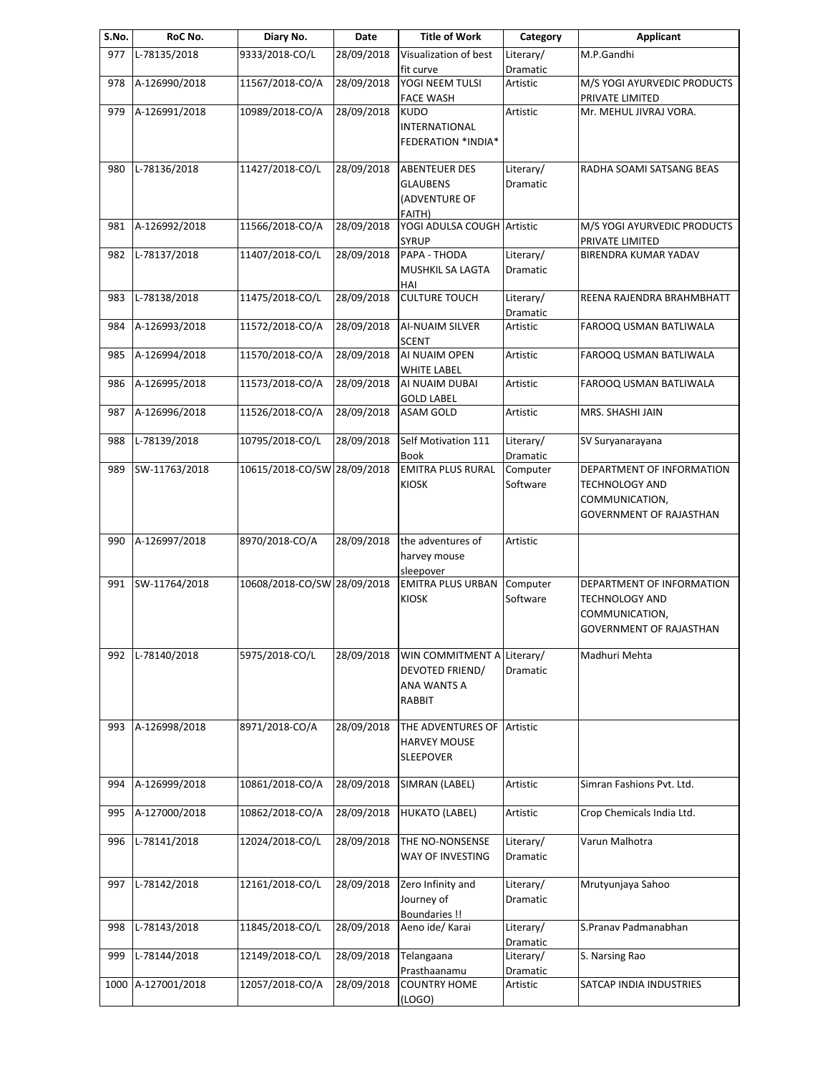| S.No. | RoC No.            | Diary No.                   | Date       | <b>Title of Work</b>                                                   | Category              | <b>Applicant</b>                                                                                |
|-------|--------------------|-----------------------------|------------|------------------------------------------------------------------------|-----------------------|-------------------------------------------------------------------------------------------------|
| 977   | L-78135/2018       | 9333/2018-CO/L              | 28/09/2018 | Visualization of best<br>fit curve                                     | Literary/<br>Dramatic | M.P.Gandhi                                                                                      |
| 978   | A-126990/2018      | 11567/2018-CO/A             | 28/09/2018 | YOGI NEEM TULSI<br><b>FACE WASH</b>                                    | Artistic              | M/S YOGI AYURVEDIC PRODUCTS<br>PRIVATE LIMITED                                                  |
| 979   | A-126991/2018      | 10989/2018-CO/A             | 28/09/2018 | <b>KUDO</b><br><b>INTERNATIONAL</b><br><b>FEDERATION *INDIA*</b>       | Artistic              | Mr. MEHUL JIVRAJ VORA.                                                                          |
| 980   | L-78136/2018       | 11427/2018-CO/L             | 28/09/2018 | <b>ABENTEUER DES</b><br><b>GLAUBENS</b><br>(ADVENTURE OF<br>FAITH)     | Literary/<br>Dramatic | RADHA SOAMI SATSANG BEAS                                                                        |
| 981   | A-126992/2018      | 11566/2018-CO/A             | 28/09/2018 | YOGI ADULSA COUGH Artistic<br><b>SYRUP</b>                             |                       | M/S YOGI AYURVEDIC PRODUCTS<br>PRIVATE LIMITED                                                  |
| 982   | L-78137/2018       | 11407/2018-CO/L             | 28/09/2018 | PAPA - THODA<br>MUSHKIL SA LAGTA<br>HAI                                | Literary/<br>Dramatic | <b>BIRENDRA KUMAR YADAV</b>                                                                     |
| 983   | L-78138/2018       | 11475/2018-CO/L             | 28/09/2018 | <b>CULTURE TOUCH</b>                                                   | Literary/<br>Dramatic | REENA RAJENDRA BRAHMBHATT                                                                       |
| 984   | A-126993/2018      | 11572/2018-CO/A             | 28/09/2018 | AI-NUAIM SILVER<br><b>SCENT</b>                                        | Artistic              | FAROOQ USMAN BATLIWALA                                                                          |
| 985   | A-126994/2018      | 11570/2018-CO/A             | 28/09/2018 | AI NUAIM OPEN<br><b>WHITE LABEL</b>                                    | Artistic              | FAROOQ USMAN BATLIWALA                                                                          |
| 986   | A-126995/2018      | 11573/2018-CO/A             | 28/09/2018 | AI NUAIM DUBAI<br><b>GOLD LABEL</b>                                    | Artistic              | FAROOQ USMAN BATLIWALA                                                                          |
| 987   | A-126996/2018      | 11526/2018-CO/A             | 28/09/2018 | <b>ASAM GOLD</b>                                                       | Artistic              | MRS. SHASHI JAIN                                                                                |
| 988   | L-78139/2018       | 10795/2018-CO/L             | 28/09/2018 | Self Motivation 111<br>Book                                            | Literary/<br>Dramatic | SV Suryanarayana                                                                                |
| 989   | SW-11763/2018      | 10615/2018-CO/SW 28/09/2018 |            | <b>EMITRA PLUS RURAL</b><br><b>KIOSK</b>                               | Computer<br>Software  | DEPARTMENT OF INFORMATION<br>TECHNOLOGY AND<br>COMMUNICATION,<br><b>GOVERNMENT OF RAJASTHAN</b> |
| 990   | A-126997/2018      | 8970/2018-CO/A              | 28/09/2018 | the adventures of<br>harvey mouse<br>sleepover                         | Artistic              |                                                                                                 |
| 991   | SW-11764/2018      | 10608/2018-CO/SW 28/09/2018 |            | <b>EMITRA PLUS URBAN</b><br><b>KIOSK</b>                               | Computer<br>Software  | DEPARTMENT OF INFORMATION<br>TECHNOLOGY AND<br>COMMUNICATION,<br>GOVERNMENT OF RAJASTHAN        |
| 992   | L-78140/2018       | 5975/2018-CO/L              | 28/09/2018 | WIN COMMITMENT A Literary/<br>DEVOTED FRIEND/<br>ANA WANTS A<br>RABBIT | Dramatic              | Madhuri Mehta                                                                                   |
| 993   | A-126998/2018      | 8971/2018-CO/A              | 28/09/2018 | THE ADVENTURES OF<br><b>HARVEY MOUSE</b><br><b>SLEEPOVER</b>           | Artistic              |                                                                                                 |
| 994   | A-126999/2018      | 10861/2018-CO/A             | 28/09/2018 | SIMRAN (LABEL)                                                         | Artistic              | Simran Fashions Pvt. Ltd.                                                                       |
| 995   | A-127000/2018      | 10862/2018-CO/A             | 28/09/2018 | <b>HUKATO (LABEL)</b>                                                  | Artistic              | Crop Chemicals India Ltd.                                                                       |
| 996   | L-78141/2018       | 12024/2018-CO/L             | 28/09/2018 | THE NO-NONSENSE<br>WAY OF INVESTING                                    | Literary/<br>Dramatic | Varun Malhotra                                                                                  |
| 997   | L-78142/2018       | 12161/2018-CO/L             | 28/09/2018 | Zero Infinity and<br>Journey of<br><b>Boundaries</b> !!                | Literary/<br>Dramatic | Mrutyunjaya Sahoo                                                                               |
| 998   | L-78143/2018       | 11845/2018-CO/L             | 28/09/2018 | Aeno ide/ Karai                                                        | Literary/<br>Dramatic | S.Pranav Padmanabhan                                                                            |
| 999   | L-78144/2018       | 12149/2018-CO/L             | 28/09/2018 | Telangaana<br>Prasthaanamu                                             | Literary/<br>Dramatic | S. Narsing Rao                                                                                  |
|       | 1000 A-127001/2018 | 12057/2018-CO/A             | 28/09/2018 | <b>COUNTRY HOME</b><br>(LOGO)                                          | Artistic              | SATCAP INDIA INDUSTRIES                                                                         |